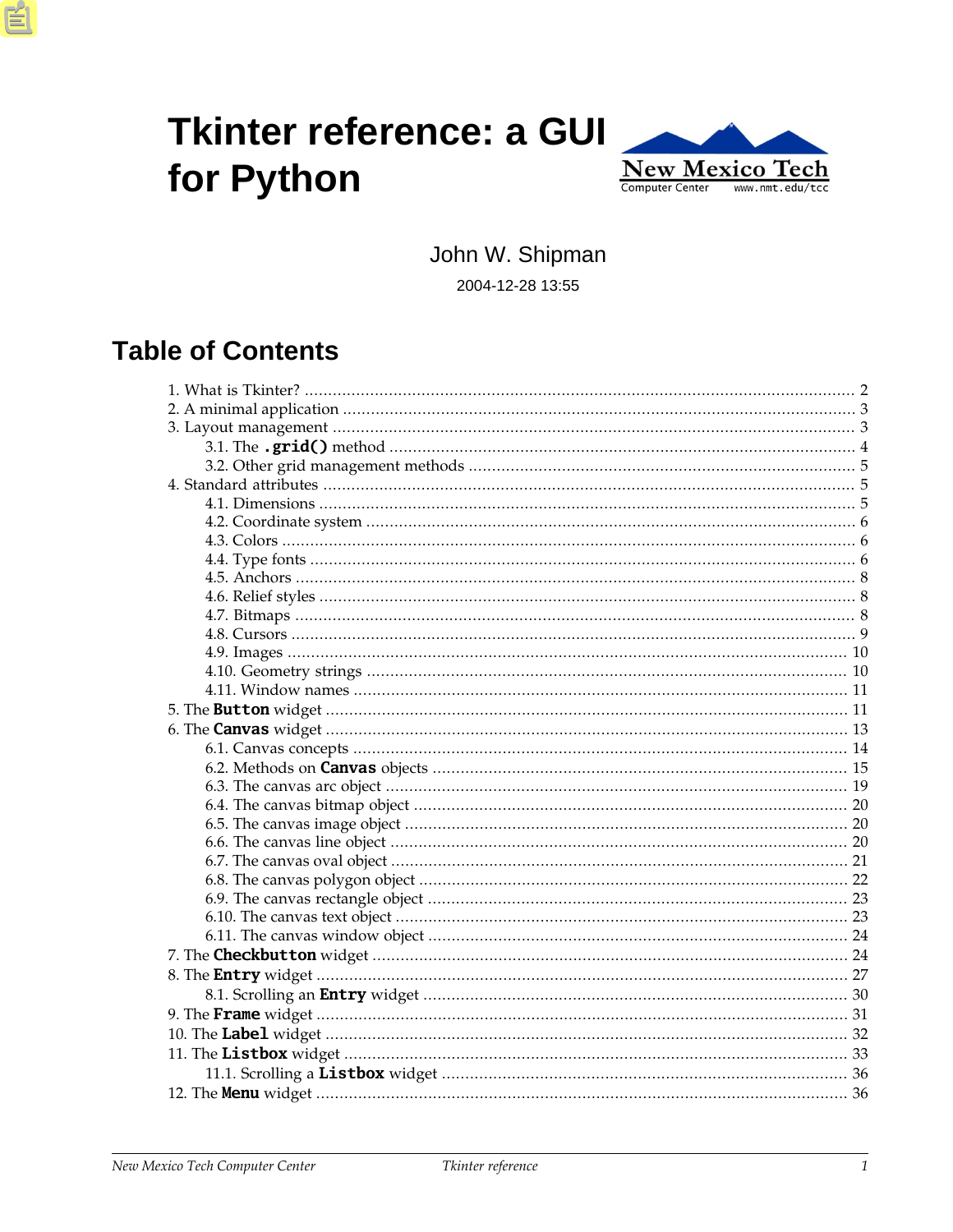# **Tkinter reference: a GUI** for Python



John W. Shipman

2004-12-28 13:55

## **Table of Contents**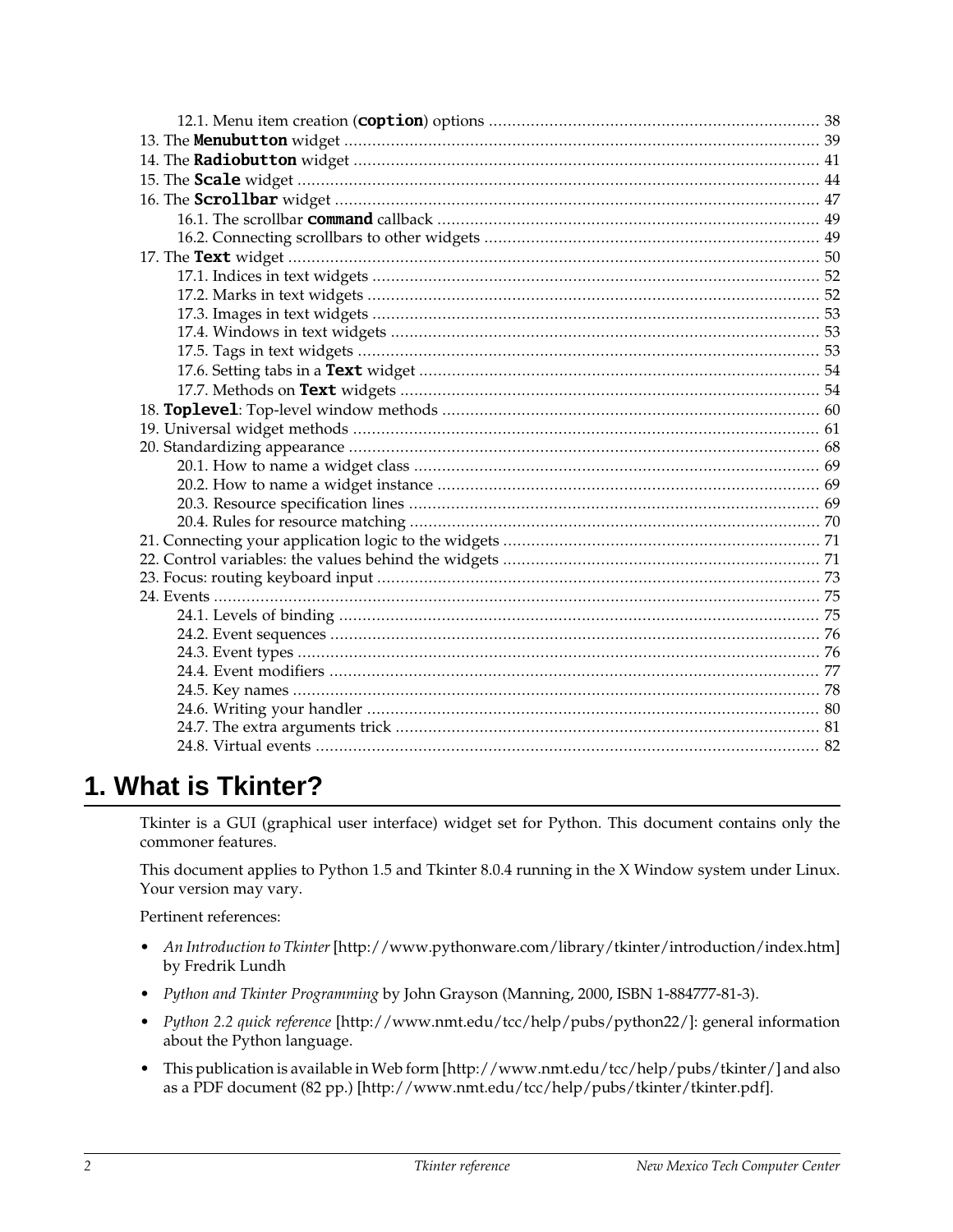## <span id="page-1-0"></span>**1. What is Tkinter?**

Tkinter is a GUI (graphical user interface) widget set for Python. This document contains only the commoner features.

This document applies to Python 1.5 and Tkinter 8.0.4 running in the X Window system under Linux. Your version may vary.

Pertinent references:

- *[An Introduction to Tkinter](http://www.pythonware.com/library/tkinter/introduction/index.htm)* [http://www.pythonware.com/library/tkinter/introduction/index.htm] by Fredrik Lundh
- *Python and Tkinter Programming* by John Grayson (Manning, 2000, ISBN 1-884777-81-3).
- *[Python 2.2 quick reference](http://www.nmt.edu/tcc/help/pubs/python22/)* [http://www.nmt.edu/tcc/help/pubs/python22/]: general information about the Python language.
- This publication is available in [Web form](http://www.nmt.edu/tcc/help/pubs/tkinter/) [http://www.nmt.edu/tcc/help/pubs/tkinter/] and also as a [PDF document \(82 pp.\)](http://www.nmt.edu/tcc/help/pubs/tkinter/tkinter.pdf) [http://www.nmt.edu/tcc/help/pubs/tkinter/tkinter.pdf].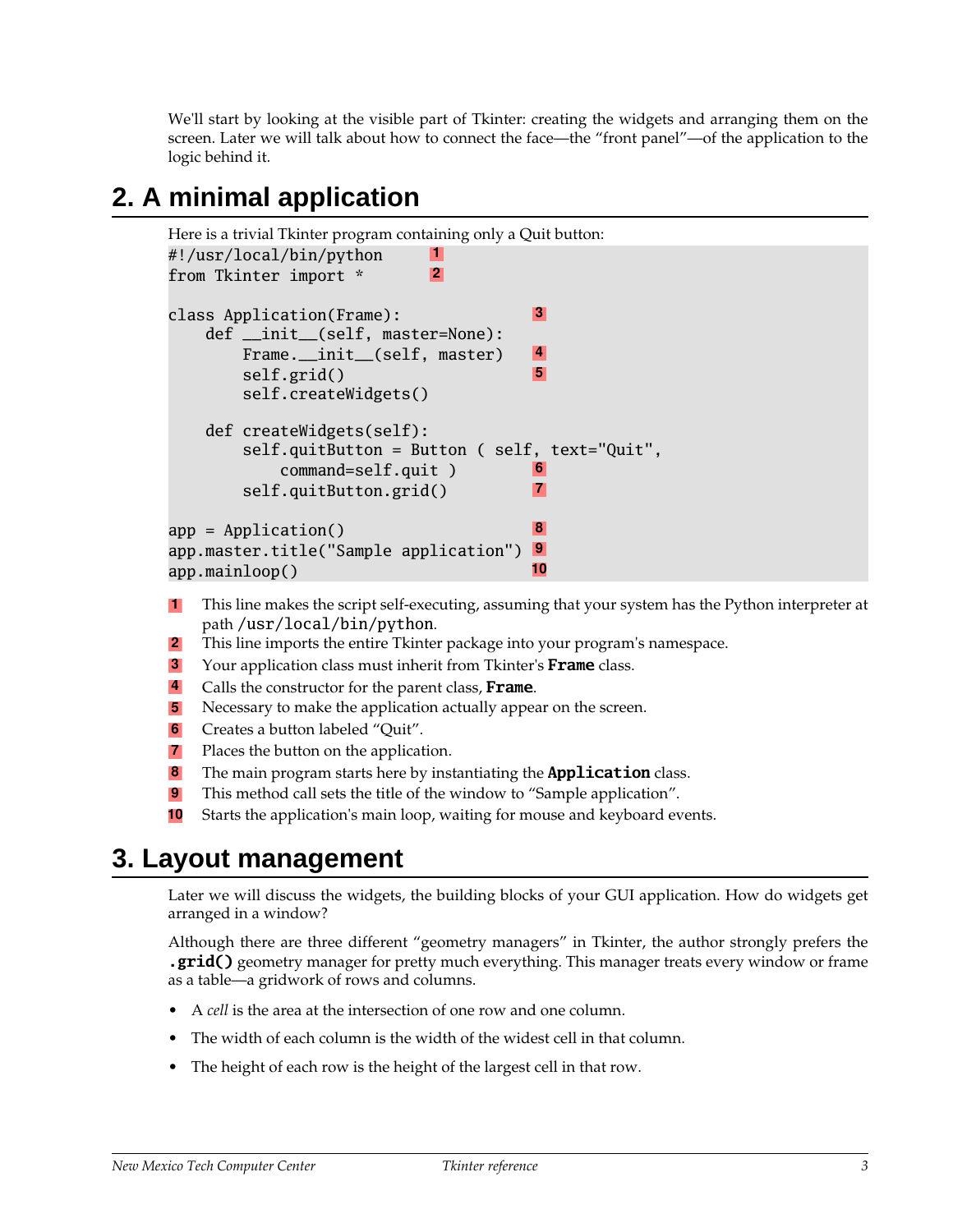<span id="page-2-0"></span>We'll start by looking at the visible part of Tkinter: creating the widgets and arranging them on the screen. Later we will talk about how to connect the face—the "front panel"—of the application to the logic behind it.

## **2. A minimal application**

```
Here is a trivial Tkinter program containing only a Quit button:
#!/usr/local/bin/python 1
from Tkinter import * 2
class Application(Frame): 3
   def __init__(self, master=None):
      Frame.__init__(self, master) 4
      self.grid() 5
      self.createWidgets()
   def createWidgets(self):
      self.quitButton = Button ( self, text="Quit",
          command=self.quit ) 6
      self.quitButton.grid() 7
app = Application() 8
app.master.title("Sample application") 9
app.mainloop() 10
```
- **1** This line makes the script self-executing, assuming that your system has the Python interpreter at path /usr/local/bin/python.
- **2** This line imports the entire Tkinter package into your program's namespace.
- **3** Your application class must inherit from Tkinter's **Frame** class.
- **4** Calls the constructor for the parent class, **Frame**.
- **5** Necessary to make the application actually appear on the screen.
- **6** Creates a button labeled "Ouit".
- <span id="page-2-1"></span>**7** Places the button on the application.
- **8** The main program starts here by instantiating the **Application** class.
- **9** This method call sets the title of the window to "Sample application".
- **10** Starts the application's main loop, waiting for mouse and keyboard events.

## **3. Layout management**

Later we will discuss the widgets, the building blocks of your GUI application. How do widgets get arranged in a window?

Although there are three different "geometry managers" in Tkinter, the author strongly prefers the **.grid()** geometry manager for pretty much everything. This manager treats every window or frame as a table—a gridwork of rows and columns.

- A *cell* is the area at the intersection of one row and one column.
- The width of each column is the width of the widest cell in that column.
- The height of each row is the height of the largest cell in that row.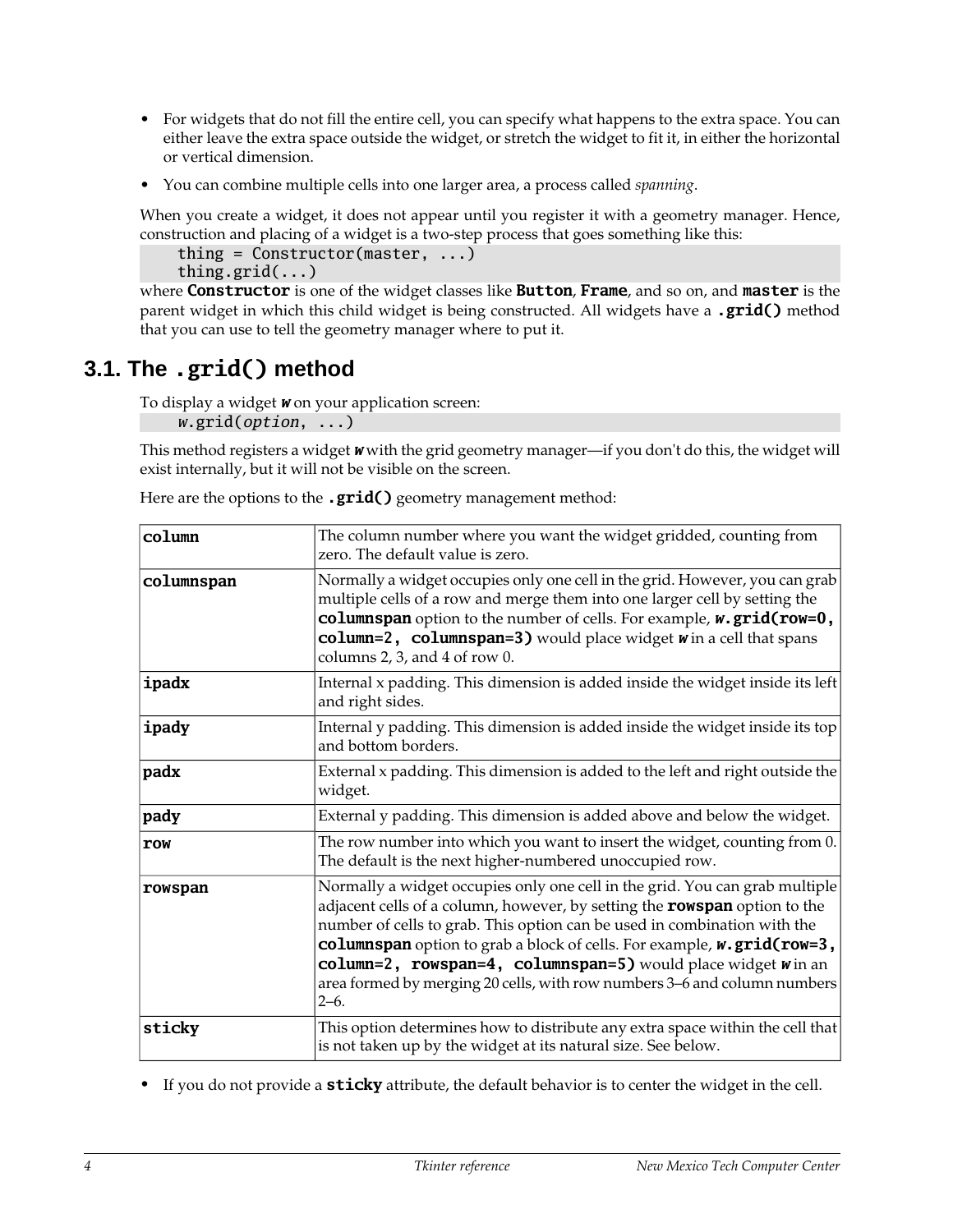- For widgets that do not fill the entire cell, you can specify what happens to the extra space. You can either leave the extra space outside the widget, or stretch the widget to fit it, in either the horizontal or vertical dimension.
- You can combine multiple cells into one larger area, a process called *spanning*.

When you create a widget, it does not appear until you register it with a geometry manager. Hence, construction and placing of a widget is a two-step process that goes something like this:

thing = Constructor(master, ...) thing.grid(...)

<span id="page-3-0"></span>where **Constructor** is one of the widget classes like **Button**, **Frame**, and so on, and **master** is the parent widget in which this child widget is being constructed. All widgets have a **.grid()** method that you can use to tell the geometry manager where to put it.

## **3.1. The .grid() method**

To display a widget *w* on your application screen:

*w*.grid(*option*, ...)

This method registers a widget *w* with the grid geometry manager—if you don't do this, the widget will exist internally, but it will not be visible on the screen.

| column                                                                                                                                                                                                                                                                                                                                                             | The column number where you want the widget gridded, counting from<br>zero. The default value is zero.                                                                                                                                                                                                                                                                                                                                                                  |  |
|--------------------------------------------------------------------------------------------------------------------------------------------------------------------------------------------------------------------------------------------------------------------------------------------------------------------------------------------------------------------|-------------------------------------------------------------------------------------------------------------------------------------------------------------------------------------------------------------------------------------------------------------------------------------------------------------------------------------------------------------------------------------------------------------------------------------------------------------------------|--|
| Normally a widget occupies only one cell in the grid. However, you can grab<br>columnspan<br>multiple cells of a row and merge them into one larger cell by setting the<br>columnspan option to the number of cells. For example, $w$ . $grid(row=0,$<br>column=2, columnspan=3) would place widget win a cell that spans<br>columns $2$ , $3$ , and $4$ of row 0. |                                                                                                                                                                                                                                                                                                                                                                                                                                                                         |  |
| ipadx                                                                                                                                                                                                                                                                                                                                                              | Internal x padding. This dimension is added inside the widget inside its left<br>and right sides.                                                                                                                                                                                                                                                                                                                                                                       |  |
| ipady                                                                                                                                                                                                                                                                                                                                                              | Internal y padding. This dimension is added inside the widget inside its top<br>and bottom borders.                                                                                                                                                                                                                                                                                                                                                                     |  |
| padx                                                                                                                                                                                                                                                                                                                                                               | External x padding. This dimension is added to the left and right outside the<br>widget.                                                                                                                                                                                                                                                                                                                                                                                |  |
| pady                                                                                                                                                                                                                                                                                                                                                               | External y padding. This dimension is added above and below the widget.                                                                                                                                                                                                                                                                                                                                                                                                 |  |
| row                                                                                                                                                                                                                                                                                                                                                                | The row number into which you want to insert the widget, counting from 0.<br>The default is the next higher-numbered unoccupied row.                                                                                                                                                                                                                                                                                                                                    |  |
| rowspan                                                                                                                                                                                                                                                                                                                                                            | Normally a widget occupies only one cell in the grid. You can grab multiple<br>adjacent cells of a column, however, by setting the rowspan option to the<br>number of cells to grab. This option can be used in combination with the<br>columnspan option to grab a block of cells. For example, w.grid(row=3,<br>$column=2$ , rowspan=4, $column=5)$ would place widget win an<br>area formed by merging 20 cells, with row numbers 3-6 and column numbers<br>$2 - 6.$ |  |
| sticky                                                                                                                                                                                                                                                                                                                                                             | This option determines how to distribute any extra space within the cell that<br>is not taken up by the widget at its natural size. See below.                                                                                                                                                                                                                                                                                                                          |  |

Here are the options to the **.grid()** geometry management method:

• If you do not provide a **sticky** attribute, the default behavior is to center the widget in the cell.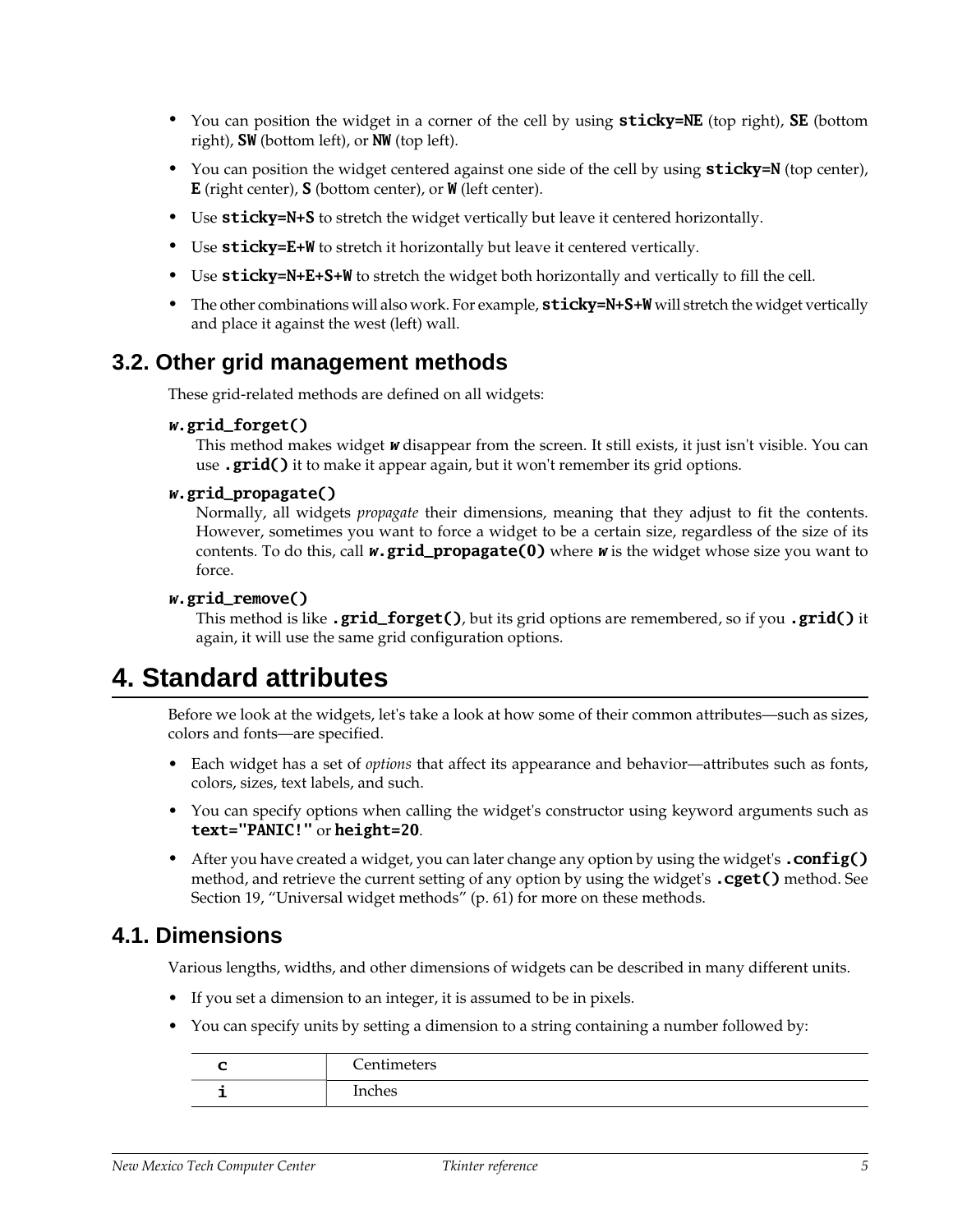- You can position the widget in a corner of the cell by using **sticky=NE** (top right), **SE** (bottom right), **SW** (bottom left), or **NW** (top left).
- You can position the widget centered against one side of the cell by using **sticky=N** (top center), **E** (right center), **S** (bottom center), or **W** (left center).
- Use **sticky=N+S** to stretch the widget vertically but leave it centered horizontally.
- Use **sticky=E+W** to stretch it horizontally but leave it centered vertically.
- Use **sticky=N+E+S+W** to stretch the widget both horizontally and vertically to fill the cell.
- <span id="page-4-0"></span>• The other combinations will also work. For example, **sticky=N+S+W** will stretch the widget vertically and place it against the west (left) wall.

### **3.2. Other grid management methods**

These grid-related methods are defined on all widgets:

#### *w***.grid\_forget()**

This method makes widget *w* disappear from the screen. It still exists, it just isn't visible. You can use **.grid()** it to make it appear again, but it won't remember its grid options.

#### *w***.grid\_propagate()**

Normally, all widgets *propagate* their dimensions, meaning that they adjust to fit the contents. However, sometimes you want to force a widget to be a certain size, regardless of the size of its contents. To do this, call *w***.grid\_propagate(0)** where *w* is the widget whose size you want to force.

#### <span id="page-4-1"></span>*w***.grid\_remove()**

This method is like **.grid\_forget()**, but its grid options are remembered, so if you **.grid()** it again, it will use the same grid configuration options.

## **4. Standard attributes**

Before we look at the widgets, let's take a look at how some of their common attributes—such as sizes, colors and fonts—are specified.

- Each widget has a set of *options* that affect its appearance and behavior—attributes such as fonts, colors, sizes, text labels, and such.
- You can specify options when calling the widget's constructor using keyword arguments such as **text="PANIC!"** or **height=20**.
- <span id="page-4-2"></span>• After you have created a widget, you can later change any option by using the widget's **.config()** method, and retrieve the current setting of any option by using the widget's **.cget()** method. See Section [19, "Universal widget methods" \(p. 61\)](#page-60-0) for more on these methods.

## **4.1. Dimensions**

Various lengths, widths, and other dimensions of widgets can be described in many different units.

- If you set a dimension to an integer, it is assumed to be in pixels.
- You can specify units by setting a dimension to a string containing a number followed by:

| Centimeters |
|-------------|
| Inches      |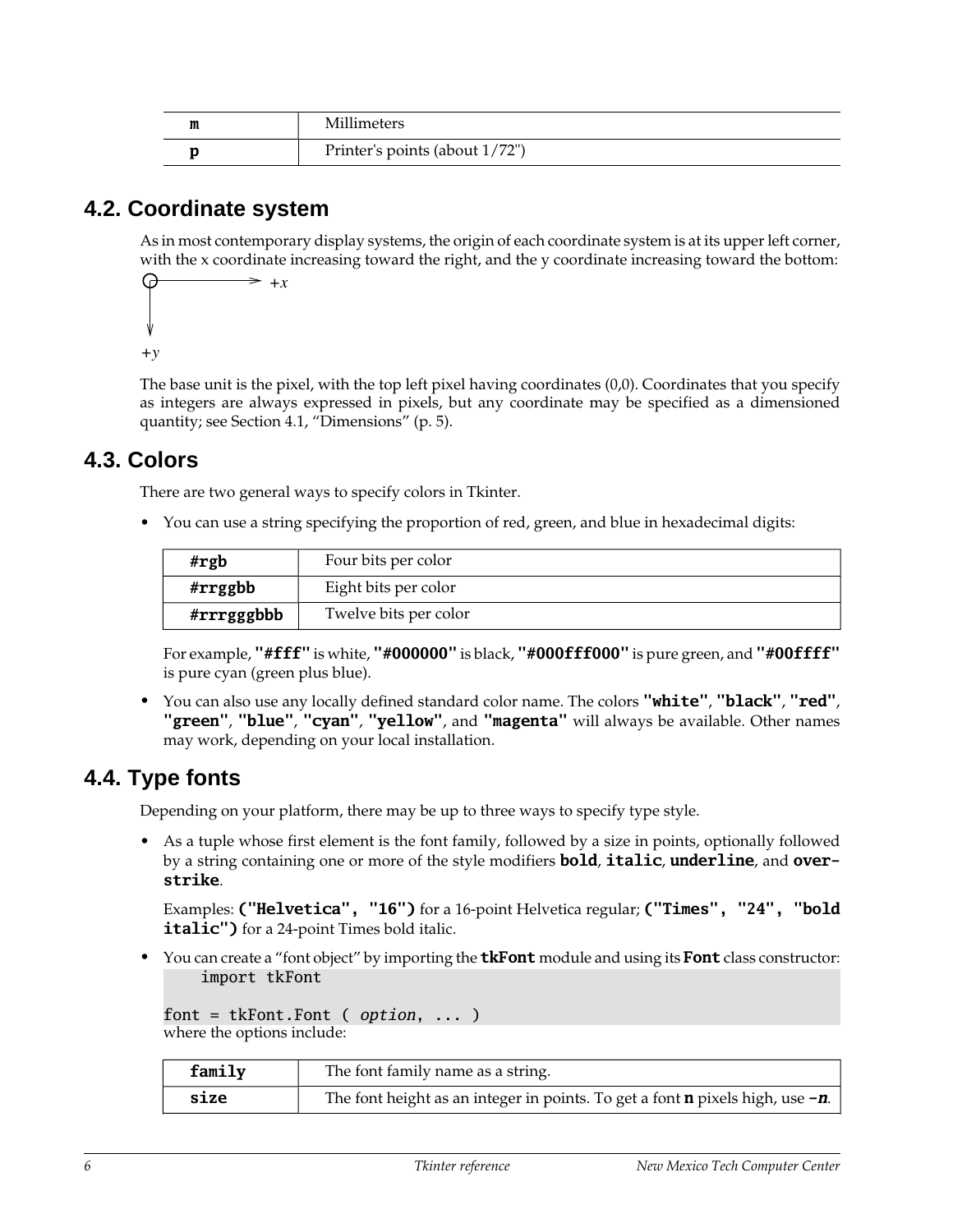| <b>Millimeters</b>             |
|--------------------------------|
| Printer's points (about 1/72") |

## <span id="page-5-0"></span>**4.2. Coordinate system**

As in most contemporary display systems, the origin of each coordinate system is at its upper left corner, with the x coordinate increasing toward the right, and the y coordinate increasing toward the bottom:



<span id="page-5-1"></span>The base unit is the pixel, with the top left pixel having coordinates (0,0). Coordinates that you specify as integers are always expressed in pixels, but any coordinate may be specified as a dimensioned quantity; see Section [4.1, "Dimensions" \(p. 5\).](#page-4-2)

## **4.3. Colors**

There are two general ways to specify colors in Tkinter.

• You can use a string specifying the proportion of red, green, and blue in hexadecimal digits:

| $\# \text{rgb}$ | Four bits per color   |
|-----------------|-----------------------|
| #rrggbb         | Eight bits per color  |
| #rrrgggbbb      | Twelve bits per color |

For example, **"#fff"** is white, **"#000000"** is black, **"#000fff000"** is pure green, and **"#00ffff"** is pure cyan (green plus blue).

<span id="page-5-2"></span>• You can also use any locally defined standard color name. The colors **"white"**, **"black"**, **"red"**, **"green"**, **"blue"**, **"cyan"**, **"yellow"**, and **"magenta"** will always be available. Other names may work, depending on your local installation.

## **4.4. Type fonts**

Depending on your platform, there may be up to three ways to specify type style.

• As a tuple whose first element is the font family, followed by a size in points, optionally followed by a string containing one or more of the style modifiers **bold**, **italic**, **underline**, and **overstrike**.

Examples: **("Helvetica", "16")** for a 16-point Helvetica regular; **("Times", "24", "bold** italic") for a 24-point Times bold italic.

• You can create a "font object" by importing the **tkFont** module and using its **Font** class constructor: import tkFont

font = tkFont.Font ( *option*, ... ) where the options include:

| family | The font family name as a string.                                                       |  |
|--------|-----------------------------------------------------------------------------------------|--|
| sıze   | The font height as an integer in points. To get a font <b>n</b> pixels high, use $-n$ . |  |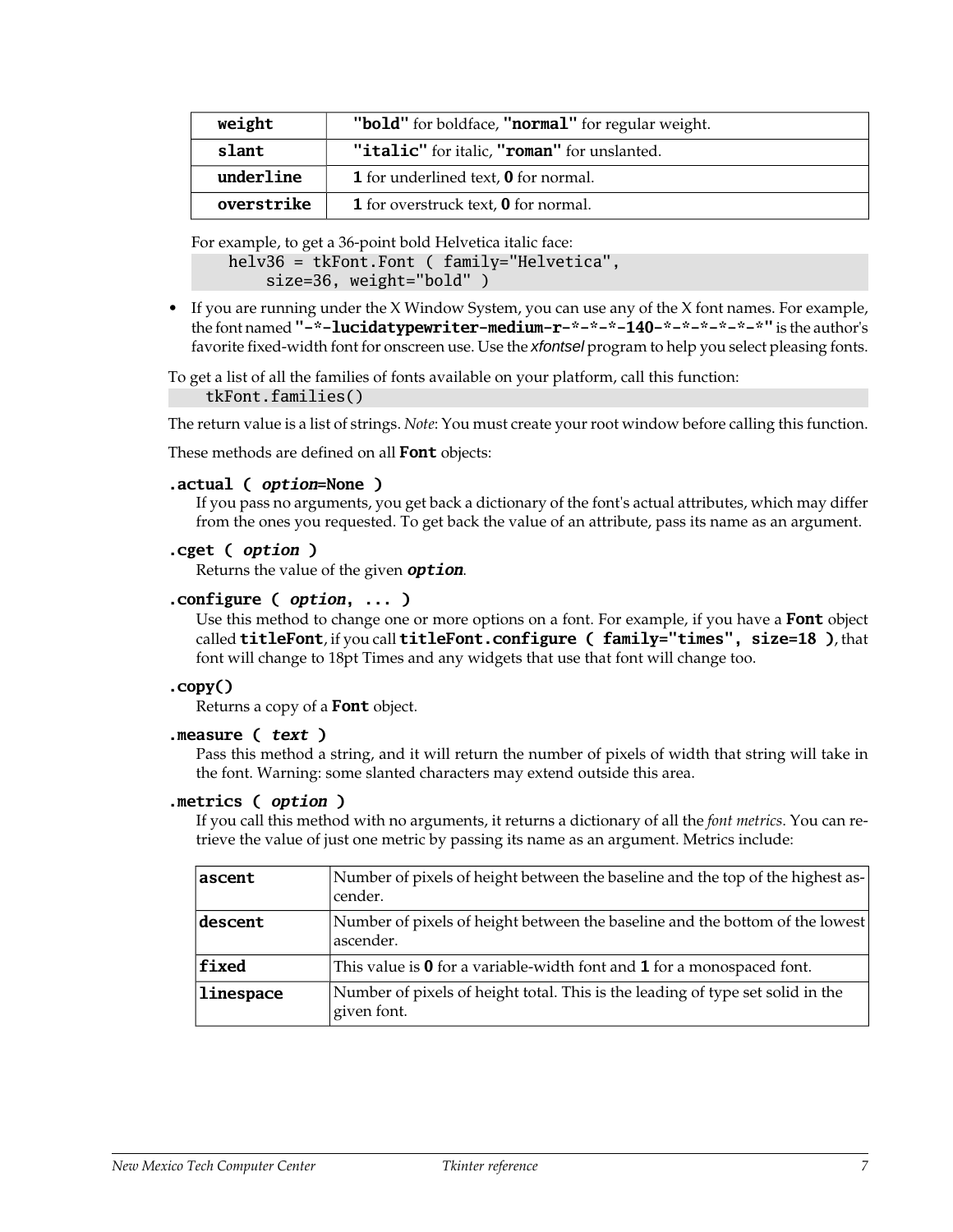| weight                                                           | "bold" for boldface, "normal" for regular weight. |  |
|------------------------------------------------------------------|---------------------------------------------------|--|
| slant                                                            | "italic" for italic, "roman" for unslanted.       |  |
| underline<br>1 for underlined text, 0 for normal.                |                                                   |  |
| overstrike<br><b>1</b> for overstruck text, <b>0</b> for normal. |                                                   |  |

For example, to get a 36-point bold Helvetica italic face: helv36 = tkFont.Font ( family="Helvetica", size=36, weight="bold" )

• If you are running under the X Window System, you can use any of the X font names. For example, the font named **"-\*-lucidatypewriter-medium-r-\*-\*-\*-140-\*-\*-\*-\*-\*-\*"** is the author's favorite fixed-width font for onscreen use. Use the *xfontsel* program to help you select pleasing fonts.

To get a list of all the families of fonts available on your platform, call this function: tkFont.families()

The return value is a list of strings. *Note*: You must create your root window before calling this function.

These methods are defined on all **Font** objects:

#### **.actual (** *option***=None )**

If you pass no arguments, you get back a dictionary of the font's actual attributes, which may differ from the ones you requested. To get back the value of an attribute, pass its name as an argument.

#### **.cget (** *option* **)**

Returns the value of the given *option*.

#### **.configure (** *option***, ... )**

Use this method to change one or more options on a font. For example, if you have a **Font** object called **titleFont**, if you call **titleFont.configure ( family="times", size=18 )**, that font will change to 18pt Times and any widgets that use that font will change too.

#### **.copy()**

Returns a copy of a **Font** object.

#### **.measure (** *text* **)**

Pass this method a string, and it will return the number of pixels of width that string will take in the font. Warning: some slanted characters may extend outside this area.

#### **.metrics (** *option* **)**

If you call this method with no arguments, it returns a dictionary of all the *font metrics*. You can retrieve the value of just one metric by passing its name as an argument. Metrics include:

| ascent    | Number of pixels of height between the baseline and the top of the highest as-<br> cender.    |
|-----------|-----------------------------------------------------------------------------------------------|
| descent   | Number of pixels of height between the baseline and the bottom of the lowest<br> ascender.    |
| fixed     | This value is $0$ for a variable-width font and $1$ for a monospaced font.                    |
| linespace | Number of pixels of height total. This is the leading of type set solid in the<br>given font. |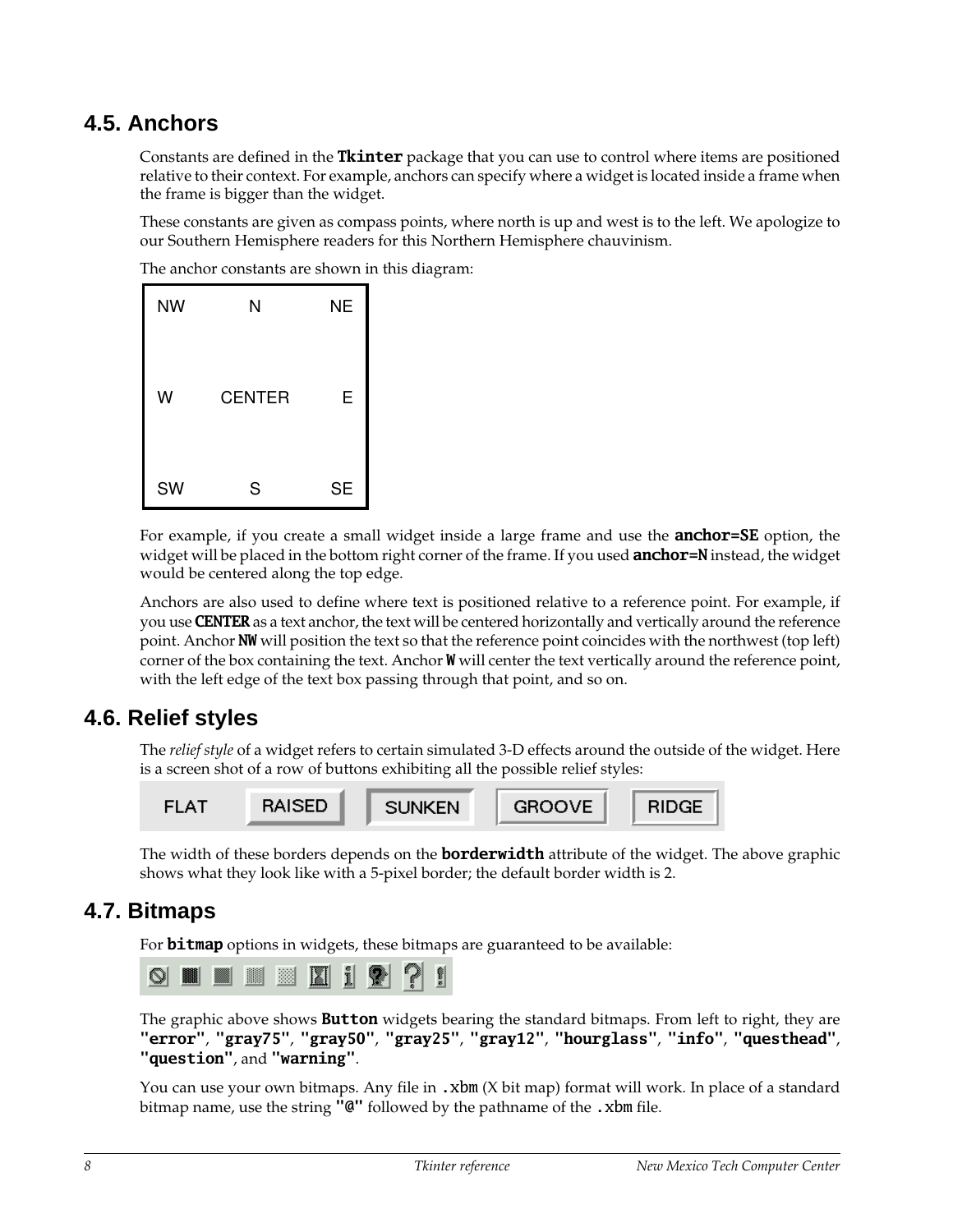## <span id="page-7-0"></span>**4.5. Anchors**

Constants are defined in the **Tkinter** package that you can use to control where items are positioned relative to their context. For example, anchors can specify where a widget is located inside a frame when the frame is bigger than the widget.

These constants are given as compass points, where north is up and west is to the left. We apologize to our Southern Hemisphere readers for this Northern Hemisphere chauvinism.

The anchor constants are shown in this diagram:

| <b>NW</b> | N             | <b>NE</b> |
|-----------|---------------|-----------|
| W         | <b>CENTER</b> | E         |
| SW        | S             | <b>SE</b> |

For example, if you create a small widget inside a large frame and use the **anchor=SE** option, the widget will be placed in the bottom right corner of the frame. If you used **anchor=N** instead, the widget would be centered along the top edge.

<span id="page-7-1"></span>Anchors are also used to define where text is positioned relative to a reference point. For example, if you use **CENTER** as a text anchor, the text will be centered horizontally and vertically around the reference point. Anchor **NW** will position the text so that the reference point coincides with the northwest (top left) corner of the box containing the text. Anchor **W** will center the text vertically around the reference point, with the left edge of the text box passing through that point, and so on.

### **4.6. Relief styles**

The *relief style* of a widget refers to certain simulated 3-D effects around the outside of the widget. Here is a screen shot of a row of buttons exhibiting all the possible relief styles:

<span id="page-7-2"></span>

The width of these borders depends on the **borderwidth** attribute of the widget. The above graphic shows what they look like with a 5-pixel border; the default border width is 2.

### **4.7. Bitmaps**

For **bitmap** options in widgets, these bitmaps are guaranteed to be available:



The graphic above shows **Button** widgets bearing the standard bitmaps. From left to right, they are **"error"**, **"gray75"**, **"gray50"**, **"gray25"**, **"gray12"**, **"hourglass"**, **"info"**, **"questhead"**, **"question"**, and **"warning"**.

You can use your own bitmaps. Any file in . xbm (X bit map) format will work. In place of a standard bitmap name, use the string **"@"** followed by the pathname of the .xbm file.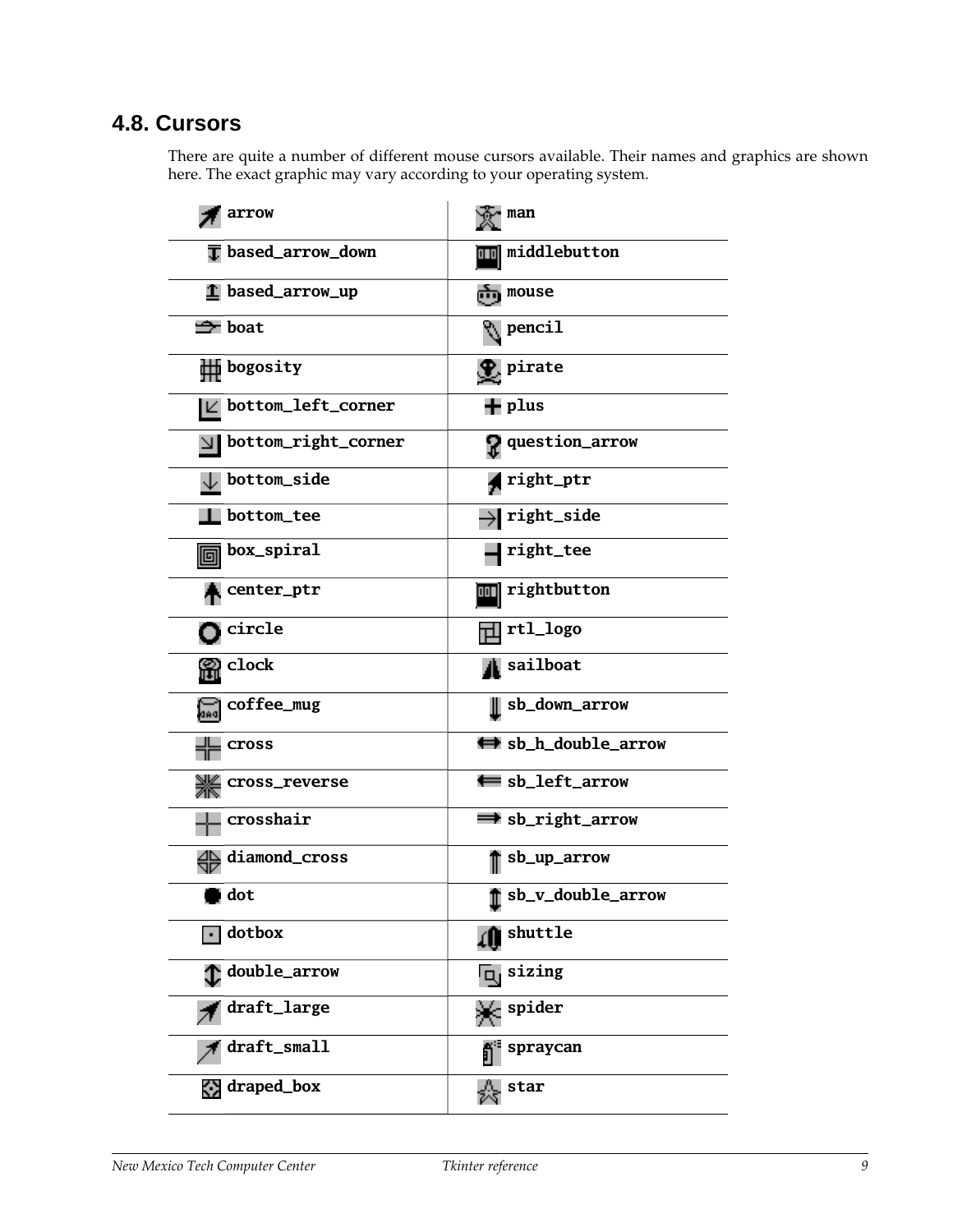## <span id="page-8-0"></span>**4.8. Cursors**

There are quite a number of different mouse cursors available. Their names and graphics are shown here. The exact graphic may vary according to your operating system.

| arrow                                      | ∀n man                          |
|--------------------------------------------|---------------------------------|
| <b>T</b> based_arrow_down                  | <b>TH</b> middlebutton          |
| 1 based_arrow_up                           | ரூ mouse                        |
| $\Rightarrow$ boat                         | Pencil                          |
| the bogosity                               | $\mathbf{\mathbf{\Phi}}$ pirate |
| $\vert\vert$ bottom_left_corner            | $+$ plus                        |
| J bottom_right_corner                      | <b>Q</b> question_arrow         |
| $\downarrow$ bottom_side                   | $\blacktriangleleft$ right_ptr  |
| $\perp$ bottom_tee                         | $\rightarrow$ right_side        |
| $\overline{m}$ box_spiral                  | $\blacksquare$ right_tee        |
| <b>A</b> center_ptr                        | m rightbutton                   |
| $\bullet$ circle                           | $\boxplus$ rtl_logo             |
| $\circledR$ clock                          | A sailboat                      |
| $\Box$ coffee_mug                          | sb_down_arrow                   |
| $\frac{1}{2}$ cross                        | Sole_double_arrow               |
| $\frac{N\mu}{N\hbar}$ cross_reverse        | sb_left_arrow                   |
| . crosshair                                | $\Rightarrow$ sb_right_arrow    |
| $\overline{\Leftrightarrow}$ diamond_cross | sb_up_arrow                     |
| dot                                        | † sb_v_double_arrow             |
| dotbox                                     | $\prod$ shuttle                 |
| $\mathbf T$ double_arrow                   | sizing                          |
| draft_large                                | $\frac{1}{2}$ spider            |
| draft_small                                | spraycan                        |
| <b>B</b> draped_box                        | $\frac{1}{2}$ star              |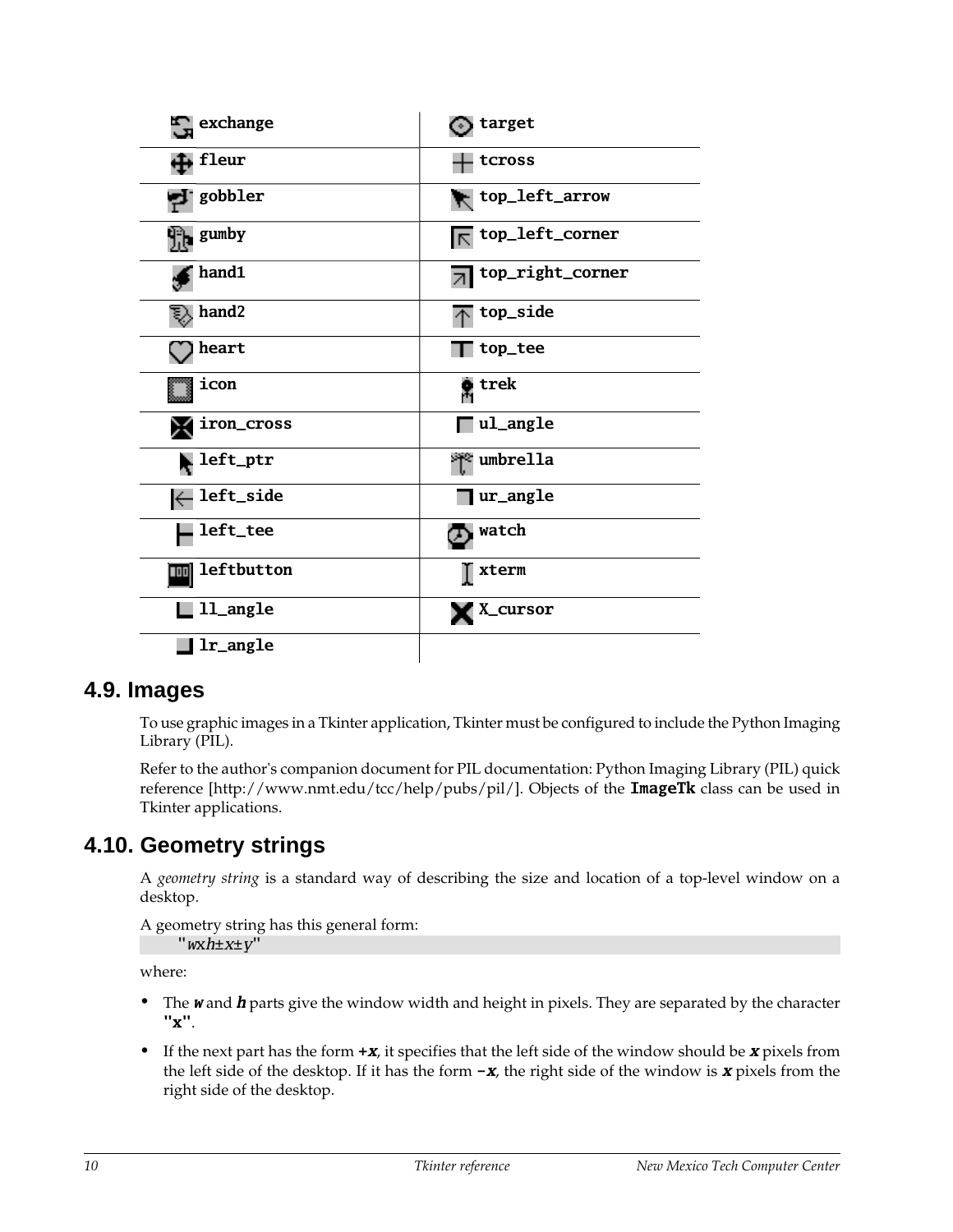| 띡 exchange                                | $\odot$ target                             |
|-------------------------------------------|--------------------------------------------|
| $\bigoplus$ fleur                         | tcross                                     |
| $\blacksquare$ gobbler                    | top_left_arrow                             |
| $\P_{\text{L}}$ gumby                     | $\sqrt{\sqrt{2}}$ top_left_corner          |
| $\blacksquare$ hand 1                     | $\overline{\overline{A}}$ top_right_corner |
| $\overline{\xi}$ hand 2                   | $\overline{\uparrow}$ top_side             |
| (C) heart                                 | $\blacksquare$ top_tee                     |
| $\Box$ icon                               | $\frac{1}{11}$ trek                        |
| $\frac{1}{2}$ iron_cross                  | $\blacksquare$ ul_angle                    |
| $\blacktriangleright$ left_ptr            | <sup>अ</sup> umbrella                      |
| $\leftarrow$ left_side                    | $\blacksquare$ ur_angle                    |
| $\blacksquare$ left_tee                   | $\Phi$ watch                               |
| <b>Fig. 1</b> leftbutton                  | $\parallel$ xterm                          |
| $\blacksquare$ 11_angle                   | $\blacksquare$ X_cursor                    |
| $\blacksquare$ $\operatorname{lr\_angle}$ |                                            |

### <span id="page-9-0"></span>**4.9. Images**

<span id="page-9-1"></span>To use graphic images in a Tkinter application, Tkinter must be configured to include the Python Imaging Library (PIL).

Refer to the author's companion document for PIL documentation: [Python Imaging Library \(PIL\) quick](http://www.nmt.edu/tcc/help/pubs/pil/) [reference](http://www.nmt.edu/tcc/help/pubs/pil/) [http://www.nmt.edu/tcc/help/pubs/pil/]. Objects of the **ImageTk** class can be used in Tkinter applications.

## **4.10. Geometry strings**

A *geometry string* is a standard way of describing the size and location of a top-level window on a desktop.

```
A geometry string has this general form:
     "wxh±x±y"
```
where:

- The *w* and *h* parts give the window width and height in pixels. They are separated by the character **"x"**.
- If the next part has the form **+***x*, it specifies that the left side of the window should be *x* pixels from the left side of the desktop. If it has the form **-***x*, the right side of the window is *x* pixels from the right side of the desktop.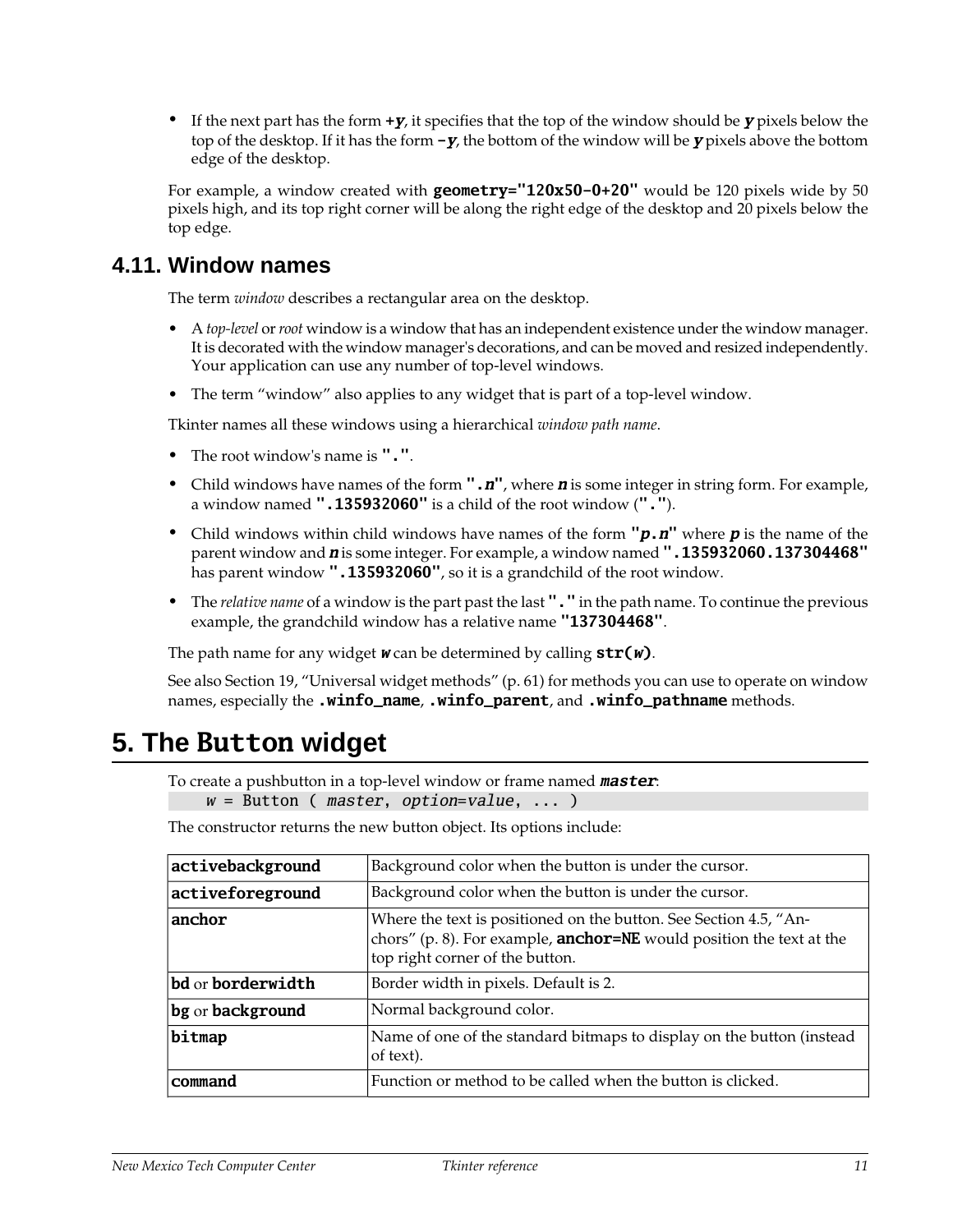• If the next part has the form **+***y*, it specifies that the top of the window should be *y* pixels below the top of the desktop. If it has the form **-***y*, the bottom of the window will be *y* pixels above the bottom edge of the desktop.

<span id="page-10-0"></span>For example, a window created with **geometry="120x50-0+20"** would be 120 pixels wide by 50 pixels high, and its top right corner will be along the right edge of the desktop and 20 pixels below the top edge.

### **4.11. Window names**

The term *window* describes a rectangular area on the desktop.

- A *top-level* or *root* window is a window that has an independent existence under the window manager. It is decorated with the window manager's decorations, and can be moved and resized independently. Your application can use any number of top-level windows.
- The term "window" also applies to any widget that is part of a top-level window.

Tkinter names all these windows using a hierarchical *window path name*.

- The root window's name is **"."**.
- Child windows have names of the form **".***n***"**, where *n* is some integer in string form. For example, a window named **".135932060"** is a child of the root window (**"."**).
- Child windows within child windows have names of the form **"***p***.***n***"** where *p* is the name of the parent window and *n* is some integer. For example, a window named **".135932060.137304468"** has parent window **".135932060"**, so it is a grandchild of the root window.
- The *relative name* of a window is the part past the last **"."** in the path name. To continue the previous example, the grandchild window has a relative name **"137304468"**.

<span id="page-10-1"></span>The path name for any widget *w* can be determined by calling **str(***w***)**.

See also Section [19, "Universal widget methods" \(p. 61\)](#page-60-0) for methods you can use to operate on window names, especially the **[.winfo\\_name](#page-65-0)**, **[.winfo\\_parent](#page-66-0)**, and **[.winfo\\_pathname](#page-66-1)** methods.

## **5. The Button widget**

To create a pushbutton in a top-level window or frame named *master*:

*w* = Button ( *master*, *option*=*value*, ... )

The constructor returns the new button object. Its options include:

| activebackground  | Background color when the button is under the cursor.                                                                                                                               |
|-------------------|-------------------------------------------------------------------------------------------------------------------------------------------------------------------------------------|
| activeforeground  | Background color when the button is under the cursor.                                                                                                                               |
| anchor            | Where the text is positioned on the button. See Section 4.5, "An-<br>chors" (p. 8). For example, <b>anchor=NE</b> would position the text at the<br>top right corner of the button. |
| bd or borderwidth | Border width in pixels. Default is 2.                                                                                                                                               |
| bg or background  | Normal background color.                                                                                                                                                            |
| bitmap            | Name of one of the standard bitmaps to display on the button (instead<br>of text).                                                                                                  |
| command           | Function or method to be called when the button is clicked.                                                                                                                         |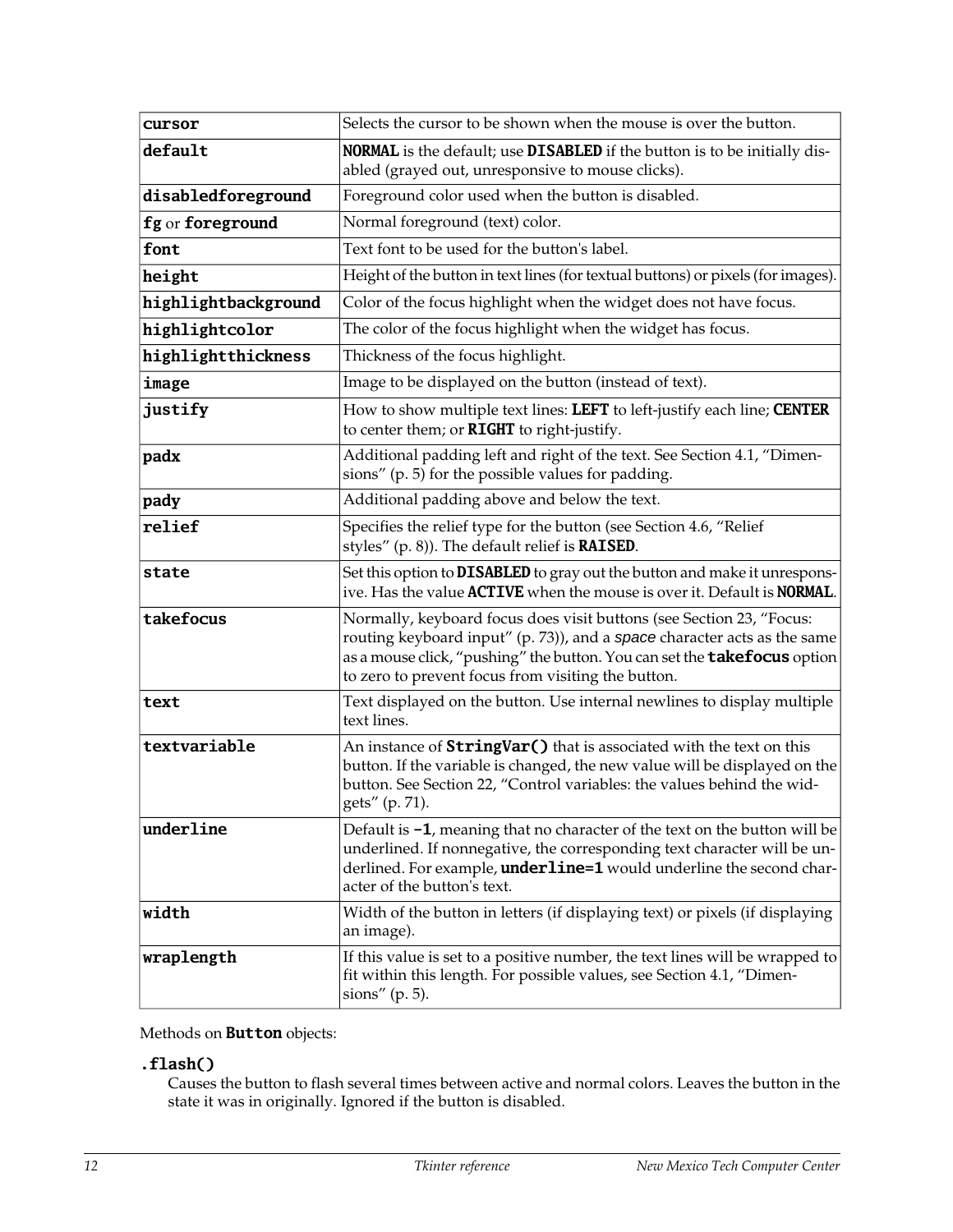| <b>cursor</b>       | Selects the cursor to be shown when the mouse is over the button.                                                                                                                                                                                                                  |
|---------------------|------------------------------------------------------------------------------------------------------------------------------------------------------------------------------------------------------------------------------------------------------------------------------------|
| default             | <b>NORMAL</b> is the default; use <b>DISABLED</b> if the button is to be initially dis-<br>abled (grayed out, unresponsive to mouse clicks).                                                                                                                                       |
| disabledforeground  | Foreground color used when the button is disabled.                                                                                                                                                                                                                                 |
| fg or foreground    | Normal foreground (text) color.                                                                                                                                                                                                                                                    |
| font                | Text font to be used for the button's label.                                                                                                                                                                                                                                       |
| height              | Height of the button in text lines (for textual buttons) or pixels (for images).                                                                                                                                                                                                   |
| highlightbackground | Color of the focus highlight when the widget does not have focus.                                                                                                                                                                                                                  |
| highlightcolor      | The color of the focus highlight when the widget has focus.                                                                                                                                                                                                                        |
| highlightthickness  | Thickness of the focus highlight.                                                                                                                                                                                                                                                  |
| image               | Image to be displayed on the button (instead of text).                                                                                                                                                                                                                             |
| justify             | How to show multiple text lines: LEFT to left-justify each line; CENTER<br>to center them; or <b>RIGHT</b> to right-justify.                                                                                                                                                       |
| padx                | Additional padding left and right of the text. See Section 4.1, "Dimen-<br>sions" (p. 5) for the possible values for padding.                                                                                                                                                      |
| pady                | Additional padding above and below the text.                                                                                                                                                                                                                                       |
| relief              | Specifies the relief type for the button (see Section 4.6, "Relief<br>styles" (p. 8)). The default relief is <b>RAISED</b> .                                                                                                                                                       |
| state               | Set this option to <b>DISABLED</b> to gray out the button and make it unrespons-<br>ive. Has the value <b>ACTIVE</b> when the mouse is over it. Default is <b>NORMAL</b> .                                                                                                         |
| takefocus           | Normally, keyboard focus does visit buttons (see Section 23, "Focus:<br>routing keyboard input" (p. 73)), and a space character acts as the same<br>as a mouse click, "pushing" the button. You can set the takefocus option<br>to zero to prevent focus from visiting the button. |
| text                | Text displayed on the button. Use internal newlines to display multiple<br>text lines.                                                                                                                                                                                             |
| textvariable        | An instance of <b>StringVar()</b> that is associated with the text on this<br>button. If the variable is changed, the new value will be displayed on the<br>button. See Section 22, "Control variables: the values behind the wid-<br>gets" (p. 71).                               |
| underline           | Default is $-1$ , meaning that no character of the text on the button will be<br>underlined. If nonnegative, the corresponding text character will be un-<br>derlined. For example, <b>underline=1</b> would underline the second char-<br>acter of the button's text.             |
| width               | Width of the button in letters (if displaying text) or pixels (if displaying<br>an image).                                                                                                                                                                                         |
| wraplength          | If this value is set to a positive number, the text lines will be wrapped to<br>fit within this length. For possible values, see Section 4.1, "Dimen-<br>sions" $(p. 5)$ .                                                                                                         |

Methods on **Button** objects:

#### **.flash()**

Causes the button to flash several times between active and normal colors. Leaves the button in the state it was in originally. Ignored if the button is disabled.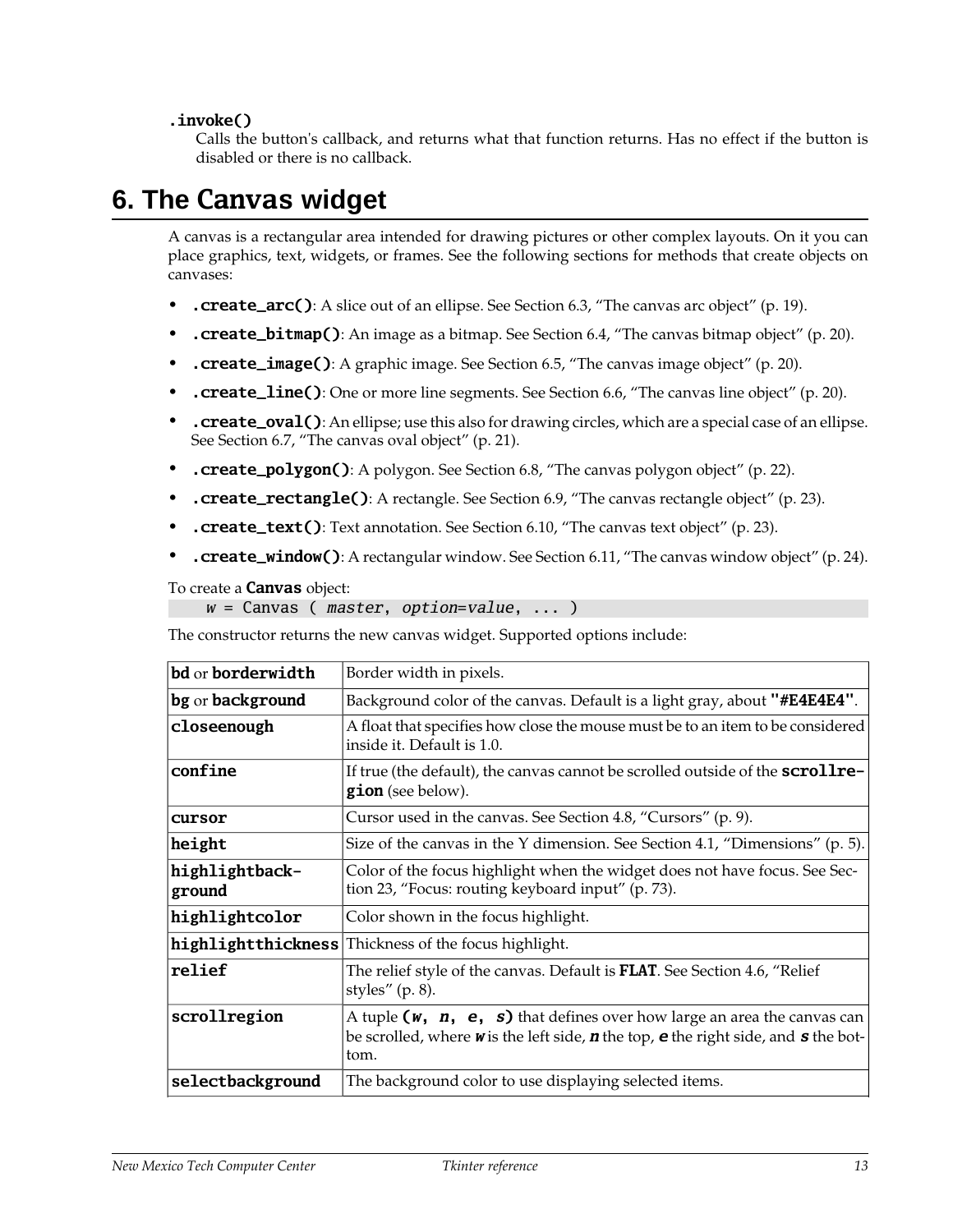#### **.invoke()**

Calls the button's callback, and returns what that function returns. Has no effect if the button is disabled or there is no callback.

## <span id="page-12-0"></span>**6. The Canvas widget**

A canvas is a rectangular area intended for drawing pictures or other complex layouts. On it you can place graphics, text, widgets, or frames. See the following sections for methods that create objects on canvases:

- **.create\_arc()**: A slice out of an ellipse. See Section [6.3, "The canvas arc object" \(p. 19\)](#page-18-0).
- **.create\_bitmap()**: An image as a bitmap. See Section [6.4, "The canvas bitmap object" \(p. 20\).](#page-19-0)
- **.create\_image()**: A graphic image. See Section [6.5, "The canvas image object" \(p. 20\)](#page-19-1).
- **.create\_line()**: One or more line segments. See Section [6.6, "The canvas line object" \(p. 20\).](#page-19-2)
- **.create\_oval()**: An ellipse; use this also for drawing circles, which are a special case of an ellipse. See Section [6.7, "The canvas oval object" \(p. 21\).](#page-20-0)
- **.create\_polygon()**: A polygon. See Section [6.8, "The canvas polygon object" \(p. 22\)](#page-21-0).
- **.create\_rectangle()**: A rectangle. See Section [6.9, "The canvas rectangle object" \(p. 23\).](#page-22-0)
- **.create\_text()**: Text annotation. See Section [6.10, "The canvas text object" \(p. 23\).](#page-22-1)
- **.create\_window()**: A rectangular window. See Section [6.11, "The canvas window object" \(p. 24\).](#page-23-0)

To create a **Canvas** object:

```
w = Canvas ( master, option=value, ... )
```
The constructor returns the new canvas widget. Supported options include:

| bd or borderwidth        | Border width in pixels.                                                                                                                                                         |
|--------------------------|---------------------------------------------------------------------------------------------------------------------------------------------------------------------------------|
| bg or background         | Background color of the canvas. Default is a light gray, about "#E4E4E4".                                                                                                       |
| closeenough              | A float that specifies how close the mouse must be to an item to be considered<br>inside it. Default is 1.0.                                                                    |
| confine                  | If true (the default), the canvas cannot be scrolled outside of the <b>scrollre</b> -<br><b>gion</b> (see below).                                                               |
| <b>CULSOL</b>            | Cursor used in the canvas. See Section 4.8, "Cursors" (p. 9).                                                                                                                   |
| height                   | Size of the canvas in the Y dimension. See Section 4.1, "Dimensions" (p. 5).                                                                                                    |
| highlightback-<br>ground | Color of the focus highlight when the widget does not have focus. See Sec-<br>tion 23, "Focus: routing keyboard input" (p. 73).                                                 |
| highlightcolor           | Color shown in the focus highlight.                                                                                                                                             |
| highlightthickness       | Thickness of the focus highlight.                                                                                                                                               |
| relief                   | The relief style of the canvas. Default is FLAT. See Section 4.6, "Relief<br>styles" $(p. 8)$ .                                                                                 |
| scrollregion             | A tuple $(w, n, e, s)$ that defines over how large an area the canvas can<br>be scrolled, where $w$ is the left side, $n$ the top, $e$ the right side, and $s$ the bot-<br>tom. |
| selectbackground         | The background color to use displaying selected items.                                                                                                                          |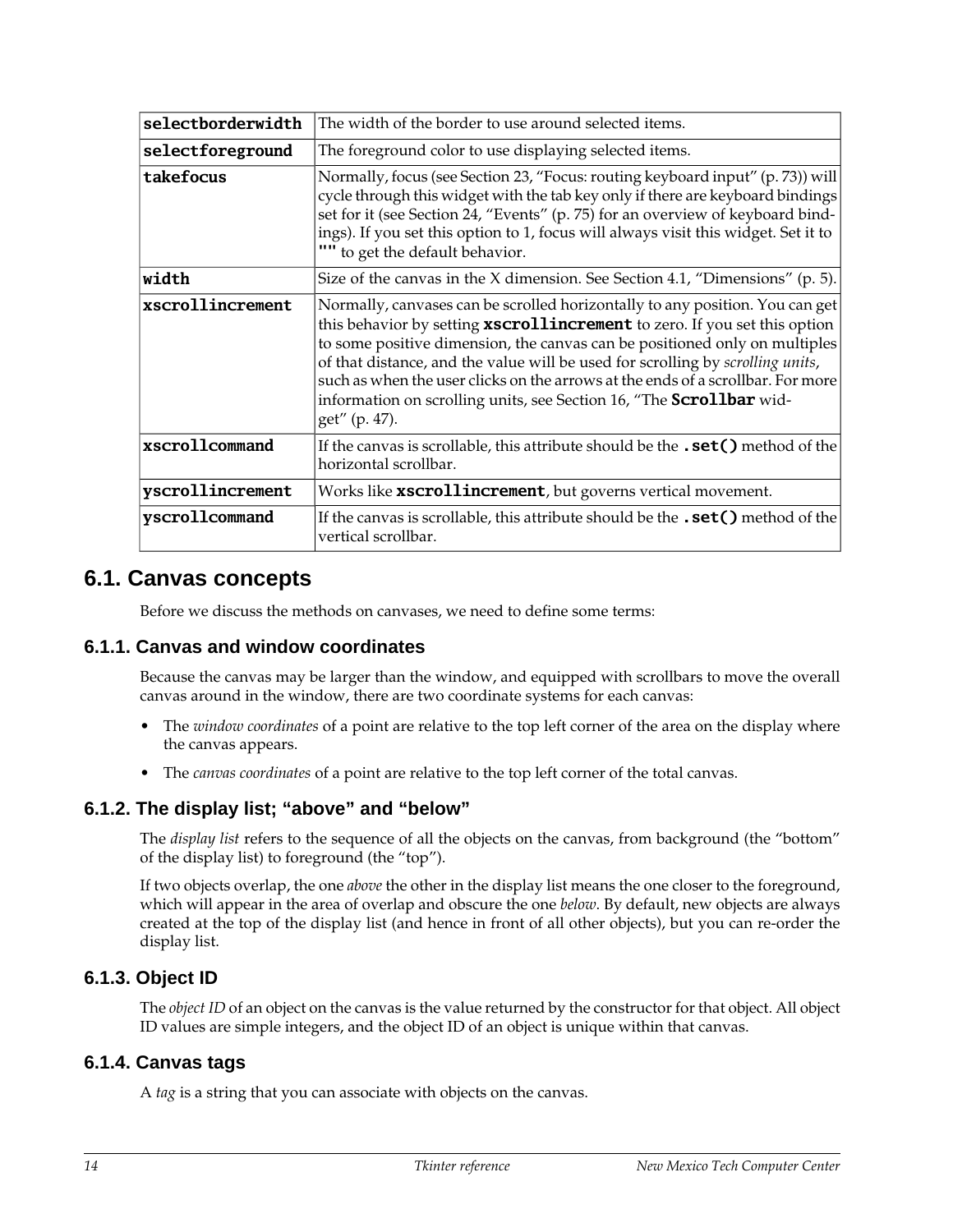| selectborderwidth | The width of the border to use around selected items.                                                                                                                                                                                                                                                                                                                                                                                                                                                              |
|-------------------|--------------------------------------------------------------------------------------------------------------------------------------------------------------------------------------------------------------------------------------------------------------------------------------------------------------------------------------------------------------------------------------------------------------------------------------------------------------------------------------------------------------------|
| selectforeground  | The foreground color to use displaying selected items.                                                                                                                                                                                                                                                                                                                                                                                                                                                             |
| takefocus         | Normally, focus (see Section 23, "Focus: routing keyboard input" (p. 73)) will<br>cycle through this widget with the tab key only if there are keyboard bindings<br>set for it (see Section 24, "Events" (p. 75) for an overview of keyboard bind-<br>ings). If you set this option to 1, focus will always visit this widget. Set it to<br>"" to get the default behavior.                                                                                                                                        |
| width             | Size of the canvas in the X dimension. See Section 4.1, "Dimensions" (p. 5).                                                                                                                                                                                                                                                                                                                                                                                                                                       |
| xscrollincrement  | Normally, canvases can be scrolled horizontally to any position. You can get<br>this behavior by setting <b>xscrollincrement</b> to zero. If you set this option<br>to some positive dimension, the canvas can be positioned only on multiples<br>of that distance, and the value will be used for scrolling by scrolling units,<br>such as when the user clicks on the arrows at the ends of a scrollbar. For more<br>information on scrolling units, see Section 16, "The <b>Scrollbar</b> wid-<br>get" (p. 47). |
| xscrollcommand    | If the canvas is scrollable, this attribute should be the $\cdot$ <b>set()</b> method of the<br>horizontal scrollbar.                                                                                                                                                                                                                                                                                                                                                                                              |
| yscrollincrement  | Works like <b>xscrollincrement</b> , but governs vertical movement.                                                                                                                                                                                                                                                                                                                                                                                                                                                |
| yscrollcommand    | If the canvas is scrollable, this attribute should be the $.set()$ method of the<br>vertical scrollbar.                                                                                                                                                                                                                                                                                                                                                                                                            |

## <span id="page-13-0"></span>**6.1. Canvas concepts**

Before we discuss the methods on canvases, we need to define some terms:

#### **6.1.1. Canvas and window coordinates**

Because the canvas may be larger than the window, and equipped with scrollbars to move the overall canvas around in the window, there are two coordinate systems for each canvas:

- <span id="page-13-3"></span>• The *window coordinates* of a point are relative to the top left corner of the area on the display where the canvas appears.
- The *canvas coordinates* of a point are relative to the top left corner of the total canvas.

#### **6.1.2. The display list; "above" and "below"**

The *display list* refers to the sequence of all the objects on the canvas, from background (the "bottom" of the display list) to foreground (the "top").

<span id="page-13-1"></span>If two objects overlap, the one *above* the other in the display list means the one closer to the foreground, which will appear in the area of overlap and obscure the one *below*. By default, new objects are always created at the top of the display list (and hence in front of all other objects), but you can re-order the display list.

#### <span id="page-13-2"></span>**6.1.3. Object ID**

The *object ID* of an object on the canvas is the value returned by the constructor for that object. All object ID values are simple integers, and the object ID of an object is unique within that canvas.

#### **6.1.4. Canvas tags**

A *tag* is a string that you can associate with objects on the canvas.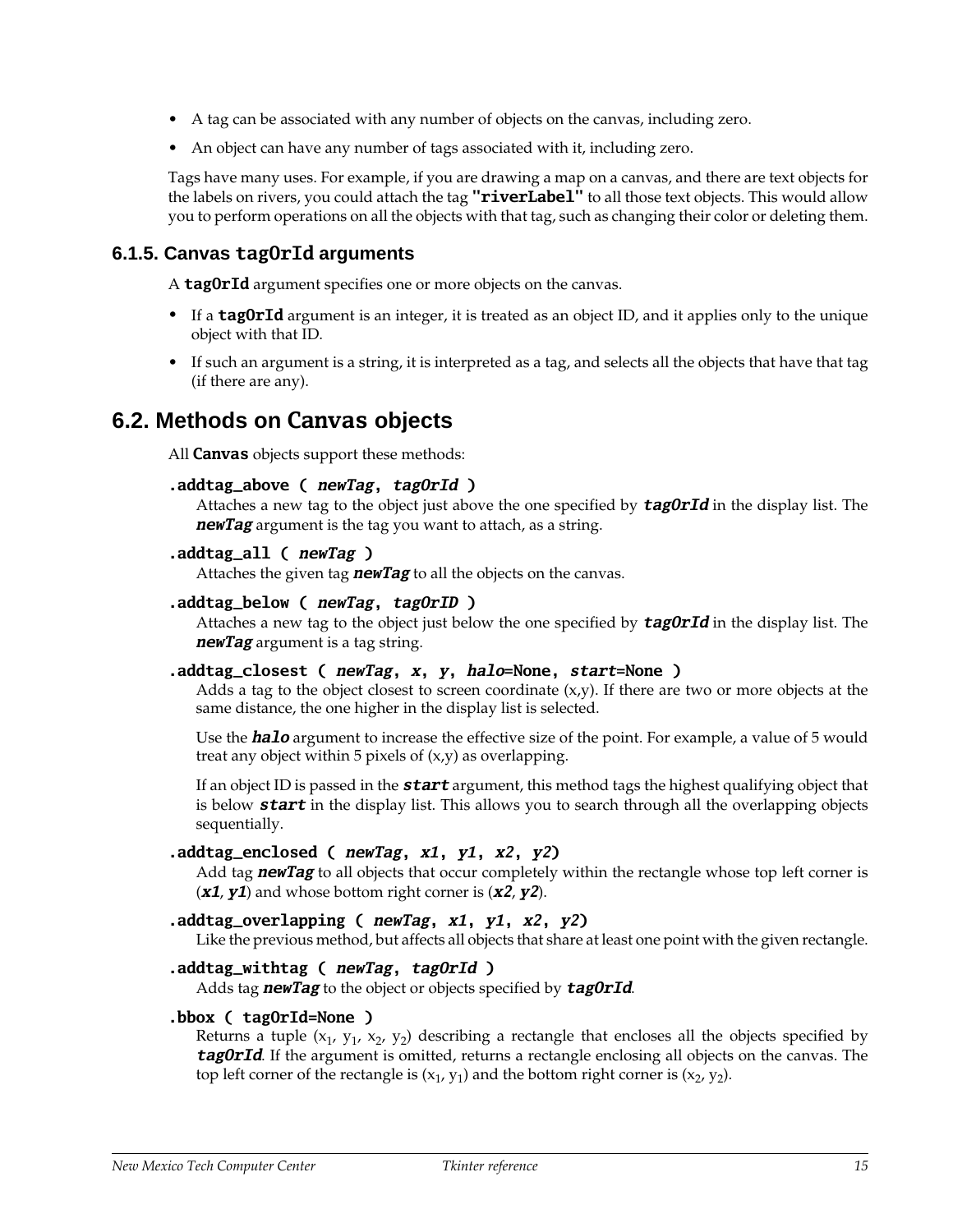- A tag can be associated with any number of objects on the canvas, including zero.
- An object can have any number of tags associated with it, including zero.

<span id="page-14-1"></span>Tags have many uses. For example, if you are drawing a map on a canvas, and there are text objects for the labels on rivers, you could attach the tag **"riverLabel"** to all those text objects. This would allow you to perform operations on all the objects with that tag, such as changing their color or deleting them.

#### **6.1.5. Canvas tagOrId arguments**

A **tagOrId** argument specifies one or more objects on the canvas.

- If a **tagOrId** argument is an integer, it is treated as an [object ID](#page-13-1), and it applies only to the unique object with that ID.
- <span id="page-14-0"></span>• If such an argument is a string, it is interpreted as a [tag](#page-13-2), and selects all the objects that have that tag (if there are any).

### **6.2. Methods on Canvas objects**

All **Canvas** objects support these methods:

#### **.addtag\_above (** *newTag***,** *tagOrId* **)**

Attaches a new [tag](#page-13-2) to the object just above the one specified by *[tagOrId](#page-14-1)* in the display list. The *newTag* argument is the tag you want to attach, as a string.

#### **.addtag\_all (** *newTag* **)**

Attaches the given [tag](#page-13-2) *newTag* to all the objects on the canvas.

#### **.addtag\_below (** *newTag***,** *tagOrID* **)**

Attaches a new [tag](#page-13-2) to the object just below the one specified by *[tagOrId](#page-14-1)* in the display list. The *newTag* argument is a tag string.

#### **.addtag\_closest (** *newTag***,** *x***,** *y***,** *halo***=None,** *start***=None )**

Adds a [tag](#page-13-2) to the object closest to screen coordinate  $(x,y)$ . If there are two or more objects at the same distance, the one higher in the [display list](#page-13-3) is selected.

Use the *halo* argument to increase the effective size of the point. For example, a value of 5 would treat any object within 5 pixels of  $(x,y)$  as overlapping.

If an [object ID](#page-13-1) is passed in the *start* argument, this method tags the highest qualifying object that is below *start* in the display list. This allows you to search through all the overlapping objects sequentially.

#### **.addtag\_enclosed (** *newTag***,** *x1***,** *y1***,** *x2***,** *y2***)**

Add [tag](#page-13-2) **newTag** to all objects that occur completely within the rectangle whose top left corner is (*x1*, *y1*) and whose bottom right corner is (*x2*, *y2*).

#### **.addtag\_overlapping (** *newTag***,** *x1***,** *y1***,** *x2***,** *y2***)**

Like the previous method, but affects all objects that share at least one point with the given rectangle.

#### **.addtag\_withtag (** *newTag***,** *tagOrId* **)**

Adds [tag](#page-13-2) *newTag* to the object or objects specified by *[tagOrId](#page-14-1)*.

#### **.bbox ( tagOrId=None )**

Returns a tuple  $(x_1, y_1, x_2, y_2)$  describing a rectangle that encloses all the objects specified by **[tagOrId](#page-14-1)**. If the argument is omitted, returns a rectangle enclosing all objects on the canvas. The top left corner of the rectangle is  $(x_1, y_1)$  and the bottom right corner is  $(x_2, y_2)$ .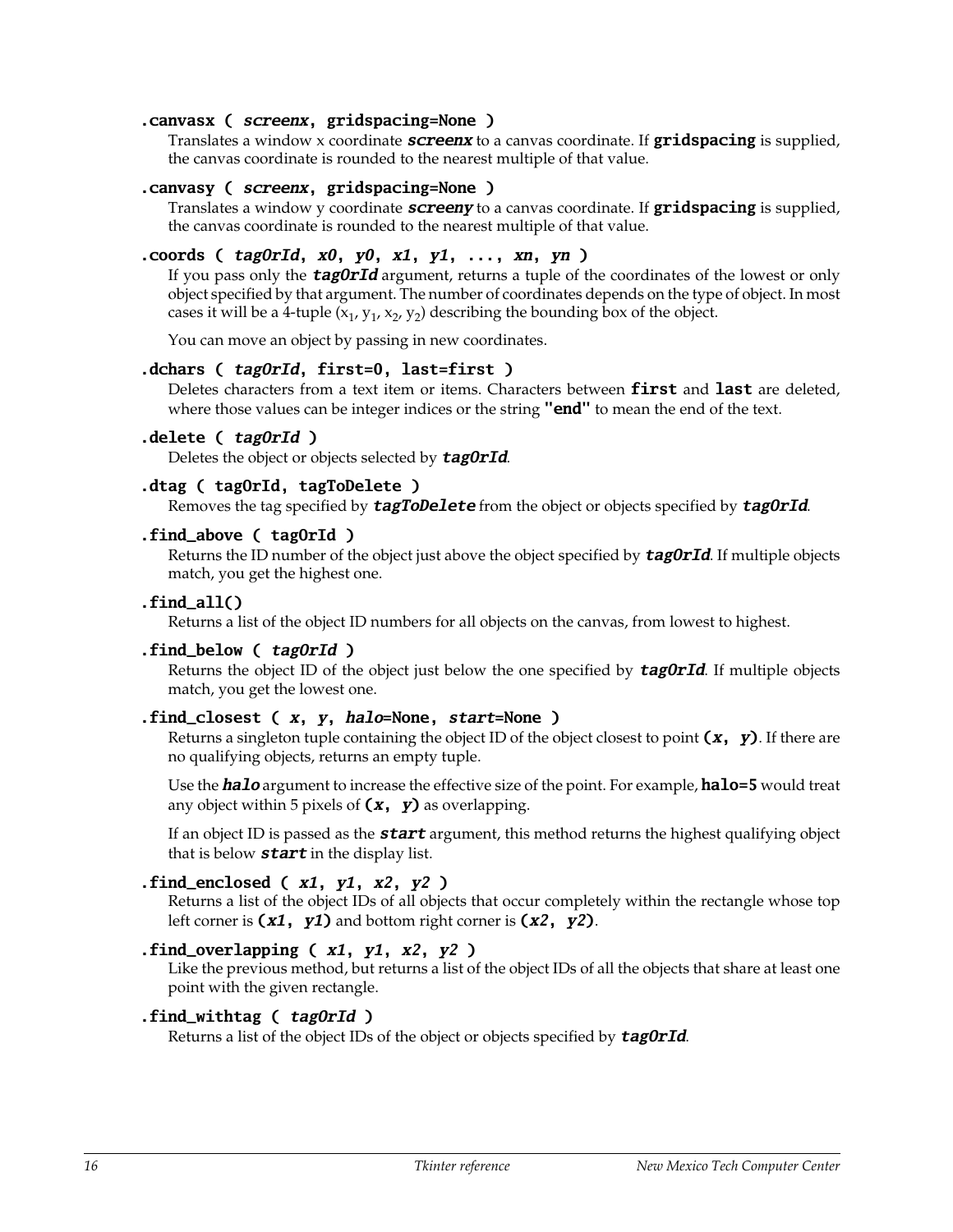#### **.canvasx (** *screenx***, gridspacing=None )**

Translates a window x coordinate *screenx* to a canvas coordinate. If **gridspacing** is supplied, the canvas coordinate is rounded to the nearest multiple of that value.

#### **.canvasy (** *screenx***, gridspacing=None )**

Translates a window y coordinate *screeny* to a canvas coordinate. If **gridspacing** is supplied, the canvas coordinate is rounded to the nearest multiple of that value.

#### **.coords (** *tagOrId***,** *x0***,** *y0***,** *x1***,** *y1***, ...,** *xn***,** *yn* **)**

If you pass only the *[tagOrId](#page-14-1)* argument, returns a tuple of the coordinates of the lowest or only object specified by that argument. The number of coordinates depends on the type of object. In most cases it will be a 4-tuple  $(x_1, y_1, x_2, y_2)$  describing the bounding box of the object.

You can move an object by passing in new coordinates.

#### **.dchars (** *tagOrId***, first=0, last=first )**

Deletes characters from a text item or items. Characters between **first** and **last** are deleted, where those values can be integer indices or the string **"end"** to mean the end of the text.

#### **.delete (** *tagOrId* **)**

Deletes the object or objects selected by *[tagOrId](#page-14-1)*.

#### **.dtag ( tagOrId, tagToDelete )**

Removes the [tag](#page-13-2) specified by *tagToDelete* from the object or objects specified by *[tagOrId](#page-14-1)*.

#### **.find\_above ( tagOrId )**

Returns the ID number of the object just above the object specified by *[tagOrId](#page-14-1)*. If multiple objects match, you get the highest one.

#### **.find\_all()**

Returns a list of the [object ID numbers](#page-13-1) for all objects on the canvas, from lowest to highest.

#### **.find\_below (** *tagOrId* **)**

Returns the [object ID](#page-13-1) of the object just below the one specified by *[tagOrId](#page-14-1)*. If multiple objects match, you get the lowest one.

#### **.find\_closest (** *x***,** *y***,** *halo***=None,** *start***=None )**

Returns a singleton tuple containing the [object ID](#page-13-1) of the object closest to point **(***x***,** *y***)**. If there are no qualifying objects, returns an empty tuple.

Use the *halo* argument to increase the effective size of the point. For example, **halo=5** would treat any object within 5 pixels of  $(x, y)$  as overlapping.

If an object ID is passed as the *start* argument, this method returns the highest qualifying object that is below *start* in the [display list.](#page-13-3)

#### **.find\_enclosed (** *x1***,** *y1***,** *x2***,** *y2* **)**

Returns a list of the [object IDs](#page-13-1) of all objects that occur completely within the rectangle whose top left corner is **(***x1***,** *y1***)** and bottom right corner is **(***x2***,** *y2***)**.

#### **.find\_overlapping (** *x1***,** *y1***,** *x2***,** *y2* **)**

Like the previous method, but returns a list of the object IDs of all the objects that share at least one point with the given rectangle.

#### **.find\_withtag (** *tagOrId* **)**

Returns a list of the [object IDs](#page-13-1) of the object or objects specified by *[tagOrId](#page-14-1)*.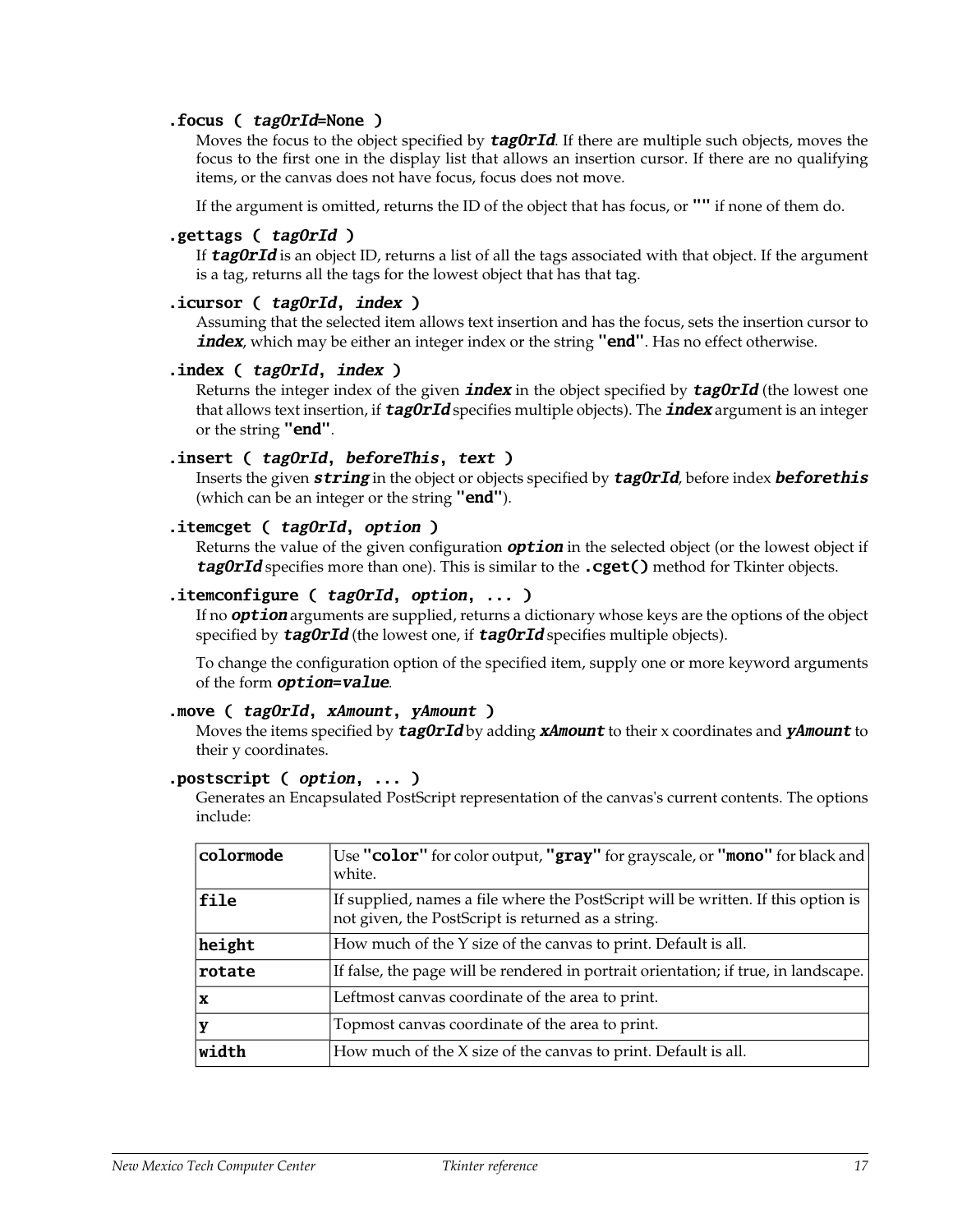#### **.focus (** *tagOrId***=None )**

Moves the focus to the object specified by *[tagOrId](#page-14-1)*. If there are multiple such objects, moves the focus to the first one in the [display list](#page-13-3) that allows an insertion cursor. If there are no qualifying items, or the canvas does not have focus, focus does not move.

If the argument is omitted, returns the ID of the object that has focus, or **""** if none of them do.

#### **.gettags (** *tagOrId* **)**

If *[tagOrId](#page-14-1)* is an object ID, returns a list of all the tags associated with that object. If the argument is a [tag,](#page-13-2) returns all the tags for the lowest object that has that tag.

#### **.icursor (** *tagOrId***,** *index* **)**

Assuming that the selected item allows text insertion and has the focus, sets the insertion cursor to *index*, which may be either an integer index or the string **"end"**. Has no effect otherwise.

#### **.index (** *tagOrId***,** *index* **)**

Returns the integer index of the given *index* in the object specified by *[tagOrId](#page-14-1)* (the lowest one that allows text insertion, if *tagOrId* specifies multiple objects). The *index* argument is an integer or the string **"end"**.

#### **.insert (** *tagOrId***,** *beforeThis***,** *text* **)**

Inserts the given *string* in the object or objects specified by *[tagOrId](#page-14-1)*, before index *beforethis* (which can be an integer or the string **"end"**).

#### **.itemcget (** *tagOrId***,** *option* **)**

Returns the value of the given configuration *option* in the selected object (or the lowest object if *[tagOrId](#page-14-1)* specifies more than one). This is similar to the **.cget()** method for Tkinter objects.

#### **.itemconfigure (** *tagOrId***,** *option***, ... )**

If no *option* arguments are supplied, returns a dictionary whose keys are the options of the object specified by *[tagOrId](#page-14-1)* (the lowest one, if *tagOrId* specifies multiple objects).

To change the configuration option of the specified item, supply one or more keyword arguments of the form *option***=***value*.

#### **.move (** *tagOrId***,** *xAmount***,** *yAmount* **)**

Moves the items specified by *[tagOrId](#page-14-1)* by adding *xAmount* to their x coordinates and *yAmount* to their y coordinates.

#### **.postscript (** *option***, ... )**

Generates an Encapsulated PostScript representation of the canvas's current contents. The options include:

| colormode   | Use "color" for color output, "gray" for grayscale, or "mono" for black and  <br>white.                                                 |
|-------------|-----------------------------------------------------------------------------------------------------------------------------------------|
| file        | If supplied, names a file where the PostScript will be written. If this option is<br>not given, the PostScript is returned as a string. |
| height      | How much of the Y size of the canvas to print. Default is all.                                                                          |
| rotate      | If false, the page will be rendered in portrait orientation; if true, in landscape.                                                     |
| $\mathbf x$ | Leftmost canvas coordinate of the area to print.                                                                                        |
| y           | Topmost canvas coordinate of the area to print.                                                                                         |
| width       | How much of the X size of the canvas to print. Default is all.                                                                          |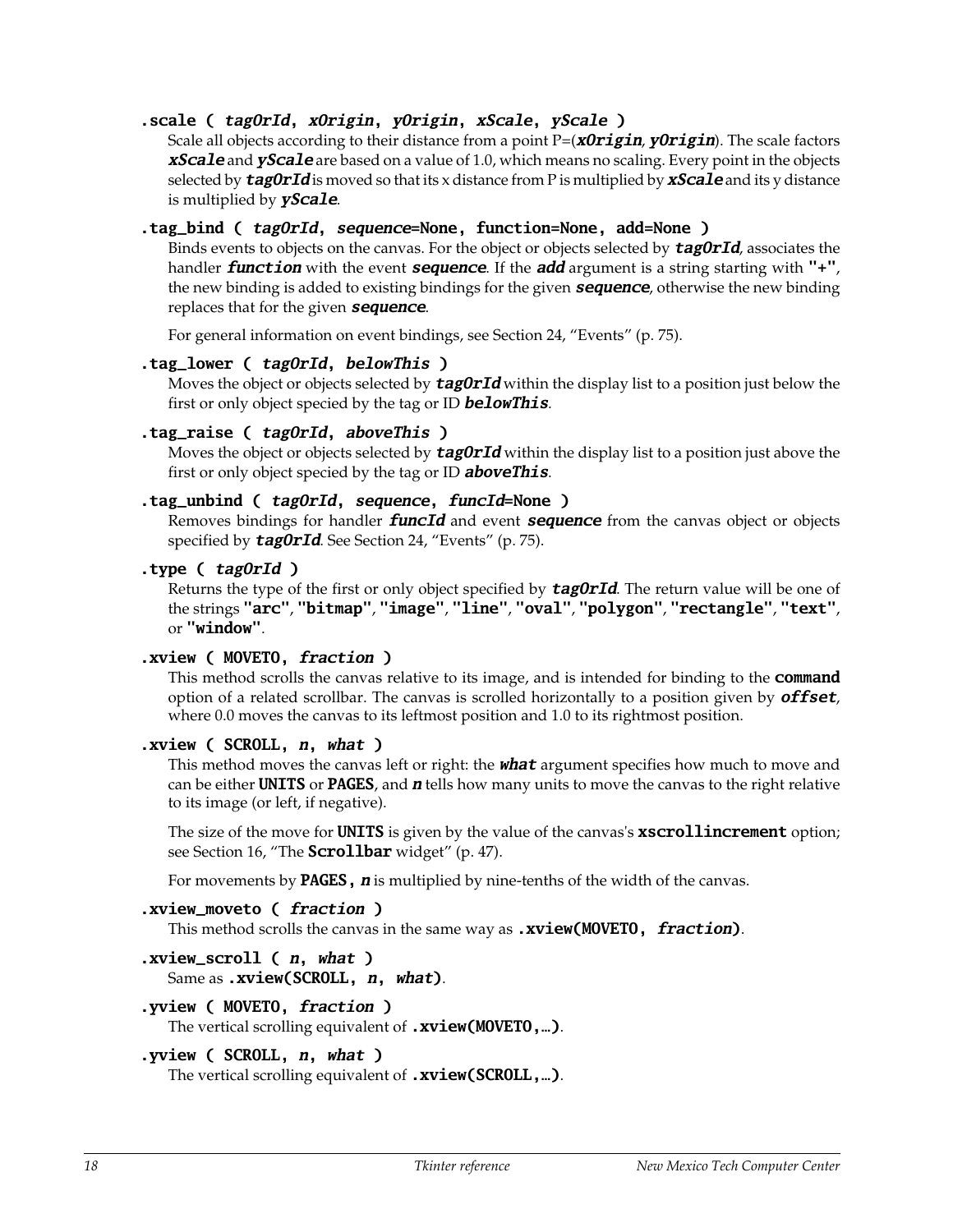#### **.scale (** *tagOrId***,** *xOrigin***,** *yOrigin***,** *xScale***,** *yScale* **)**

Scale all objects according to their distance from a point P=(*xOrigin*, *yOrigin*). The scale factors *xScale* and *yScale* are based on a value of 1.0, which means no scaling. Every point in the objects selected by *[tagOrId](#page-14-1)* is moved so that its x distance from P is multiplied by *xScale* and its y distance is multiplied by *yScale*.

#### **.tag\_bind (** *tagOrId***,** *sequence***=None, function=None, add=None )**

Binds events to objects on the canvas. For the object or objects selected by *[tagOrId](#page-14-1)*, associates the handler *function* with the event *sequence*. If the *add* argument is a string starting with **"+"**, the new binding is added to existing bindings for the given *sequence*, otherwise the new binding replaces that for the given *sequence*.

For general information on event bindings, see Section [24, "Events" \(p. 75\)](#page-74-0).

#### **.tag\_lower (** *tagOrId***,** *belowThis* **)**

Moves the object or objects selected by *[tagOrId](#page-14-1)* within the [display list](#page-13-3) to a position just below the first or only object specied by the tag or ID *belowThis*.

#### **.tag\_raise (** *tagOrId***,** *aboveThis* **)**

Moves the object or objects selected by *[tagOrId](#page-14-1)* within the [display list](#page-13-3) to a position just above the first or only object specied by the tag or ID *aboveThis*.

#### **.tag\_unbind (** *tagOrId***,** *sequence***,** *funcId***=None )**

Removes bindings for handler *funcId* and event *sequence* from the canvas object or objects specified by *[tagOrId](#page-14-1)*. See Section [24, "Events" \(p. 75\)](#page-74-0).

#### **.type (** *tagOrId* **)**

Returns the type of the first or only object specified by *[tagOrId](#page-14-1)*. The return value will be one of the strings **"arc"**, **"bitmap"**, **"image"**, **"line"**, **"oval"**, **"polygon"**, **"rectangle"**, **"text"**, or **"window"**.

#### **.xview ( MOVETO,** *fraction* **)**

This method scrolls the canvas relative to its image, and is intended for binding to the **command** option of a related scrollbar. The canvas is scrolled horizontally to a position given by *offset*, where 0.0 moves the canvas to its leftmost position and 1.0 to its rightmost position.

#### **.xview ( SCROLL,** *n***,** *what* **)**

This method moves the canvas left or right: the *what* argument specifies how much to move and can be either **UNITS** or **PAGES**, and *n* tells how many units to move the canvas to the right relative to its image (or left, if negative).

The size of the move for **UNITS** is given by the value of the canvas's **xscrollincrement** option; see Section 16, "The **[Scrollbar](#page-46-0)** widget[" \(p. 47\).](#page-46-0)

For movements by **PAGES,** *n* is multiplied by nine-tenths of the width of the canvas.

#### **.xview\_moveto (** *fraction* **)**

This method scrolls the canvas in the same way as **.xview(MOVETO,** *fraction***)**.

```
.xview_scroll ( n, what )
  Same as .xview(SCROLL, n, what).
```

```
.yview ( MOVETO, fraction )
```
The vertical scrolling equivalent of **.xview(MOVETO,…)**.

#### **.yview ( SCROLL,** *n***,** *what* **)**

The vertical scrolling equivalent of **.xview(SCROLL,…)**.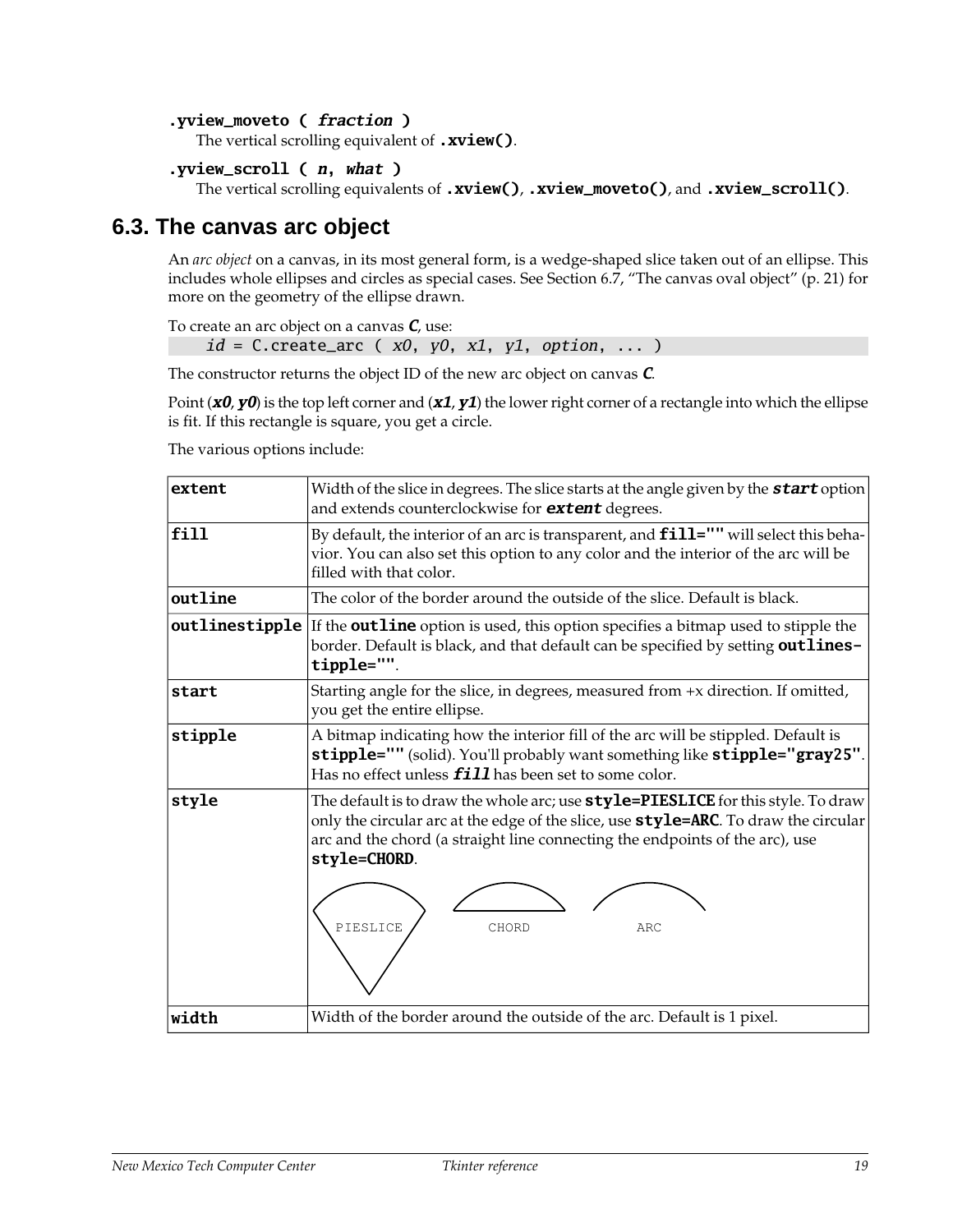#### **.yview\_moveto (** *fraction* **)**

The vertical scrolling equivalent of **.xview()**.

#### <span id="page-18-0"></span>**.yview\_scroll (** *n***,** *what* **)**

The vertical scrolling equivalents of **.xview()**, **.xview\_moveto()**, and **.xview\_scroll()**.

### **6.3. The canvas arc object**

An *arc object* on a canvas, in its most general form, is a wedge-shaped slice taken out of an ellipse. This includes whole ellipses and circles as special cases. See Section [6.7, "The canvas oval object" \(p. 21\)](#page-20-0) for more on the geometry of the ellipse drawn.

```
To create an arc object on a canvas C, use:
```
*id* = C.create\_arc ( *x0*, *y0*, *x1*, *y1*, *option*, ... )

The constructor returns the [object ID](#page-13-1) of the new arc object on canvas *C*.

Point (*x0*, *y0*) is the top left corner and (*x1*, *y1*) the lower right corner of a rectangle into which the ellipse is fit. If this rectangle is square, you get a circle.

The various options include:

| extent  | Width of the slice in degrees. The slice starts at the angle given by the <b>start</b> option<br>and extends counterclockwise for <b>extent</b> degrees.                                                                                                                                            |
|---------|-----------------------------------------------------------------------------------------------------------------------------------------------------------------------------------------------------------------------------------------------------------------------------------------------------|
| fill    | By default, the interior of an arc is transparent, and fill="" will select this beha-<br>vior. You can also set this option to any color and the interior of the arc will be<br>filled with that color.                                                                                             |
| outline | The color of the border around the outside of the slice. Default is black.                                                                                                                                                                                                                          |
|         | <b>outlinestipple</b> If the <b>outline</b> option is used, this option specifies a bitmap used to stipple the<br>border. Default is black, and that default can be specified by setting outlines-<br>tipple="".                                                                                    |
| start   | Starting angle for the slice, in degrees, measured from +x direction. If omitted,<br>you get the entire ellipse.                                                                                                                                                                                    |
| stipple | A bitmap indicating how the interior fill of the arc will be stippled. Default is<br>stipple="" (solid). You'll probably want something like stipple="gray25".<br>Has no effect unless <b>fill</b> has been set to some color.                                                                      |
| style   | The default is to draw the whole arc; use style=PIESLICE for this style. To draw<br>only the circular arc at the edge of the slice, use style=ARC. To draw the circular<br>arc and the chord (a straight line connecting the endpoints of the arc), use<br>style=CHORD.<br>PIESLICE<br>CHORD<br>ARC |
| width   | Width of the border around the outside of the arc. Default is 1 pixel.                                                                                                                                                                                                                              |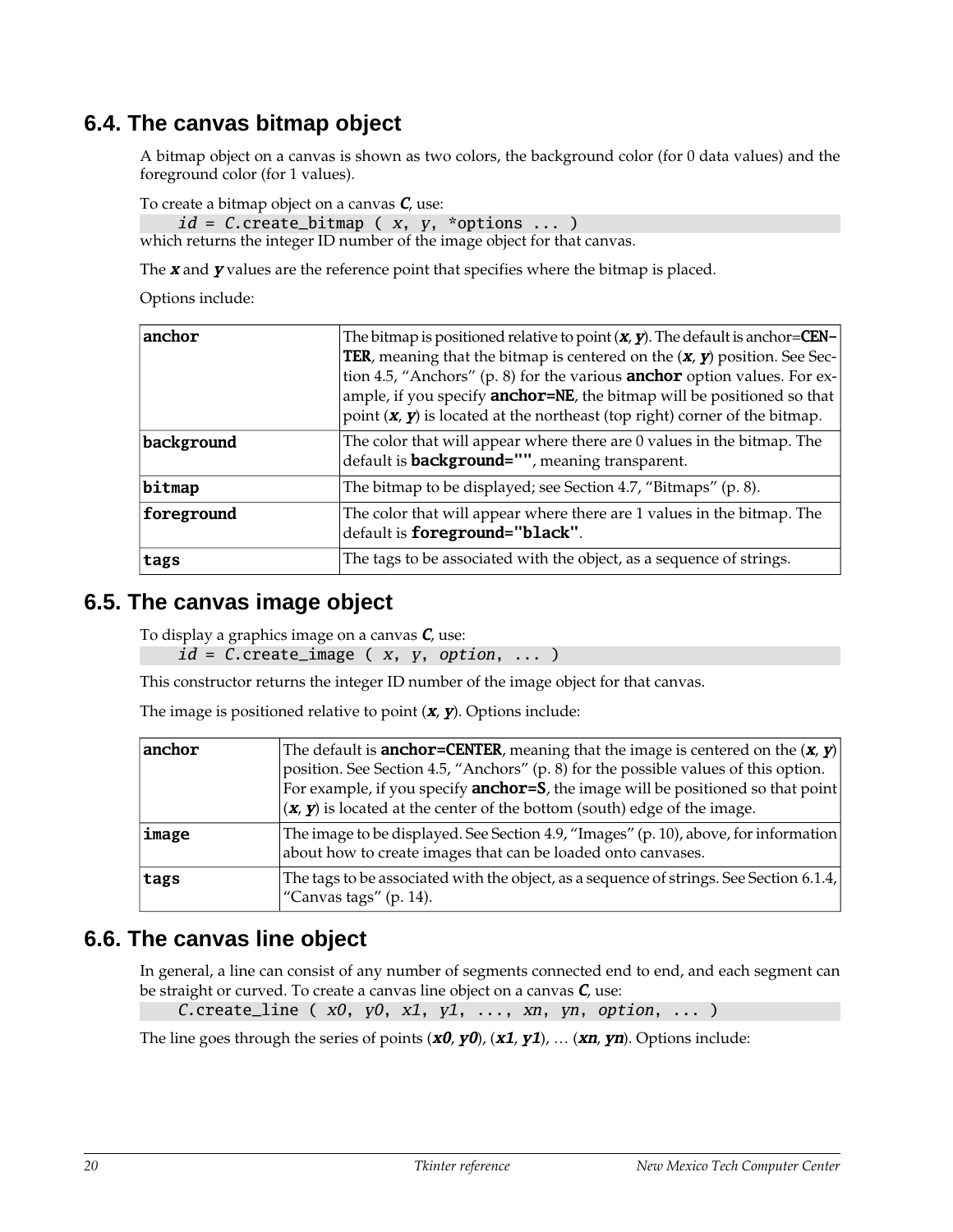## <span id="page-19-0"></span>**6.4. The canvas bitmap object**

A bitmap object on a canvas is shown as two colors, the background color (for 0 data values) and the foreground color (for 1 values).

```
To create a bitmap object on a canvas C, use:
```

```
id = C.create_bitmap ( x, y, *options ... )
which returns the integer ID number of the image object for that canvas.
```
The *x* and *y* values are the reference point that specifies where the bitmap is placed.

Options include:

| anchor     | The bitmap is positioned relative to point $(x, y)$ . The default is anchor= <b>CEN</b> -<br><b>TER</b> , meaning that the bitmap is centered on the $(x, y)$ position. See Sec-<br>tion 4.5, "Anchors" (p. 8) for the various <b>anchor</b> option values. For ex-<br>ample, if you specify <b>anchor=NE</b> , the bitmap will be positioned so that<br>point $(x, y)$ is located at the northeast (top right) corner of the bitmap. |
|------------|---------------------------------------------------------------------------------------------------------------------------------------------------------------------------------------------------------------------------------------------------------------------------------------------------------------------------------------------------------------------------------------------------------------------------------------|
| background | The color that will appear where there are 0 values in the bitmap. The<br>default is <b>background=""</b> , meaning transparent.                                                                                                                                                                                                                                                                                                      |
| bitmap     | The bitmap to be displayed; see Section 4.7, "Bitmaps" (p. 8).                                                                                                                                                                                                                                                                                                                                                                        |
| foreground | The color that will appear where there are 1 values in the bitmap. The<br>default is foreground="black".                                                                                                                                                                                                                                                                                                                              |
| tags       | The tags to be associated with the object, as a sequence of strings.                                                                                                                                                                                                                                                                                                                                                                  |

### <span id="page-19-1"></span>**6.5. The canvas image object**

To display a graphics image on a canvas *C*, use:

```
id = C.create_image ( x, y, option, ... )
```
This constructor returns the integer ID number of the image object for that canvas.

The image is positioned relative to point (*x*, *y*). Options include:

<span id="page-19-2"></span>

| anchor | The default is <b>anchor=CENTER</b> , meaning that the image is centered on the $(\mathbf{x}, \mathbf{y})$<br>position. See Section 4.5, "Anchors" (p. 8) for the possible values of this option.<br>For example, if you specify <b>anchor=S</b> , the image will be positioned so that point<br>$(x, y)$ is located at the center of the bottom (south) edge of the image. |
|--------|-----------------------------------------------------------------------------------------------------------------------------------------------------------------------------------------------------------------------------------------------------------------------------------------------------------------------------------------------------------------------------|
| image  | The image to be displayed. See Section 4.9, "Images" (p. 10), above, for information<br>about how to create images that can be loaded onto canvases.                                                                                                                                                                                                                        |
| tags   | The tags to be associated with the object, as a sequence of strings. See Section 6.1.4,<br>"Canvas tags" $(p. 14)$ .                                                                                                                                                                                                                                                        |

### **6.6. The canvas line object**

In general, a line can consist of any number of segments connected end to end, and each segment can be straight or curved. To create a canvas line object on a canvas *C*, use:

*C*.create\_line ( *x0*, *y0*, *x1*, *y1*, ..., *xn*, *yn*, *option*, ... )

The line goes through the series of points (*x0*, *y0*), (*x1*, *y1*), … (*xn*, *yn*). Options include: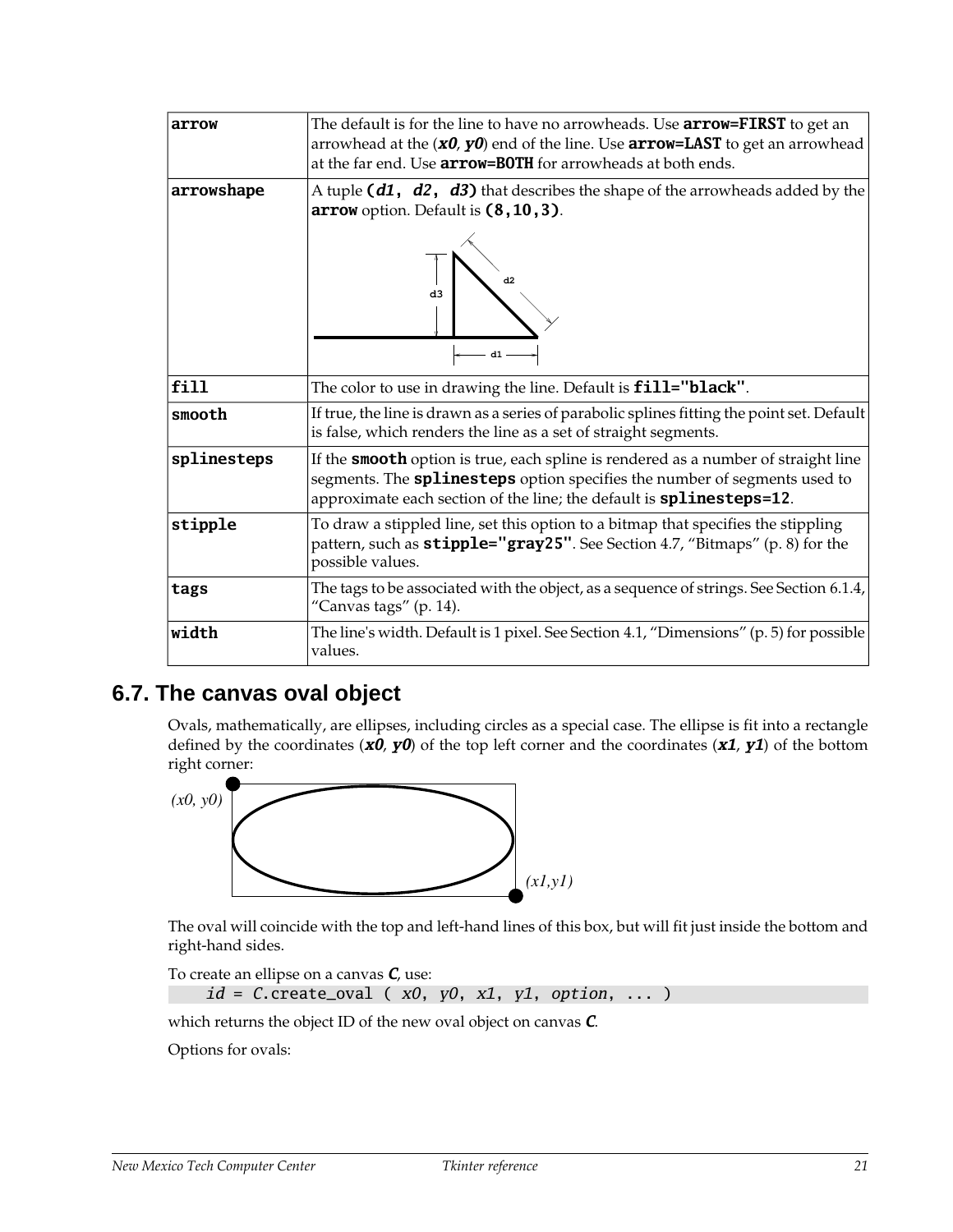| arrow       | The default is for the line to have no arrowheads. Use <b>arrow=FIRST</b> to get an                                                                                                                                                                   |
|-------------|-------------------------------------------------------------------------------------------------------------------------------------------------------------------------------------------------------------------------------------------------------|
|             | arrowhead at the $(x0, y0)$ end of the line. Use <b>arrow=LAST</b> to get an arrowhead<br>at the far end. Use <b>arrow=BOTH</b> for arrowheads at both ends.                                                                                          |
| arrowshape  | A tuple $\left(\frac{d1}{d2}, \frac{d2}{d3}\right)$ that describes the shape of the arrowheads added by the<br>arrow option. Default is (8,10,3).<br>d3                                                                                               |
|             | d1                                                                                                                                                                                                                                                    |
| fill        | The color to use in drawing the line. Default is <b>fill="black"</b> .                                                                                                                                                                                |
| smooth      | If true, the line is drawn as a series of parabolic splines fitting the point set. Default<br>is false, which renders the line as a set of straight segments.                                                                                         |
| splinesteps | If the <b>smooth</b> option is true, each spline is rendered as a number of straight line<br>segments. The <b>splinesteps</b> option specifies the number of segments used to<br>approximate each section of the line; the default is splinesteps=12. |
| stipple     | To draw a stippled line, set this option to a bitmap that specifies the stippling<br>pattern, such as <b>stipple="gray25"</b> . See Section 4.7, "Bitmaps" (p. 8) for the<br>possible values.                                                         |
| tags        | The tags to be associated with the object, as a sequence of strings. See Section 6.1.4,<br>"Canvas tags" (p. 14).                                                                                                                                     |
| width       | The line's width. Default is 1 pixel. See Section 4.1, "Dimensions" (p. 5) for possible<br>values.                                                                                                                                                    |

## <span id="page-20-0"></span>**6.7. The canvas oval object**

Ovals, mathematically, are ellipses, including circles as a special case. The ellipse is fit into a rectangle defined by the coordinates (*x0*, *y0*) of the top left corner and the coordinates (*x1*, *y1*) of the bottom right corner:



The oval will coincide with the top and left-hand lines of this box, but will fit just inside the bottom and right-hand sides.

To create an ellipse on a canvas *C*, use: *id* = *C*.create\_oval ( *x0*, *y0*, *x1*, *y1*, *option*, ... )

which returns the [object ID](#page-13-1) of the new oval object on canvas *C*.

Options for ovals: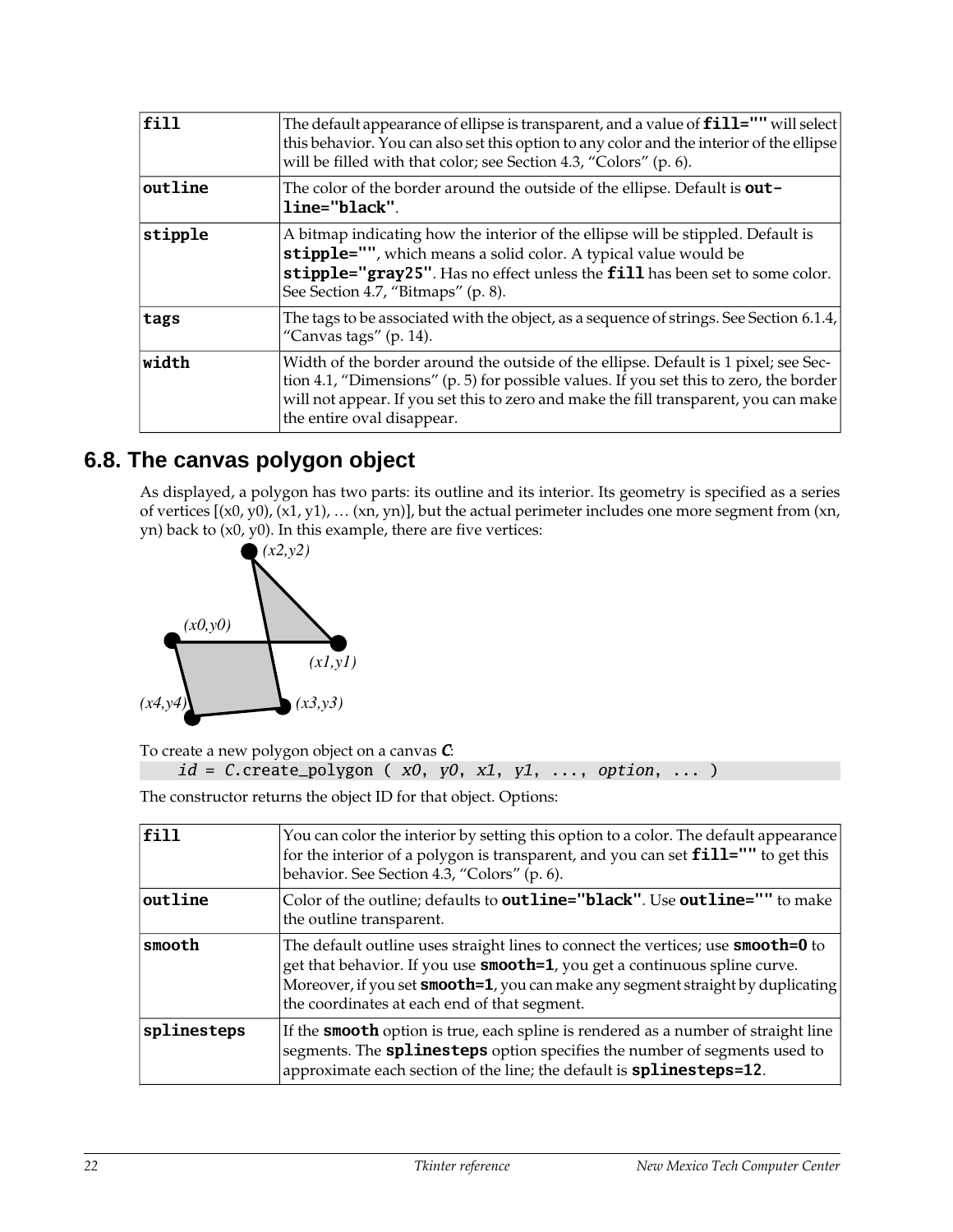| $ \mathtt{fill} $ | The default appearance of ellipse is transparent, and a value of fill="" will select<br>this behavior. You can also set this option to any color and the interior of the ellipse<br>will be filled with that color; see Section 4.3, "Colors" (p. 6).                                               |
|-------------------|-----------------------------------------------------------------------------------------------------------------------------------------------------------------------------------------------------------------------------------------------------------------------------------------------------|
| outline           | The color of the border around the outside of the ellipse. Default is out-<br>line="black".                                                                                                                                                                                                         |
| stipple           | A bitmap indicating how the interior of the ellipse will be stippled. Default is<br>stipple="", which means a solid color. A typical value would be<br>stipple="gray25". Has no effect unless the fill has been set to some color.<br>See Section 4.7, "Bitmaps" (p. 8).                            |
| tags              | The tags to be associated with the object, as a sequence of strings. See Section 6.1.4,<br>"Canvas tags" (p. 14).                                                                                                                                                                                   |
| width             | Width of the border around the outside of the ellipse. Default is 1 pixel; see Sec-<br>tion 4.1, "Dimensions" (p. 5) for possible values. If you set this to zero, the border<br>will not appear. If you set this to zero and make the fill transparent, you can make<br>the entire oval disappear. |

## <span id="page-21-0"></span>**6.8. The canvas polygon object**

As displayed, a polygon has two parts: its outline and its interior. Its geometry is specified as a series of vertices [(x0, y0), (x1, y1), … (xn, yn)], but the actual perimeter includes one more segment from (xn, yn) back to (x0, y0). In this example, there are five vertices:



To create a new polygon object on a canvas *C*: *id* = *C*.create\_polygon ( *x0*, *y0*, *x1*, *y1*, ..., *option*, ... )

The constructor returns the [object ID](#page-13-1) for that object. Options:

| f11         | You can color the interior by setting this option to a color. The default appearance<br>for the interior of a polygon is transparent, and you can set $fill=""$ to get this<br>behavior. See Section 4.3, "Colors" (p. 6).                                                                                |
|-------------|-----------------------------------------------------------------------------------------------------------------------------------------------------------------------------------------------------------------------------------------------------------------------------------------------------------|
| outline     | Color of the outline; defaults to <b>outline="black"</b> . Use <b>outline=""</b> to make<br>the outline transparent.                                                                                                                                                                                      |
| smooth      | The default outline uses straight lines to connect the vertices; use smooth=0 to<br>get that behavior. If you use <b>smooth=1</b> , you get a continuous spline curve.<br>Moreover, if you set smooth=1, you can make any segment straight by duplicating<br>the coordinates at each end of that segment. |
| splinesteps | If the <b>smooth</b> option is true, each spline is rendered as a number of straight line<br>segments. The <b>splinesteps</b> option specifies the number of segments used to<br>approximate each section of the line; the default is splinesteps=12.                                                     |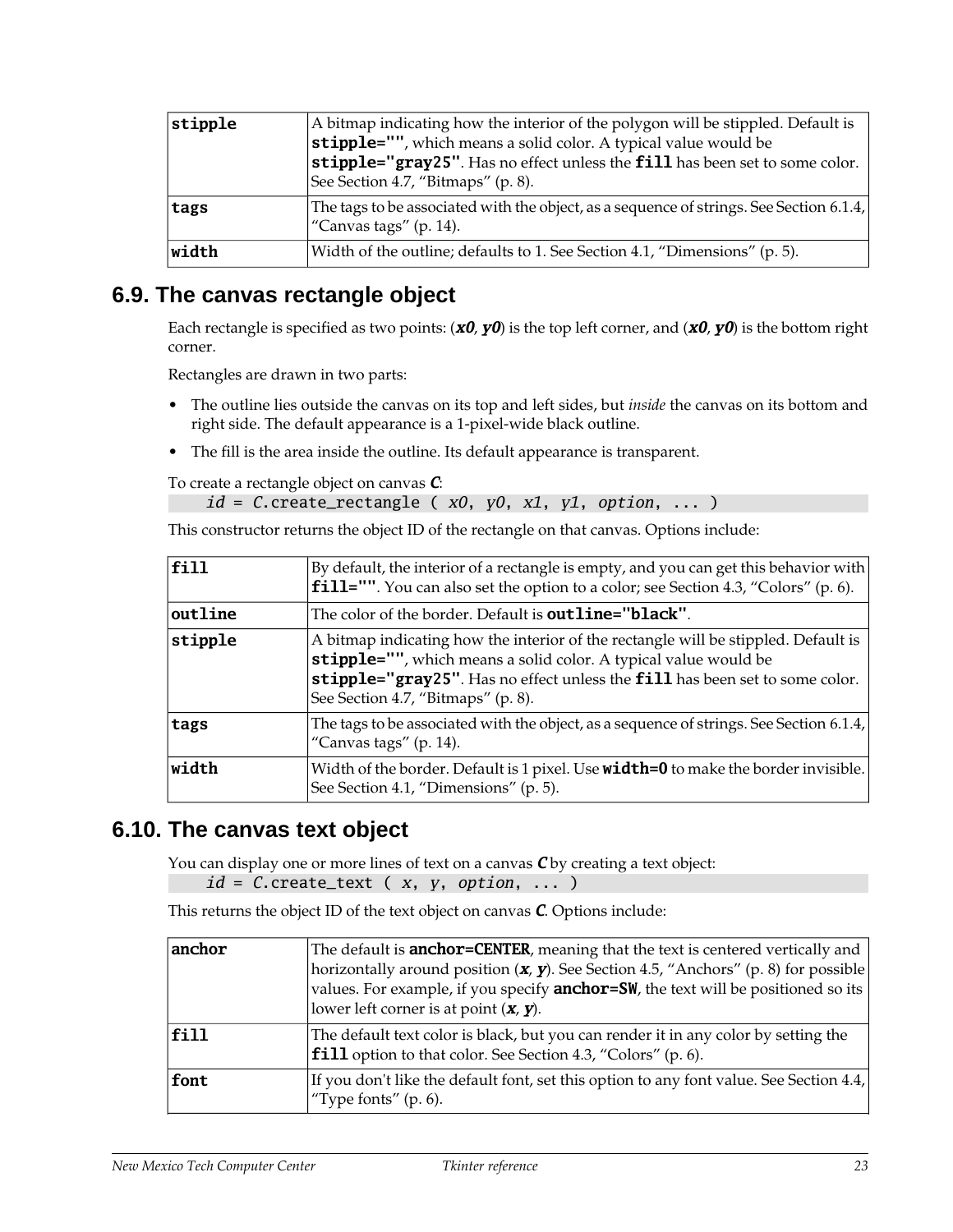| stipple | A bitmap indicating how the interior of the polygon will be stippled. Default is<br>stipple="", which means a solid color. A typical value would be<br>stipple="gray25". Has no effect unless the fill has been set to some color.<br>See Section 4.7, "Bitmaps" (p. 8). |
|---------|--------------------------------------------------------------------------------------------------------------------------------------------------------------------------------------------------------------------------------------------------------------------------|
| tags    | The tags to be associated with the object, as a sequence of strings. See Section 6.1.4,<br>"Canvas tags" $(p. 14)$ .                                                                                                                                                     |
| width   | Width of the outline; defaults to 1. See Section 4.1, "Dimensions" (p. 5).                                                                                                                                                                                               |

## <span id="page-22-0"></span>**6.9. The canvas rectangle object**

Each rectangle is specified as two points: (*x0*, *y0*) is the top left corner, and (*x0*, *y0*) is the bottom right corner.

Rectangles are drawn in two parts:

- The outline lies outside the canvas on its top and left sides, but *inside* the canvas on its bottom and right side. The default appearance is a 1-pixel-wide black outline.
- The fill is the area inside the outline. Its default appearance is transparent.

To create a rectangle object on canvas *C*:

```
id = C.create_rectangle ( x0, y0, x1, y1, option, ... )
```
This constructor returns the [object ID](#page-13-1) of the rectangle on that canvas. Options include:

| fill    | By default, the interior of a rectangle is empty, and you can get this behavior with<br><b>fill=""</b> . You can also set the option to a color; see Section 4.3, "Colors" (p. 6).                                                                                         |
|---------|----------------------------------------------------------------------------------------------------------------------------------------------------------------------------------------------------------------------------------------------------------------------------|
| outline | The color of the border. Default is <b>outline="black"</b> .                                                                                                                                                                                                               |
| stipple | A bitmap indicating how the interior of the rectangle will be stippled. Default is<br>stipple="", which means a solid color. A typical value would be<br>stipple="gray25". Has no effect unless the fill has been set to some color.<br>See Section 4.7, "Bitmaps" (p. 8). |
| tags    | The tags to be associated with the object, as a sequence of strings. See Section 6.1.4,<br>"Canvas tags" $(p. 14)$ .                                                                                                                                                       |
| width   | Width of the border. Default is 1 pixel. Use width=0 to make the border invisible.<br>See Section 4.1, "Dimensions" (p. 5).                                                                                                                                                |

### <span id="page-22-1"></span>**6.10. The canvas text object**

You can display one or more lines of text on a canvas *C* by creating a text object:

```
id = C.create_text ( x, y, option, ... )
```
This returns the [object ID](#page-13-1) of the text object on canvas *C*. Options include:

| anchor | The default is <b>anchor=CENTER</b> , meaning that the text is centered vertically and<br>horizontally around position $(x, y)$ . See Section 4.5, "Anchors" (p. 8) for possible<br>values. For example, if you specify <b>anchor=SW</b> , the text will be positioned so its<br>lower left corner is at point $(x, y)$ . |
|--------|---------------------------------------------------------------------------------------------------------------------------------------------------------------------------------------------------------------------------------------------------------------------------------------------------------------------------|
| fill   | The default text color is black, but you can render it in any color by setting the<br><b>fill</b> option to that color. See Section 4.3, "Colors" (p. 6).                                                                                                                                                                 |
| font   | If you don't like the default font, set this option to any font value. See Section 4.4,<br>"Type fonts" $(p. 6)$ .                                                                                                                                                                                                        |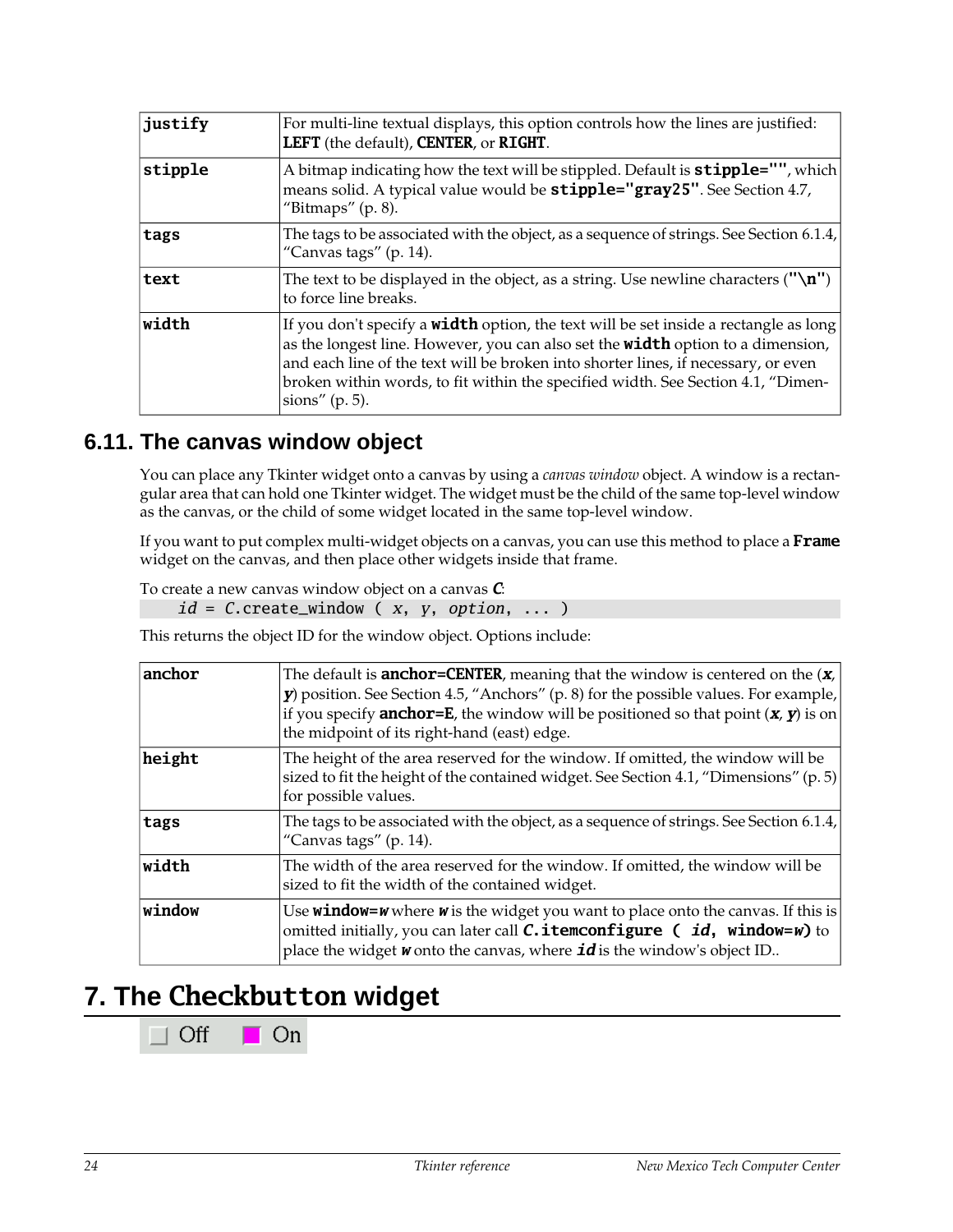| justify | For multi-line textual displays, this option controls how the lines are justified:<br>LEFT (the default), CENTER, or RIGHT.                                                                                                                                                                                                                                                   |
|---------|-------------------------------------------------------------------------------------------------------------------------------------------------------------------------------------------------------------------------------------------------------------------------------------------------------------------------------------------------------------------------------|
| stipple | A bitmap indicating how the text will be stippled. Default is stipple="", which<br>means solid. A typical value would be stipple="gray25". See Section 4.7,<br>"Bitmaps" $(p. 8)$ .                                                                                                                                                                                           |
| tags    | The tags to be associated with the object, as a sequence of strings. See Section 6.1.4,<br>"Canvas tags" $(p. 14)$ .                                                                                                                                                                                                                                                          |
| text    | The text to be displayed in the object, as a string. Use newline characters $("n")$<br>to force line breaks.                                                                                                                                                                                                                                                                  |
| width   | If you don't specify a <b>width</b> option, the text will be set inside a rectangle as long<br>as the longest line. However, you can also set the width option to a dimension,<br>and each line of the text will be broken into shorter lines, if necessary, or even<br>broken within words, to fit within the specified width. See Section 4.1, "Dimen-<br>sions" $(p. 5)$ . |

## <span id="page-23-0"></span>**6.11. The canvas window object**

You can place any Tkinter widget onto a canvas by using a *canvas window* object. A window is a rectangular area that can hold one Tkinter widget. The widget must be the child of the same top-level window as the canvas, or the child of some widget located in the same top-level window.

If you want to put complex multi-widget objects on a canvas, you can use this method to place a **Frame** widget on the canvas, and then place other widgets inside that frame.

To create a new canvas window object on a canvas *C*:

*id* = *C*.create\_window ( *x*, *y*, *option*, ... )

This returns the [object ID](#page-13-1) for the window object. Options include:

| anchor | The default is <b>anchor=CENTER</b> , meaning that the window is centered on the $(x,  $<br>$\bf{y}$ ) position. See Section 4.5, "Anchors" (p. 8) for the possible values. For example,<br>if you specify <b>anchor=E</b> , the window will be positioned so that point $(x, y)$ is on<br>the midpoint of its right-hand (east) edge. |
|--------|----------------------------------------------------------------------------------------------------------------------------------------------------------------------------------------------------------------------------------------------------------------------------------------------------------------------------------------|
| height | The height of the area reserved for the window. If omitted, the window will be<br>sized to fit the height of the contained widget. See Section 4.1, "Dimensions" (p. 5)<br>for possible values.                                                                                                                                        |
| tags   | The tags to be associated with the object, as a sequence of strings. See Section 6.1.4,<br>"Canvas tags" $(p. 14)$ .                                                                                                                                                                                                                   |
| width  | The width of the area reserved for the window. If omitted, the window will be<br>sized to fit the width of the contained widget.                                                                                                                                                                                                       |
| window | Use <b>window=w</b> where <b>w</b> is the widget you want to place onto the canvas. If this is<br>omitted initially, you can later call $C$ . <b>itemconfigure</b> $(d, window=w)$ to<br>place the widget $w$ onto the canvas, where $id$ is the window's object ID.                                                                   |

## <span id="page-23-1"></span>**7. The Checkbutton widget**

 $\Box$  Off  $\blacksquare$  On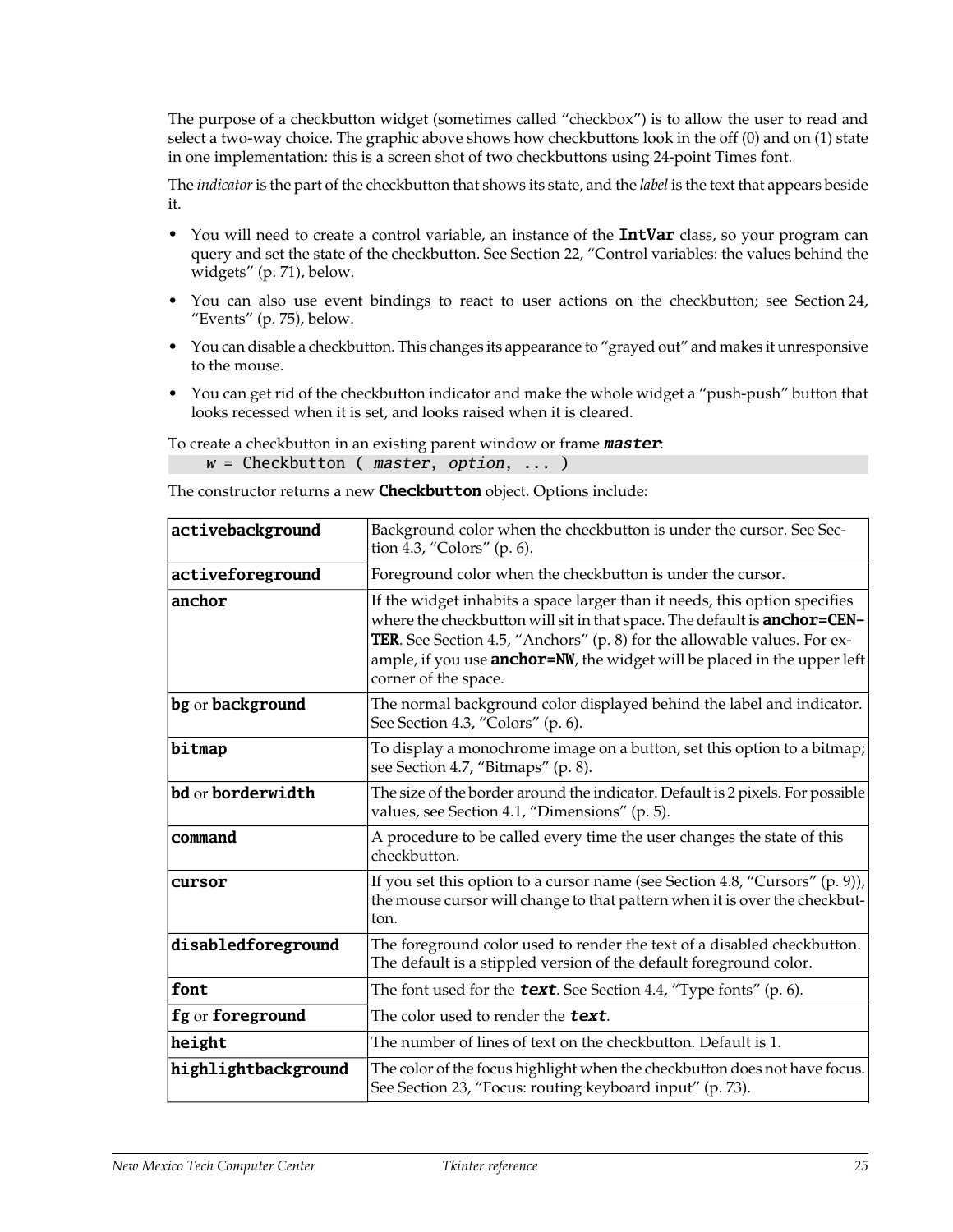The purpose of a checkbutton widget (sometimes called "checkbox") is to allow the user to read and select a two-way choice. The graphic above shows how checkbuttons look in the off (0) and on (1) state in one implementation: this is a screen shot of two checkbuttons using 24-point Times font.

The *indicator* is the part of the checkbutton that shows its state, and the *label* is the text that appears beside it.

- You will need to create a control variable, an instance of the **IntVar** class, so your program can query and set the state of the checkbutton. See Section [22, "Control variables: the values behind the](#page-70-1) [widgets" \(p. 71\)](#page-70-1), below.
- You can also use event bindings to react to user actions on the checkbutton; see [Section](#page-74-0) 24, ["Events" \(p. 75\)](#page-74-0), below.
- You can disable a checkbutton. This changes its appearance to "grayed out" and makes it unresponsive to the mouse.
- You can get rid of the checkbutton indicator and make the whole widget a "push-push" button that looks recessed when it is set, and looks raised when it is cleared.

To create a checkbutton in an existing parent window or frame *master*:

```
w = Checkbutton ( master, option, ... )
```
The constructor returns a new **Checkbutton** object. Options include:

| activebackground    | Background color when the checkbutton is under the cursor. See Sec-<br>tion 4.3, "Colors" $(p. 6)$ .                                                                                                                                                                                                                                                   |
|---------------------|--------------------------------------------------------------------------------------------------------------------------------------------------------------------------------------------------------------------------------------------------------------------------------------------------------------------------------------------------------|
| activeforeground    | Foreground color when the checkbutton is under the cursor.                                                                                                                                                                                                                                                                                             |
| anchor              | If the widget inhabits a space larger than it needs, this option specifies<br>where the checkbutton will sit in that space. The default is <b>anchor=CEN</b> -<br>TER. See Section 4.5, "Anchors" (p. 8) for the allowable values. For ex-<br>ample, if you use <b>anchor=NW</b> , the widget will be placed in the upper left<br>corner of the space. |
| bg or background    | The normal background color displayed behind the label and indicator.<br>See Section 4.3, "Colors" (p. 6).                                                                                                                                                                                                                                             |
| bitmap              | To display a monochrome image on a button, set this option to a bitmap;<br>see Section 4.7, "Bitmaps" (p. 8).                                                                                                                                                                                                                                          |
| bd or borderwidth   | The size of the border around the indicator. Default is 2 pixels. For possible<br>values, see Section 4.1, "Dimensions" (p. 5).                                                                                                                                                                                                                        |
| command             | A procedure to be called every time the user changes the state of this<br>checkbutton.                                                                                                                                                                                                                                                                 |
| cursor              | If you set this option to a cursor name (see Section 4.8, "Cursors" (p. 9)),<br>the mouse cursor will change to that pattern when it is over the checkbut-<br>ton.                                                                                                                                                                                     |
| disabledforeground  | The foreground color used to render the text of a disabled checkbutton.<br>The default is a stippled version of the default foreground color.                                                                                                                                                                                                          |
| font                | The font used for the <b>text</b> . See Section 4.4, "Type fonts" (p. $6$ ).                                                                                                                                                                                                                                                                           |
| fg or foreground    | The color used to render the <b>text</b> .                                                                                                                                                                                                                                                                                                             |
| height              | The number of lines of text on the checkbutton. Default is 1.                                                                                                                                                                                                                                                                                          |
| highlightbackground | The color of the focus highlight when the checkbutton does not have focus.<br>See Section 23, "Focus: routing keyboard input" (p. 73).                                                                                                                                                                                                                 |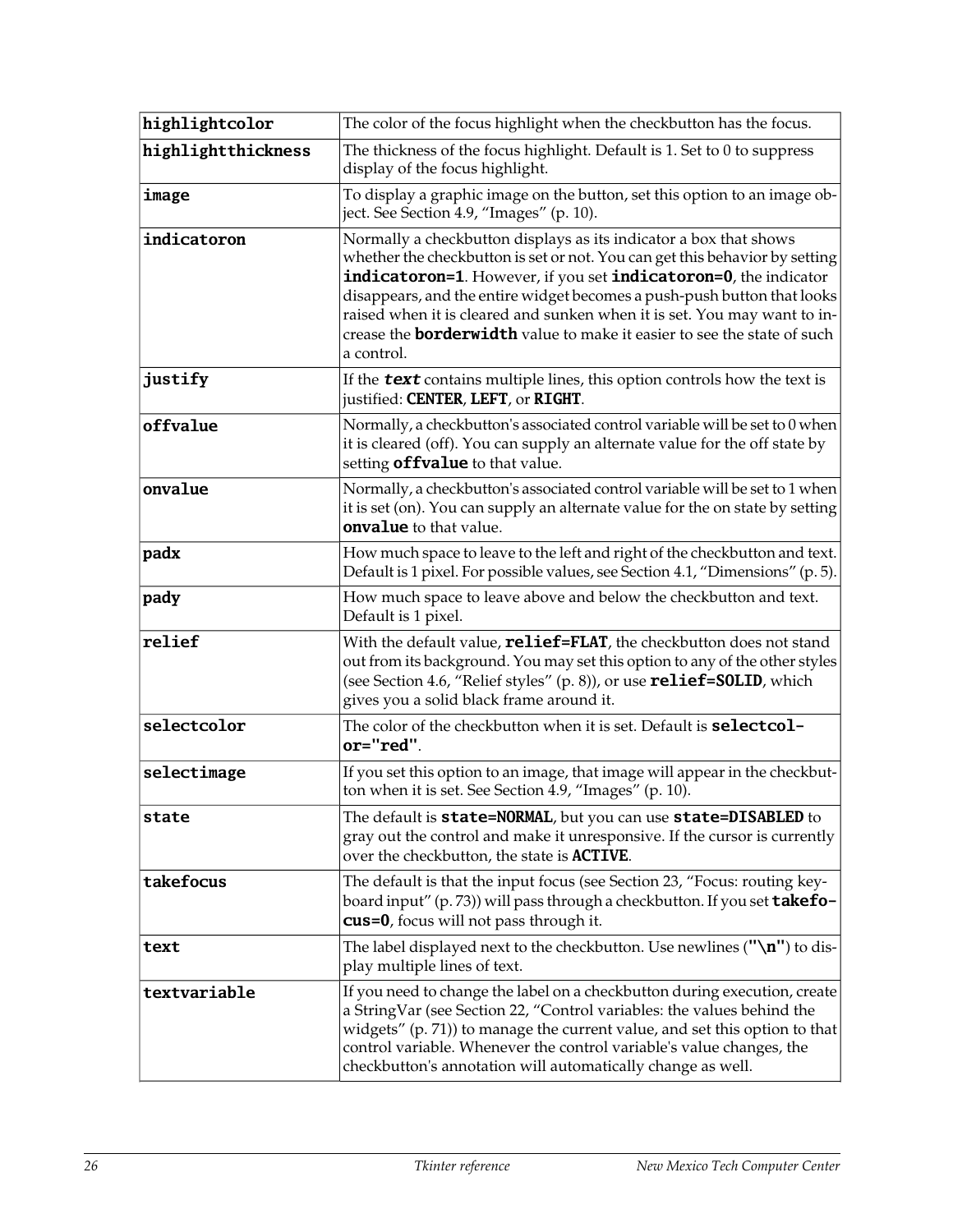| highlightcolor     | The color of the focus highlight when the checkbutton has the focus.                                                                                                                                                                                                                                                                                                                                                                                                       |
|--------------------|----------------------------------------------------------------------------------------------------------------------------------------------------------------------------------------------------------------------------------------------------------------------------------------------------------------------------------------------------------------------------------------------------------------------------------------------------------------------------|
| highlightthickness | The thickness of the focus highlight. Default is 1. Set to 0 to suppress<br>display of the focus highlight.                                                                                                                                                                                                                                                                                                                                                                |
| image              | To display a graphic image on the button, set this option to an image ob-<br>ject. See Section 4.9, "Images" (p. 10).                                                                                                                                                                                                                                                                                                                                                      |
| indicatoron        | Normally a checkbutton displays as its indicator a box that shows<br>whether the checkbutton is set or not. You can get this behavior by setting<br>indicatoron=1. However, if you set indicatoron=0, the indicator<br>disappears, and the entire widget becomes a push-push button that looks<br>raised when it is cleared and sunken when it is set. You may want to in-<br>crease the <b>borderwidth</b> value to make it easier to see the state of such<br>a control. |
| justify            | If the <b>text</b> contains multiple lines, this option controls how the text is<br>justified: CENTER, LEFT, or RIGHT.                                                                                                                                                                                                                                                                                                                                                     |
| offvalue           | Normally, a checkbutton's associated control variable will be set to 0 when<br>it is cleared (off). You can supply an alternate value for the off state by<br>setting <b>offvalue</b> to that value.                                                                                                                                                                                                                                                                       |
| onvalue            | Normally, a checkbutton's associated control variable will be set to 1 when<br>it is set (on). You can supply an alternate value for the on state by setting<br>onvalue to that value.                                                                                                                                                                                                                                                                                     |
| padx               | How much space to leave to the left and right of the checkbutton and text.<br>Default is 1 pixel. For possible values, see Section 4.1, "Dimensions" (p. 5).                                                                                                                                                                                                                                                                                                               |
| pady               | How much space to leave above and below the checkbutton and text.<br>Default is 1 pixel.                                                                                                                                                                                                                                                                                                                                                                                   |
| relief             | With the default value, <b>relief=FLAT</b> , the checkbutton does not stand<br>out from its background. You may set this option to any of the other styles<br>(see Section 4.6, "Relief styles" (p. 8)), or use <b>relief=SOLID</b> , which<br>gives you a solid black frame around it.                                                                                                                                                                                    |
| selectcolor        | The color of the checkbutton when it is set. Default is <b>selectcol-</b><br>or="red".                                                                                                                                                                                                                                                                                                                                                                                     |
| selectimage        | If you set this option to an image, that image will appear in the checkbut-<br>ton when it is set. See Section 4.9, "Images" (p. 10).                                                                                                                                                                                                                                                                                                                                      |
| state              | The default is state=NORMAL, but you can use state=DISABLED to<br>gray out the control and make it unresponsive. If the cursor is currently<br>over the checkbutton, the state is <b>ACTIVE</b> .                                                                                                                                                                                                                                                                          |
| takefocus          | The default is that the input focus (see Section 23, "Focus: routing key-<br>board input" (p. 73)) will pass through a checkbutton. If you set <b>takefo-</b><br>cus=0, focus will not pass through it.                                                                                                                                                                                                                                                                    |
| text               | The label displayed next to the checkbutton. Use newlines (" $\langle n'' \rangle$ to dis-<br>play multiple lines of text.                                                                                                                                                                                                                                                                                                                                                 |
| textvariable       | If you need to change the label on a checkbutton during execution, create<br>a StringVar (see Section 22, "Control variables: the values behind the<br>widgets" (p. 71)) to manage the current value, and set this option to that<br>control variable. Whenever the control variable's value changes, the<br>checkbutton's annotation will automatically change as well.                                                                                                   |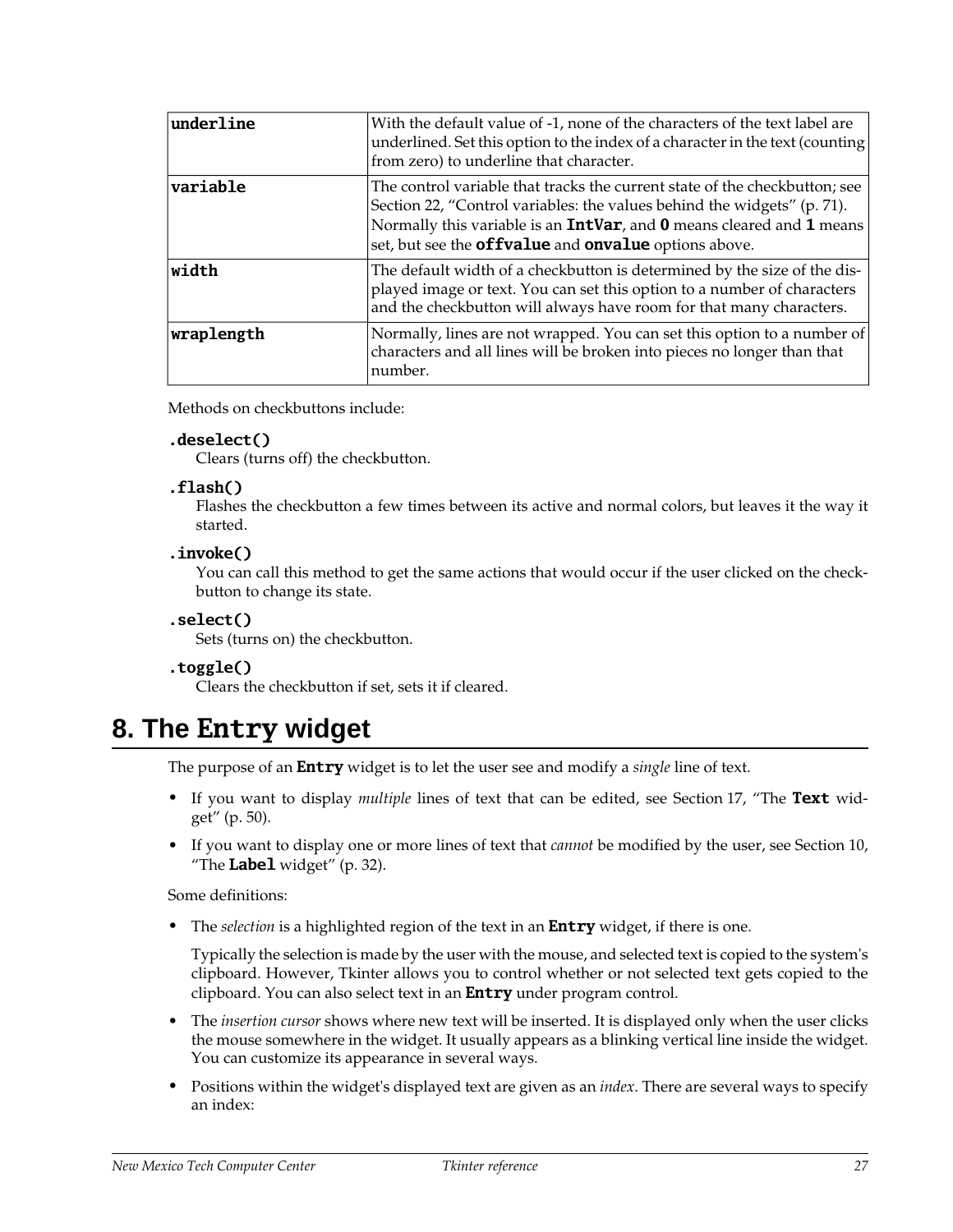| underline  | With the default value of -1, none of the characters of the text label are<br>underlined. Set this option to the index of a character in the text (counting)<br>from zero) to underline that character.                                                                                             |
|------------|-----------------------------------------------------------------------------------------------------------------------------------------------------------------------------------------------------------------------------------------------------------------------------------------------------|
| variable   | The control variable that tracks the current state of the checkbutton; see<br>Section 22, "Control variables: the values behind the widgets" (p. 71).<br>Normally this variable is an IntVar, and 0 means cleared and 1 means<br>set, but see the <b>offvalue</b> and <b>onvalue</b> options above. |
| width      | The default width of a checkbutton is determined by the size of the dis-<br>played image or text. You can set this option to a number of characters<br>and the checkbutton will always have room for that many characters.                                                                          |
| wraplength | Normally, lines are not wrapped. You can set this option to a number of<br>characters and all lines will be broken into pieces no longer than that<br>number.                                                                                                                                       |

Methods on checkbuttons include:

#### **.deselect()**

Clears (turns off) the checkbutton.

#### **.flash()**

Flashes the checkbutton a few times between its active and normal colors, but leaves it the way it started.

#### **.invoke()**

You can call this method to get the same actions that would occur if the user clicked on the checkbutton to change its state.

#### **.select()**

Sets (turns on) the checkbutton.

#### <span id="page-26-0"></span>**.toggle()**

Clears the checkbutton if set, sets it if cleared.

## **8. The Entry widget**

The purpose of an **Entry** widget is to let the user see and modify a *single* line of text.

- If you want to display *multiple* lines of text that can be edited, see Section [17, "The](#page-49-0) **Text** wid[get" \(p. 50\).](#page-49-0)
- <span id="page-26-2"></span>• If you want to display one or more lines of text that *cannot* be modified by the user, see [Section](#page-31-0) 10, "The **Label** [widget" \(p. 32\).](#page-31-0)

Some definitions:

• The *selection* is a highlighted region of the text in an **Entry** widget, if there is one.

<span id="page-26-1"></span>Typically the selection is made by the user with the mouse, and selected text is copied to the system's clipboard. However, Tkinter allows you to control whether or not selected text gets copied to the clipboard. You can also select text in an **Entry** under program control.

- The *insertion cursor* shows where new text will be inserted. It is displayed only when the user clicks the mouse somewhere in the widget. It usually appears as a blinking vertical line inside the widget. You can customize its appearance in several ways.
- Positions within the widget's displayed text are given as an *index*. There are several ways to specify an index: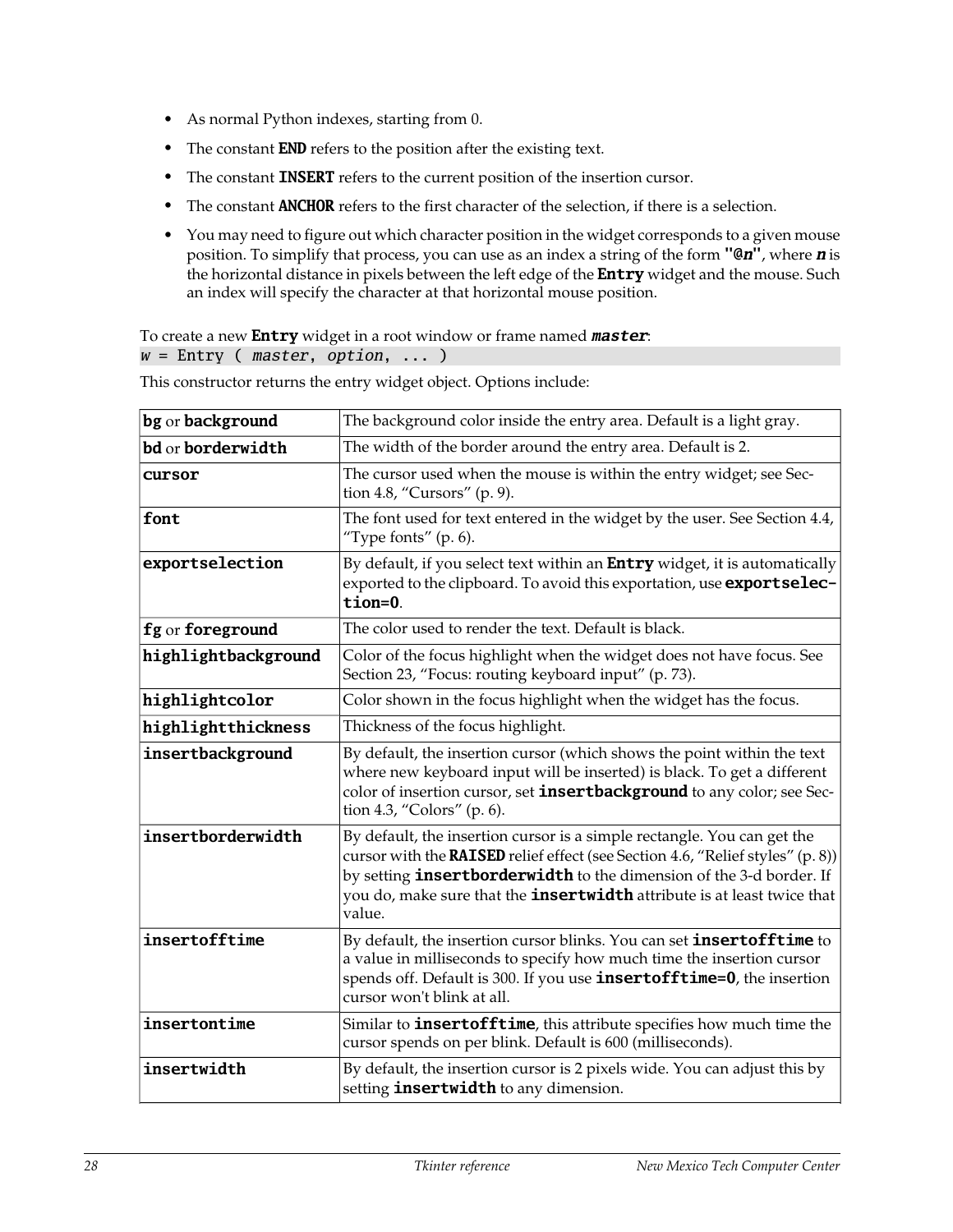- As normal Python indexes, starting from 0.
- The constant **END** refers to the position after the existing text.
- The constant **INSERT** refers to the current position of the insertion cursor.
- The constant **ANCHOR** refers to the first character of the selection, if there is a selection.
- You may need to figure out which character position in the widget corresponds to a given mouse position. To simplify that process, you can use as an index a string of the form **"@***n***"**, where *n* is the horizontal distance in pixels between the left edge of the **Entry** widget and the mouse. Such an index will specify the character at that horizontal mouse position.

#### To create a new **Entry** widget in a root window or frame named *master*:

*w* = Entry ( *master*, *option*, ... )

| bg or background    | The background color inside the entry area. Default is a light gray.                                                                                                                                                                                                                                                                |
|---------------------|-------------------------------------------------------------------------------------------------------------------------------------------------------------------------------------------------------------------------------------------------------------------------------------------------------------------------------------|
| bd or borderwidth   | The width of the border around the entry area. Default is 2.                                                                                                                                                                                                                                                                        |
| <b>cursor</b>       | The cursor used when the mouse is within the entry widget; see Sec-<br>tion 4.8, "Cursors" (p. 9).                                                                                                                                                                                                                                  |
| font                | The font used for text entered in the widget by the user. See Section 4.4,<br>"Type fonts" $(p. 6)$ .                                                                                                                                                                                                                               |
| exportselection     | By default, if you select text within an <b>Entry</b> widget, it is automatically<br>exported to the clipboard. To avoid this exportation, use exportselec-<br>tion=0.                                                                                                                                                              |
| fg or foreground    | The color used to render the text. Default is black.                                                                                                                                                                                                                                                                                |
| highlightbackground | Color of the focus highlight when the widget does not have focus. See<br>Section 23, "Focus: routing keyboard input" (p. 73).                                                                                                                                                                                                       |
| highlightcolor      | Color shown in the focus highlight when the widget has the focus.                                                                                                                                                                                                                                                                   |
| highlightthickness  | Thickness of the focus highlight.                                                                                                                                                                                                                                                                                                   |
| insertbackground    | By default, the insertion cursor (which shows the point within the text<br>where new keyboard input will be inserted) is black. To get a different<br>color of insertion cursor, set <i>insertbackground</i> to any color; see Sec-<br>tion 4.3, "Colors" (p. $6$ ).                                                                |
| insertborderwidth   | By default, the insertion cursor is a simple rectangle. You can get the<br>cursor with the RAISED relief effect (see Section 4.6, "Relief styles" (p. 8))<br>by setting <i>insertborderwidth</i> to the dimension of the 3-d border. If<br>you do, make sure that the <i>insertwidth</i> attribute is at least twice that<br>value. |
| insertofftime       | By default, the insertion cursor blinks. You can set <b>insertofftime</b> to<br>a value in milliseconds to specify how much time the insertion cursor<br>spends off. Default is 300. If you use <b>insertofftime=0</b> , the insertion<br>cursor won't blink at all.                                                                |
| insertontime        | Similar to <b>insertofftime</b> , this attribute specifies how much time the<br>cursor spends on per blink. Default is 600 (milliseconds).                                                                                                                                                                                          |
| insertwidth         | By default, the insertion cursor is 2 pixels wide. You can adjust this by<br>setting <b>insertwidth</b> to any dimension.                                                                                                                                                                                                           |

This constructor returns the entry widget object. Options include: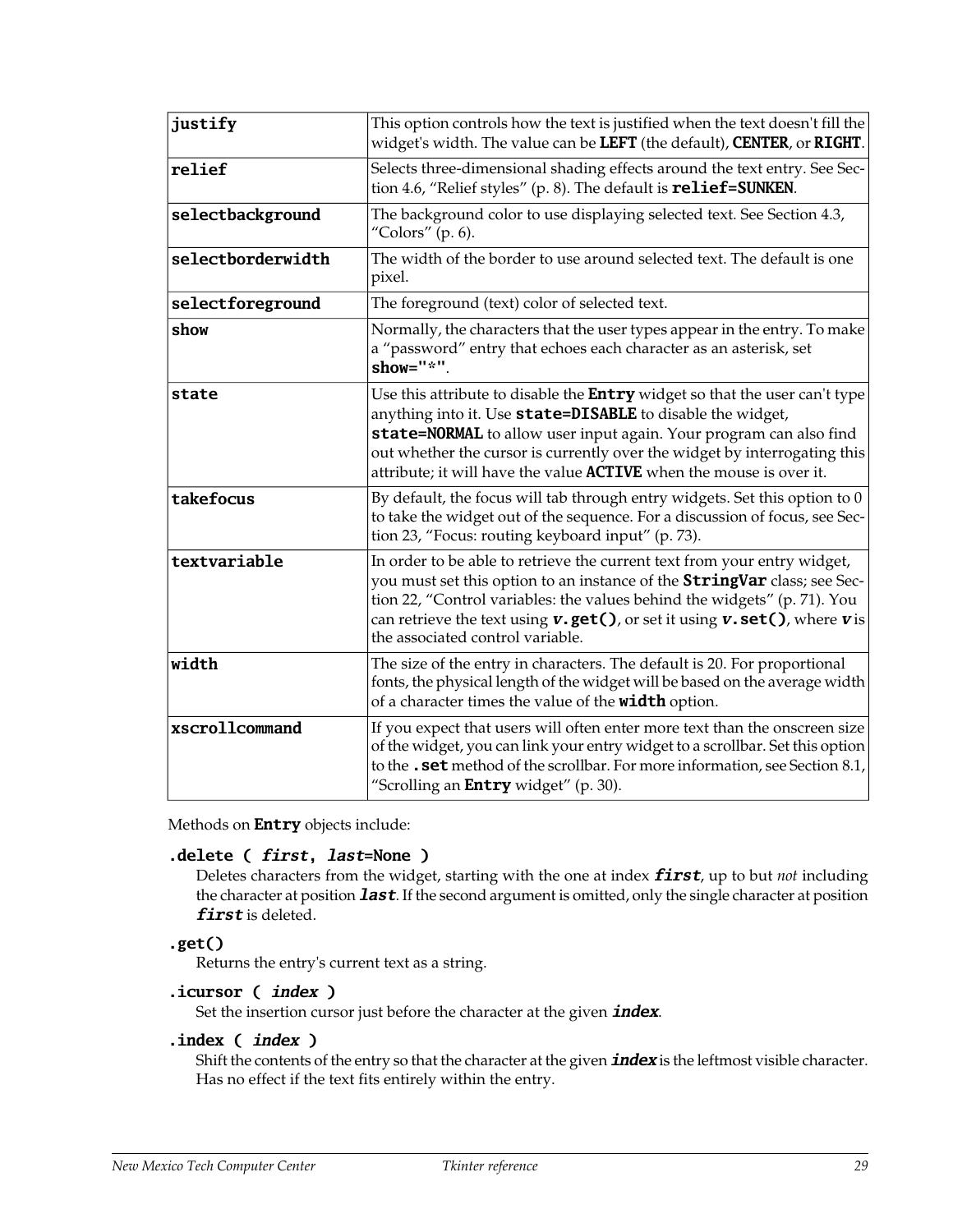| justify           | This option controls how the text is justified when the text doesn't fill the<br>widget's width. The value can be LEFT (the default), CENTER, or RIGHT.                                                                                                                                                                                                                          |
|-------------------|----------------------------------------------------------------------------------------------------------------------------------------------------------------------------------------------------------------------------------------------------------------------------------------------------------------------------------------------------------------------------------|
| relief            | Selects three-dimensional shading effects around the text entry. See Sec-<br>tion 4.6, "Relief styles" (p. 8). The default is <b>relief=SUNKEN</b> .                                                                                                                                                                                                                             |
| selectbackground  | The background color to use displaying selected text. See Section 4.3,<br>"Colors" $(p. 6)$ .                                                                                                                                                                                                                                                                                    |
| selectborderwidth | The width of the border to use around selected text. The default is one<br>pixel.                                                                                                                                                                                                                                                                                                |
| selectforeground  | The foreground (text) color of selected text.                                                                                                                                                                                                                                                                                                                                    |
| show              | Normally, the characters that the user types appear in the entry. To make<br>a "password" entry that echoes each character as an asterisk, set<br>show="*".                                                                                                                                                                                                                      |
| state             | Use this attribute to disable the <b>Entry</b> widget so that the user can't type<br>anything into it. Use state=DISABLE to disable the widget,<br>state=NORMAL to allow user input again. Your program can also find<br>out whether the cursor is currently over the widget by interrogating this<br>attribute; it will have the value <b>ACTIVE</b> when the mouse is over it. |
| takefocus         | By default, the focus will tab through entry widgets. Set this option to 0<br>to take the widget out of the sequence. For a discussion of focus, see Sec-<br>tion 23, "Focus: routing keyboard input" (p. 73).                                                                                                                                                                   |
| textvariable      | In order to be able to retrieve the current text from your entry widget,<br>you must set this option to an instance of the StringVar class; see Sec-<br>tion 22, "Control variables: the values behind the widgets" (p. 71). You<br>can retrieve the text using $v.get()$ , or set it using $v.set()$ , where v is<br>the associated control variable.                           |
| width             | The size of the entry in characters. The default is 20. For proportional<br>fonts, the physical length of the widget will be based on the average width<br>of a character times the value of the <b>width</b> option.                                                                                                                                                            |
| xscrollcommand    | If you expect that users will often enter more text than the onscreen size<br>of the widget, you can link your entry widget to a scrollbar. Set this option<br>to the set method of the scrollbar. For more information, see Section 8.1,<br>"Scrolling an <b>Entry</b> widget" (p. 30).                                                                                         |

Methods on **Entry** objects include:

#### **.delete (** *first***,** *last***=None )**

Deletes characters from the widget, starting with the one at [index](#page-26-1) *first*, up to but *not* including the character at position *last*. If the second argument is omitted, only the single character at position *first* is deleted.

#### **.get()**

Returns the entry's current text as a string.

#### **.icursor (** *index* **)**

Set the insertion cursor just before the character at the given *[index](#page-26-1)*.

#### **.index (** *index* **)**

Shift the contents of the entry so that the character at the given *[index](#page-26-1)* is the leftmost visible character. Has no effect if the text fits entirely within the entry.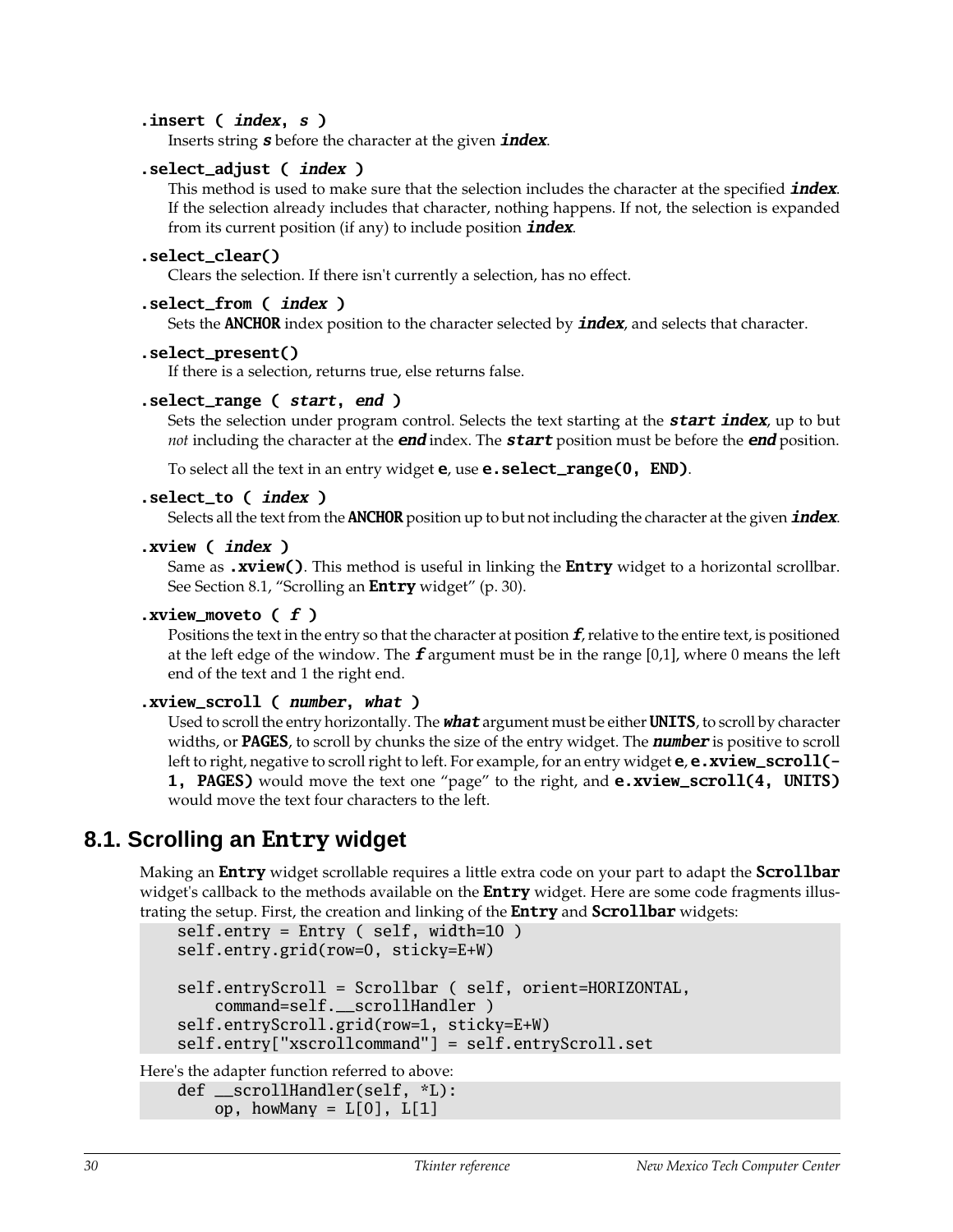#### **.insert (** *index***,** *s* **)**

Inserts string *s* before the character at the given *[index](#page-26-1)*.

#### **.select\_adjust (** *index* **)**

This method is used to make sure that the [selection](#page-26-2) includes the character at the specified *[index](#page-26-1)*. If the selection already includes that character, nothing happens. If not, the selection is expanded from its current position (if any) to include position *index*.

#### **.select\_clear()**

Clears the selection. If there isn't currently a selection, has no effect.

#### **.select\_from (** *index* **)**

Sets the **ANCHOR** index position to the character selected by *index*, and selects that character.

#### **.select\_present()**

If there is a [selection](#page-26-2), returns true, else returns false.

#### **.select\_range (** *start***,** *end* **)**

Sets the [selection](#page-26-2) under program control. Selects the text starting at the *start [index](#page-26-1)*, up to but *not* including the character at the *end* index. The *start* position must be before the *end* position.

To select all the text in an entry widget **e**, use **e.select\_range(0, END)**.

#### **.select\_to (** *index* **)**

Selects all the text from the **ANCHOR** position up to but not including the character at the given *[index](#page-26-1)*.

#### **.xview (** *index* **)**

Same as **.xview()**. This method is useful in linking the **Entry** widget to a horizontal scrollbar. See Section [8.1, "Scrolling an](#page-29-0) **Entry** widget" [\(p. 30\).](#page-29-0)

#### **.xview\_moveto (** *f* **)**

Positions the text in the entry so that the character at position *f*, relative to the entire text, is positioned at the left edge of the window. The *f* argument must be in the range [0,1], where 0 means the left end of the text and 1 the right end.

#### **.xview\_scroll (** *number***,** *what* **)**

<span id="page-29-0"></span>Used to scroll the entry horizontally. The *what* argument must be either **UNITS**, to scroll by character widths, or **PAGES**, to scroll by chunks the size of the entry widget. The *number* is positive to scroll left to right, negative to scroll right to left. For example, for an entry widget **e**, **e.xview\_scroll(- 1, PAGES)** would move the text one "page" to the right, and **e.xview\_scroll(4, UNITS)** would move the text four characters to the left.

### **8.1. Scrolling an Entry widget**

Making an **Entry** widget scrollable requires a little extra code on your part to adapt the **Scrollbar** widget's callback to the methods available on the **Entry** widget. Here are some code fragments illustrating the setup. First, the creation and linking of the **Entry** and **Scrollbar** widgets:

```
self.entry = Entry ( self, width=10 )
self.entry.grid(row=0, sticky=E+W)
self.entryScroll = Scrollbar ( self, orient=HORIZONTAL,
    command=self.__scrollHandler )
self.entryScroll.grid(row=1, sticky=E+W)
self.entry["xscrollcommand"] = self.entryScroll.set
```
Here's the adapter function referred to above:

```
def __scrollHandler(self, *L):
    op, howMany = L[0], L[1]
```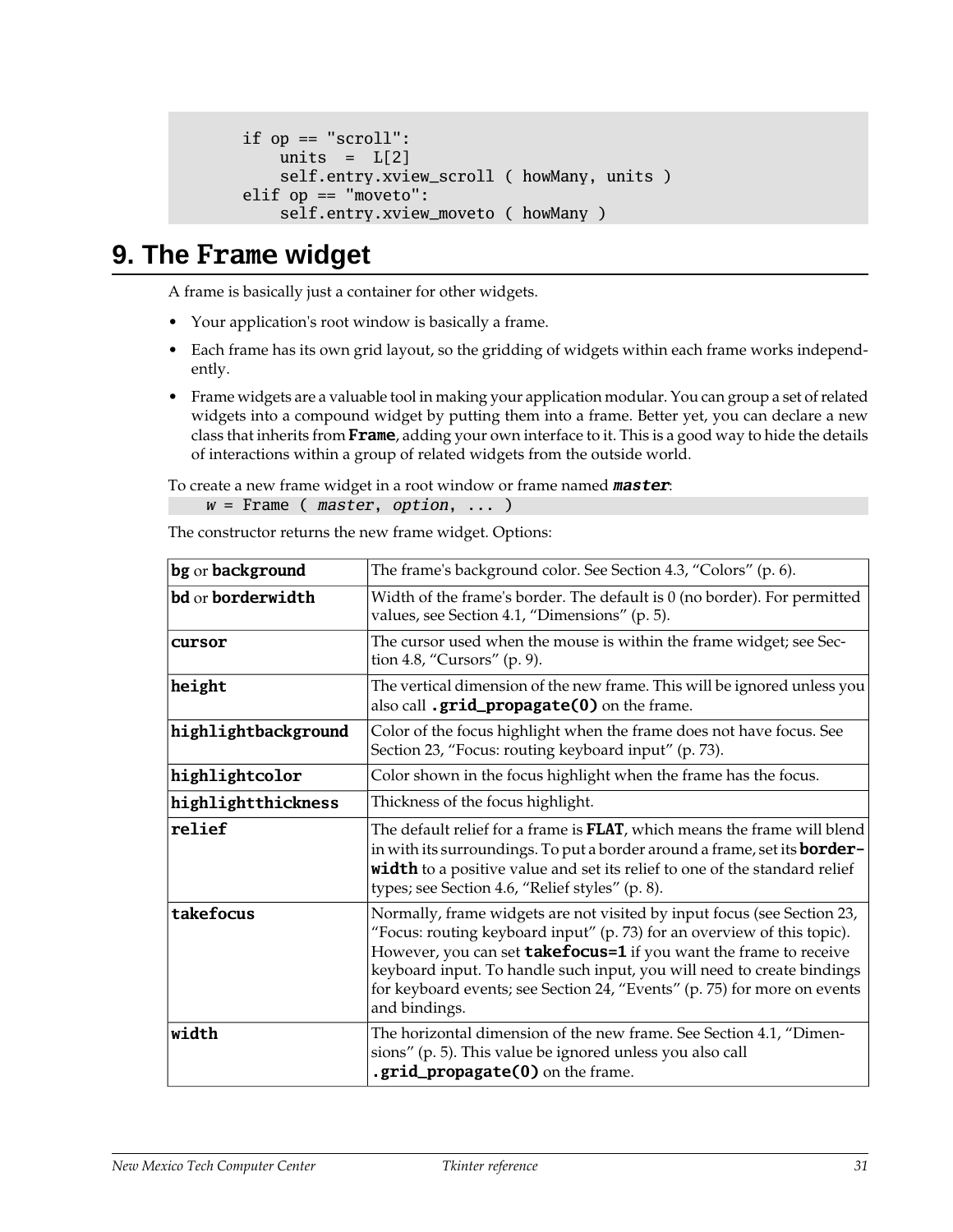```
if op == "scroll":
    units = L[2]self.entry.xview_scroll ( howMany, units )
elif op == "moveto":
    self.entry.xview_moveto ( howMany )
```
## <span id="page-30-0"></span>**9. The Frame widget**

A frame is basically just a container for other widgets.

- Your application's root window is basically a frame.
- Each frame has its own grid layout, so the [gridding](#page-3-0) of widgets within each frame works independently.
- Frame widgets are a valuable tool in making your application modular. You can group a set of related widgets into a compound widget by putting them into a frame. Better yet, you can declare a new class that inherits from **Frame**, adding your own interface to it. This is a good way to hide the details of interactions within a group of related widgets from the outside world.

To create a new frame widget in a root window or frame named *master*:

```
w = Frame ( master, option, ... )
```

| bg or background    | The frame's background color. See Section 4.3, "Colors" (p. 6).                                                                                                                                                                                                                                                                                                                                |
|---------------------|------------------------------------------------------------------------------------------------------------------------------------------------------------------------------------------------------------------------------------------------------------------------------------------------------------------------------------------------------------------------------------------------|
| bd or borderwidth   | Width of the frame's border. The default is 0 (no border). For permitted<br>values, see Section 4.1, "Dimensions" (p. 5).                                                                                                                                                                                                                                                                      |
| cursor              | The cursor used when the mouse is within the frame widget; see Sec-<br>tion 4.8, "Cursors" (p. 9).                                                                                                                                                                                                                                                                                             |
| height              | The vertical dimension of the new frame. This will be ignored unless you<br>also call .grid_propagate(0) on the frame.                                                                                                                                                                                                                                                                         |
| highlightbackground | Color of the focus highlight when the frame does not have focus. See<br>Section 23, "Focus: routing keyboard input" (p. 73).                                                                                                                                                                                                                                                                   |
| highlightcolor      | Color shown in the focus highlight when the frame has the focus.                                                                                                                                                                                                                                                                                                                               |
| highlightthickness  | Thickness of the focus highlight.                                                                                                                                                                                                                                                                                                                                                              |
| relief              | The default relief for a frame is FLAT, which means the frame will blend<br>in with its surroundings. To put a border around a frame, set its <b>border-</b><br>width to a positive value and set its relief to one of the standard relief<br>types; see Section 4.6, "Relief styles" (p. 8).                                                                                                  |
| takefocus           | Normally, frame widgets are not visited by input focus (see Section 23,<br>"Focus: routing keyboard input" (p. 73) for an overview of this topic).<br>However, you can set takefocus=1 if you want the frame to receive<br>keyboard input. To handle such input, you will need to create bindings<br>for keyboard events; see Section 24, "Events" (p. 75) for more on events<br>and bindings. |
| width               | The horizontal dimension of the new frame. See Section 4.1, "Dimen-<br>sions" (p. 5). This value be ignored unless you also call<br>.grid_propagate(0) on the frame.                                                                                                                                                                                                                           |

The constructor returns the new frame widget. Options: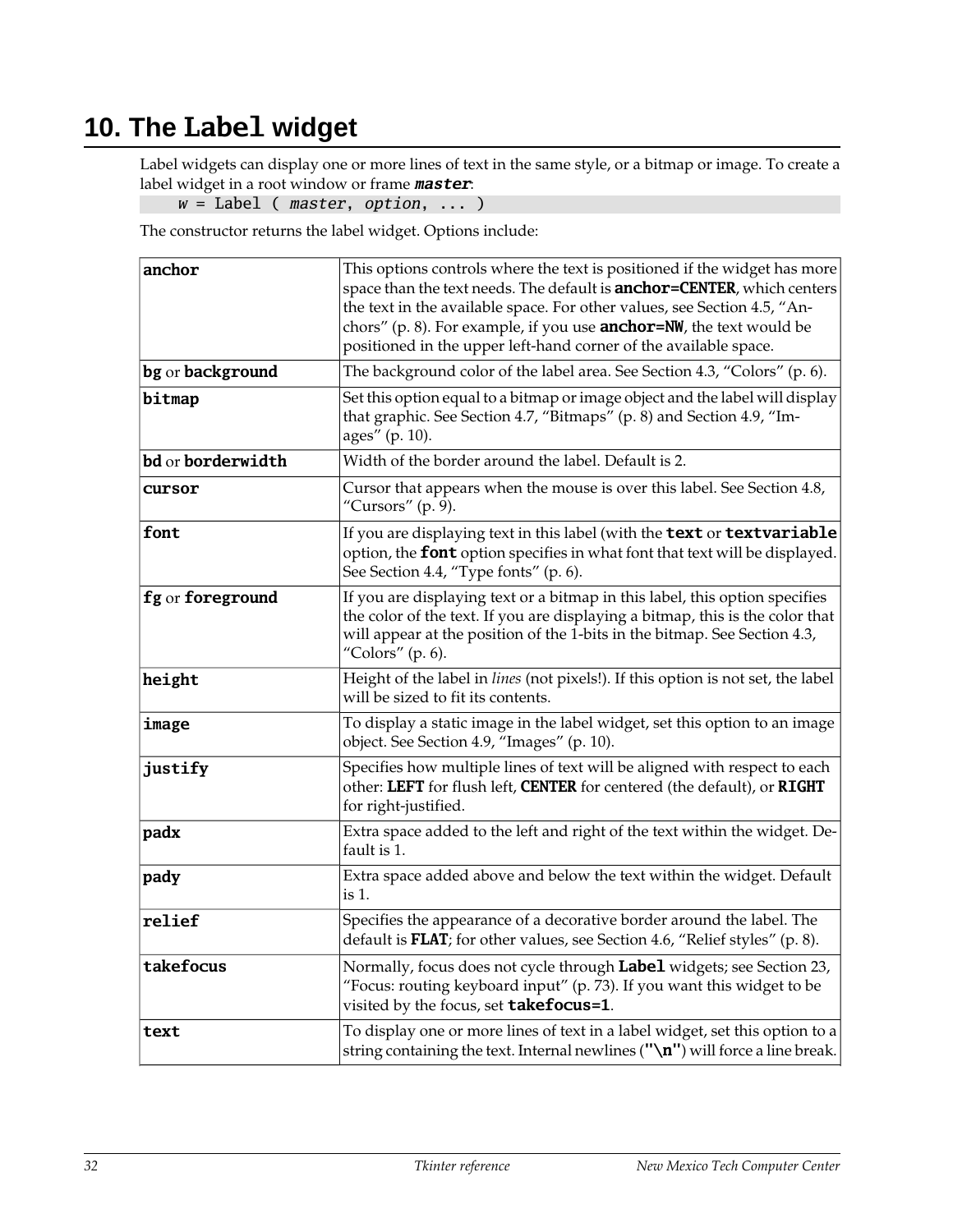## <span id="page-31-0"></span>**10. The Label widget**

Label widgets can display one or more lines of text in the same style, or a bitmap or image. To create a label widget in a root window or frame *master*:

*w* = Label ( *master*, *option*, ... )

The constructor returns the label widget. Options include:

| anchor            | This options controls where the text is positioned if the widget has more<br>space than the text needs. The default is <b>anchor=CENTER</b> , which centers<br>the text in the available space. For other values, see Section 4.5, "An-<br>chors" (p. 8). For example, if you use <b>anchor=NW</b> , the text would be<br>positioned in the upper left-hand corner of the available space. |
|-------------------|--------------------------------------------------------------------------------------------------------------------------------------------------------------------------------------------------------------------------------------------------------------------------------------------------------------------------------------------------------------------------------------------|
| bg or background  | The background color of the label area. See Section 4.3, "Colors" (p. 6).                                                                                                                                                                                                                                                                                                                  |
| bitmap            | Set this option equal to a bitmap or image object and the label will display<br>that graphic. See Section 4.7, "Bitmaps" (p. 8) and Section 4.9, "Im-<br>ages" (p. 10).                                                                                                                                                                                                                    |
| bd or borderwidth | Width of the border around the label. Default is 2.                                                                                                                                                                                                                                                                                                                                        |
| cursor            | Cursor that appears when the mouse is over this label. See Section 4.8,<br>"Cursors" $(p. 9)$ .                                                                                                                                                                                                                                                                                            |
| font              | If you are displaying text in this label (with the <b>text</b> or <b>textvariable</b><br>option, the <b>font</b> option specifies in what font that text will be displayed.<br>See Section 4.4, "Type fonts" (p. 6).                                                                                                                                                                       |
| fg or foreground  | If you are displaying text or a bitmap in this label, this option specifies<br>the color of the text. If you are displaying a bitmap, this is the color that<br>will appear at the position of the 1-bits in the bitmap. See Section 4.3,<br>"Colors" $(p. 6)$ .                                                                                                                           |
| height            | Height of the label in lines (not pixels!). If this option is not set, the label<br>will be sized to fit its contents.                                                                                                                                                                                                                                                                     |
| image             | To display a static image in the label widget, set this option to an image<br>object. See Section 4.9, "Images" (p. 10).                                                                                                                                                                                                                                                                   |
| justify           | Specifies how multiple lines of text will be aligned with respect to each<br>other: LEFT for flush left, CENTER for centered (the default), or RIGHT<br>for right-justified.                                                                                                                                                                                                               |
| padx              | Extra space added to the left and right of the text within the widget. De-<br>fault is 1.                                                                                                                                                                                                                                                                                                  |
| pady              | Extra space added above and below the text within the widget. Default<br>is 1.                                                                                                                                                                                                                                                                                                             |
| relief            | Specifies the appearance of a decorative border around the label. The<br>default is <b>FLAT</b> ; for other values, see Section 4.6, "Relief styles" (p. 8).                                                                                                                                                                                                                               |
| takefocus         | Normally, focus does not cycle through Label widgets; see Section 23,<br>"Focus: routing keyboard input" (p. 73). If you want this widget to be<br>visited by the focus, set <b>takefocus=1</b> .                                                                                                                                                                                          |
| text              | To display one or more lines of text in a label widget, set this option to a<br>string containing the text. Internal newlines (" $\langle n'' \rangle$ will force a line break.                                                                                                                                                                                                            |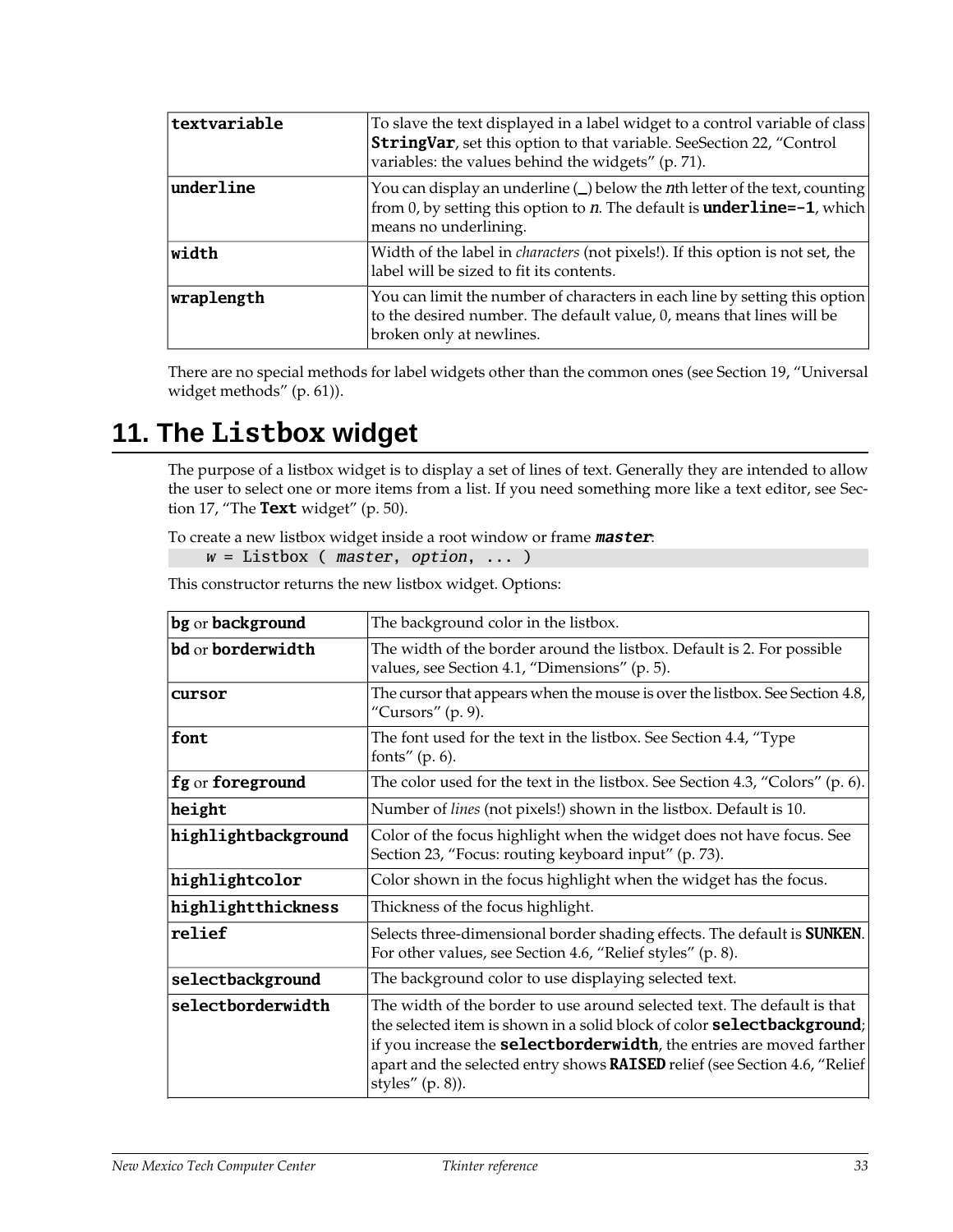| textvariable | To slave the text displayed in a label widget to a control variable of class<br>StringVar, set this option to that variable. SeeSection 22, "Control<br>variables: the values behind the widgets" (p. 71). |
|--------------|------------------------------------------------------------------------------------------------------------------------------------------------------------------------------------------------------------|
| underline    | You can display an underline $($ ) below the <i>n</i> th letter of the text, counting<br>from 0, by setting this option to $n$ . The default is <b>underline=-1</b> , which<br>means no underlining.       |
| $ $ width    | Width of the label in <i>characters</i> (not pixels!). If this option is not set, the<br>label will be sized to fit its contents.                                                                          |
| wraplength   | You can limit the number of characters in each line by setting this option<br>to the desired number. The default value, 0, means that lines will be<br>broken only at newlines.                            |

<span id="page-32-0"></span>There are no special methods for label widgets other than the common ones (see Section [19, "Universal](#page-60-0) [widget methods" \(p. 61\)](#page-60-0)).

## **11. The Listbox widget**

The purpose of a listbox widget is to display a set of lines of text. Generally they are intended to allow the user to select one or more items from a list. If you need something more like a text editor, see [Sec](#page-49-0)tion [17, "The](#page-49-0) **Text** widget" [\(p. 50\).](#page-49-0)

|  |  | To create a new listbox widget inside a root window or frame master: |  |
|--|--|----------------------------------------------------------------------|--|
|  |  |                                                                      |  |

*w* = Listbox ( *master*, *option*, ... )

| bg or background    | The background color in the listbox.                                                                                                                                                                                                                                                                                                                |
|---------------------|-----------------------------------------------------------------------------------------------------------------------------------------------------------------------------------------------------------------------------------------------------------------------------------------------------------------------------------------------------|
| bd or borderwidth   | The width of the border around the listbox. Default is 2. For possible<br>values, see Section 4.1, "Dimensions" (p. 5).                                                                                                                                                                                                                             |
| cursor              | The cursor that appears when the mouse is over the listbox. See Section 4.8,<br>"Cursors" $(p. 9)$ .                                                                                                                                                                                                                                                |
| font                | The font used for the text in the listbox. See Section 4.4, "Type<br>fonts" $(p. 6)$ .                                                                                                                                                                                                                                                              |
| fg or foreground    | The color used for the text in the listbox. See Section 4.3, "Colors" (p. 6).                                                                                                                                                                                                                                                                       |
| height              | Number of lines (not pixels!) shown in the listbox. Default is 10.                                                                                                                                                                                                                                                                                  |
| highlightbackground | Color of the focus highlight when the widget does not have focus. See<br>Section 23, "Focus: routing keyboard input" (p. 73).                                                                                                                                                                                                                       |
| highlightcolor      | Color shown in the focus highlight when the widget has the focus.                                                                                                                                                                                                                                                                                   |
| highlightthickness  | Thickness of the focus highlight.                                                                                                                                                                                                                                                                                                                   |
| relief              | Selects three-dimensional border shading effects. The default is <b>SUNKEN</b> .<br>For other values, see Section 4.6, "Relief styles" (p. 8).                                                                                                                                                                                                      |
| selectbackground    | The background color to use displaying selected text.                                                                                                                                                                                                                                                                                               |
| selectborderwidth   | The width of the border to use around selected text. The default is that<br>the selected item is shown in a solid block of color <b>selectbackground</b> ;<br>if you increase the <b>selectborderwidth</b> , the entries are moved farther<br>apart and the selected entry shows <b>RAISED</b> relief (see Section 4.6, "Relief<br>styles" (p. 8)). |

This constructor returns the new listbox widget. Options: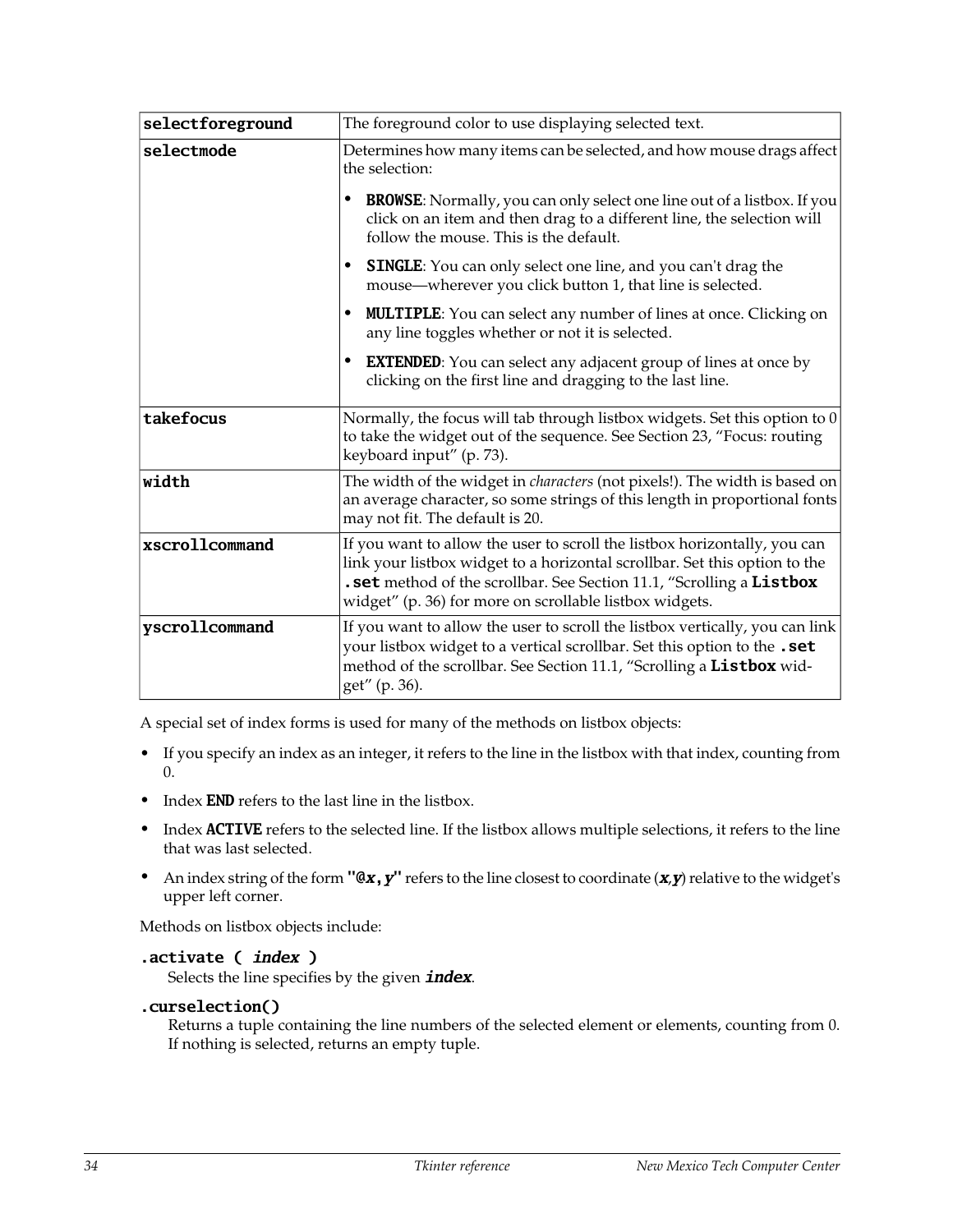| selectforeground | The foreground color to use displaying selected text.                                                                                                                                                                                                                                             |  |
|------------------|---------------------------------------------------------------------------------------------------------------------------------------------------------------------------------------------------------------------------------------------------------------------------------------------------|--|
| selectmode       | Determines how many items can be selected, and how mouse drags affect<br>the selection:                                                                                                                                                                                                           |  |
|                  | <b>BROWSE:</b> Normally, you can only select one line out of a listbox. If you<br>click on an item and then drag to a different line, the selection will<br>follow the mouse. This is the default.                                                                                                |  |
|                  | <b>SINGLE:</b> You can only select one line, and you can't drag the<br>mouse—wherever you click button 1, that line is selected.                                                                                                                                                                  |  |
|                  | <b>MULTIPLE:</b> You can select any number of lines at once. Clicking on<br>any line toggles whether or not it is selected.                                                                                                                                                                       |  |
|                  | <b>EXTENDED:</b> You can select any adjacent group of lines at once by<br>٠<br>clicking on the first line and dragging to the last line.                                                                                                                                                          |  |
| takefocus        | Normally, the focus will tab through listbox widgets. Set this option to 0<br>to take the widget out of the sequence. See Section 23, "Focus: routing<br>keyboard input" (p. 73).                                                                                                                 |  |
| width            | The width of the widget in <i>characters</i> (not pixels!). The width is based on<br>an average character, so some strings of this length in proportional fonts<br>may not fit. The default is 20.                                                                                                |  |
| xscrollcommand   | If you want to allow the user to scroll the listbox horizontally, you can<br>link your listbox widget to a horizontal scrollbar. Set this option to the<br><b>set</b> method of the scrollbar. See Section 11.1, "Scrolling a Listbox"<br>widget" (p. 36) for more on scrollable listbox widgets. |  |
| yscrollcommand   | If you want to allow the user to scroll the listbox vertically, you can link<br>your listbox widget to a vertical scrollbar. Set this option to the .set<br>method of the scrollbar. See Section 11.1, "Scrolling a Listbox wid-<br>get" (p. 36).                                                 |  |

A special set of index forms is used for many of the methods on listbox objects:

- If you specify an index as an integer, it refers to the line in the listbox with that index, counting from 0.
- Index **END** refers to the last line in the listbox.
- Index **ACTIVE** refers to the selected line. If the listbox allows multiple selections, it refers to the line that was last selected.
- An index string of the form **"@***x***,***y***"** refers to the line closest to coordinate (*x*,*y*) relative to the widget's upper left corner.

Methods on listbox objects include:

```
.activate ( index )
```
Selects the line specifies by the given *index*.

**.curselection()**

Returns a tuple containing the line numbers of the selected element or elements, counting from 0. If nothing is selected, returns an empty tuple.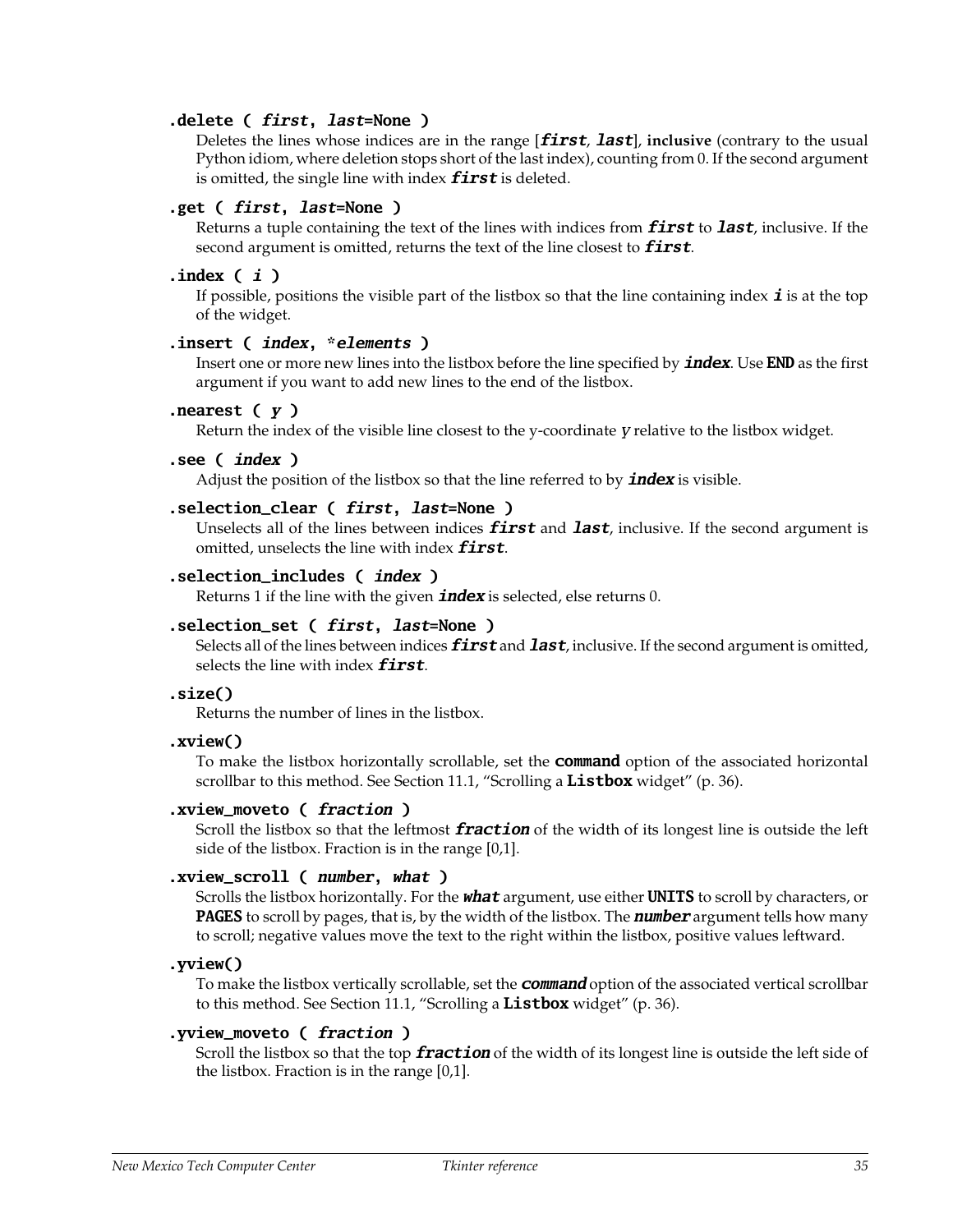#### **.delete (** *first***,** *last***=None )**

Deletes the lines whose indices are in the range [*first*, *last*], **inclusive** (contrary to the usual Python idiom, where deletion stops short of the last index), counting from 0. If the second argument is omitted, the single line with index *first* is deleted.

#### **.get (** *first***,** *last***=None )**

Returns a tuple containing the text of the lines with indices from *first* to *last*, inclusive. If the second argument is omitted, returns the text of the line closest to *first*.

#### **.index (** *i* **)**

If possible, positions the visible part of the listbox so that the line containing index *i* is at the top of the widget.

#### **.insert (** *index***, \****elements* **)**

Insert one or more new lines into the listbox before the line specified by *index*. Use **END** as the first argument if you want to add new lines to the end of the listbox.

#### **.nearest (** *y* **)**

Return the index of the visible line closest to the y-coordinate *y* relative to the listbox widget.

#### **.see (** *index* **)**

Adjust the position of the listbox so that the line referred to by *index* is visible.

#### **.selection\_clear (** *first***,** *last***=None )**

Unselects all of the lines between indices *first* and *last*, inclusive. If the second argument is omitted, unselects the line with index *first*.

#### **.selection\_includes (** *index* **)**

Returns 1 if the line with the given *index* is selected, else returns 0.

#### **.selection\_set (** *first***,** *last***=None )**

Selects all of the lines between indices *first* and *last*, inclusive. If the second argument is omitted, selects the line with index *first*.

#### **.size()**

Returns the number of lines in the listbox.

#### **.xview()**

To make the listbox horizontally scrollable, set the **command** option of the associated horizontal scrollbar to this method. See Section [11.1, "Scrolling a](#page-35-0) **Listbox** widget[" \(p. 36\)](#page-35-0).

#### **.xview\_moveto (** *fraction* **)**

Scroll the listbox so that the leftmost *fraction* of the width of its longest line is outside the left side of the listbox. Fraction is in the range [0,1].

#### **.xview\_scroll (** *number***,** *what* **)**

Scrolls the listbox horizontally. For the *what* argument, use either **UNITS** to scroll by characters, or **PAGES** to scroll by pages, that is, by the width of the listbox. The *number* argument tells how many to scroll; negative values move the text to the right within the listbox, positive values leftward.

#### **.yview()**

To make the listbox vertically scrollable, set the *command* option of the associated vertical scrollbar to this method. See Section [11.1, "Scrolling a](#page-35-0) **Listbox** widget[" \(p. 36\)](#page-35-0).

#### **.yview\_moveto (** *fraction* **)**

Scroll the listbox so that the top *fraction* of the width of its longest line is outside the left side of the listbox. Fraction is in the range [0,1].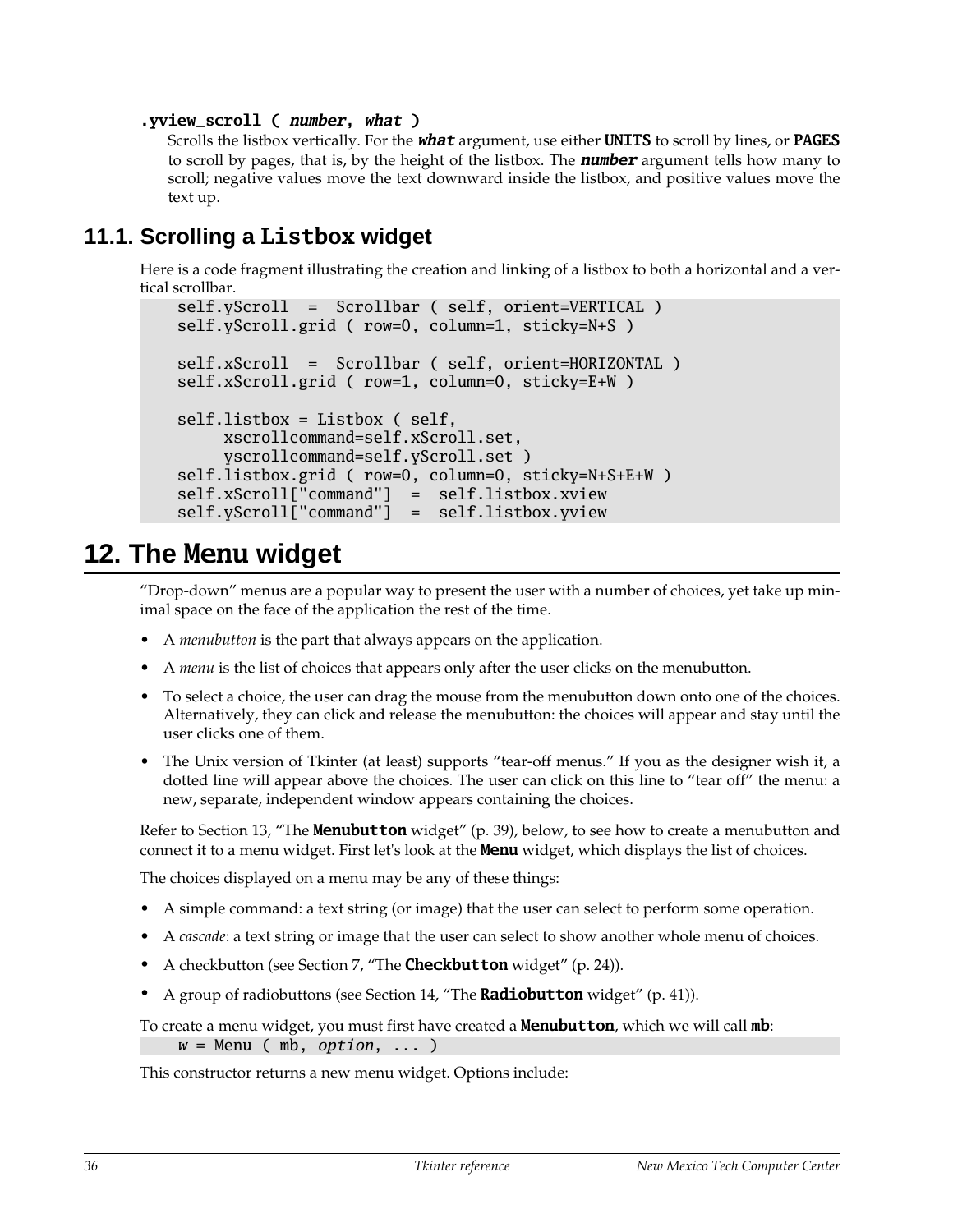#### **.yview\_scroll (** *number***,** *what* **)**

Scrolls the listbox vertically. For the *what* argument, use either **UNITS** to scroll by lines, or **PAGES** to scroll by pages, that is, by the height of the listbox. The *number* argument tells how many to scroll; negative values move the text downward inside the listbox, and positive values move the text up.

## <span id="page-35-0"></span>**11.1. Scrolling a Listbox widget**

Here is a code fragment illustrating the creation and linking of a listbox to both a horizontal and a vertical scrollbar.

```
self.yScroll = Scrollbar ( self, orient=VERTICAL )
self.yScroll.grid ( row=0, column=1, sticky=N+S )
self.xScroll = Scrollbar ( self, orient=HORIZONTAL )
self.xScroll.grid ( row=1, column=0, sticky=E+W )
self.listbox = Listbox ( self,
    xscrollcommand=self.xScroll.set,
     yscrollcommand=self.yScroll.set )
self.listbox.grid ( row=0, column=0, sticky=N+S+E+W )
self.xScroll["command"] = self.listbox.xview
self.yScroll["command"] = self.listbox.yview
```
## <span id="page-35-1"></span>**12. The Menu widget**

"Drop-down" menus are a popular way to present the user with a number of choices, yet take up minimal space on the face of the application the rest of the time.

- A *menubutton* is the part that always appears on the application.
- A *menu* is the list of choices that appears only after the user clicks on the menubutton.
- To select a choice, the user can drag the mouse from the menubutton down onto one of the choices. Alternatively, they can click and release the menubutton: the choices will appear and stay until the user clicks one of them.
- The Unix version of Tkinter (at least) supports "tear-off menus." If you as the designer wish it, a dotted line will appear above the choices. The user can click on this line to "tear off" the menu: a new, separate, independent window appears containing the choices.

Refer to Section 13, "The **[Menubutton](#page-38-0)** widget[" \(p. 39\)](#page-38-0), below, to see how to create a menubutton and connect it to a menu widget. First let's look at the **Menu** widget, which displays the list of choices.

The choices displayed on a menu may be any of these things:

- A simple command: a text string (or image) that the user can select to perform some operation.
- A *cascade*: a text string or image that the user can select to show another whole menu of choices.
- A checkbutton (see Section 7, "The **[Checkbutton](#page-23-1)** widget" [\(p. 24\)](#page-23-1)).
- A group of radiobuttons (see Section 14, "The **[Radiobutton](#page-40-0)** widget[" \(p. 41\)\)](#page-40-0).

To create a menu widget, you must first have created a **Menubutton**, which we will call **mb**: *w* = Menu ( mb, *option*, ... )

This constructor returns a new menu widget. Options include: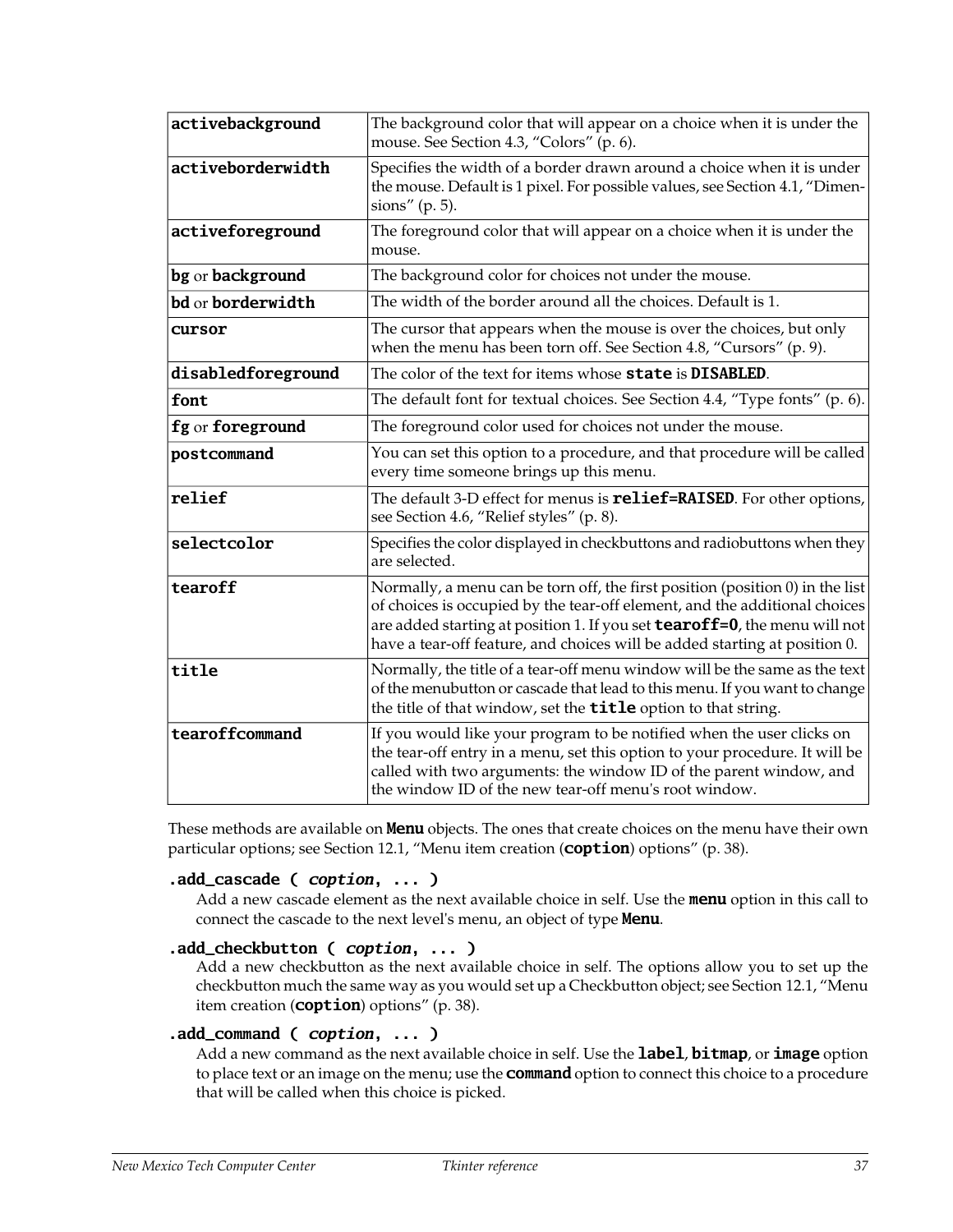| activebackground   | The background color that will appear on a choice when it is under the<br>mouse. See Section 4.3, "Colors" (p. 6).                                                                                                                                                                                                     |  |
|--------------------|------------------------------------------------------------------------------------------------------------------------------------------------------------------------------------------------------------------------------------------------------------------------------------------------------------------------|--|
| activeborderwidth  | Specifies the width of a border drawn around a choice when it is under<br>the mouse. Default is 1 pixel. For possible values, see Section 4.1, "Dimen-<br>sions" $(p. 5)$ .                                                                                                                                            |  |
| activeforeground   | The foreground color that will appear on a choice when it is under the<br>mouse.                                                                                                                                                                                                                                       |  |
| bg or background   | The background color for choices not under the mouse.                                                                                                                                                                                                                                                                  |  |
| bd or borderwidth  | The width of the border around all the choices. Default is 1.                                                                                                                                                                                                                                                          |  |
| cursor             | The cursor that appears when the mouse is over the choices, but only<br>when the menu has been torn off. See Section 4.8, "Cursors" (p. 9).                                                                                                                                                                            |  |
| disabledforeground | The color of the text for items whose state is DISABLED.                                                                                                                                                                                                                                                               |  |
| font               | The default font for textual choices. See Section 4.4, "Type fonts" (p. 6).                                                                                                                                                                                                                                            |  |
| fg or foreground   | The foreground color used for choices not under the mouse.                                                                                                                                                                                                                                                             |  |
| postcommand        | You can set this option to a procedure, and that procedure will be called<br>every time someone brings up this menu.                                                                                                                                                                                                   |  |
| relief             | The default 3-D effect for menus is <b>relief=RAISED</b> . For other options,<br>see Section 4.6, "Relief styles" (p. 8).                                                                                                                                                                                              |  |
| selectcolor        | Specifies the color displayed in checkbuttons and radiobuttons when they<br>are selected.                                                                                                                                                                                                                              |  |
| tearoff            | Normally, a menu can be torn off, the first position (position 0) in the list<br>of choices is occupied by the tear-off element, and the additional choices<br>are added starting at position 1. If you set tearoff=0, the menu will not<br>have a tear-off feature, and choices will be added starting at position 0. |  |
| title              | Normally, the title of a tear-off menu window will be the same as the text<br>of the menubutton or cascade that lead to this menu. If you want to change<br>the title of that window, set the <b>title</b> option to that string.                                                                                      |  |
| tearoffcommand     | If you would like your program to be notified when the user clicks on<br>the tear-off entry in a menu, set this option to your procedure. It will be<br>called with two arguments: the window ID of the parent window, and<br>the window ID of the new tear-off menu's root window.                                    |  |

These methods are available on **Menu** objects. The ones that create choices on the menu have their own particular options; see Section [12.1, "Menu item creation \(](#page-37-0)**coption**) options" [\(p. 38\).](#page-37-0)

### **.add\_cascade (** *[coption](#page-37-0)***, ... )**

Add a new cascade element as the next available choice in self. Use the **menu** [option](#page-37-0) in this call to connect the cascade to the next level's menu, an object of type **Menu**.

#### **.add\_checkbutton (** *[coption](#page-37-0)***, ... )**

Add a new checkbutton as the next available choice in self. The options allow you to set up the checkbutton much the same way as you would set up a [Checkbutton](#page-23-0) object; see Section [12.1, "Menu](#page-37-0) [item creation \(](#page-37-0)**coption**) options" [\(p. 38\).](#page-37-0)

### **.add\_command (** *[coption](#page-37-0)***, ... )**

Add a new command as the next available choice in self. Use the **label**, **bitmap**, or **image** option to place text or an image on the menu; use the **command** option to connect this choice to a procedure that will be called when this choice is picked.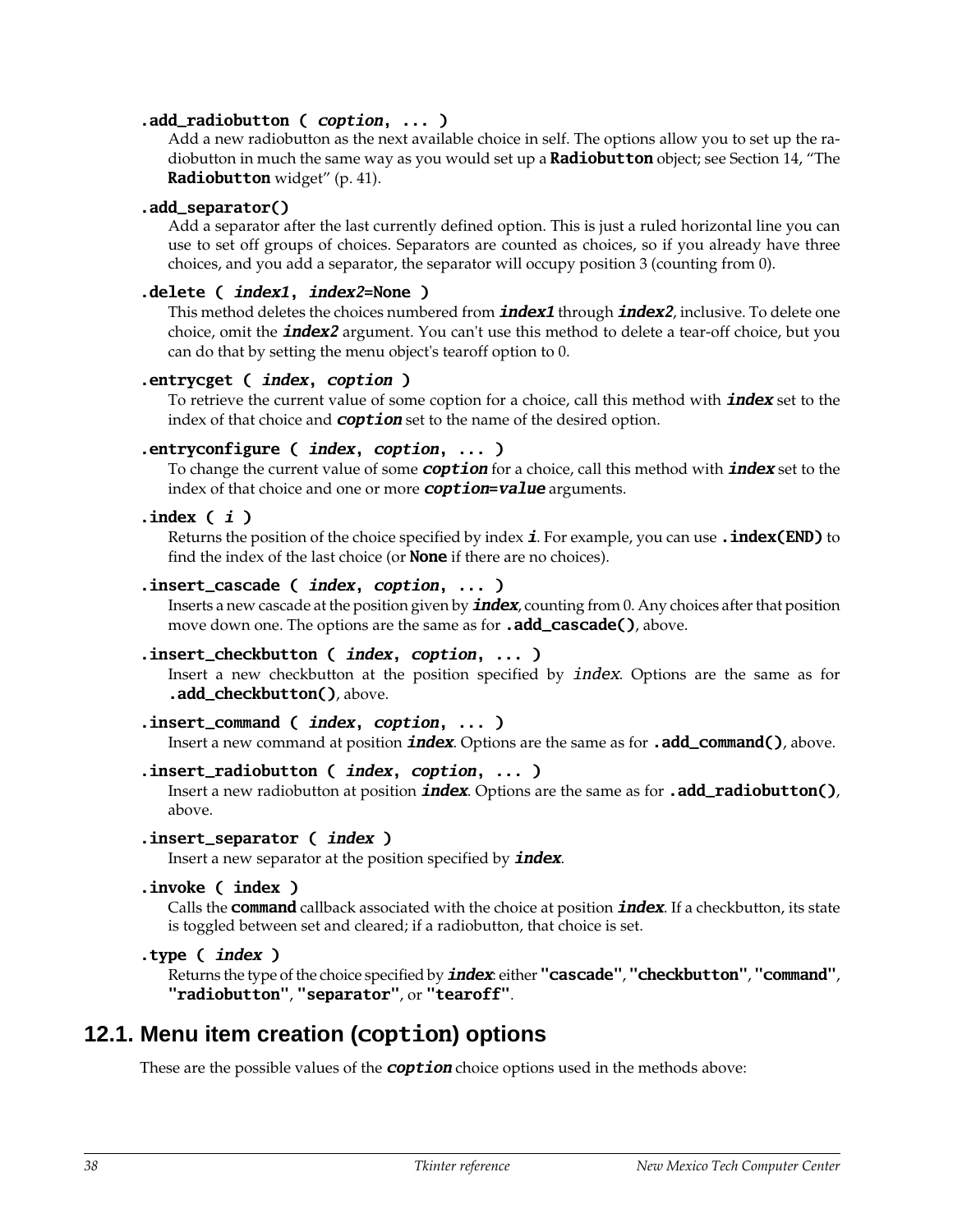### **.add\_radiobutton (** *[coption](#page-37-0)***, ... )**

Add a new radiobutton as the next available choice in self. The options allow you to set up the radiobutton in much the same way as you would set up a **Radiobutton** object; see Section [14, "The](#page-40-0) **[Radiobutton](#page-40-0)** widget[" \(p. 41\).](#page-40-0)

#### **.add\_separator()**

Add a separator after the last currently defined option. This is just a ruled horizontal line you can use to set off groups of choices. Separators are counted as choices, so if you already have three choices, and you add a separator, the separator will occupy position 3 (counting from 0).

#### **.delete (** *index1***,** *index2***=None )**

This method deletes the choices numbered from *index1* through *index2*, inclusive. To delete one choice, omit the *index2* argument. You can't use this method to delete a tear-off choice, but you can do that by setting the menu object's tearoff option to 0.

#### **.entrycget (** *index***,** *[coption](#page-37-0)* **)**

To retrieve the current value of some [coption](#page-37-0) for a choice, call this method with *index* set to the index of that choice and *coption* set to the name of the desired option.

#### **.entryconfigure (** *index***,** *[coption](#page-37-0)***, ... )**

To change the current value of some *[coption](#page-37-0)* for a choice, call this method with *index* set to the index of that choice and one or more *coption***=***value* arguments.

#### **.index (** *i* **)**

Returns the position of the choice specified by index *i*. For example, you can use **.index(END)** to find the index of the last choice (or **None** if there are no choices).

### **.insert\_cascade (** *index***,** *[coption](#page-37-0)***, ... )**

Inserts a new cascade at the position given by *index*, counting from 0. Any choices after that position move down one. The options are the same as for **.add\_cascade()**, above.

#### **.insert\_checkbutton (** *index***,** *[coption](#page-37-0)***, ... )**

Insert a new checkbutton at the position specified by *index*. Options are the same as for **.add\_checkbutton()**, above.

#### **.insert\_command (** *index***,** *[coption](#page-37-0)***, ... )**

Insert a new command at position *index*. Options are the same as for **.add\_command()**, above.

#### **.insert\_radiobutton (** *index***,** *[coption](#page-37-0)***, ... )**

Insert a new radiobutton at position *index*. Options are the same as for **.add\_radiobutton()**, above.

#### **.insert\_separator (** *index* **)**

Insert a new separator at the position specified by *index*.

#### **.invoke ( index )**

Calls the **command** callback associated with the choice at position *index*. If a checkbutton, its state is toggled between set and cleared; if a radiobutton, that choice is set.

#### <span id="page-37-0"></span>**.type (** *index* **)**

Returns the type of the choice specified by *index*: either **"cascade"**, **"checkbutton"**, **"command"**, **"radiobutton"**, **"separator"**, or **"tearoff"**.

# **12.1. Menu item creation (coption) options**

These are the possible values of the *coption* choice options used in the methods above: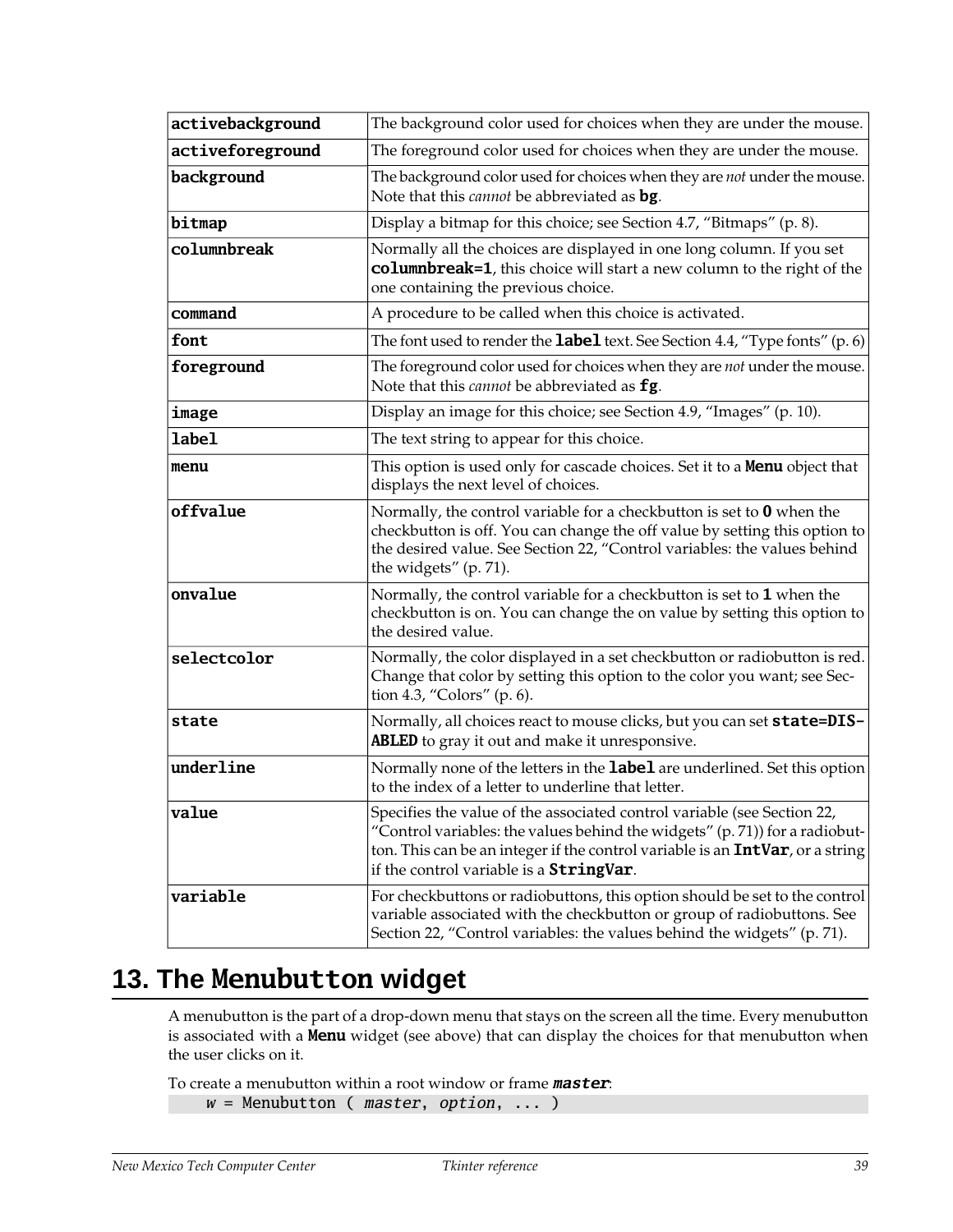| activebackground | The background color used for choices when they are under the mouse.                                                                                                                                                                                                                               |  |
|------------------|----------------------------------------------------------------------------------------------------------------------------------------------------------------------------------------------------------------------------------------------------------------------------------------------------|--|
| activeforeground | The foreground color used for choices when they are under the mouse.                                                                                                                                                                                                                               |  |
| background       | The background color used for choices when they are not under the mouse.<br>Note that this cannot be abbreviated as bg.                                                                                                                                                                            |  |
| bitmap           | Display a bitmap for this choice; see Section 4.7, "Bitmaps" (p. 8).                                                                                                                                                                                                                               |  |
| columnbreak      | Normally all the choices are displayed in one long column. If you set<br>columnbreak=1, this choice will start a new column to the right of the<br>one containing the previous choice.                                                                                                             |  |
| command          | A procedure to be called when this choice is activated.                                                                                                                                                                                                                                            |  |
| font             | The font used to render the <b>label</b> text. See Section 4.4, "Type fonts" (p. 6)                                                                                                                                                                                                                |  |
| foreground       | The foreground color used for choices when they are not under the mouse.<br>Note that this cannot be abbreviated as fg.                                                                                                                                                                            |  |
| image            | Display an image for this choice; see Section 4.9, "Images" (p. 10).                                                                                                                                                                                                                               |  |
| <b>label</b>     | The text string to appear for this choice.                                                                                                                                                                                                                                                         |  |
| menu             | This option is used only for cascade choices. Set it to a Menu object that<br>displays the next level of choices.                                                                                                                                                                                  |  |
| offvalue         | Normally, the control variable for a checkbutton is set to $0$ when the<br>checkbutton is off. You can change the off value by setting this option to<br>the desired value. See Section 22, "Control variables: the values behind<br>the widgets" (p. 71).                                         |  |
| onvalue          | Normally, the control variable for a checkbutton is set to $1$ when the<br>checkbutton is on. You can change the on value by setting this option to<br>the desired value.                                                                                                                          |  |
| selectcolor      | Normally, the color displayed in a set checkbutton or radiobutton is red.<br>Change that color by setting this option to the color you want; see Sec-<br>tion 4.3, "Colors" (p. 6).                                                                                                                |  |
| state            | Normally, all choices react to mouse clicks, but you can set state=DIS-<br><b>ABLED</b> to gray it out and make it unresponsive.                                                                                                                                                                   |  |
| underline        | Normally none of the letters in the <b>label</b> are underlined. Set this option<br>to the index of a letter to underline that letter.                                                                                                                                                             |  |
| value            | Specifies the value of the associated control variable (see Section 22,<br>"Control variables: the values behind the widgets" (p. 71)) for a radiobut-<br>ton. This can be an integer if the control variable is an <b>IntVar</b> , or a string<br>if the control variable is a <b>StringVar</b> . |  |
| variable         | For checkbuttons or radiobuttons, this option should be set to the control<br>variable associated with the checkbutton or group of radiobuttons. See<br>Section 22, "Control variables: the values behind the widgets" (p. 71).                                                                    |  |

# **13. The Menubutton widget**

A menubutton is the part of a drop-down menu that stays on the screen all the time. Every menubutton is associated with a **Menu** widget (see above) that can display the choices for that menubutton when the user clicks on it.

To create a menubutton within a root window or frame *master*:

*w* = Menubutton ( *master*, *option*, ... )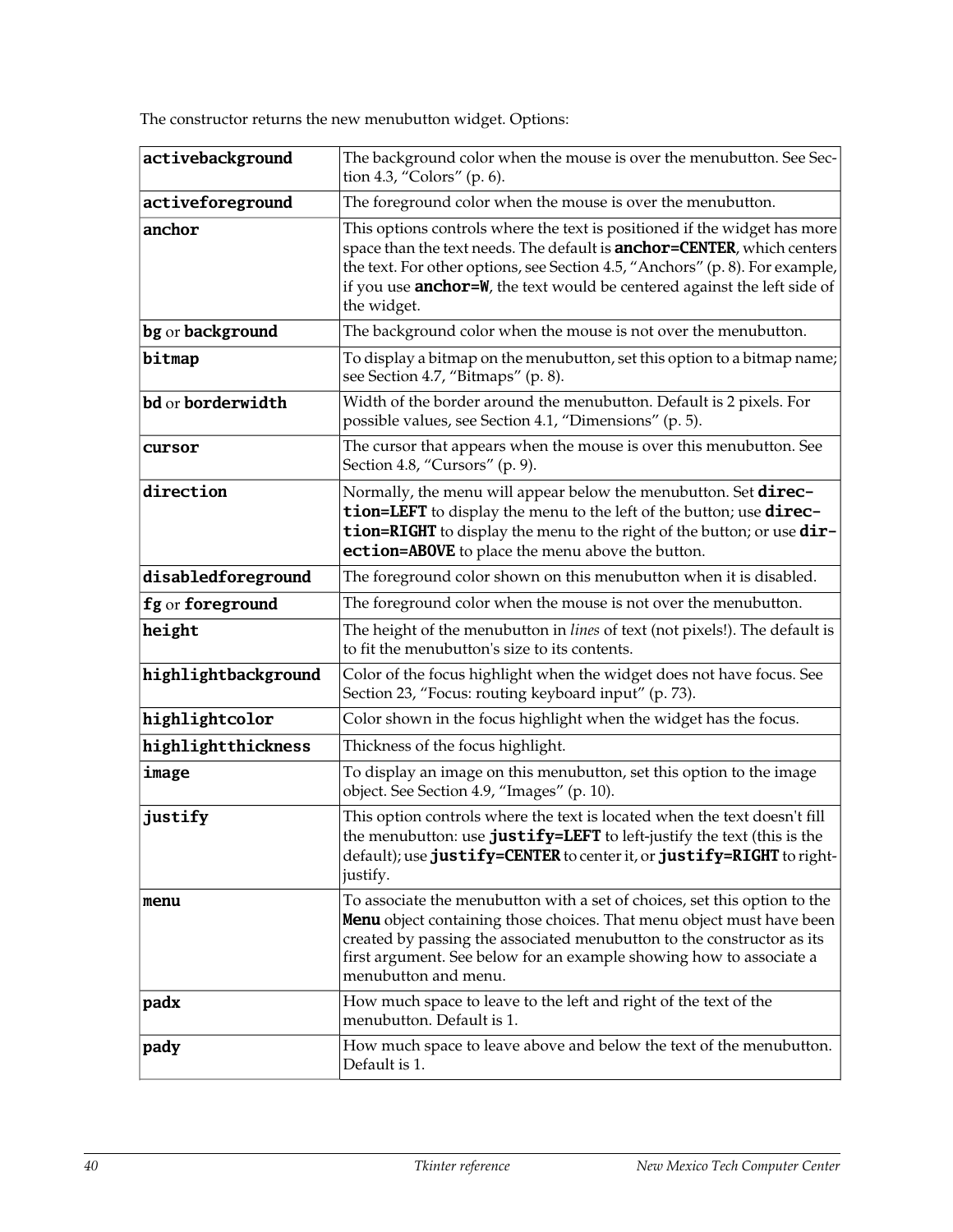The constructor returns the new menubutton widget. Options:

| activebackground    | The background color when the mouse is over the menubutton. See Sec-<br>tion 4.3, "Colors" (p. 6).                                                                                                                                                                                                                                             |  |
|---------------------|------------------------------------------------------------------------------------------------------------------------------------------------------------------------------------------------------------------------------------------------------------------------------------------------------------------------------------------------|--|
| activeforeground    | The foreground color when the mouse is over the menubutton.                                                                                                                                                                                                                                                                                    |  |
| anchor              | This options controls where the text is positioned if the widget has more<br>space than the text needs. The default is <b>anchor=CENTER</b> , which centers<br>the text. For other options, see Section 4.5, "Anchors" (p. 8). For example,<br>if you use <b>anchor=W</b> , the text would be centered against the left side of<br>the widget. |  |
| bg or background    | The background color when the mouse is not over the menubutton.                                                                                                                                                                                                                                                                                |  |
| bitmap              | To display a bitmap on the menubutton, set this option to a bitmap name;<br>see Section 4.7, "Bitmaps" (p. 8).                                                                                                                                                                                                                                 |  |
| bd or borderwidth   | Width of the border around the menubutton. Default is 2 pixels. For<br>possible values, see Section 4.1, "Dimensions" (p. 5).                                                                                                                                                                                                                  |  |
| cursor              | The cursor that appears when the mouse is over this menubutton. See<br>Section 4.8, "Cursors" (p. 9).                                                                                                                                                                                                                                          |  |
| direction           | Normally, the menu will appear below the menubutton. Set <b>direc</b> -<br>tion=LEFT to display the menu to the left of the button; use direc-<br>tion=RIGHT to display the menu to the right of the button; or use dir-<br>ection=ABOVE to place the menu above the button.                                                                   |  |
| disabledforeground  | The foreground color shown on this menubutton when it is disabled.                                                                                                                                                                                                                                                                             |  |
| fg or foreground    | The foreground color when the mouse is not over the menubutton.                                                                                                                                                                                                                                                                                |  |
| height              | The height of the menubutton in <i>lines</i> of text (not pixels!). The default is<br>to fit the menubutton's size to its contents.                                                                                                                                                                                                            |  |
| highlightbackground | Color of the focus highlight when the widget does not have focus. See<br>Section 23, "Focus: routing keyboard input" (p. 73).                                                                                                                                                                                                                  |  |
| highlightcolor      | Color shown in the focus highlight when the widget has the focus.                                                                                                                                                                                                                                                                              |  |
| highlightthickness  | Thickness of the focus highlight.                                                                                                                                                                                                                                                                                                              |  |
| image               | To display an image on this menubutton, set this option to the image<br>object. See Section 4.9, "Images" (p. 10).                                                                                                                                                                                                                             |  |
| justify             | This option controls where the text is located when the text doesn't fill<br>the menubutton: use $justify=LEFT$ to left-justify the text (this is the<br>default); use justify=CENTER to center it, or justify=RIGHT to right-<br>justify.                                                                                                     |  |
| menu                | To associate the menubutton with a set of choices, set this option to the<br>Menu object containing those choices. That menu object must have been<br>created by passing the associated menubutton to the constructor as its<br>first argument. See below for an example showing how to associate a<br>menubutton and menu.                    |  |
| padx                | How much space to leave to the left and right of the text of the<br>menubutton. Default is 1.                                                                                                                                                                                                                                                  |  |
| pady                | How much space to leave above and below the text of the menubutton.<br>Default is 1.                                                                                                                                                                                                                                                           |  |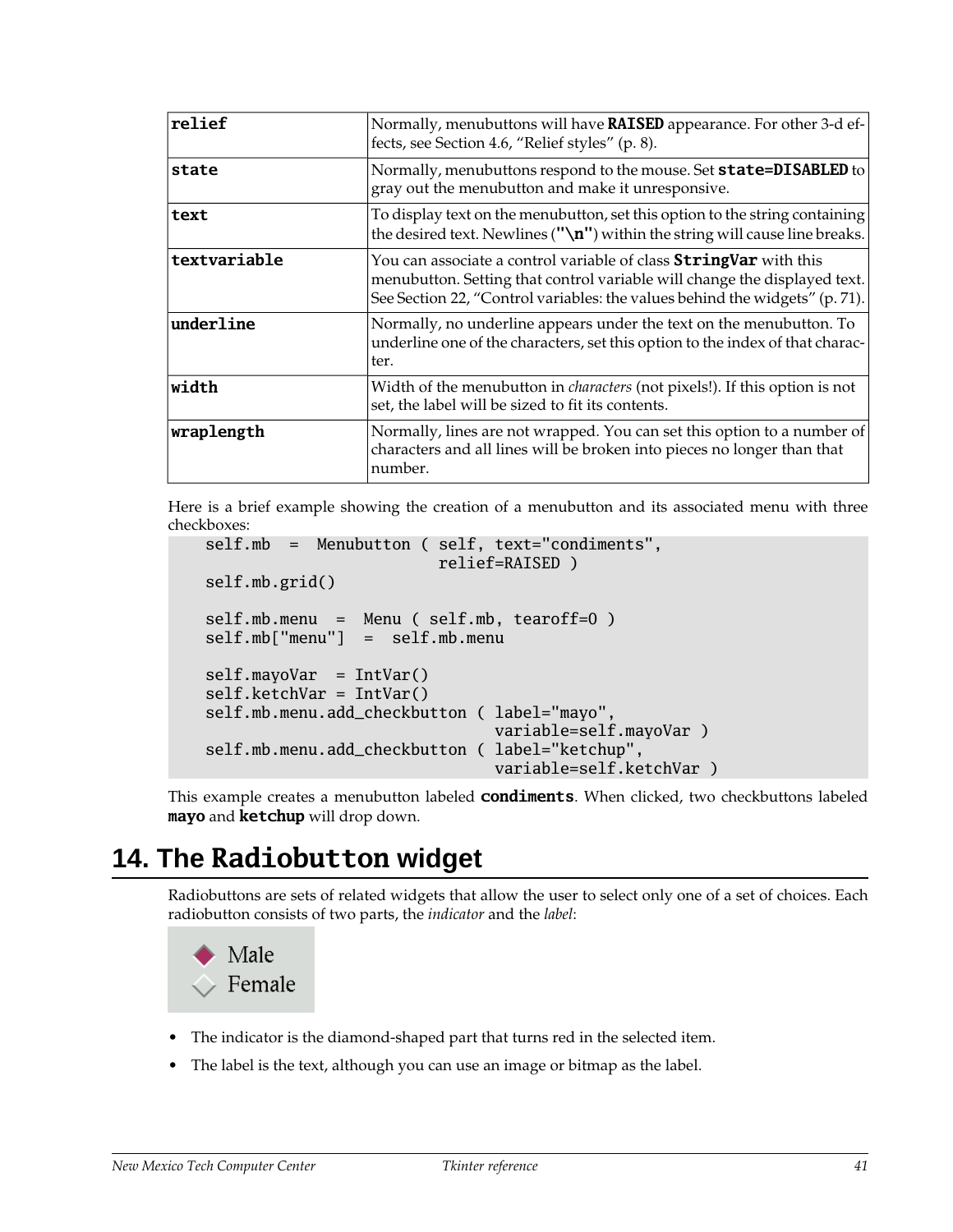| relief       | Normally, menubuttons will have <b>RAISED</b> appearance. For other 3-d ef-<br>fects, see Section 4.6, "Relief styles" (p. 8).                                                                                                       |
|--------------|--------------------------------------------------------------------------------------------------------------------------------------------------------------------------------------------------------------------------------------|
| state        | Normally, menubuttons respond to the mouse. Set state=DISABLED to<br>gray out the menubutton and make it unresponsive.                                                                                                               |
| text         | To display text on the menubutton, set this option to the string containing<br>the desired text. Newlines (" $\langle n'' \rangle$ within the string will cause line breaks.                                                         |
| textvariable | You can associate a control variable of class <b>StringVar</b> with this<br>menubutton. Setting that control variable will change the displayed text.<br>See Section 22, "Control variables: the values behind the widgets" (p. 71). |
| underline    | Normally, no underline appears under the text on the menubutton. To<br>underline one of the characters, set this option to the index of that charac-<br>ter.                                                                         |
| width        | Width of the menubutton in <i>characters</i> (not pixels!). If this option is not<br>set, the label will be sized to fit its contents.                                                                                               |
| wraplength   | Normally, lines are not wrapped. You can set this option to a number of<br>characters and all lines will be broken into pieces no longer than that<br>number.                                                                        |

Here is a brief example showing the creation of a menubutton and its associated menu with three checkboxes:

```
self.mb = Menubutton ( self, text="condiments",
                         relief=RAISED )
self.mb.grid()
self.mb.menu = Menu ( self.mb, tearoff=0 )
self.mb["menu"] = self.mb.menu
self.mayoVar = IntVar()
self.ketchVar = IntVar()
self.mb.menu.add_checkbutton ( label="mayo",
                               variable=self.mayoVar )
self.mb.menu.add_checkbutton ( label="ketchup",
                               variable=self.ketchVar )
```
<span id="page-40-0"></span>This example creates a menubutton labeled **condiments**. When clicked, two checkbuttons labeled **mayo** and **ketchup** will drop down.

# **14. The Radiobutton widget**

Radiobuttons are sets of related widgets that allow the user to select only one of a set of choices. Each radiobutton consists of two parts, the *indicator* and the *label*:



- The indicator is the diamond-shaped part that turns red in the selected item.
- The label is the text, although you can use an [image](#page-9-0) or [bitmap](#page-7-1) as the label.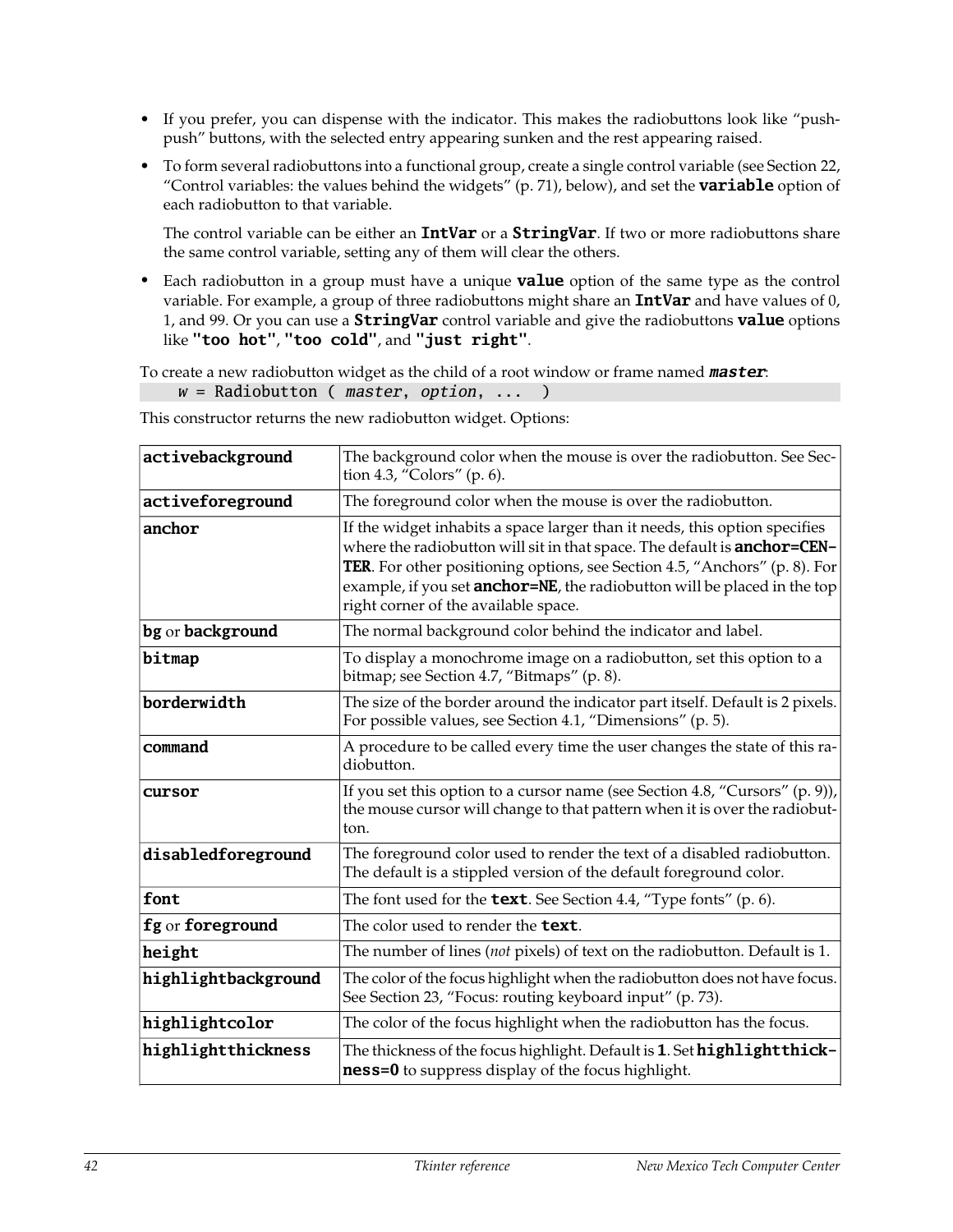- If you prefer, you can dispense with the indicator. This makes the radiobuttons look like "pushpush" buttons, with the selected entry appearing sunken and the rest appearing raised.
- To form several radiobuttons into a functional group, create a single control variable (see [Section](#page-70-0) 22, ["Control variables: the values behind the widgets" \(p. 71\),](#page-70-0) below), and set the **variable** option of each radiobutton to that variable.

The control variable can be either an **IntVar** or a **StringVar**. If two or more radiobuttons share the same control variable, setting any of them will clear the others.

• Each radiobutton in a group must have a unique **value** option of the same type as the control variable. For example, a group of three radiobuttons might share an **IntVar** and have values of 0, 1, and 99. Or you can use a **StringVar** control variable and give the radiobuttons **value** options like **"too hot"**, **"too cold"**, and **"just right"**.

To create a new radiobutton widget as the child of a root window or frame named *master*:

```
w = Radiobutton ( master, option, ... )
```

| activebackground    | The background color when the mouse is over the radiobutton. See Sec-<br>tion 4.3, "Colors" $(p. 6)$ .                                                                                                                                                                                                                                                                          |
|---------------------|---------------------------------------------------------------------------------------------------------------------------------------------------------------------------------------------------------------------------------------------------------------------------------------------------------------------------------------------------------------------------------|
| activeforeground    | The foreground color when the mouse is over the radiobutton.                                                                                                                                                                                                                                                                                                                    |
| anchor              | If the widget inhabits a space larger than it needs, this option specifies<br>where the radiobutton will sit in that space. The default is <b>anchor=CEN</b> -<br><b>TER.</b> For other positioning options, see Section 4.5, "Anchors" (p. 8). For<br>example, if you set <b>anchor=NE</b> , the radiobutton will be placed in the top<br>right corner of the available space. |
| bg or background    | The normal background color behind the indicator and label.                                                                                                                                                                                                                                                                                                                     |
| bitmap              | To display a monochrome image on a radiobutton, set this option to a<br>bitmap; see Section 4.7, "Bitmaps" (p. 8).                                                                                                                                                                                                                                                              |
| borderwidth         | The size of the border around the indicator part itself. Default is 2 pixels.<br>For possible values, see Section 4.1, "Dimensions" (p. 5).                                                                                                                                                                                                                                     |
| command             | A procedure to be called every time the user changes the state of this ra-<br>diobutton.                                                                                                                                                                                                                                                                                        |
| cursor              | If you set this option to a cursor name (see Section 4.8, "Cursors" (p. 9)),<br>the mouse cursor will change to that pattern when it is over the radiobut-<br>ton.                                                                                                                                                                                                              |
| disabledforeground  | The foreground color used to render the text of a disabled radiobutton.<br>The default is a stippled version of the default foreground color.                                                                                                                                                                                                                                   |
| font                | The font used for the <b>text</b> . See Section 4.4, "Type fonts" $(p. 6)$ .                                                                                                                                                                                                                                                                                                    |
| fg or foreground    | The color used to render the <b>text</b> .                                                                                                                                                                                                                                                                                                                                      |
| height              | The number of lines (not pixels) of text on the radiobutton. Default is 1.                                                                                                                                                                                                                                                                                                      |
| highlightbackground | The color of the focus highlight when the radiobutton does not have focus.<br>See Section 23, "Focus: routing keyboard input" (p. 73).                                                                                                                                                                                                                                          |
| highlightcolor      | The color of the focus highlight when the radiobutton has the focus.                                                                                                                                                                                                                                                                                                            |
| highlightthickness  | The thickness of the focus highlight. Default is 1. Set highlight thick-<br>ness=0 to suppress display of the focus highlight.                                                                                                                                                                                                                                                  |

This constructor returns the new radiobutton widget. Options: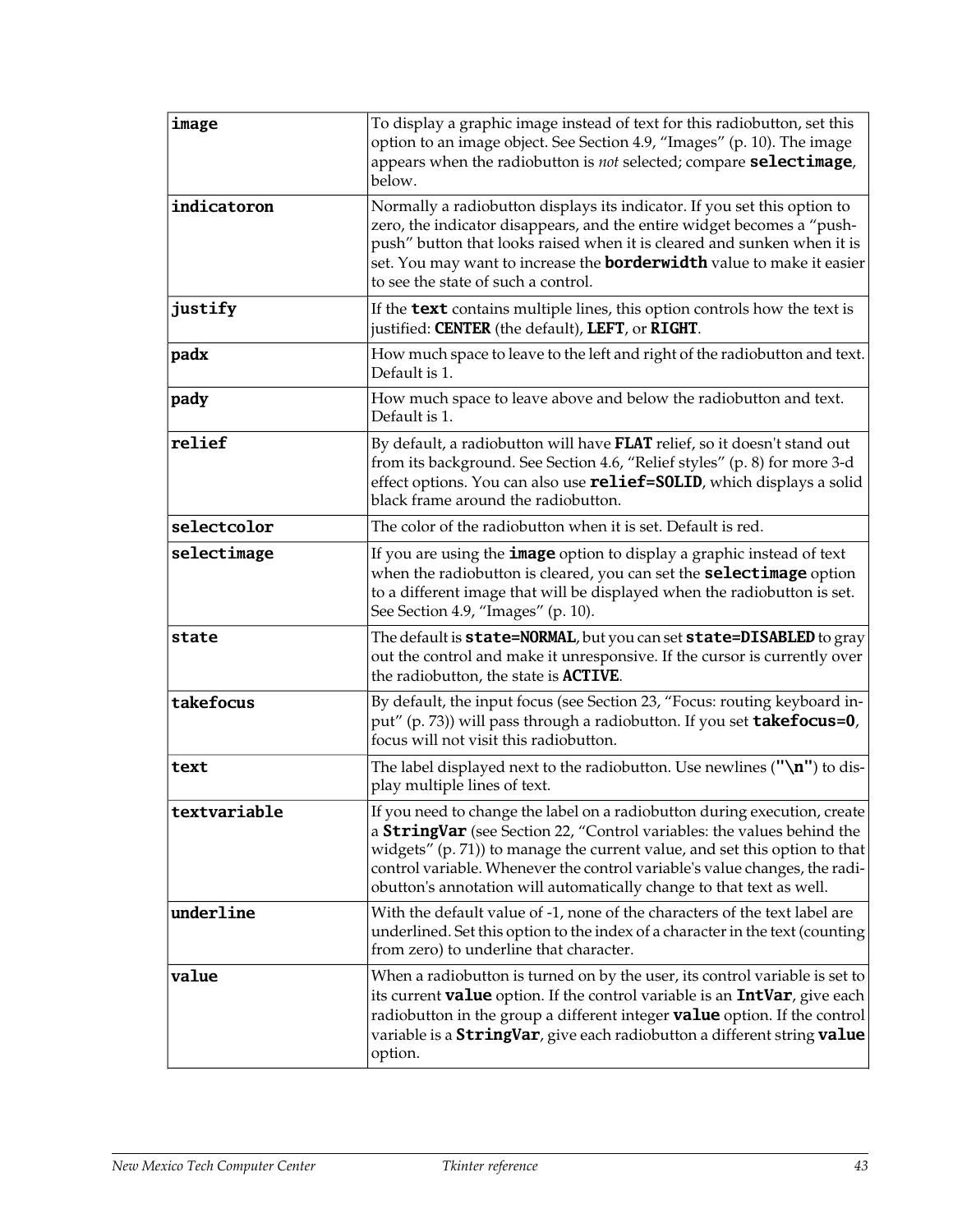| image        | To display a graphic image instead of text for this radiobutton, set this<br>option to an image object. See Section 4.9, "Images" (p. 10). The image<br>appears when the radiobutton is not selected; compare selectimage,<br>below.                                                                                                                                                    |
|--------------|-----------------------------------------------------------------------------------------------------------------------------------------------------------------------------------------------------------------------------------------------------------------------------------------------------------------------------------------------------------------------------------------|
| indicatoron  | Normally a radiobutton displays its indicator. If you set this option to<br>zero, the indicator disappears, and the entire widget becomes a "push-<br>push" button that looks raised when it is cleared and sunken when it is<br>set. You may want to increase the <b>borderwidth</b> value to make it easier<br>to see the state of such a control.                                    |
| justify      | If the <b>text</b> contains multiple lines, this option controls how the text is<br>justified: CENTER (the default), LEFT, or RIGHT.                                                                                                                                                                                                                                                    |
| padx         | How much space to leave to the left and right of the radiobutton and text.<br>Default is 1.                                                                                                                                                                                                                                                                                             |
| pady         | How much space to leave above and below the radiobutton and text.<br>Default is 1.                                                                                                                                                                                                                                                                                                      |
| relief       | By default, a radiobutton will have FLAT relief, so it doesn't stand out<br>from its background. See Section 4.6, "Relief styles" (p. 8) for more 3-d<br>effect options. You can also use relief=SOLID, which displays a solid<br>black frame around the radiobutton.                                                                                                                   |
| selectcolor  | The color of the radiobutton when it is set. Default is red.                                                                                                                                                                                                                                                                                                                            |
| selectimage  | If you are using the <i>image</i> option to display a graphic instead of text<br>when the radiobutton is cleared, you can set the <b>selectimage</b> option<br>to a different image that will be displayed when the radiobutton is set.<br>See Section 4.9, "Images" (p. 10).                                                                                                           |
| state        | The default is <b>state=NORMAL</b> , but you can set <b>state=DISABLED</b> to gray<br>out the control and make it unresponsive. If the cursor is currently over<br>the radiobutton, the state is <b>ACTIVE</b> .                                                                                                                                                                        |
| takefocus    | By default, the input focus (see Section 23, "Focus: routing keyboard in-<br>put" (p. 73)) will pass through a radiobutton. If you set <b>takefocus=0</b> ,<br>focus will not visit this radiobutton.                                                                                                                                                                                   |
| text         | The label displayed next to the radiobutton. Use newlines $("n")$ to dis-<br>play multiple lines of text.                                                                                                                                                                                                                                                                               |
| textvariable | If you need to change the label on a radiobutton during execution, create<br>a StringVar (see Section 22, "Control variables: the values behind the<br>widgets" (p. 71)) to manage the current value, and set this option to that<br>control variable. Whenever the control variable's value changes, the radi-<br>obutton's annotation will automatically change to that text as well. |
| underline    | With the default value of -1, none of the characters of the text label are<br>underlined. Set this option to the index of a character in the text (counting<br>from zero) to underline that character.                                                                                                                                                                                  |
| value        | When a radiobutton is turned on by the user, its control variable is set to<br>its current <b>value</b> option. If the control variable is an <b>IntVar</b> , give each<br>radiobutton in the group a different integer <b>value</b> option. If the control<br>variable is a StringVar, give each radiobutton a different string value<br>option.                                       |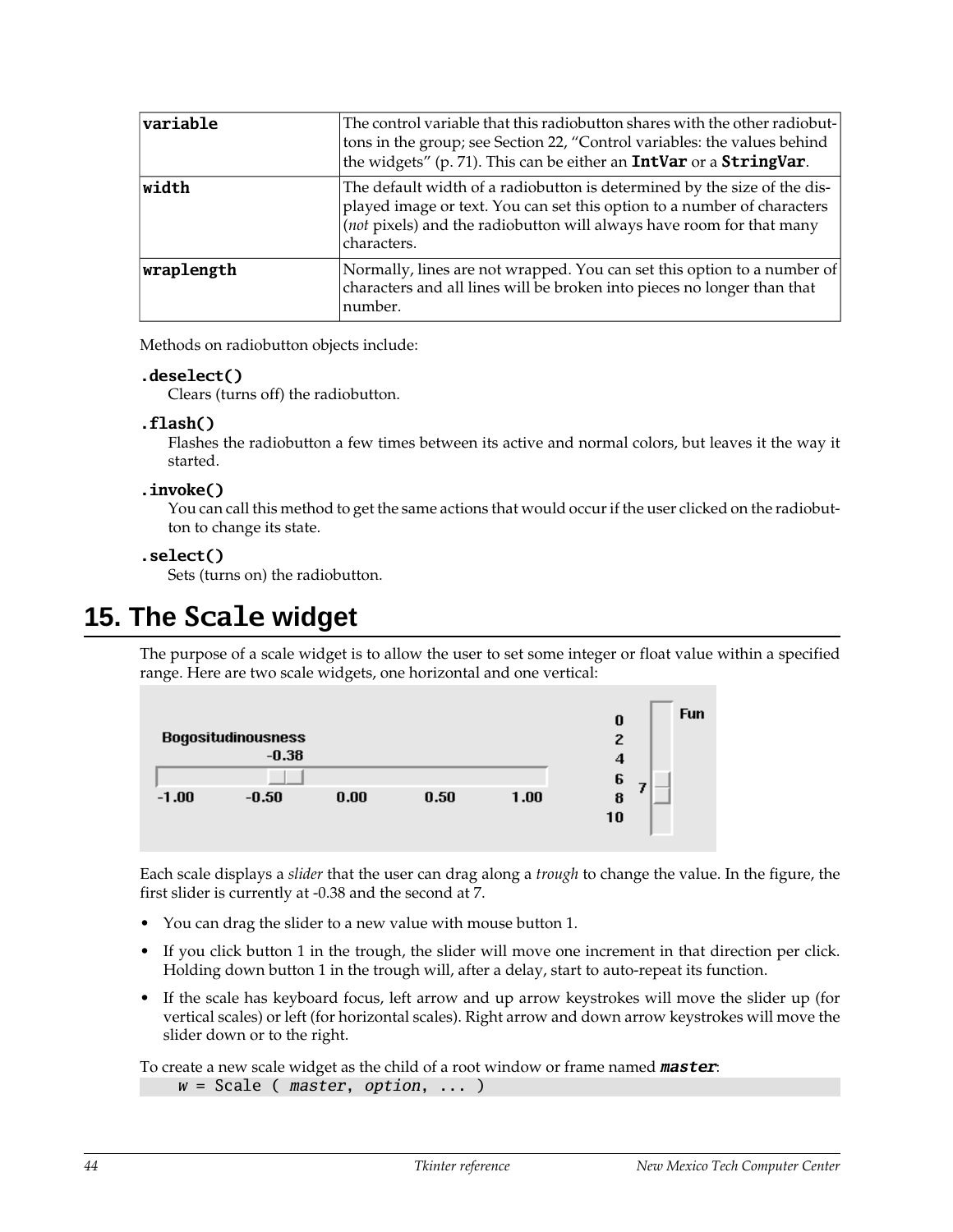| variable   | The control variable that this radiobutton shares with the other radiobut-<br>tons in the group; see Section 22, "Control variables: the values behind<br>the widgets" (p. 71). This can be either an IntVar or a StringVar.               |
|------------|--------------------------------------------------------------------------------------------------------------------------------------------------------------------------------------------------------------------------------------------|
| width      | The default width of a radiobutton is determined by the size of the dis-<br>played image or text. You can set this option to a number of characters<br>(not pixels) and the radiobutton will always have room for that many<br>characters. |
| wraplength | Normally, lines are not wrapped. You can set this option to a number of<br>characters and all lines will be broken into pieces no longer than that<br>number.                                                                              |

Methods on radiobutton objects include:

### **.deselect()**

Clears (turns off) the radiobutton.

### **.flash()**

Flashes the radiobutton a few times between its active and normal colors, but leaves it the way it started.

### **.invoke()**

You can call this method to get the same actions that would occur if the user clicked on the radiobutton to change its state.

### **.select()**

Sets (turns on) the radiobutton.

# **15. The Scale widget**

The purpose of a scale widget is to allow the user to set some integer or float value within a specified range. Here are two scale widgets, one horizontal and one vertical:



Each scale displays a *slider* that the user can drag along a *trough* to change the value. In the figure, the first slider is currently at -0.38 and the second at 7.

- You can drag the slider to a new value with mouse button 1.
- If you click button 1 in the trough, the slider will move one increment in that direction per click. Holding down button 1 in the trough will, after a delay, start to auto-repeat its function.
- If the scale has [keyboard focus](#page-72-0), left arrow and up arrow keystrokes will move the slider up (for vertical scales) or left (for horizontal scales). Right arrow and down arrow keystrokes will move the slider down or to the right.

To create a new scale widget as the child of a root window or frame named *master*:

```
w = Scale ( master, option, ... )
```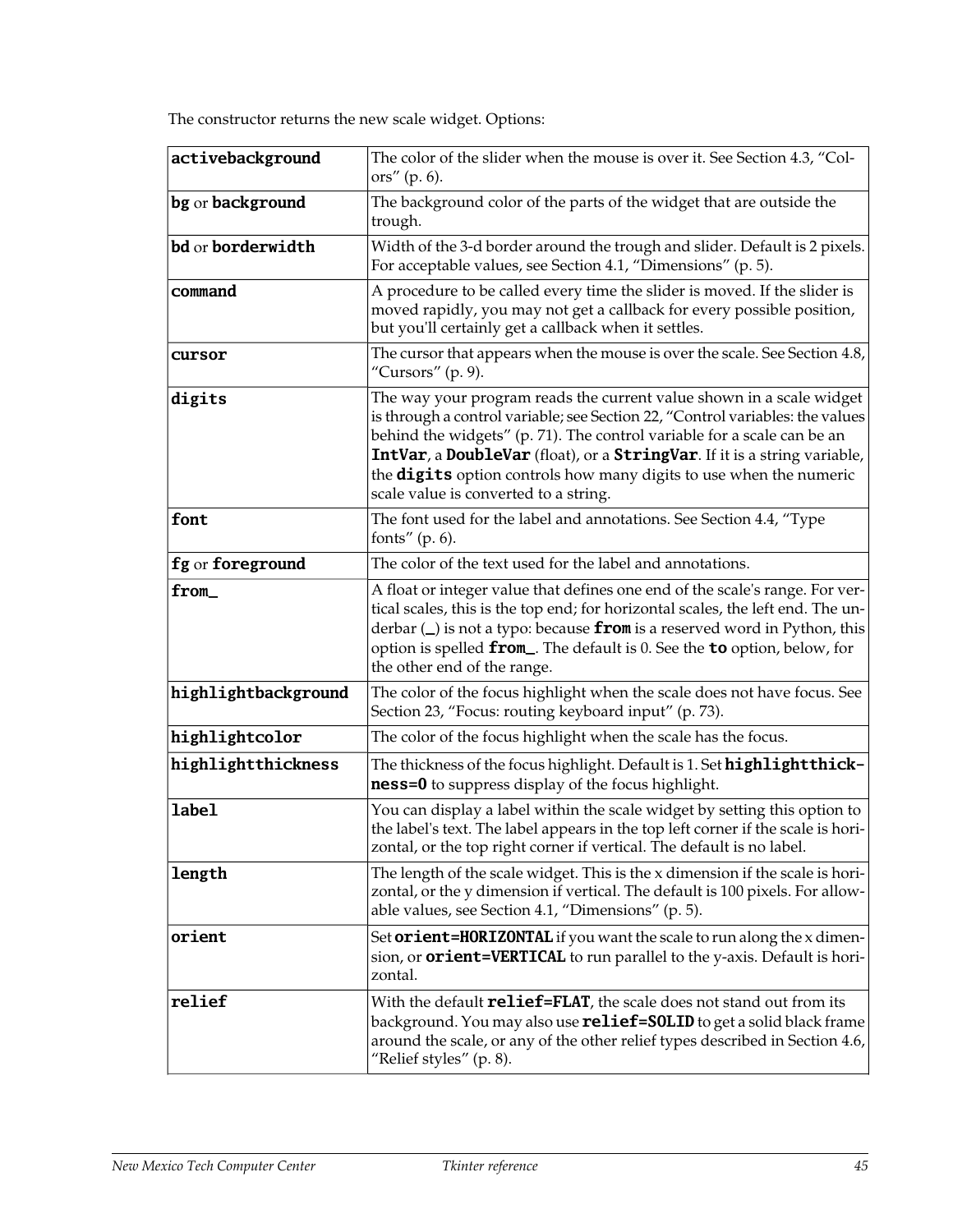The constructor returns the new scale widget. Options:

| activebackground    | The color of the slider when the mouse is over it. See Section 4.3, "Col-<br>ors''(p. 6).                                                                                                                                                                                                                                                                                                                                          |  |  |
|---------------------|------------------------------------------------------------------------------------------------------------------------------------------------------------------------------------------------------------------------------------------------------------------------------------------------------------------------------------------------------------------------------------------------------------------------------------|--|--|
| bg or background    | The background color of the parts of the widget that are outside the<br>trough.                                                                                                                                                                                                                                                                                                                                                    |  |  |
| bd or borderwidth   | Width of the 3-d border around the trough and slider. Default is 2 pixels.<br>For acceptable values, see Section 4.1, "Dimensions" (p. 5).                                                                                                                                                                                                                                                                                         |  |  |
| command             | A procedure to be called every time the slider is moved. If the slider is<br>moved rapidly, you may not get a callback for every possible position,<br>but you'll certainly get a callback when it settles.                                                                                                                                                                                                                        |  |  |
| cursor              | The cursor that appears when the mouse is over the scale. See Section 4.8,<br>"Cursors" $(p. 9)$ .                                                                                                                                                                                                                                                                                                                                 |  |  |
| digits              | The way your program reads the current value shown in a scale widget<br>is through a control variable; see Section 22, "Control variables: the values<br>behind the widgets" (p. 71). The control variable for a scale can be an<br>IntVar, a DoubleVar (float), or a StringVar. If it is a string variable,<br>the <b>digits</b> option controls how many digits to use when the numeric<br>scale value is converted to a string. |  |  |
| font                | The font used for the label and annotations. See Section 4.4, "Type<br>fonts" $(p. 6)$ .                                                                                                                                                                                                                                                                                                                                           |  |  |
| fg or foreground    | The color of the text used for the label and annotations.                                                                                                                                                                                                                                                                                                                                                                          |  |  |
| from                | A float or integer value that defines one end of the scale's range. For ver-<br>tical scales, this is the top end; for horizontal scales, the left end. The un-<br>derbar $(\_)$ is not a typo: because <b>from</b> is a reserved word in Python, this<br>option is spelled from_. The default is 0. See the to option, below, for<br>the other end of the range.                                                                  |  |  |
| highlightbackground | The color of the focus highlight when the scale does not have focus. See<br>Section 23, "Focus: routing keyboard input" (p. 73).                                                                                                                                                                                                                                                                                                   |  |  |
| highlightcolor      | The color of the focus highlight when the scale has the focus.                                                                                                                                                                                                                                                                                                                                                                     |  |  |
| highlightthickness  | The thickness of the focus highlight. Default is 1. Set highlight thick-<br>ness=0 to suppress display of the focus highlight.                                                                                                                                                                                                                                                                                                     |  |  |
| <b>label</b>        | You can display a label within the scale widget by setting this option to<br>the label's text. The label appears in the top left corner if the scale is hori-<br>zontal, or the top right corner if vertical. The default is no label.                                                                                                                                                                                             |  |  |
| length              | The length of the scale widget. This is the x dimension if the scale is hori-<br>zontal, or the y dimension if vertical. The default is 100 pixels. For allow-<br>able values, see Section 4.1, "Dimensions" (p. 5).                                                                                                                                                                                                               |  |  |
| orient              | Set orient=HORIZONTAL if you want the scale to run along the x dimen-<br>sion, or <b>orient=VERTICAL</b> to run parallel to the y-axis. Default is hori-<br>zontal.                                                                                                                                                                                                                                                                |  |  |
| relief              | With the default <b>relief=FLAT</b> , the scale does not stand out from its<br>background. You may also use relief=SOLID to get a solid black frame<br>around the scale, or any of the other relief types described in Section 4.6,<br>"Relief styles" (p. 8).                                                                                                                                                                     |  |  |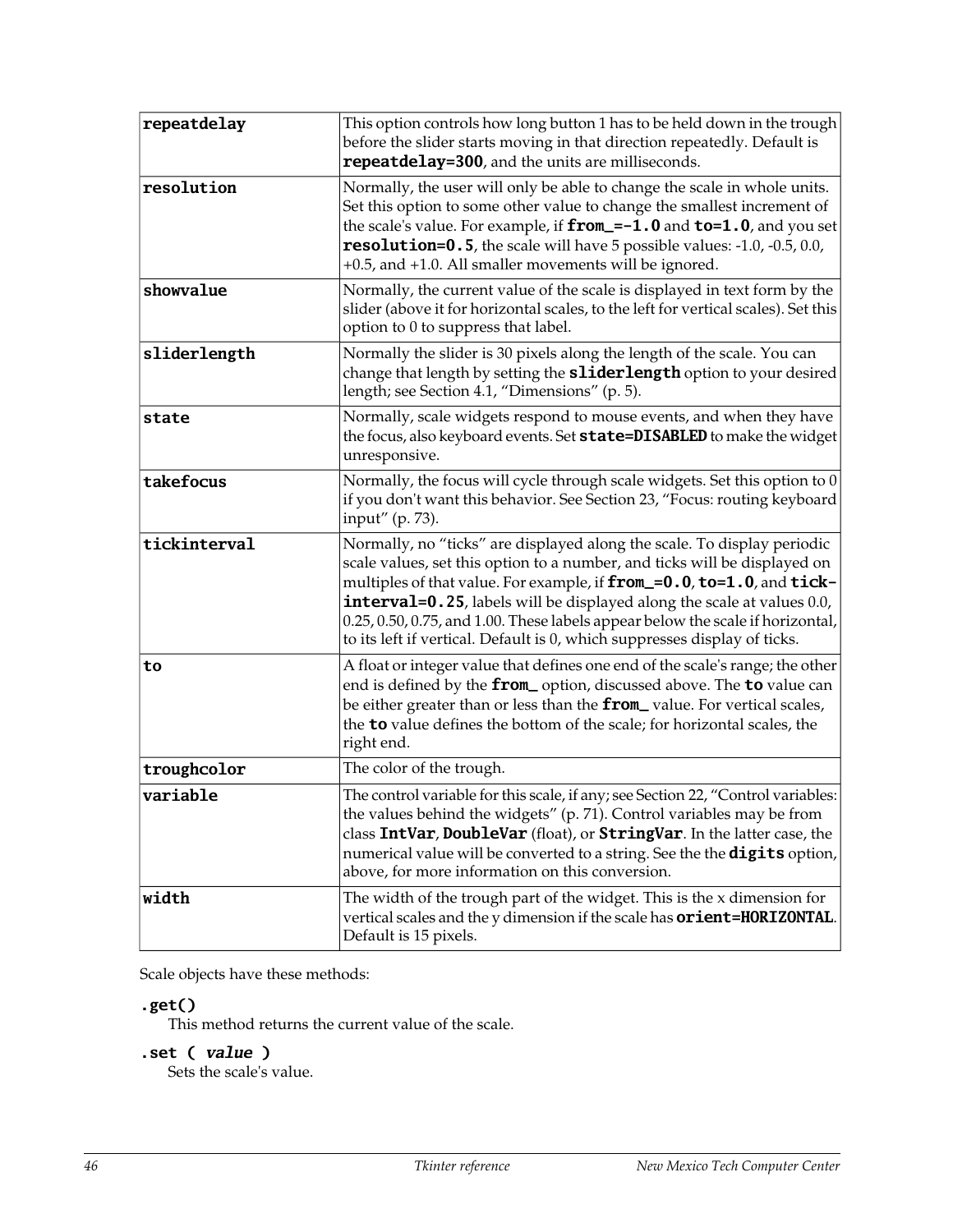| repeatdelay  | This option controls how long button 1 has to be held down in the trough<br>before the slider starts moving in that direction repeatedly. Default is<br>repeatdelay=300, and the units are milliseconds.                                                                                                                                                                                                                                                                       |
|--------------|--------------------------------------------------------------------------------------------------------------------------------------------------------------------------------------------------------------------------------------------------------------------------------------------------------------------------------------------------------------------------------------------------------------------------------------------------------------------------------|
| resolution   | Normally, the user will only be able to change the scale in whole units.<br>Set this option to some other value to change the smallest increment of<br>the scale's value. For example, if $from=-1.0$ and $to=1.0$ , and you set<br><b>resolution=0.5</b> , the scale will have 5 possible values: -1.0, -0.5, 0.0,<br>+0.5, and +1.0. All smaller movements will be ignored.                                                                                                  |
| showvalue    | Normally, the current value of the scale is displayed in text form by the<br>slider (above it for horizontal scales, to the left for vertical scales). Set this<br>option to 0 to suppress that label.                                                                                                                                                                                                                                                                         |
| sliderlength | Normally the slider is 30 pixels along the length of the scale. You can<br>change that length by setting the <b>sliderlength</b> option to your desired<br>length; see Section 4.1, "Dimensions" (p. 5).                                                                                                                                                                                                                                                                       |
| state        | Normally, scale widgets respond to mouse events, and when they have<br>the focus, also keyboard events. Set state=DISABLED to make the widget<br>unresponsive.                                                                                                                                                                                                                                                                                                                 |
| takefocus    | Normally, the focus will cycle through scale widgets. Set this option to 0<br>if you don't want this behavior. See Section 23, "Focus: routing keyboard<br>input" (p. 73).                                                                                                                                                                                                                                                                                                     |
| tickinterval | Normally, no "ticks" are displayed along the scale. To display periodic<br>scale values, set this option to a number, and ticks will be displayed on<br>multiples of that value. For example, if from_=0.0, to=1.0, and tick-<br><b>interval=0.25</b> , labels will be displayed along the scale at values 0.0,<br>0.25, 0.50, 0.75, and 1.00. These labels appear below the scale if horizontal,<br>to its left if vertical. Default is 0, which suppresses display of ticks. |
| to           | A float or integer value that defines one end of the scale's range; the other<br>end is defined by the <b>from</b> option, discussed above. The <b>to</b> value can<br>be either greater than or less than the <b>from</b> value. For vertical scales,<br>the to value defines the bottom of the scale; for horizontal scales, the<br>right end.                                                                                                                               |
| troughcolor  | The color of the trough.                                                                                                                                                                                                                                                                                                                                                                                                                                                       |
| variable     | The control variable for this scale, if any; see Section 22, "Control variables:<br>the values behind the widgets" (p. 71). Control variables may be from<br>class IntVar, DoubleVar (float), or StringVar. In the latter case, the<br>numerical value will be converted to a string. See the the <b>digits</b> option,<br>above, for more information on this conversion.                                                                                                     |
| width        | The width of the trough part of the widget. This is the x dimension for<br>vertical scales and the y dimension if the scale has <b>orient=HORIZONTAL</b> .<br>Default is 15 pixels.                                                                                                                                                                                                                                                                                            |

Scale objects have these methods:

# **.get()**

This method returns the current value of the scale.

### **.set (** *value* **)**

Sets the scale's value.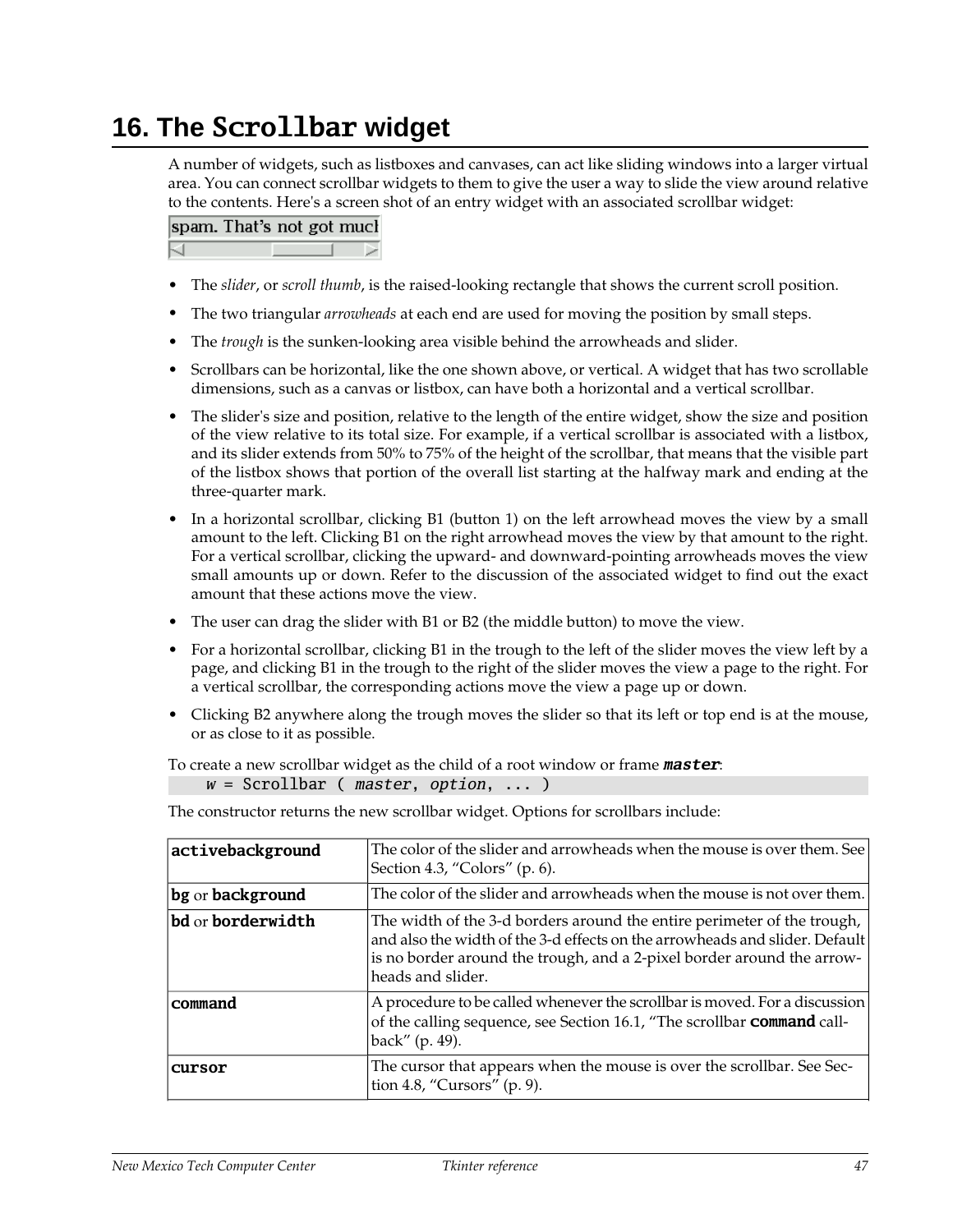# **16. The Scrollbar widget**

A number of widgets, such as listboxes and canvases, can act like sliding windows into a larger virtual area. You can connect scrollbar widgets to them to give the user a way to slide the view around relative to the contents. Here's a screen shot of an entry widget with an associated scrollbar widget:

| spam. That's not got much |  |  |
|---------------------------|--|--|
|                           |  |  |

- The *slider*, or *scroll thumb*, is the raised-looking rectangle that shows the current scroll position.
- The two triangular *arrowheads* at each end are used for moving the position by small steps.
- The *trough* is the sunken-looking area visible behind the arrowheads and slider.
- Scrollbars can be horizontal, like the one shown above, or vertical. A widget that has two scrollable dimensions, such as a canvas or listbox, can have both a horizontal and a vertical scrollbar.
- The slider's size and position, relative to the length of the entire widget, show the size and position of the view relative to its total size. For example, if a vertical scrollbar is associated with a listbox, and its slider extends from 50% to 75% of the height of the scrollbar, that means that the visible part of the listbox shows that portion of the overall list starting at the halfway mark and ending at the three-quarter mark.
- In a horizontal scrollbar, clicking B1 (button 1) on the left arrowhead moves the view by a small amount to the left. Clicking B1 on the right arrowhead moves the view by that amount to the right. For a vertical scrollbar, clicking the upward- and downward-pointing arrowheads moves the view small amounts up or down. Refer to the discussion of the associated widget to find out the exact amount that these actions move the view.
- The user can drag the slider with B1 or B2 (the middle button) to move the view.
- For a horizontal scrollbar, clicking B1 in the trough to the left of the slider moves the view left by a page, and clicking B1 in the trough to the right of the slider moves the view a page to the right. For a vertical scrollbar, the corresponding actions move the view a page up or down.
- Clicking B2 anywhere along the trough moves the slider so that its left or top end is at the mouse, or as close to it as possible.

To create a new scrollbar widget as the child of a root window or frame *master*:

*w* = Scrollbar ( *master*, *option*, ... )

| activebackground               | The color of the slider and arrowheads when the mouse is over them. See<br>Section 4.3, "Colors" (p. 6).                                                                                                                                              |
|--------------------------------|-------------------------------------------------------------------------------------------------------------------------------------------------------------------------------------------------------------------------------------------------------|
| <b>bg</b> or <b>background</b> | The color of the slider and arrowheads when the mouse is not over them.                                                                                                                                                                               |
| bd or borderwidth              | The width of the 3-d borders around the entire perimeter of the trough,<br>and also the width of the 3-d effects on the arrowheads and slider. Default<br>is no border around the trough, and a 2-pixel border around the arrow-<br>heads and slider. |
| command                        | A procedure to be called whenever the scrollbar is moved. For a discussion<br>of the calling sequence, see Section 16.1, "The scrollbar <b>command</b> call-<br>back" (p. 49).                                                                        |
| cursor                         | The cursor that appears when the mouse is over the scrollbar. See Sec-<br>tion 4.8, "Cursors" $(p. 9)$ .                                                                                                                                              |

The constructor returns the new scrollbar widget. Options for scrollbars include: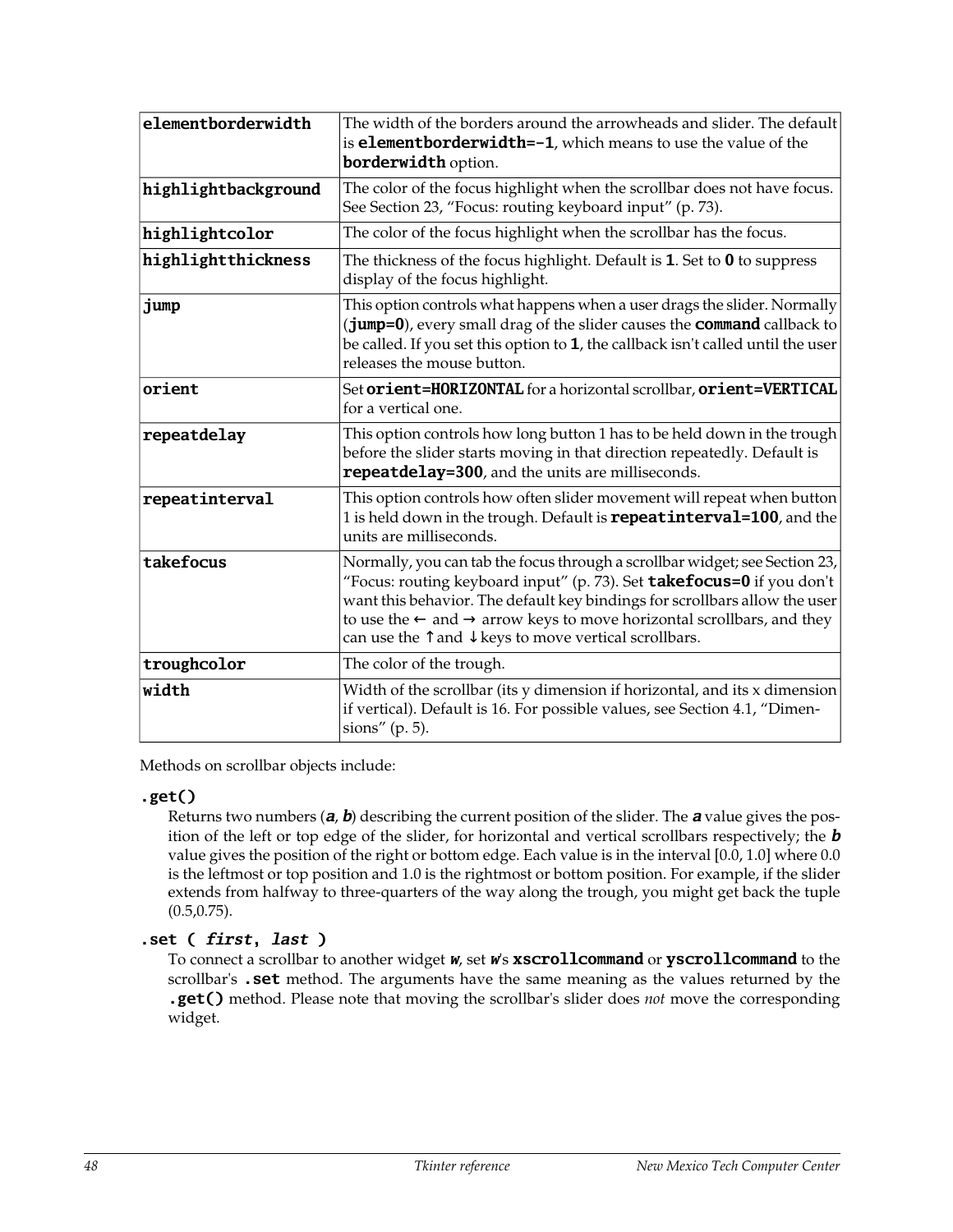| elementborderwidth  | The width of the borders around the arrowheads and slider. The default<br>is <b>elementborderwidth=-1</b> , which means to use the value of the<br>borderwidth option.                                                                                                                                                                                                                                          |
|---------------------|-----------------------------------------------------------------------------------------------------------------------------------------------------------------------------------------------------------------------------------------------------------------------------------------------------------------------------------------------------------------------------------------------------------------|
| highlightbackground | The color of the focus highlight when the scrollbar does not have focus.<br>See Section 23, "Focus: routing keyboard input" (p. 73).                                                                                                                                                                                                                                                                            |
| highlightcolor      | The color of the focus highlight when the scrollbar has the focus.                                                                                                                                                                                                                                                                                                                                              |
| highlightthickness  | The thickness of the focus highlight. Default is $1$ . Set to $0$ to suppress<br>display of the focus highlight.                                                                                                                                                                                                                                                                                                |
| jump                | This option controls what happens when a user drags the slider. Normally<br>(jump=0), every small drag of the slider causes the command callback to<br>be called. If you set this option to 1, the callback isn't called until the user<br>releases the mouse button.                                                                                                                                           |
| orient              | Set orient=HORIZONTAL for a horizontal scrollbar, orient=VERTICAL<br>for a vertical one.                                                                                                                                                                                                                                                                                                                        |
| repeatdelay         | This option controls how long button 1 has to be held down in the trough<br>before the slider starts moving in that direction repeatedly. Default is<br>repeatdelay=300, and the units are milliseconds.                                                                                                                                                                                                        |
| repeatinterval      | This option controls how often slider movement will repeat when button<br>1 is held down in the trough. Default is <b>repeatinterval=100</b> , and the<br>units are milliseconds.                                                                                                                                                                                                                               |
| takefocus           | Normally, you can tab the focus through a scrollbar widget; see Section 23,<br>"Focus: routing keyboard input" (p. 73). Set takefocus=0 if you don't<br>want this behavior. The default key bindings for scrollbars allow the user<br>to use the $\leftarrow$ and $\rightarrow$ arrow keys to move horizontal scrollbars, and they<br>can use the $\uparrow$ and $\downarrow$ keys to move vertical scrollbars. |
| troughcolor         | The color of the trough.                                                                                                                                                                                                                                                                                                                                                                                        |
| width               | Width of the scrollbar (its y dimension if horizontal, and its x dimension<br>if vertical). Default is 16. For possible values, see Section 4.1, "Dimen-<br>sions" $(p. 5)$ .                                                                                                                                                                                                                                   |

Methods on scrollbar objects include:

## **.get()**

Returns two numbers (*a*, *b*) describing the current position of the slider. The *a* value gives the position of the left or top edge of the slider, for horizontal and vertical scrollbars respectively; the *b* value gives the position of the right or bottom edge. Each value is in the interval [0.0, 1.0] where 0.0 is the leftmost or top position and 1.0 is the rightmost or bottom position. For example, if the slider extends from halfway to three-quarters of the way along the trough, you might get back the tuple  $(0.5, 0.75)$ .

## **.set (** *first***,** *last* **)**

To connect a scrollbar to another widget *w*, set *w*'s **xscrollcommand** or **yscrollcommand** to the scrollbar's **.set** method. The arguments have the same meaning as the values returned by the **.get()** method. Please note that moving the scrollbar's slider does *not* move the corresponding widget.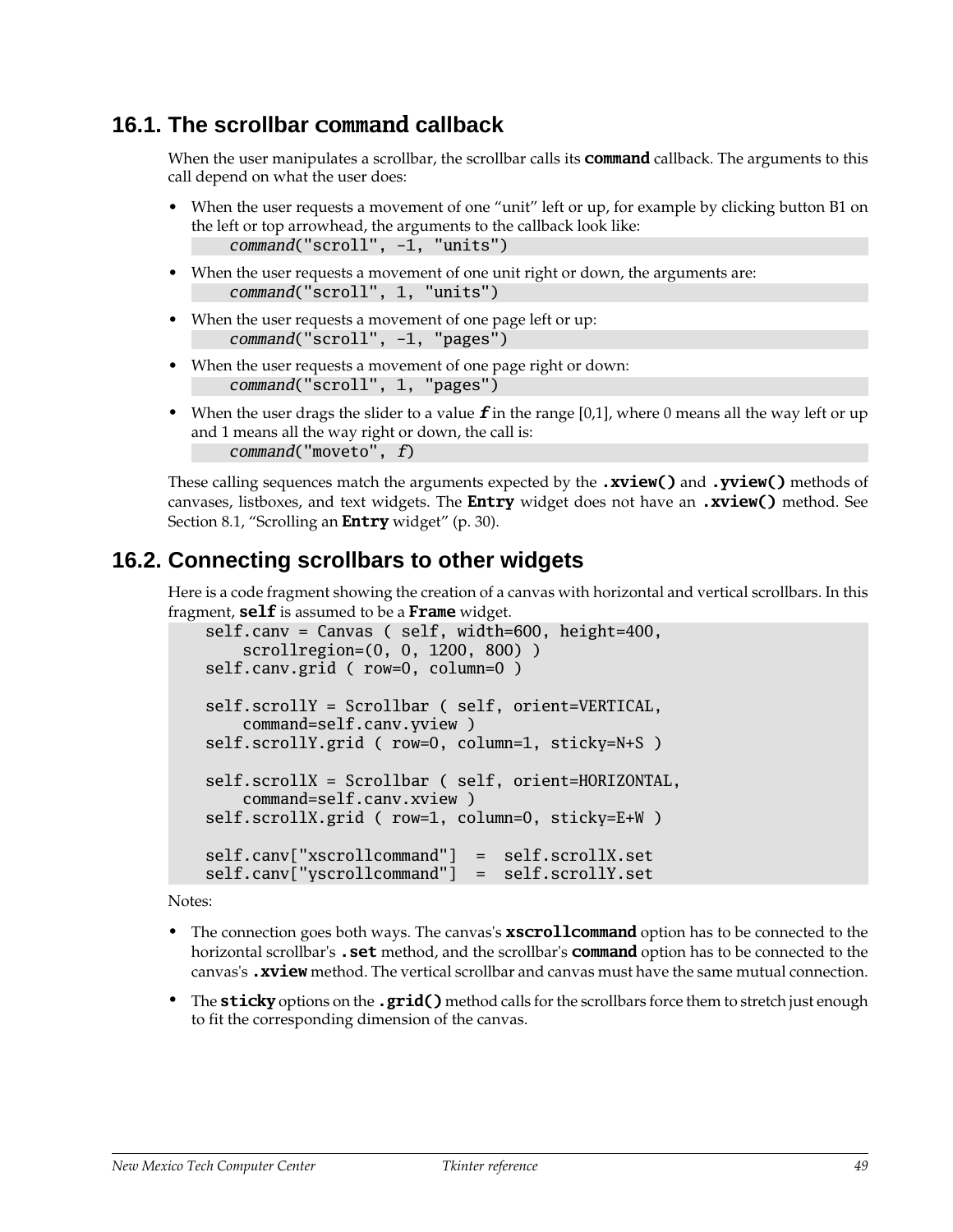# <span id="page-48-0"></span>**16.1. The scrollbar command callback**

When the user manipulates a scrollbar, the scrollbar calls its **command** callback. The arguments to this call depend on what the user does:

- When the user requests a movement of one "unit" left or up, for example by clicking button B1 on the left or top arrowhead, the arguments to the callback look like: *command*("scroll", -1, "units")
- When the user requests a movement of one unit right or down, the arguments are: *command*("scroll", 1, "units")
- When the user requests a movement of one page left or up: *command*("scroll", -1, "pages")
- When the user requests a movement of one page right or down: *command*("scroll", 1, "pages")
- When the user drags the slider to a value *f* in the range [0,1], where 0 means all the way left or up and 1 means all the way right or down, the call is: *command*("moveto", *f*)

These calling sequences match the arguments expected by the **.xview()** and **.yview()** methods of canvases, listboxes, and text widgets. The **Entry** widget does not have an **.xview()** method. See Section [8.1, "Scrolling an](#page-29-0) **Entry** widget[" \(p. 30\).](#page-29-0)

# **16.2. Connecting scrollbars to other widgets**

Here is a code fragment showing the creation of a canvas with horizontal and vertical scrollbars. In this fragment, **self** is assumed to be a **Frame** widget.

```
self.canv = Canvas ( self, width=600, height=400,
    scrollregion=(0, 0, 1200, 800) )
self.canv.grid ( row=0, column=0 )
self.scrollY = Scrollbar ( self, orient=VERTICAL,
    command=self.canv.yview )
self.scrollY.grid ( row=0, column=1, sticky=N+S )
self.scrollX = Scrollbar ( self, orient=HORIZONTAL,
    command=self.canv.xview )
self.scrollX.grid ( row=1, column=0, sticky=E+W )
self.canv["xscrollcommand"] = self.scrollX.set
self.canv["yscrollcommand"] = self.scrollY.set
```
Notes:

- The connection goes both ways. The canvas's **xscrollcommand** option has to be connected to the horizontal scrollbar's **.set** method, and the scrollbar's **command** option has to be connected to the canvas's **.xview** method. The vertical scrollbar and canvas must have the same mutual connection.
- The **sticky** options on the **[.grid\(\)](#page-3-0)** method calls for the scrollbars force them to stretch just enough to fit the corresponding dimension of the canvas.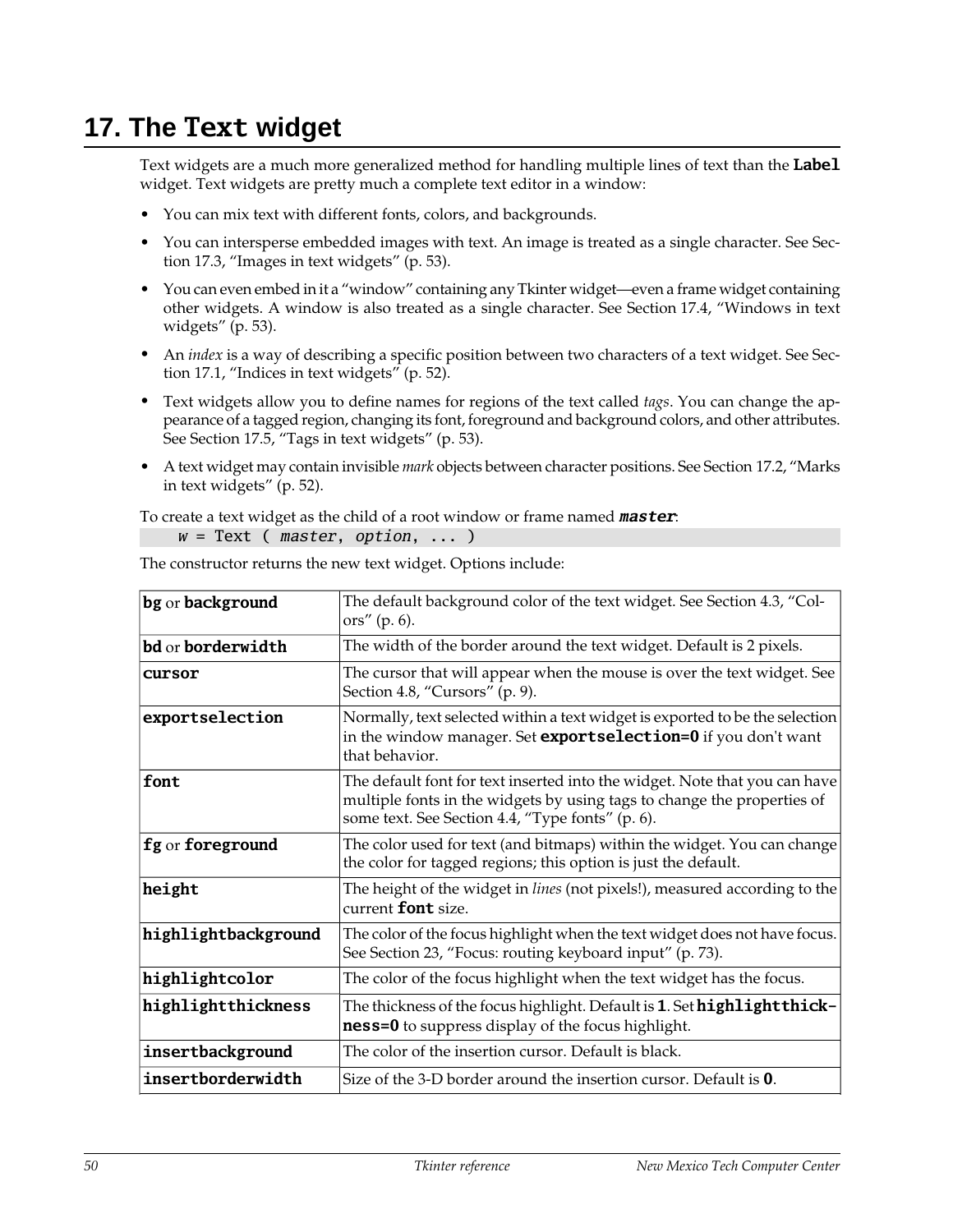# **17. The Text widget**

Text widgets are a much more generalized method for handling multiple lines of text than the **Label** widget. Text widgets are pretty much a complete text editor in a window:

- You can mix text with different fonts, colors, and backgrounds.
- You can intersperse embedded images with text. An image is treated as a single character. See [Sec](#page-52-0)tion [17.3, "Images in text widgets" \(p. 53\)](#page-52-0).
- You can even embed in it a "window" containing any Tkinter widget—even a frame widget containing other widgets. A window is also treated as a single character. See Section [17.4, "Windows in text](#page-52-1) [widgets" \(p. 53\)](#page-52-1).
- An *index* is a way of describing a specific position between two characters of a text widget. See [Sec](#page-51-0)tion [17.1, "Indices in text widgets" \(p. 52\)](#page-51-0).
- Text widgets allow you to define names for regions of the text called *tags*. You can change the appearance of a tagged region, changing its font, foreground and background colors, and other attributes. See Section [17.5, "Tags in text widgets" \(p. 53\)](#page-52-2).
- A text widget may contain invisible *mark* objects between character positions. See Section [17.2, "Marks](#page-51-1) [in text widgets" \(p. 52\).](#page-51-1)

To create a text widget as the child of a root window or frame named *master*: *w* = Text ( *master*, *option*, ... )

| bg or background    | The default background color of the text widget. See Section 4.3, "Col-<br>ors''(p. 6).                                                                                                                   |
|---------------------|-----------------------------------------------------------------------------------------------------------------------------------------------------------------------------------------------------------|
| bd or borderwidth   | The width of the border around the text widget. Default is 2 pixels.                                                                                                                                      |
| cursor              | The cursor that will appear when the mouse is over the text widget. See<br>Section 4.8, "Cursors" (p. 9).                                                                                                 |
| exportselection     | Normally, text selected within a text widget is exported to be the selection<br>in the window manager. Set exportselection=0 if you don't want<br>that behavior.                                          |
| font                | The default font for text inserted into the widget. Note that you can have<br>multiple fonts in the widgets by using tags to change the properties of<br>some text. See Section 4.4, "Type fonts" (p. 6). |
| fg or foreground    | The color used for text (and bitmaps) within the widget. You can change<br>the color for tagged regions; this option is just the default.                                                                 |
| height              | The height of the widget in lines (not pixels!), measured according to the<br>current <b>font</b> size.                                                                                                   |
| highlightbackground | The color of the focus highlight when the text widget does not have focus.<br>See Section 23, "Focus: routing keyboard input" (p. 73).                                                                    |
| highlightcolor      | The color of the focus highlight when the text widget has the focus.                                                                                                                                      |
| highlightthickness  | The thickness of the focus highlight. Default is 1. Set highlight thick-<br>ness=0 to suppress display of the focus highlight.                                                                            |
| insertbackground    | The color of the insertion cursor. Default is black.                                                                                                                                                      |
| insertborderwidth   | Size of the 3-D border around the insertion cursor. Default is $0$ .                                                                                                                                      |

The constructor returns the new text widget. Options include: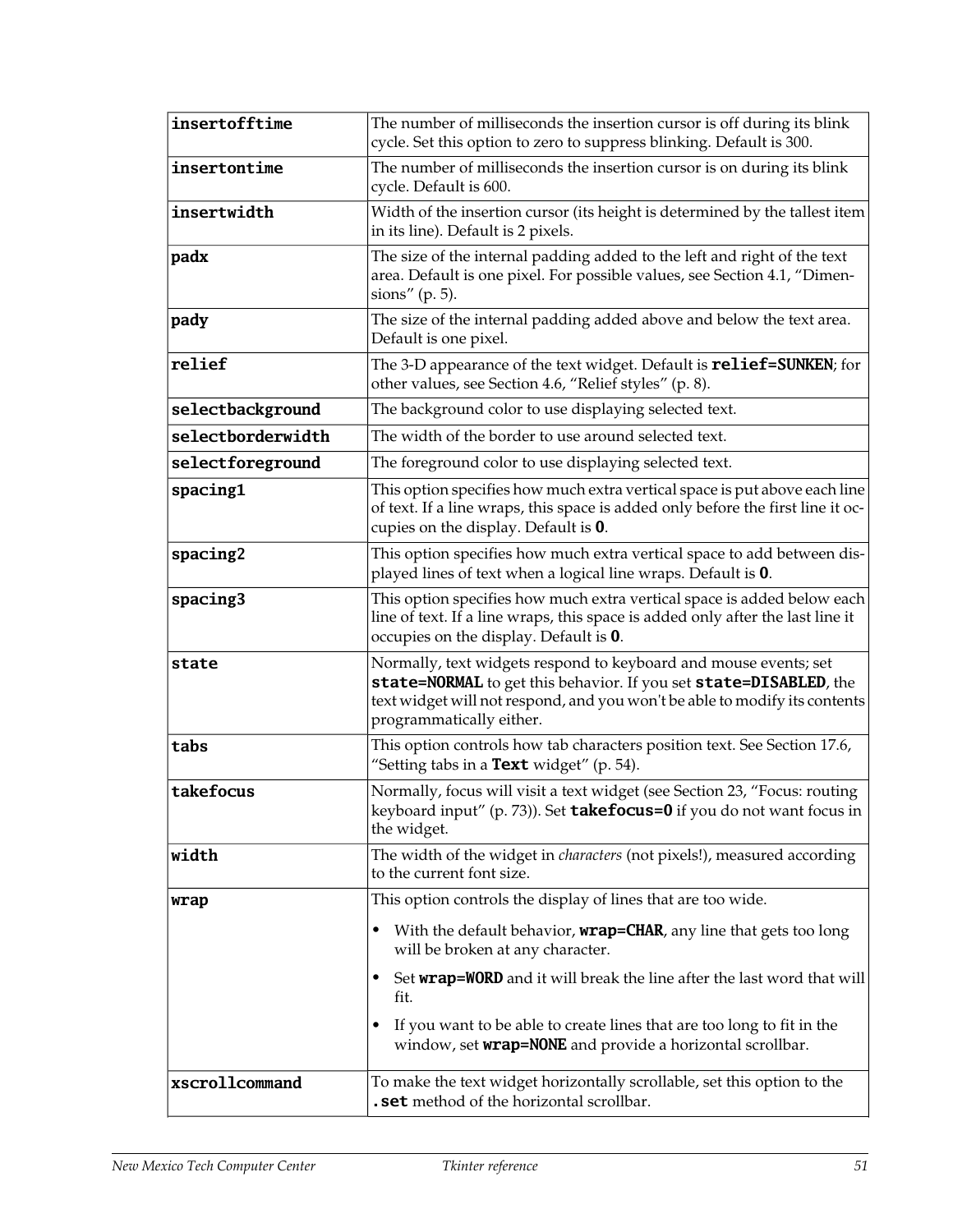| insertofftime     | The number of milliseconds the insertion cursor is off during its blink<br>cycle. Set this option to zero to suppress blinking. Default is 300.                                                                                                 |
|-------------------|-------------------------------------------------------------------------------------------------------------------------------------------------------------------------------------------------------------------------------------------------|
| insertontime      | The number of milliseconds the insertion cursor is on during its blink<br>cycle. Default is 600.                                                                                                                                                |
| insertwidth       | Width of the insertion cursor (its height is determined by the tallest item<br>in its line). Default is 2 pixels.                                                                                                                               |
| padx              | The size of the internal padding added to the left and right of the text<br>area. Default is one pixel. For possible values, see Section 4.1, "Dimen-<br>sions" $(p. 5)$ .                                                                      |
| pady              | The size of the internal padding added above and below the text area.<br>Default is one pixel.                                                                                                                                                  |
| relief            | The 3-D appearance of the text widget. Default is <b>relief=SUNKEN</b> ; for<br>other values, see Section 4.6, "Relief styles" (p. 8).                                                                                                          |
| selectbackground  | The background color to use displaying selected text.                                                                                                                                                                                           |
| selectborderwidth | The width of the border to use around selected text.                                                                                                                                                                                            |
| selectforeground  | The foreground color to use displaying selected text.                                                                                                                                                                                           |
| spacing1          | This option specifies how much extra vertical space is put above each line<br>of text. If a line wraps, this space is added only before the first line it oc-<br>cupies on the display. Default is $0$ .                                        |
| spacing2          | This option specifies how much extra vertical space to add between dis-<br>played lines of text when a logical line wraps. Default is 0.                                                                                                        |
| spacing3          | This option specifies how much extra vertical space is added below each<br>line of text. If a line wraps, this space is added only after the last line it<br>occupies on the display. Default is 0.                                             |
| state             | Normally, text widgets respond to keyboard and mouse events; set<br>state=NORMAL to get this behavior. If you set state=DISABLED, the<br>text widget will not respond, and you won't be able to modify its contents<br>programmatically either. |
| tabs              | This option controls how tab characters position text. See Section 17.6,<br>"Setting tabs in a Text widget" (p. 54).                                                                                                                            |
| takefocus         | Normally, focus will visit a text widget (see Section 23, "Focus: routing<br>keyboard input" (p. 73)). Set takefocus=0 if you do not want focus in<br>the widget.                                                                               |
| width             | The width of the widget in <i>characters</i> (not pixels!), measured according<br>to the current font size.                                                                                                                                     |
| wrap              | This option controls the display of lines that are too wide.                                                                                                                                                                                    |
|                   | With the default behavior, <b>wrap=CHAR</b> , any line that gets too long<br>will be broken at any character.                                                                                                                                   |
|                   | Set wrap=WORD and it will break the line after the last word that will<br>fit.                                                                                                                                                                  |
|                   | If you want to be able to create lines that are too long to fit in the<br>window, set wrap=NONE and provide a horizontal scrollbar.                                                                                                             |
| xscrollcommand    | To make the text widget horizontally scrollable, set this option to the<br>. set method of the horizontal scrollbar.                                                                                                                            |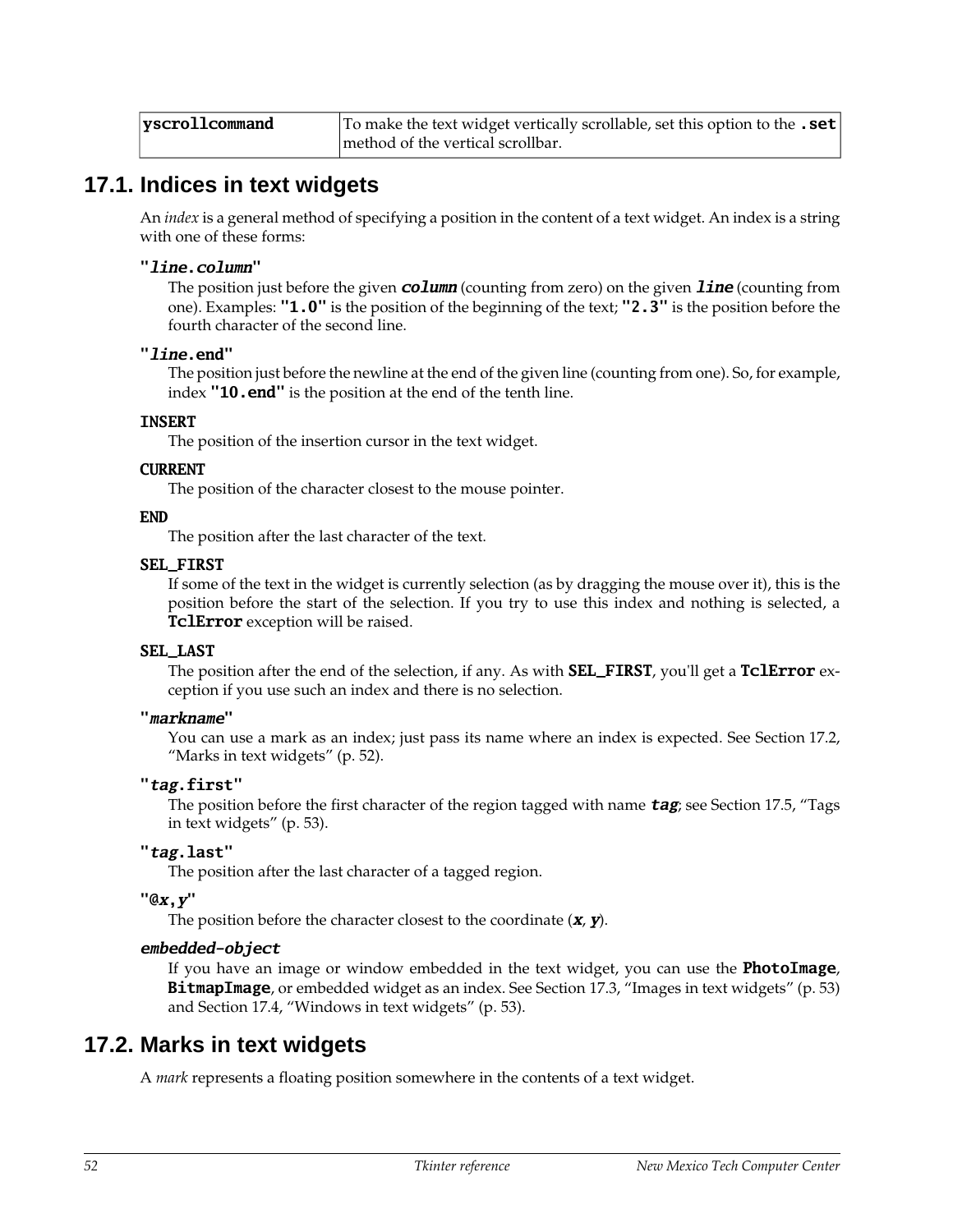<span id="page-51-0"></span>

| yscrollcommand | To make the text widget vertically scrollable, set this option to the $\cdot$ <b>set</b> |
|----------------|------------------------------------------------------------------------------------------|
|                | method of the vertical scrollbar.                                                        |

# **17.1. Indices in text widgets**

An *index* is a general method of specifying a position in the content of a text widget. An index is a string with one of these forms:

### **"***line***.***column***"**

The position just before the given *column* (counting from zero) on the given *line* (counting from one). Examples: **"1.0"** is the position of the beginning of the text; **"2.3"** is the position before the fourth character of the second line.

### **"***line***.end"**

The position just before the newline at the end of the given line (counting from one). So, for example, index **"10.end"** is the position at the end of the tenth line.

### **INSERT**

The position of the insertion cursor in the text widget.

### **CURRENT**

The position of the character closest to the mouse pointer.

### **END**

The position after the last character of the text.

### **SEL\_FIRST**

If some of the text in the widget is currently selection (as by dragging the mouse over it), this is the position before the start of the selection. If you try to use this index and nothing is selected, a **TclError** exception will be raised.

### **SEL\_LAST**

The position after the end of the selection, if any. As with **SEL\_FIRST**, you'll get a **TclError** exception if you use such an index and there is no selection.

### **"***markname***"**

You can use a mark as an index; just pass its name where an index is expected. See [Section](#page-51-1) 17.2, ["Marks in text widgets" \(p. 52\)](#page-51-1).

### **"***tag***.first"**

The position before the first character of the region tagged with name *tag*; see Section [17.5, "Tags](#page-52-2) [in text widgets" \(p. 53\).](#page-52-2)

## **"***tag***.last"**

The position after the last character of a tagged region.

## **"@***x***,***y***"**

The position before the character closest to the coordinate (*x*, *y*).

### <span id="page-51-1"></span>*embedded-object*

If you have an image or window embedded in the text widget, you can use the **PhotoImage**, **BitmapImage**, or embedded widget as an index. See Section [17.3, "Images in text widgets" \(p. 53\)](#page-52-0) and Section [17.4, "Windows in text widgets" \(p. 53\)](#page-52-1).

# **17.2. Marks in text widgets**

A *mark* represents a floating position somewhere in the contents of a text widget.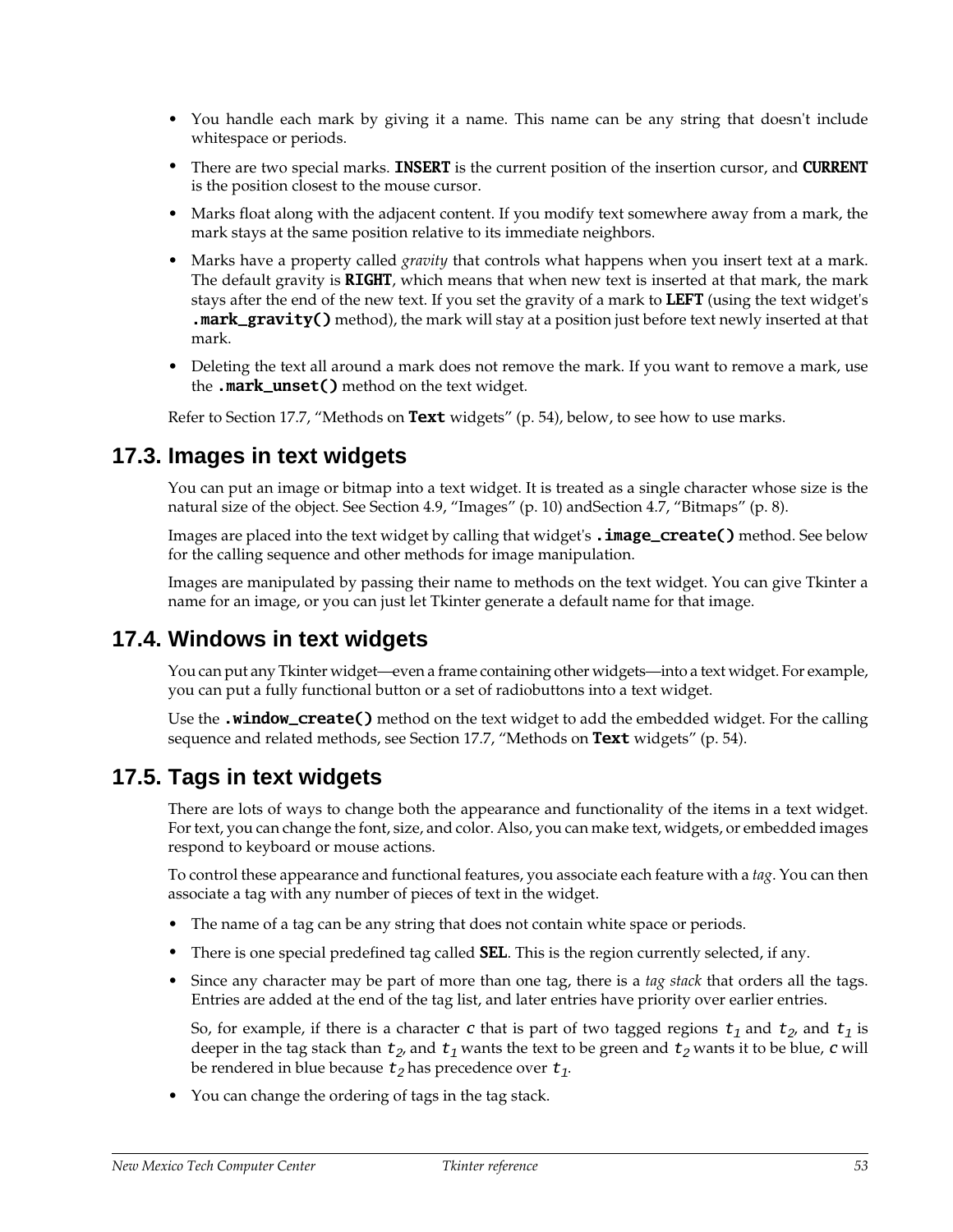- You handle each mark by giving it a name. This name can be any string that doesn't include whitespace or periods.
- There are two special marks. **INSERT** is the current position of the insertion cursor, and **CURRENT** is the position closest to the mouse cursor.
- Marks float along with the adjacent content. If you modify text somewhere away from a mark, the mark stays at the same position relative to its immediate neighbors.
- Marks have a property called *gravity* that controls what happens when you insert text at a mark. The default gravity is **RIGHT**, which means that when new text is inserted at that mark, the mark stays after the end of the new text. If you set the gravity of a mark to **LEFT** (using the text widget's **.mark\_gravity()** method), the mark will stay at a position just before text newly inserted at that mark.
- Deleting the text all around a mark does not remove the mark. If you want to remove a mark, use the **.mark\_unset()** method on the text widget.

<span id="page-52-0"></span>Refer to Section [17.7, "Methods on](#page-53-1) **Text** widgets[" \(p. 54\),](#page-53-1) below, to see how to use marks.

# **17.3. Images in text widgets**

You can put an image or bitmap into a text widget. It is treated as a single character whose size is the natural size of the object. See Section [4.9, "Images" \(p. 10\)](#page-9-0) andSection [4.7, "Bitmaps" \(p. 8\)](#page-7-1).

<span id="page-52-1"></span>Images are placed into the text widget by calling that widget's **.image\_create()** method. See below for the calling sequence and other methods for image manipulation.

Images are manipulated by passing their name to methods on the text widget. You can give Tkinter a name for an image, or you can just let Tkinter generate a default name for that image.

# **17.4. Windows in text widgets**

<span id="page-52-2"></span>You can put any Tkinter widget—even a frame containing other widgets—into a text widget. For example, you can put a fully functional button or a set of radiobuttons into a text widget.

Use the **.window\_create()** method on the text widget to add the embedded widget. For the calling sequence and related methods, see Section [17.7, "Methods on](#page-53-1) **Text** widgets" [\(p. 54\).](#page-53-1)

# **17.5. Tags in text widgets**

There are lots of ways to change both the appearance and functionality of the items in a text widget. For text, you can change the font, size, and color. Also, you can make text, widgets, or embedded images respond to keyboard or mouse actions.

To control these appearance and functional features, you associate each feature with a *tag*. You can then associate a tag with any number of pieces of text in the widget.

- The name of a tag can be any string that does not contain white space or periods.
- There is one special predefined tag called **SEL**. This is the region currently selected, if any.
- Since any character may be part of more than one tag, there is a *tag stack* that orders all the tags. Entries are added at the end of the tag list, and later entries have priority over earlier entries.

So, for example, if there is a character  $c$  that is part of two tagged regions  $t_1$  and  $t_2$ , and  $t_1$  is deeper in the tag stack than  $t_2$ , and  $t_1$  wants the text to be green and  $t_2$  wants it to be blue,  $c$  will be rendered in blue because *t<sup>2</sup>* has precedence over *t<sup>1</sup>* .

• You can change the ordering of tags in the tag stack.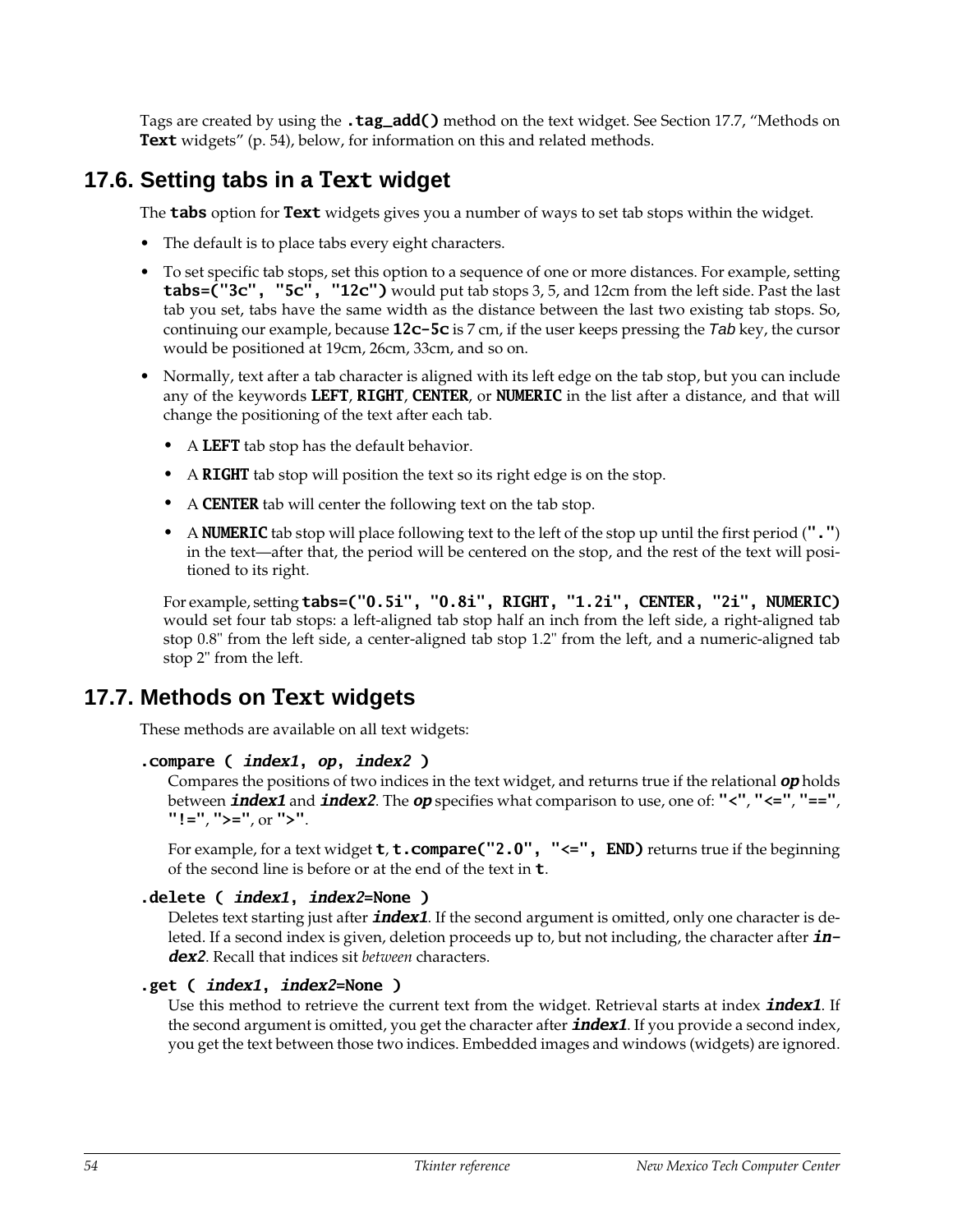<span id="page-53-0"></span>Tags are created by using the **.tag\_add()** method on the text widget. See Section [17.7, "Methods on](#page-53-1) **Text** [widgets" \(p. 54\),](#page-53-1) below, for information on this and related methods.

# **17.6. Setting tabs in a Text widget**

The **tabs** option for **Text** widgets gives you a number of ways to set tab stops within the widget.

- The default is to place tabs every eight characters.
- To set specific tab stops, set this option to a sequence of one or more distances. For example, setting **tabs=("3c", "5c", "12c")** would put tab stops 3, 5, and 12cm from the left side. Past the last tab you set, tabs have the same width as the distance between the last two existing tab stops. So, continuing our example, because **12c-5c** is 7 cm, if the user keeps pressing the *Tab* key, the cursor would be positioned at 19cm, 26cm, 33cm, and so on.
- Normally, text after a tab character is aligned with its left edge on the tab stop, but you can include any of the keywords **LEFT**, **RIGHT**, **CENTER**, or **NUMERIC** in the list after a distance, and that will change the positioning of the text after each tab.
	- A **LEFT** tab stop has the default behavior.
	- A **RIGHT** tab stop will position the text so its right edge is on the stop.
	- A **CENTER** tab will center the following text on the tab stop.
	- A **NUMERIC** tab stop will place following text to the left of the stop up until the first period (**"."**) in the text—after that, the period will be centered on the stop, and the rest of the text will positioned to its right.

<span id="page-53-1"></span>For example, setting **tabs=("0.5i", "0.8i", RIGHT, "1.2i", CENTER, "2i", NUMERIC)** would set four tab stops: a left-aligned tab stop half an inch from the left side, a right-aligned tab stop 0.8" from the left side, a center-aligned tab stop 1.2" from the left, and a numeric-aligned tab stop 2" from the left.

# **17.7. Methods on Text widgets**

These methods are available on all text widgets:

```
.compare ( index1, op, index2 )
```
Compares the positions of two indices in the text widget, and returns true if the relational *op* holds between *index1* and *index2*. The *op* specifies what comparison to use, one of: **"<"**, **"<="**, **"=="**, **"!="**, **">="**, or **">"**.

For example, for a text widget **t**, **t.compare("2.0", "<=", END)** returns true if the beginning of the second line is before or at the end of the text in **t**.

## **.delete (** *index1***,** *index2***=None )**

Deletes text starting just after *index1*. If the second argument is omitted, only one character is deleted. If a second index is given, deletion proceeds up to, but not including, the character after *index2*. Recall that indices sit *between* characters.

## **.get (** *index1***,** *index2***=None )**

Use this method to retrieve the current text from the widget. Retrieval starts at index *index1*. If the second argument is omitted, you get the character after *index1*. If you provide a second index, you get the text between those two indices. Embedded images and windows (widgets) are ignored.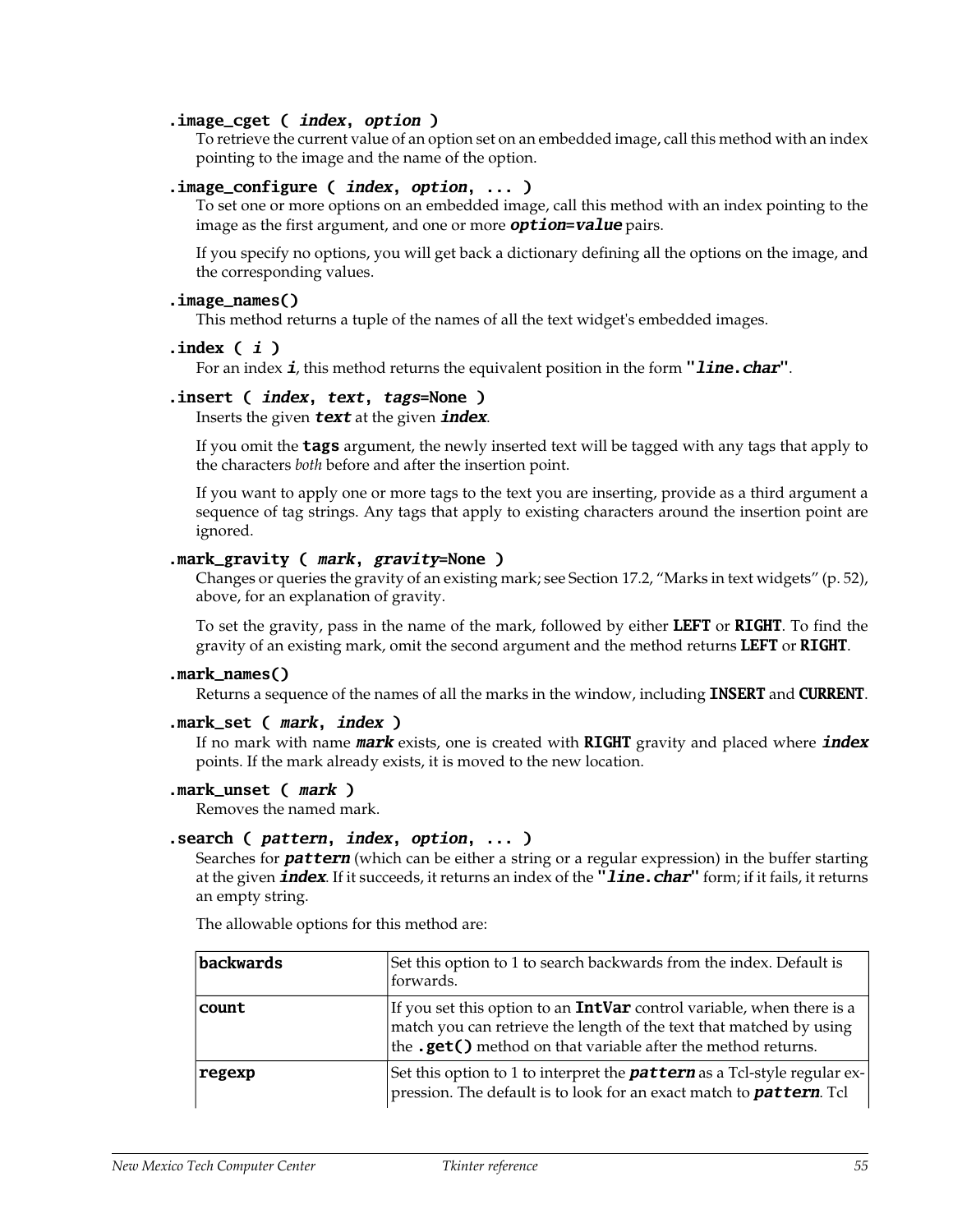#### **.image\_cget (** *index***,** *option* **)**

To retrieve the current value of an option set on an embedded image, call this method with an index pointing to the image and the name of the option.

#### **.image\_configure (** *index***,** *option***, ... )**

To set one or more options on an embedded image, call this method with an index pointing to the image as the first argument, and one or more *option***=***value* pairs.

If you specify no options, you will get back a dictionary defining all the options on the image, and the corresponding values.

#### **.image\_names()**

This method returns a tuple of the names of all the text widget's embedded images.

#### **.index (** *i* **)**

For an index *i*, this method returns the equivalent position in the form **"***line***.***char***"**.

#### **.insert (** *index***,** *text***,** *tags***=None )**

Inserts the given *text* at the given *index*.

If you omit the **tags** argument, the newly inserted text will be tagged with any tags that apply to the characters *both* before and after the insertion point.

If you want to apply one or more tags to the text you are inserting, provide as a third argument a sequence of tag strings. Any tags that apply to existing characters around the insertion point are ignored.

#### **.mark\_gravity (** *mark***,** *gravity***=None )**

Changes or queries the gravity of an existing mark; see Section [17.2, "Marks in text widgets" \(p. 52\),](#page-51-1) above, for an explanation of gravity.

To set the gravity, pass in the name of the mark, followed by either **LEFT** or **RIGHT**. To find the gravity of an existing mark, omit the second argument and the method returns **LEFT** or **RIGHT**.

#### **.mark\_names()**

Returns a sequence of the names of all the marks in the window, including **INSERT** and **CURRENT**.

```
.mark_set ( mark, index )
```
If no mark with name *mark* exists, one is created with **RIGHT** gravity and placed where *index* points. If the mark already exists, it is moved to the new location.

#### **.mark\_unset (** *mark* **)**

Removes the named mark.

#### **.search (** *pattern***,** *index***,** *option***, ... )**

Searches for *pattern* (which can be either a string or a regular expression) in the buffer starting at the given *index*. If it succeeds, it returns an index of the **"***line***.***char***"** form; if it fails, it returns an empty string.

Set this option to 1 to search backwards from the index. Default is forwards. **backwards** If you set this option to an **IntVar** control variable, when there is a match you can retrieve the length of the text that matched by using the **.get()** method on that variable after the method returns. **count** Set this option to 1 to interpret the *pattern* as a Tcl-style regular expression. The default is to look for an exact match to *pattern*. Tcl **regexp**

The allowable options for this method are: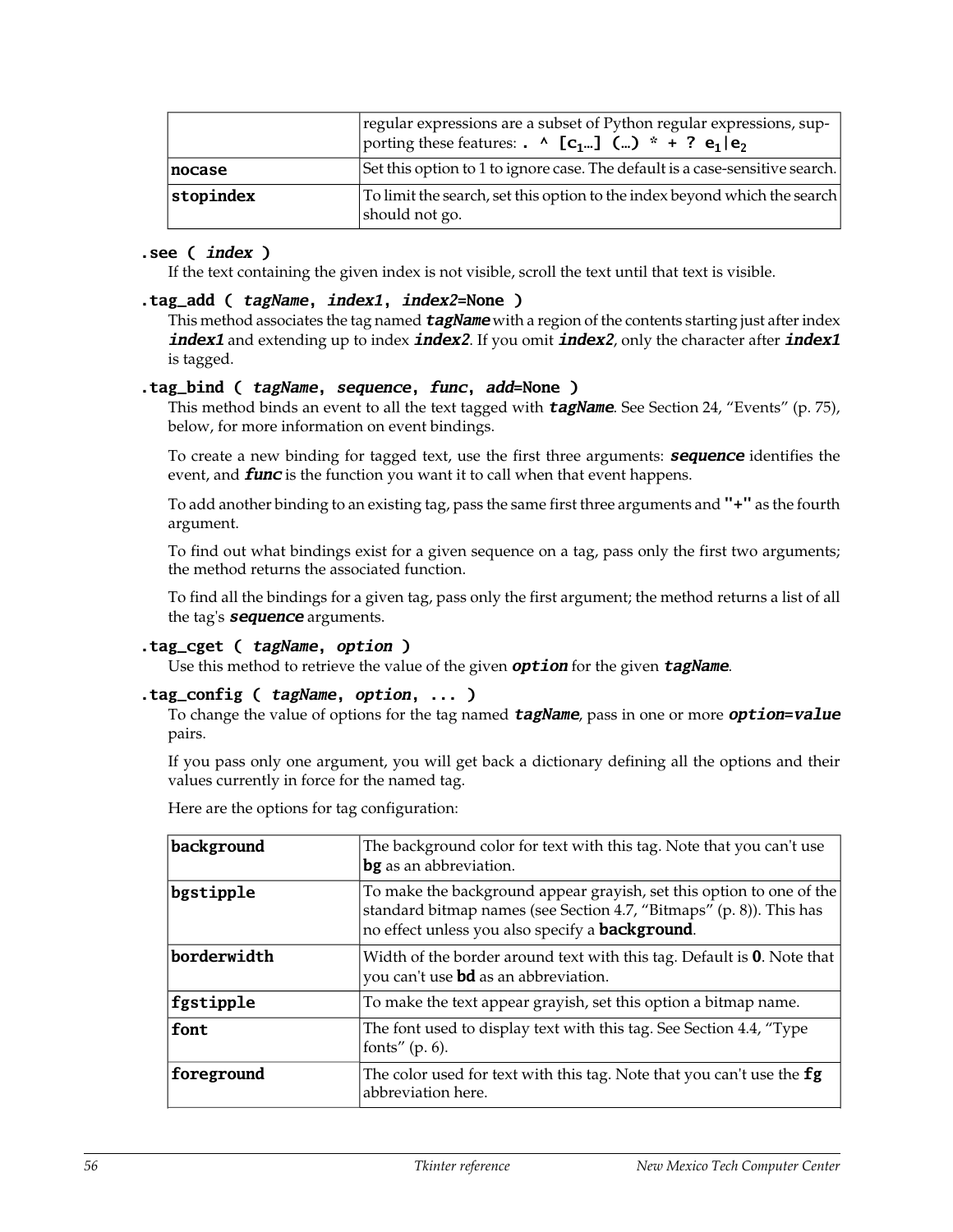|           | regular expressions are a subset of Python regular expressions, sup-<br>porting these features: $\cdot$ $\in$ $\mathbb{C}_{1}$ ] $\left(\ldots\right)$ $*$ + ? $\mathbf{e}_{1}$ $\mathbf{e}_{2}$ |
|-----------|--------------------------------------------------------------------------------------------------------------------------------------------------------------------------------------------------|
| nocase    | Set this option to 1 to ignore case. The default is a case-sensitive search.                                                                                                                     |
| stopindex | To limit the search, set this option to the index beyond which the search<br>should not go.                                                                                                      |

#### **.see (** *index* **)**

If the text containing the given index is not visible, scroll the text until that text is visible.

#### **.tag\_add (** *tagName***,** *index1***,** *index2***=None )**

This method associates the tag named *tagName* with a region of the contents starting just after index *index1* and extending up to index *index2*. If you omit *index2*, only the character after *index1* is tagged.

#### **.tag\_bind (** *tagName***,** *sequence***,** *func***,** *add***=None )**

This method binds an event to all the text tagged with *tagName*. See Section [24, "Events" \(p. 75\),](#page-74-0) below, for more information on event bindings.

To create a new binding for tagged text, use the first three arguments: *sequence* identifies the event, and *func* is the function you want it to call when that event happens.

To add another binding to an existing tag, pass the same first three arguments and **"+"** as the fourth argument.

To find out what bindings exist for a given sequence on a tag, pass only the first two arguments; the method returns the associated function.

To find all the bindings for a given tag, pass only the first argument; the method returns a list of all the tag's *sequence* arguments.

```
.tag_cget ( tagName, option )
```
Use this method to retrieve the value of the given *option* for the given *tagName*.

#### **.tag\_config (** *tagName***,** *option***, ... )**

To change the value of options for the tag named *tagName*, pass in one or more *option***=***value* pairs.

If you pass only one argument, you will get back a dictionary defining all the options and their values currently in force for the named tag.

Here are the options for tag configuration:

| background  | The background color for text with this tag. Note that you can't use<br>bg as an abbreviation.                                                                                                         |
|-------------|--------------------------------------------------------------------------------------------------------------------------------------------------------------------------------------------------------|
| bgstipple   | To make the background appear grayish, set this option to one of the<br>standard bitmap names (see Section 4.7, "Bitmaps" (p. 8)). This has<br>no effect unless you also specify a <b>background</b> . |
| borderwidth | Width of the border around text with this tag. Default is $0$ . Note that<br>you can't use <b>bd</b> as an abbreviation.                                                                               |
| fgstipple   | To make the text appear grayish, set this option a bitmap name.                                                                                                                                        |
| font        | The font used to display text with this tag. See Section 4.4, "Type<br>fonts" $(p. 6)$ .                                                                                                               |
| foreground  | The color used for text with this tag. Note that you can't use the $fg$<br>abbreviation here.                                                                                                          |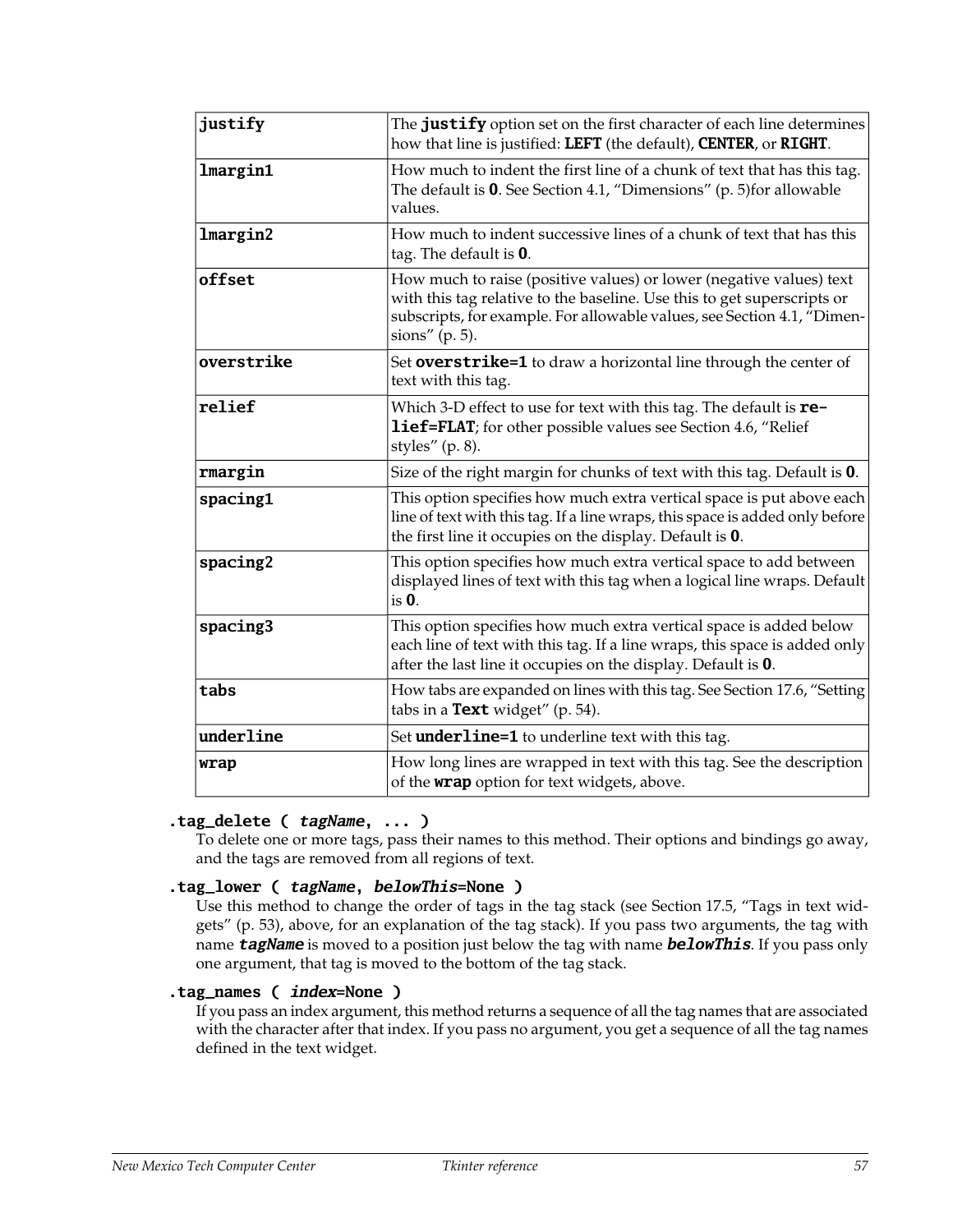| justify    | The <b>justify</b> option set on the first character of each line determines<br>how that line is justified: LEFT (the default), CENTER, or RIGHT.                                                                                              |
|------------|------------------------------------------------------------------------------------------------------------------------------------------------------------------------------------------------------------------------------------------------|
| lmargin1   | How much to indent the first line of a chunk of text that has this tag.<br>The default is $0$ . See Section 4.1, "Dimensions" (p. 5) for allowable<br>values.                                                                                  |
| lmargin2   | How much to indent successive lines of a chunk of text that has this<br>tag. The default is 0.                                                                                                                                                 |
| offset     | How much to raise (positive values) or lower (negative values) text<br>with this tag relative to the baseline. Use this to get superscripts or<br>subscripts, for example. For allowable values, see Section 4.1, "Dimen-<br>sions" $(p. 5)$ . |
| overstrike | Set <b>overstrike=1</b> to draw a horizontal line through the center of<br>text with this tag.                                                                                                                                                 |
| relief     | Which 3-D effect to use for text with this tag. The default is re-<br><b>lief=FLAT</b> ; for other possible values see Section 4.6, "Relief<br>styles" $(p. 8)$ .                                                                              |
| rmargin    | Size of the right margin for chunks of text with this tag. Default is 0.                                                                                                                                                                       |
| spacing1   | This option specifies how much extra vertical space is put above each<br>line of text with this tag. If a line wraps, this space is added only before<br>the first line it occupies on the display. Default is $0$ .                           |
| spacing2   | This option specifies how much extra vertical space to add between<br>displayed lines of text with this tag when a logical line wraps. Default<br>is 0.                                                                                        |
| spacing3   | This option specifies how much extra vertical space is added below<br>each line of text with this tag. If a line wraps, this space is added only<br>after the last line it occupies on the display. Default is 0.                              |
| tabs       | How tabs are expanded on lines with this tag. See Section 17.6, "Setting<br>tabs in a Text widget" (p. 54).                                                                                                                                    |
| underline  | Set <b>underline=1</b> to underline text with this tag.                                                                                                                                                                                        |
| wrap       | How long lines are wrapped in text with this tag. See the description<br>of the wrap option for text widgets, above.                                                                                                                           |

### **.tag\_delete (** *tagName***, ... )**

To delete one or more tags, pass their names to this method. Their options and bindings go away, and the tags are removed from all regions of text.

#### **.tag\_lower (** *tagName***,** *belowThis***=None )**

Use this method to change the order of tags in the tag stack (see Section [17.5, "Tags in text wid](#page-52-2)[gets" \(p. 53\),](#page-52-2) above, for an explanation of the tag stack). If you pass two arguments, the tag with name *tagName* is moved to a position just below the tag with name *belowThis*. If you pass only one argument, that tag is moved to the bottom of the tag stack.

### **.tag\_names (** *index***=None )**

If you pass an index argument, this method returns a sequence of all the tag names that are associated with the character after that index. If you pass no argument, you get a sequence of all the tag names defined in the text widget.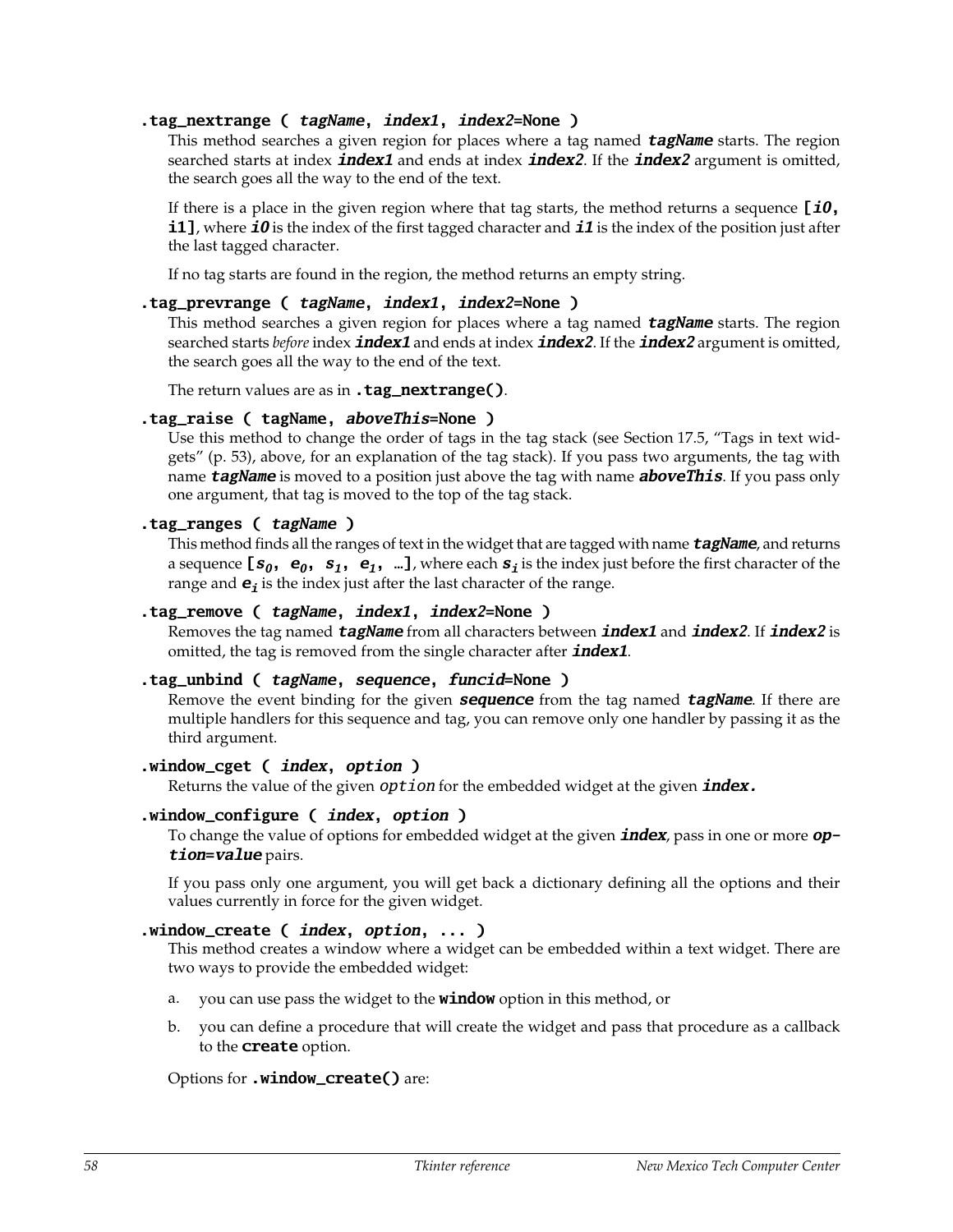### **.tag\_nextrange (** *tagName***,** *index1***,** *index2***=None )**

This method searches a given region for places where a tag named *tagName* starts. The region searched starts at index *index1* and ends at index *index2*. If the *index2* argument is omitted, the search goes all the way to the end of the text.

If there is a place in the given region where that tag starts, the method returns a sequence **[***i0***, i1]**, where *i0* is the index of the first tagged character and *i1* is the index of the position just after the last tagged character.

If no tag starts are found in the region, the method returns an empty string.

#### **.tag\_prevrange (** *tagName***,** *index1***,** *index2***=None )**

This method searches a given region for places where a tag named *tagName* starts. The region searched starts *before* index *index1* and ends at index *index2*. If the *index2* argument is omitted, the search goes all the way to the end of the text.

The return values are as in **.tag\_nextrange()**.

### **.tag\_raise ( tagName,** *aboveThis***=None )**

Use this method to change the order of tags in the tag stack (see Section [17.5, "Tags in text wid](#page-52-2)[gets" \(p. 53\),](#page-52-2) above, for an explanation of the tag stack). If you pass two arguments, the tag with name *tagName* is moved to a position just above the tag with name *aboveThis*. If you pass only one argument, that tag is moved to the top of the tag stack.

### **.tag\_ranges (** *tagName* **)**

This method finds all the ranges of text in the widget that are tagged with name *tagName*, and returns a sequence  $[s_0, e_0, s_1, e_1, ...]$ , where each  $s_i$  is the index just before the first character of the range and  $e_i$  is the index just after the last character of the range.

#### **.tag\_remove (** *tagName***,** *index1***,** *index2***=None )**

Removes the tag named *tagName* from all characters between *index1* and *index2*. If *index2* is omitted, the tag is removed from the single character after *index1*.

### **.tag\_unbind (** *tagName***,** *sequence***,** *funcid***=None )**

Remove the event binding for the given *sequence* from the tag named *tagName*. If there are multiple handlers for this sequence and tag, you can remove only one handler by passing it as the third argument.

#### **.window\_cget (** *index***,** *option* **)**

Returns the value of the given *option* for the embedded widget at the given *index.*

#### **.window\_configure (** *index***,** *option* **)**

To change the value of options for embedded widget at the given *index*, pass in one or more *option***=***value* pairs.

If you pass only one argument, you will get back a dictionary defining all the options and their values currently in force for the given widget.

#### **.window\_create (** *index***,** *option***, ... )**

This method creates a window where a widget can be embedded within a text widget. There are two ways to provide the embedded widget:

- a. you can use pass the widget to the **window** option in this method, or
- b. you can define a procedure that will create the widget and pass that procedure as a callback to the **create** option.

#### Options for **.window\_create()** are: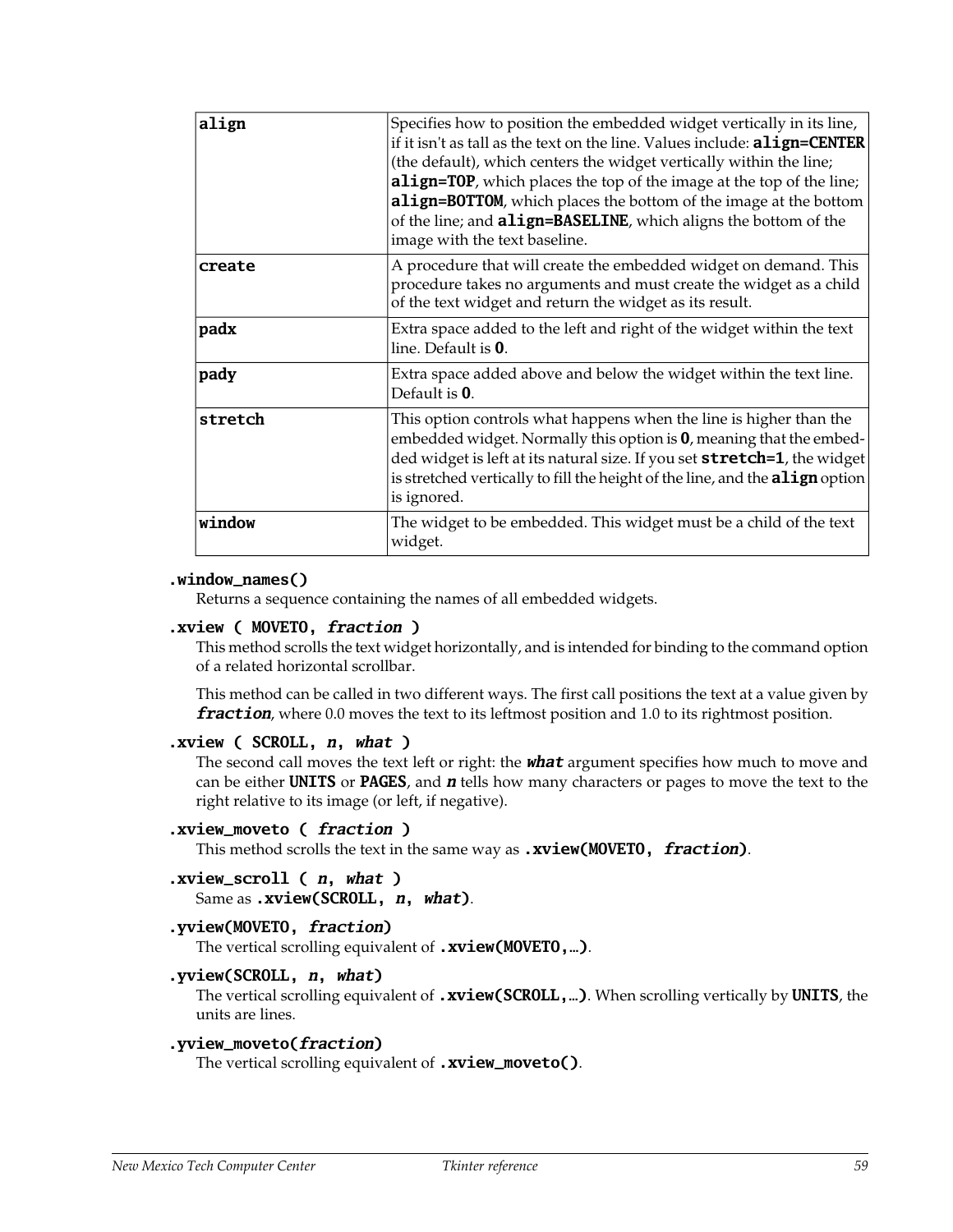| align   | Specifies how to position the embedded widget vertically in its line,<br>if it isn't as tall as the text on the line. Values include: <b>align=CENTER</b><br>(the default), which centers the widget vertically within the line;<br>align=TOP, which places the top of the image at the top of the line;<br>align=BOTTOM, which places the bottom of the image at the bottom<br>of the line; and <b>align=BASELINE</b> , which aligns the bottom of the<br>image with the text baseline. |
|---------|------------------------------------------------------------------------------------------------------------------------------------------------------------------------------------------------------------------------------------------------------------------------------------------------------------------------------------------------------------------------------------------------------------------------------------------------------------------------------------------|
| create  | A procedure that will create the embedded widget on demand. This<br>procedure takes no arguments and must create the widget as a child<br>of the text widget and return the widget as its result.                                                                                                                                                                                                                                                                                        |
| padx    | Extra space added to the left and right of the widget within the text<br>line. Default is 0.                                                                                                                                                                                                                                                                                                                                                                                             |
| pady    | Extra space added above and below the widget within the text line.<br>Default is 0.                                                                                                                                                                                                                                                                                                                                                                                                      |
| stretch | This option controls what happens when the line is higher than the<br>embedded widget. Normally this option is $0$ , meaning that the embed-<br>ded widget is left at its natural size. If you set stretch=1, the widget<br>is stretched vertically to fill the height of the line, and the <b>align</b> option<br>is ignored.                                                                                                                                                           |
| window  | The widget to be embedded. This widget must be a child of the text<br>widget.                                                                                                                                                                                                                                                                                                                                                                                                            |

#### **.window\_names()**

Returns a sequence containing the names of all embedded widgets.

#### **.xview ( MOVETO,** *fraction* **)**

This method scrolls the text widget horizontally, and is intended for binding to the command option of a related horizontal scrollbar.

This method can be called in two different ways. The first call positions the text at a value given by *fraction*, where 0.0 moves the text to its leftmost position and 1.0 to its rightmost position.

#### **.xview ( SCROLL,** *n***,** *what* **)**

The second call moves the text left or right: the *what* argument specifies how much to move and can be either **UNITS** or **PAGES**, and *n* tells how many characters or pages to move the text to the right relative to its image (or left, if negative).

### **.xview\_moveto (** *fraction* **)**

This method scrolls the text in the same way as **.xview(MOVETO,** *fraction***)**.

# **.xview\_scroll (** *n***,** *what* **)**

Same as **.xview(SCROLL,** *n***,** *what***)**.

## **.yview(MOVETO,** *fraction***)**

The vertical scrolling equivalent of **.xview(MOVETO,…)**.

### **.yview(SCROLL,** *n***,** *what***)**

The vertical scrolling equivalent of **.xview(SCROLL,…)**. When scrolling vertically by **UNITS**, the units are lines.

#### **.yview\_moveto(***fraction***)**

The vertical scrolling equivalent of **.xview\_moveto()**.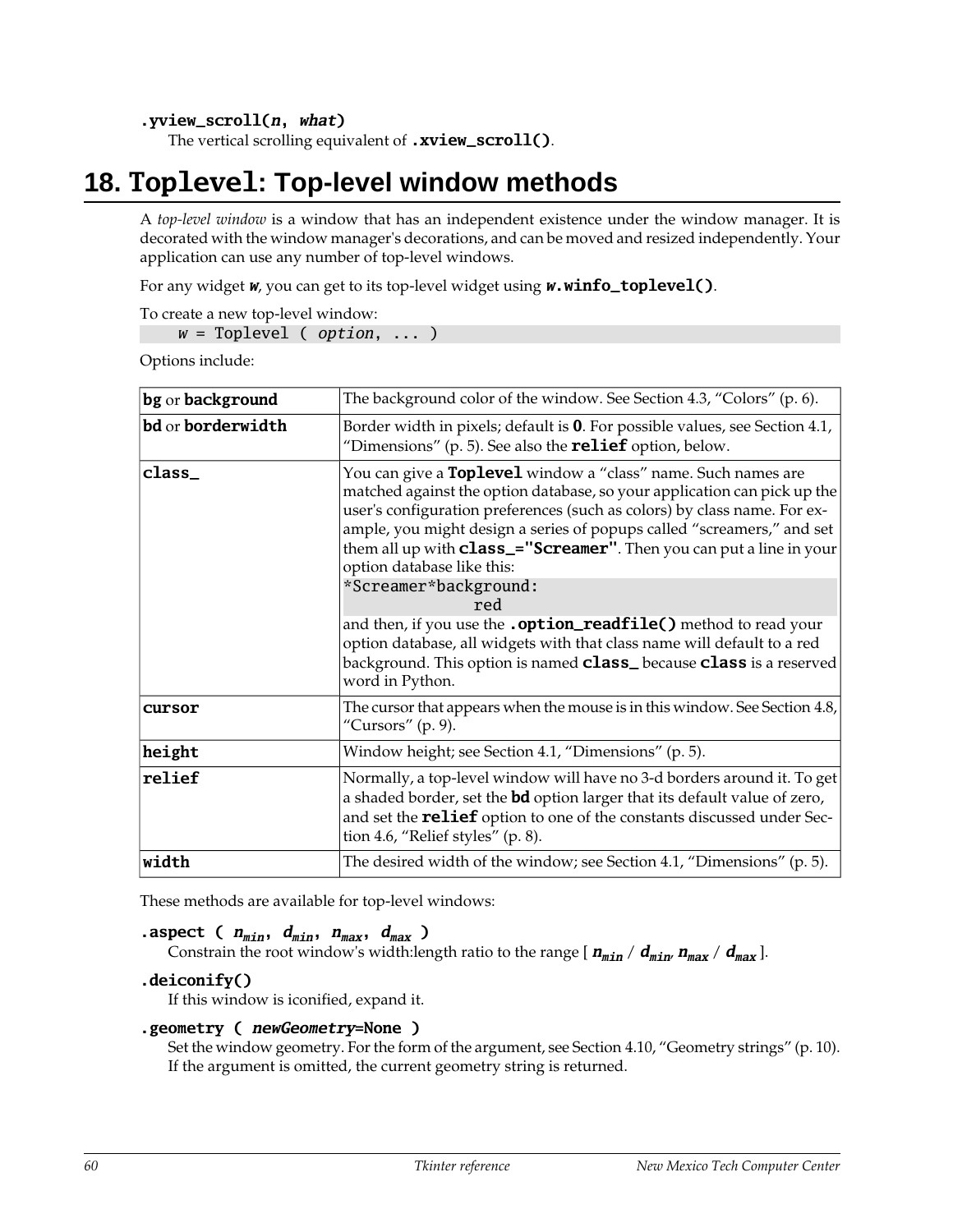## <span id="page-59-0"></span>**.yview\_scroll(***n***,** *what***)**

The vertical scrolling equivalent of **.xview\_scroll()**.

# **18. Toplevel: Top-level window methods**

A *top-level window* is a window that has an independent existence under the window manager. It is decorated with the window manager's decorations, and can be moved and resized independently. Your application can use any number of top-level windows.

For any widget *w*, you can get to its top-level widget using *w***.winfo\_toplevel()**.

To create a new top-level window: *w* = Toplevel ( *option*, ... )

Options include:

| bg or background  | The background color of the window. See Section 4.3, "Colors" (p. 6).                                                                                                                                                                                                                                                                                                                                                                                                                                                                                                                                                                                                                                      |
|-------------------|------------------------------------------------------------------------------------------------------------------------------------------------------------------------------------------------------------------------------------------------------------------------------------------------------------------------------------------------------------------------------------------------------------------------------------------------------------------------------------------------------------------------------------------------------------------------------------------------------------------------------------------------------------------------------------------------------------|
| bd or borderwidth | Border width in pixels; default is 0. For possible values, see Section 4.1,<br>"Dimensions" (p. 5). See also the <b>relief</b> option, below.                                                                                                                                                                                                                                                                                                                                                                                                                                                                                                                                                              |
| class_            | You can give a <b>Toplevel</b> window a "class" name. Such names are<br>matched against the option database, so your application can pick up the<br>user's configuration preferences (such as colors) by class name. For ex-<br>ample, you might design a series of popups called "screamers," and set<br>them all up with <b>class_="Screamer"</b> . Then you can put a line in your<br>option database like this:<br>*Screamer*background:<br>red<br>and then, if you use the . option_readfile() method to read your<br>option database, all widgets with that class name will default to a red<br>background. This option is named <b>class_</b> because <b>class</b> is a reserved<br>word in Python. |
| cursor            | The cursor that appears when the mouse is in this window. See Section 4.8,<br>"Cursors" $(p. 9)$ .                                                                                                                                                                                                                                                                                                                                                                                                                                                                                                                                                                                                         |
| height            | Window height; see Section 4.1, "Dimensions" (p. 5).                                                                                                                                                                                                                                                                                                                                                                                                                                                                                                                                                                                                                                                       |
| relief            | Normally, a top-level window will have no 3-d borders around it. To get<br>a shaded border, set the <b>bd</b> option larger that its default value of zero,<br>and set the <b>relief</b> option to one of the constants discussed under Sec-<br>tion 4.6, "Relief styles" (p. 8).                                                                                                                                                                                                                                                                                                                                                                                                                          |
| width             | The desired width of the window; see Section 4.1, "Dimensions" (p. 5).                                                                                                                                                                                                                                                                                                                                                                                                                                                                                                                                                                                                                                     |

These methods are available for top-level windows:

#### .aspect (  $n_{min}$ ,  $d_{min}$ ,  $n_{max}$ ,  $d_{max}$  )

Constrain the root window's width:length ratio to the range  $\left[\right| n_{min}/d_{min} n_{max}/d_{max}\right]$ .

#### **.deiconify()**

If this window is iconified, expand it.

#### **.geometry (** *newGeometry***=None )**

Set the window geometry. For the form of the argument, see Section [4.10, "Geometry strings" \(p. 10\).](#page-9-1) If the argument is omitted, the current geometry string is returned.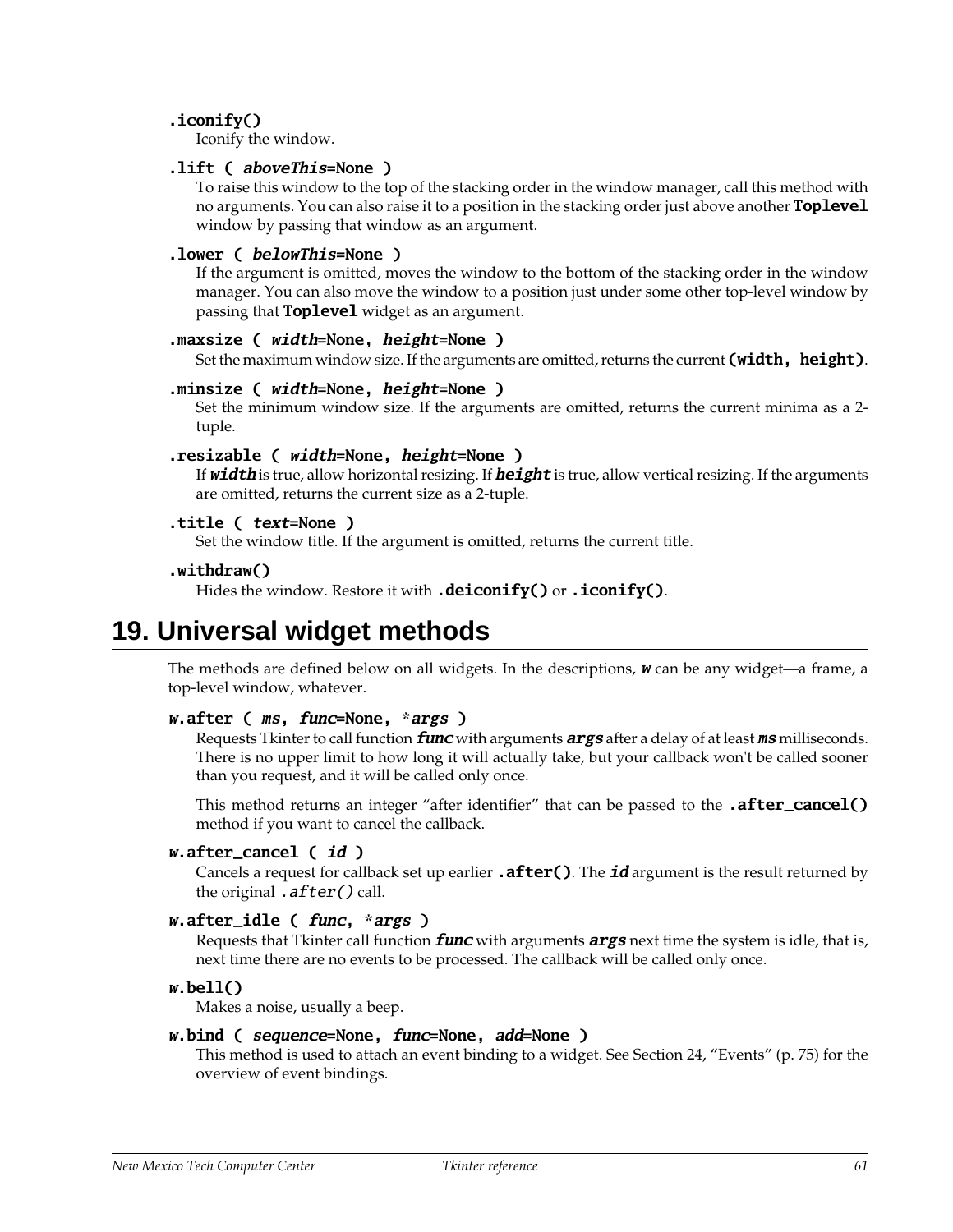### **.iconify()**

Iconify the window.

#### **.lift (** *aboveThis***=None )**

To raise this window to the top of the stacking order in the window manager, call this method with no arguments. You can also raise it to a position in the stacking order just above another **Toplevel** window by passing that window as an argument.

#### **.lower (** *belowThis***=None )**

If the argument is omitted, moves the window to the bottom of the stacking order in the window manager. You can also move the window to a position just under some other top-level window by passing that **Toplevel** widget as an argument.

#### **.maxsize (** *width***=None,** *height***=None )**

Set the maximum window size. If the arguments are omitted, returns the current **(width, height)**.

#### **.minsize (** *width***=None,** *height***=None )**

Set the minimum window size. If the arguments are omitted, returns the current minima as a 2 tuple.

#### **.resizable (** *width***=None,** *height***=None )**

If *width* is true, allow horizontal resizing. If *height* is true, allow vertical resizing. If the arguments are omitted, returns the current size as a 2-tuple.

#### **.title (** *text***=None )**

Set the window title. If the argument is omitted, returns the current title.

#### <span id="page-60-0"></span>**.withdraw()**

Hides the window. Restore it with **.deiconify()** or **.iconify()**.

# **19. Universal widget methods**

The methods are defined below on all widgets. In the descriptions, *w* can be any widget—a frame, a top-level window, whatever.

#### *w***.after (** *ms***,** *func***=None, \****args* **)**

Requests Tkinter to call function *func* with arguments *args* after a delay of at least *ms* milliseconds. There is no upper limit to how long it will actually take, but your callback won't be called sooner than you request, and it will be called only once.

This method returns an integer "after identifier" that can be passed to the **.after\_cancel()** method if you want to cancel the callback.

#### *w***.after\_cancel (** *id* **)**

Cancels a request for callback set up earlier **.after()**. The *id* argument is the result returned by the original *.after()* call.

#### *w***.after\_idle (** *func***, \****args* **)**

Requests that Tkinter call function *func* with arguments *args* next time the system is idle, that is, next time there are no events to be processed. The callback will be called only once.

#### *w***.bell()**

Makes a noise, usually a beep.

#### *w***.bind (** *sequence***=None,** *func***=None,** *add***=None )**

This method is used to attach an event binding to a widget. See Section [24, "Events" \(p. 75\)](#page-74-0) for the overview of event bindings.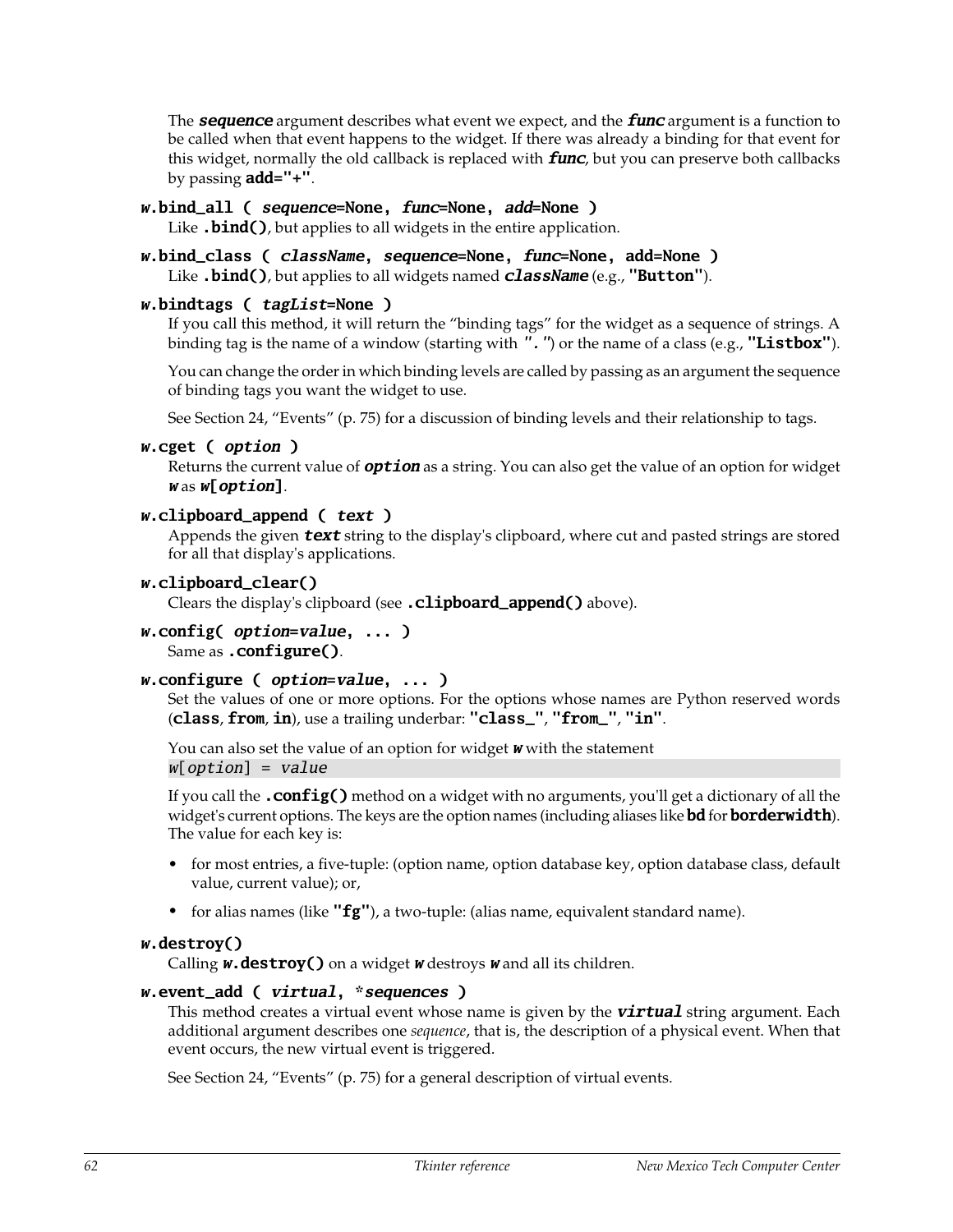The *sequence* argument describes what event we expect, and the *func* argument is a function to be called when that event happens to the widget. If there was already a binding for that event for this widget, normally the old callback is replaced with *func*, but you can preserve both callbacks by passing **add="+"**.

### *w***.bind\_all (** *sequence***=None,** *func***=None,** *add***=None )**

Like **. bind()**, but applies to all widgets in the entire application.

*w***.bind\_class (** *className***,** *sequence***=None,** *func***=None, add=None )** Like **.bind()**, but applies to all widgets named *className* (e.g., **"Button"**).

### *w***.bindtags (** *tagList***=None )**

If you call this method, it will return the "binding tags" for the widget as a sequence of strings. A binding tag is the name of a window (starting with *"."*) or the name of a class (e.g., **"Listbox"**).

You can change the order in which binding levels are called by passing as an argument the sequence of binding tags you want the widget to use.

See Section [24, "Events" \(p. 75\)](#page-74-0) for a discussion of binding levels and their relationship to tags.

#### *w***.cget (** *option* **)**

Returns the current value of *option* as a string. You can also get the value of an option for widget *w* as *w***[***option***]**.

#### *w***.clipboard\_append (** *text* **)**

Appends the given *text* string to the display's clipboard, where cut and pasted strings are stored for all that display's applications.

#### *w***.clipboard\_clear()**

Clears the display's clipboard (see **.clipboard\_append()** above).

### *w***.config(** *option***=***value***, ... )** Same as **.configure()**.

### *w***.configure (** *option***=***value***, ... )**

Set the values of one or more options. For the options whose names are Python reserved words (**class**, **from**, **in**), use a trailing underbar: **"class\_"**, **"from\_"**, **"in"**.

You can also set the value of an option for widget *w* with the statement *w*[*option*] = *value*

If you call the **.config()** method on a widget with no arguments, you'll get a dictionary of all the widget's current options. The keys are the option names (including aliases like **bd** for **borderwidth**). The value for each key is:

- for most entries, a five-tuple: (option name, option database key, option database class, default value, current value); or,
- for alias names (like **"fg"**), a two-tuple: (alias name, equivalent standard name).

#### *w***.destroy()**

Calling *w***.destroy()** on a widget *w* destroys *w* and all its children.

#### *w***.event\_add (** *virtual***, \****sequences* **)**

This method creates a virtual event whose name is given by the *virtual* string argument. Each additional argument describes one *sequence*, that is, the description of a physical event. When that event occurs, the new virtual event is triggered.

See Section [24, "Events" \(p. 75\)](#page-74-0) for a general description of virtual events.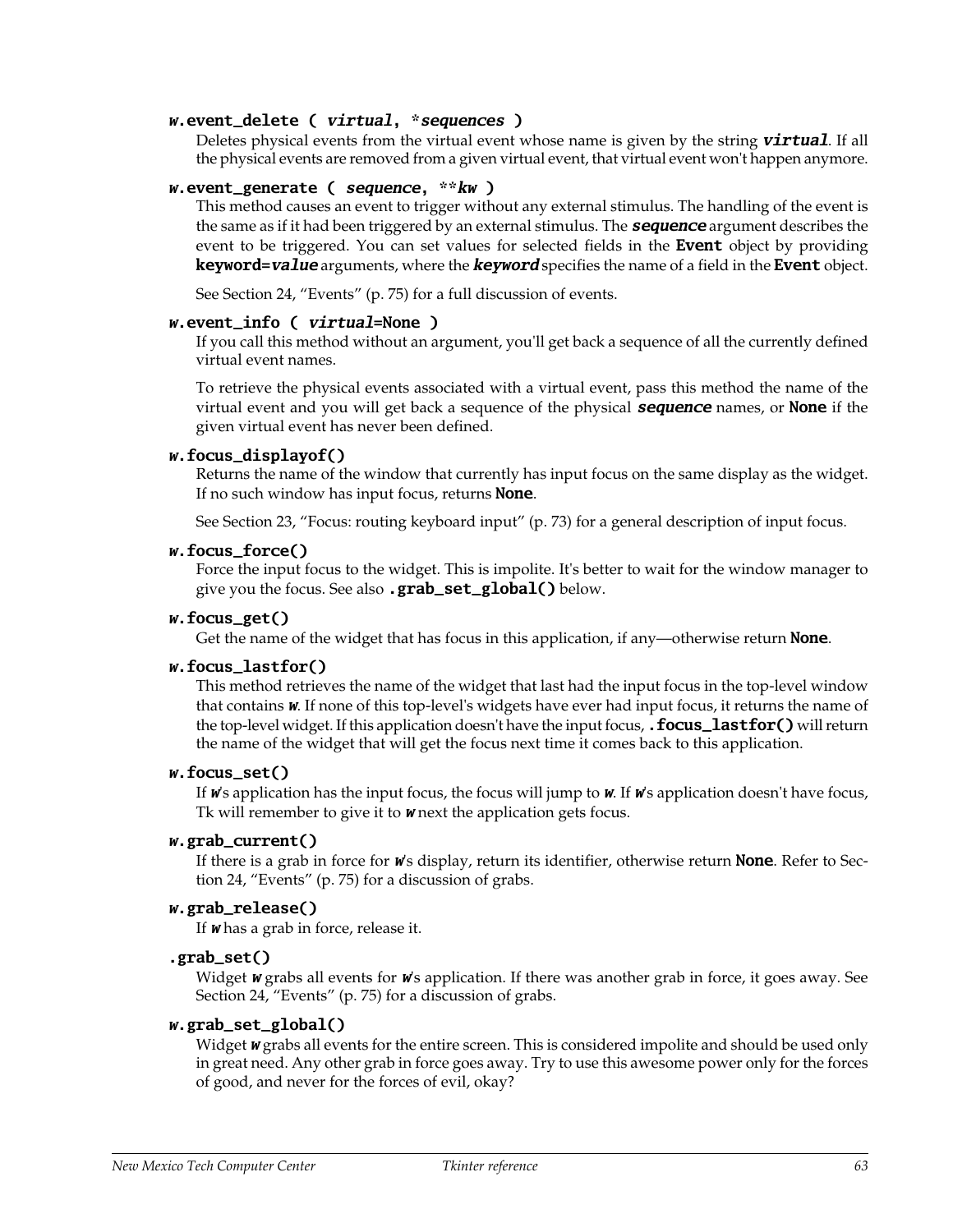#### *w***.event\_delete (** *virtual***, \****sequences* **)**

Deletes physical events from the virtual event whose name is given by the string *virtual*. If all the physical events are removed from a given virtual event, that virtual event won't happen anymore.

#### *w***.event\_generate (** *sequence***, \*\****kw* **)**

This method causes an event to trigger without any external stimulus. The handling of the event is the same as if it had been triggered by an external stimulus. The *sequence* argument describes the event to be triggered. You can set values for selected fields in the **Event** object by providing **keyword=***value* arguments, where the *keyword* specifies the name of a field in the **Event** object.

See Section [24, "Events" \(p. 75\)](#page-74-0) for a full discussion of events.

#### *w***.event\_info (** *virtual***=None )**

If you call this method without an argument, you'll get back a sequence of all the currently defined virtual event names.

To retrieve the physical events associated with a virtual event, pass this method the name of the virtual event and you will get back a sequence of the physical *sequence* names, or **None** if the given virtual event has never been defined.

#### *w***.focus\_displayof()**

Returns the name of the window that currently has input focus on the same display as the widget. If no such window has input focus, returns **None**.

See Section [23, "Focus: routing keyboard input" \(p. 73\)](#page-72-0) for a general description of input focus.

#### *w***.focus\_force()**

Force the input focus to the widget. This is impolite. It's better to wait for the window manager to give you the focus. See also **.grab\_set\_global()** below.

#### *w***.focus\_get()**

Get the name of the widget that has focus in this application, if any—otherwise return **None**.

#### *w***.focus\_lastfor()**

This method retrieves the name of the widget that last had the input focus in the top-level window that contains *w*. If none of this top-level's widgets have ever had input focus, it returns the name of the top-level widget. If this application doesn't have the input focus, **.focus\_lastfor()** will return the name of the widget that will get the focus next time it comes back to this application.

#### *w***.focus\_set()**

If *w*'s application has the input focus, the focus will jump to *w*. If *w*'s application doesn't have focus, Tk will remember to give it to *w* next the application gets focus.

#### *w***.grab\_current()**

If there is a grab in force for *w*'s display, return its identifier, otherwise return **None**. Refer to [Sec](#page-74-0)tion [24, "Events" \(p. 75\)](#page-74-0) for a discussion of grabs.

#### *w***.grab\_release()**

If *w* has a grab in force, release it.

#### **.grab\_set()**

Widget *w* grabs all events for *w*'s application. If there was another grab in force, it goes away. See Section [24, "Events" \(p. 75\)](#page-74-0) for a discussion of grabs.

#### *w***.grab\_set\_global()**

Widget **w** grabs all events for the entire screen. This is considered impolite and should be used only in great need. Any other grab in force goes away. Try to use this awesome power only for the forces of good, and never for the forces of evil, okay?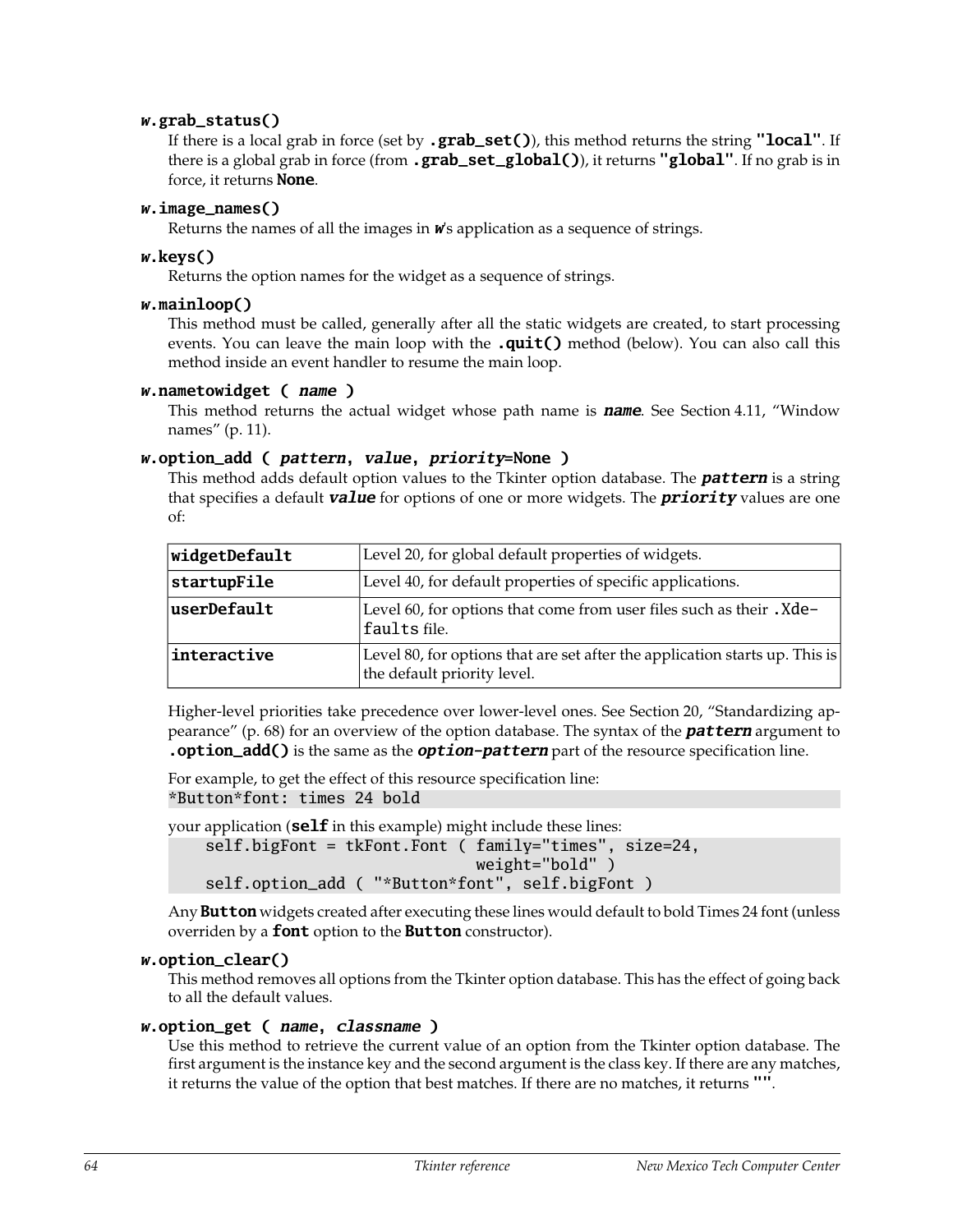#### *w***.grab\_status()**

If there is a local grab in force (set by **.grab\_set()**), this method returns the string **"local"**. If there is a global grab in force (from **.grab\_set\_global()**), it returns **"global"**. If no grab is in force, it returns **None**.

#### *w***.image\_names()**

Returns the names of all the images in *w*'s application as a sequence of strings.

#### *w***.keys()**

Returns the option names for the widget as a sequence of strings.

#### *w***.mainloop()**

This method must be called, generally after all the static widgets are created, to start processing events. You can leave the main loop with the **.quit()** method (below). You can also call this method inside an event handler to resume the main loop.

#### <span id="page-63-0"></span>*w***.nametowidget (** *name* **)**

This method returns the actual widget whose path name is *name*. See Section [4.11, "Window](#page-10-0) [names" \(p. 11\).](#page-10-0)

#### *w***.option\_add (** *pattern***,** *value***,** *priority***=None )**

This method adds default option values to the Tkinter option database. The *pattern* is a string that specifies a default *value* for options of one or more widgets. The *priority* values are one of:

| widgetDefault | Level 20, for global default properties of widgets.                                                        |
|---------------|------------------------------------------------------------------------------------------------------------|
| startupFile   | Level 40, for default properties of specific applications.                                                 |
| userDefault   | Level 60, for options that come from user files such as their . Xde-<br>faults file.                       |
| interactive   | Level 80, for options that are set after the application starts up. This is<br>the default priority level. |

Higher-level priorities take precedence over lower-level ones. See Section [20, "Standardizing ap](#page-67-0)[pearance" \(p. 68\)](#page-67-0) for an overview of the option database. The syntax of the *pattern* argument to **.option\_add()** is the same as the *option-pattern* part of the resource specification line.

For example, to get the effect of this resource specification line: \*Button\*font: times 24 bold

your application (**self** in this example) might include these lines:

```
self.bigFont = tkFont.Font ( family="times", size=24,
                             weight="bold" )
self.option_add ( "*Button*font", self.bigFont )
```
Any **Button** widgets created after executing these lines would default to bold Times 24 font (unless overriden by a **font** option to the **Button** constructor).

### *w***.option\_clear()**

This method removes all options from the Tkinter option database. This has the effect of going back to all the default values.

### *w***.option\_get (** *name***,** *classname* **)**

Use this method to retrieve the current value of an option from the Tkinter option database. The first argument is the instance key and the second argument is the class key. If there are any matches, it returns the value of the option that best matches. If there are no matches, it returns **""**.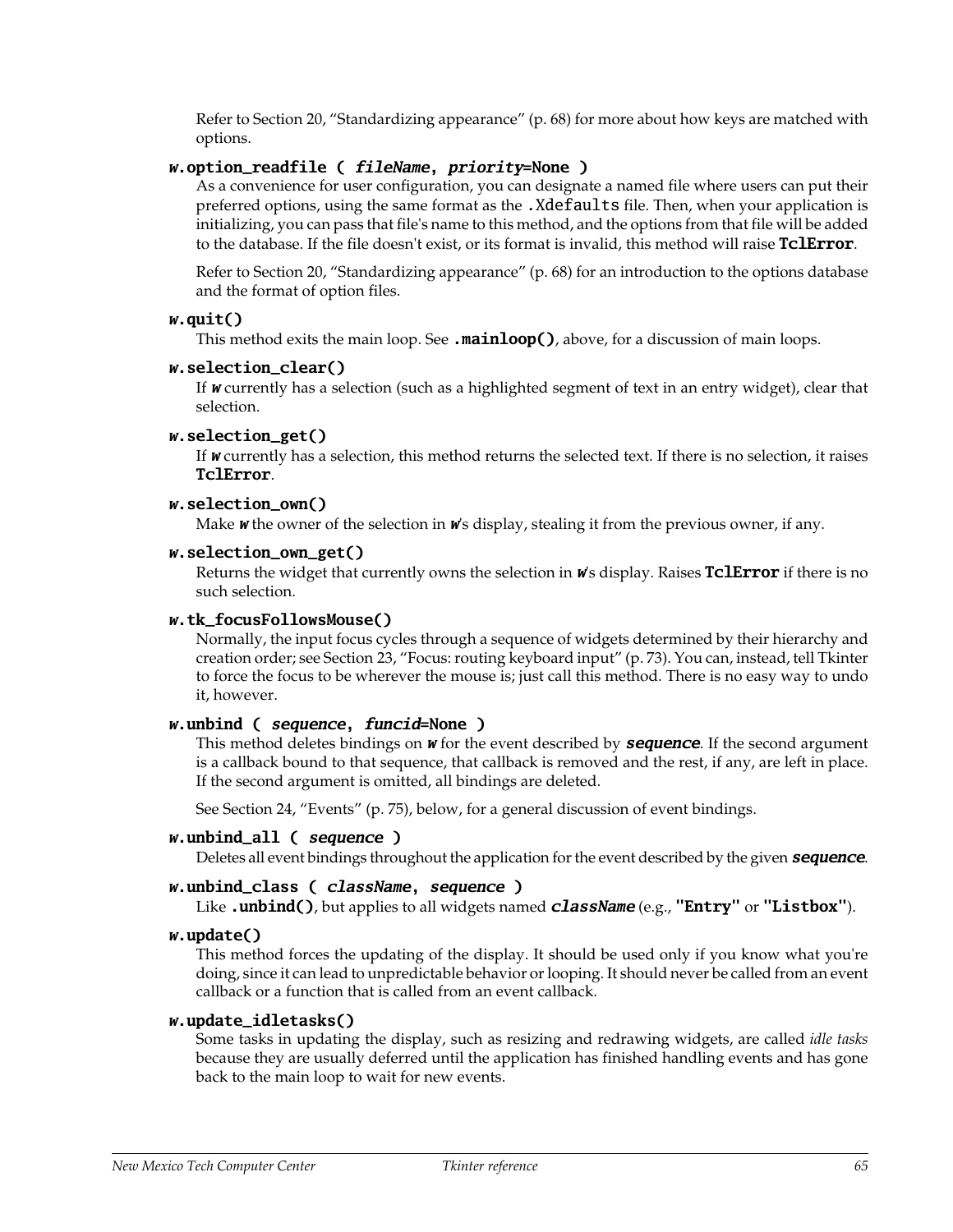Refer to Section [20, "Standardizing appearance" \(p. 68\)](#page-67-0) for more about how keys are matched with options.

## <span id="page-64-0"></span>*w***.option\_readfile (** *fileName***,** *priority***=None )**

As a convenience for user configuration, you can designate a named file where users can put their preferred options, using the same format as the . Xdefaults file. Then, when your application is initializing, you can pass that file's name to this method, and the options from that file will be added to the database. If the file doesn't exist, or its format is invalid, this method will raise **TclError**.

Refer to Section [20, "Standardizing appearance" \(p. 68\)](#page-67-0) for an introduction to the options database and the format of option files.

#### *w***.quit()**

This method exits the main loop. See **.mainloop()**, above, for a discussion of main loops.

#### *w***.selection\_clear()**

If *w* currently has a selection (such as a highlighted segment of text in an entry widget), clear that selection.

#### *w***.selection\_get()**

If *w* currently has a selection, this method returns the selected text. If there is no selection, it raises **TclError**.

#### *w***.selection\_own()**

Make *w* the owner of the selection in *w*'s display, stealing it from the previous owner, if any.

#### *w***.selection\_own\_get()**

Returns the widget that currently owns the selection in *w*'s display. Raises **TclError** if there is no such selection.

#### *w***.tk\_focusFollowsMouse()**

Normally, the input focus cycles through a sequence of widgets determined by their hierarchy and creation order; see Section [23, "Focus: routing keyboard input" \(p. 73\).](#page-72-0) You can, instead, tell Tkinter to force the focus to be wherever the mouse is; just call this method. There is no easy way to undo it, however.

#### *w***.unbind (** *sequence***,** *funcid***=None )**

This method deletes bindings on *w* for the event described by *sequence*. If the second argument is a callback bound to that sequence, that callback is removed and the rest, if any, are left in place. If the second argument is omitted, all bindings are deleted.

See Section [24, "Events" \(p. 75\),](#page-74-0) below, for a general discussion of event bindings.

#### *w***.unbind\_all (** *sequence* **)**

Deletes all event bindings throughout the application for the event described by the given *sequence*.

#### *w***.unbind\_class (** *className***,** *sequence* **)**

Like **.unbind()**, but applies to all widgets named *className* (e.g., **"Entry"** or **"Listbox"**).

#### <span id="page-64-1"></span>*w***.update()**

This method forces the updating of the display. It should be used only if you know what you're doing, since it can lead to unpredictable behavior or looping. It should never be called from an event callback or a function that is called from an event callback.

#### *w***.update\_idletasks()**

Some tasks in updating the display, such as resizing and redrawing widgets, are called *idle tasks* because they are usually deferred until the application has finished handling events and has gone back to the main loop to wait for new events.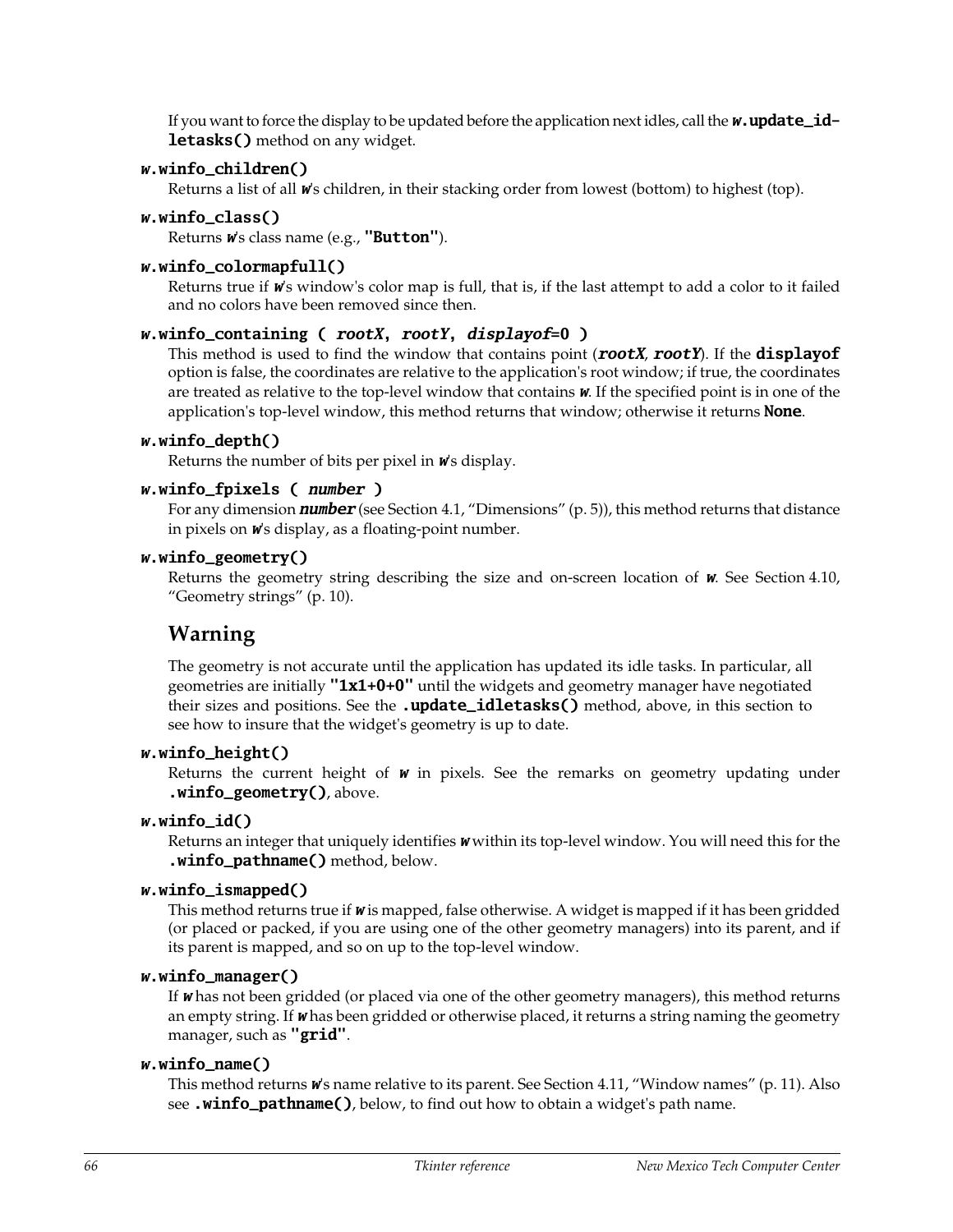If you want to force the display to be updated before the application next idles, call the *w***.update\_idletasks()** method on any widget.

### *w***.winfo\_children()**

Returns a list of all *w*'s children, in their stacking order from lowest (bottom) to highest (top).

#### *w***.winfo\_class()**

Returns *w*'s class name (e.g., **"Button"**).

### *w***.winfo\_colormapfull()**

Returns true if *w*'s window's color map is full, that is, if the last attempt to add a color to it failed and no colors have been removed since then.

### *w***.winfo\_containing (** *rootX***,** *rootY***,** *displayof***=0 )**

This method is used to find the window that contains point (*rootX*, *rootY*). If the **displayof** option is false, the coordinates are relative to the application's root window; if true, the coordinates are treated as relative to the top-level window that contains *w*. If the specified point is in one of the application's top-level window, this method returns that window; otherwise it returns **None**.

### *w***.winfo\_depth()**

Returns the number of bits per pixel in *w*'s display.

### *w***.winfo\_fpixels (** *number* **)**

For any dimension *number* (see Section [4.1, "Dimensions" \(p. 5\)\)](#page-4-0), this method returns that distance in pixels on *w*'s display, as a floating-point number.

#### *w***.winfo\_geometry()**

Returns the geometry string describing the size and on-screen location of *w*. See [Section](#page-9-1) 4.10, ["Geometry strings" \(p. 10\).](#page-9-1)

# **Warning**

The geometry is not accurate until the application has updated its idle tasks. In particular, all geometries are initially **"1x1+0+0"** until the widgets and geometry manager have negotiated their sizes and positions. See the **.update\_idletasks()** method, above, in this section to see how to insure that the widget's geometry is up to date.

### *w***.winfo\_height()**

Returns the current height of *w* in pixels. See the remarks on geometry updating under **.winfo\_geometry()**, above.

### *w***.winfo\_id()**

Returns an integer that uniquely identifies *w* within its top-level window. You will need this for the **.winfo\_pathname()** method, below.

### *w***.winfo\_ismapped()**

This method returns true if *w* is mapped, false otherwise. A widget is mapped if it has been gridded (or placed or packed, if you are using one of the other geometry managers) into its parent, and if its parent is mapped, and so on up to the top-level window.

### *w***.winfo\_manager()**

If *w* has not been gridded (or placed via one of the other geometry managers), this method returns an empty string. If *w* has been gridded or otherwise placed, it returns a string naming the geometry manager, such as **"grid"**.

#### *w***.winfo\_name()**

This method returns *w*'s name relative to its parent. See Section [4.11, "Window names" \(p. 11\)](#page-10-0). Also see **.winfo\_pathname()**, below, to find out how to obtain a widget's path name.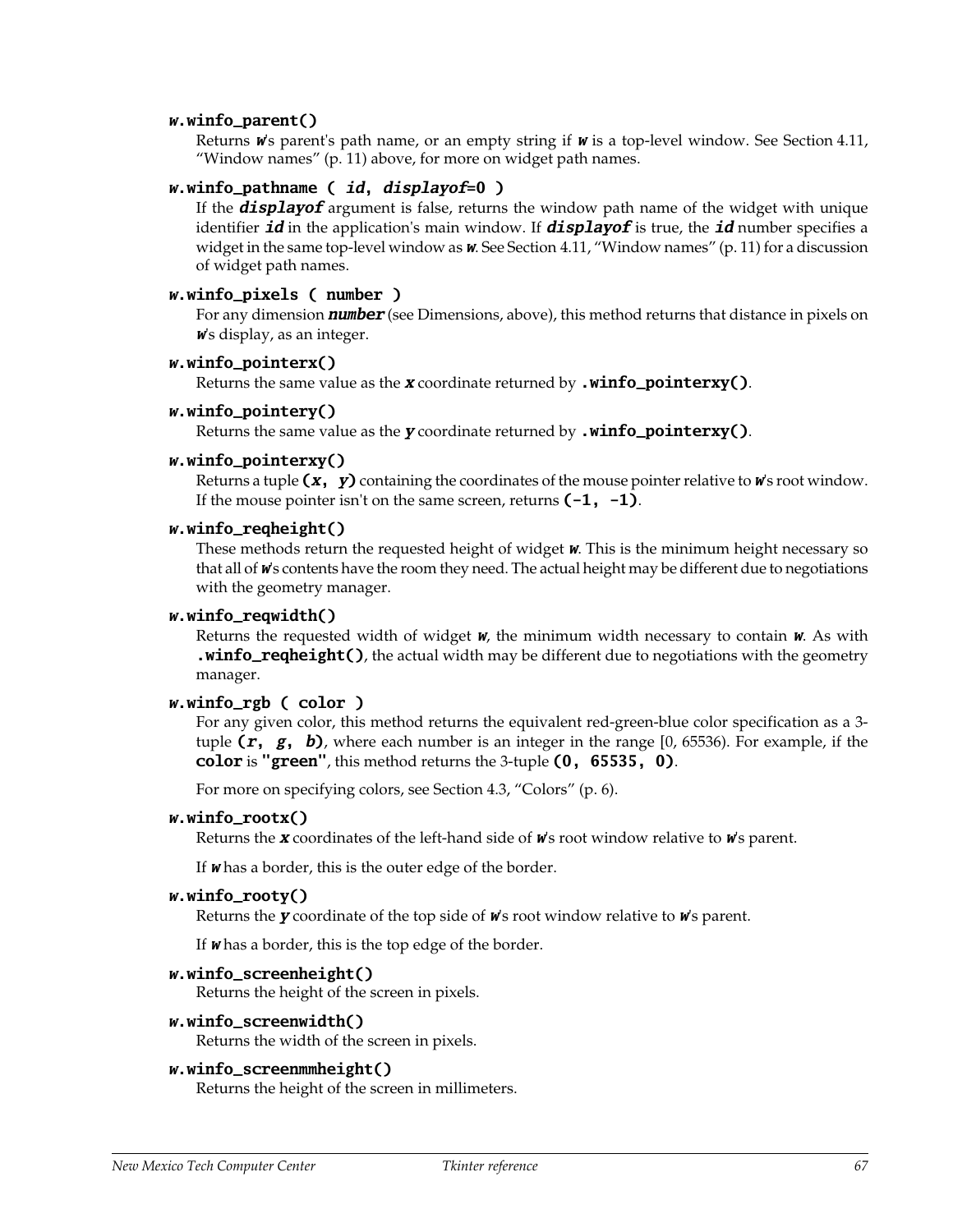#### *w***.winfo\_parent()**

Returns *w*'s parent's path name, or an empty string if *w* is a top-level window. See [Section](#page-10-0) 4.11, ["Window names" \(p. 11\)](#page-10-0) above, for more on widget path names.

### *w***.winfo\_pathname (** *id***,** *displayof***=0 )**

If the *displayof* argument is false, returns the window path name of the widget with unique identifier *id* in the application's main window. If *displayof* is true, the *id* number specifies a widget in the same top-level window as *w*. See Section [4.11, "Window names" \(p. 11\)](#page-10-0) for a discussion of widget path names.

#### *w***.winfo\_pixels ( number )**

For any dimension *number* (see Dimensions, above), this method returns that distance in pixels on *w*'s display, as an integer.

#### *w***.winfo\_pointerx()**

Returns the same value as the *x* coordinate returned by **.winfo\_pointerxy()**.

#### *w***.winfo\_pointery()**

Returns the same value as the *y* coordinate returned by **.winfo\_pointerxy()**.

#### <span id="page-66-0"></span>*w***.winfo\_pointerxy()**

Returns a tuple **(***x***,** *y***)** containing the coordinates of the mouse pointer relative to *w*'s root window. If the mouse pointer isn't on the same screen, returns **(-1, -1)**.

#### *w***.winfo\_reqheight()**

These methods return the requested height of widget *w*. This is the minimum height necessary so that all of *w*'s contents have the room they need. The actual height may be different due to negotiations with the geometry manager.

#### *w***.winfo\_reqwidth()**

Returns the requested width of widget *w*, the minimum width necessary to contain *w*. As with **[.winfo\\_reqheight\(\)](#page-66-0)**, the actual width may be different due to negotiations with the geometry manager.

#### *w***.winfo\_rgb ( color )**

For any given color, this method returns the equivalent red-green-blue color specification as a 3 tuple  $(r, g, b)$ , where each number is an integer in the range  $[0, 65536)$ . For example, if the **color** is **"green"**, this method returns the 3-tuple **(0, 65535, 0)**.

For more on specifying colors, see Section [4.3, "Colors" \(p. 6\).](#page-5-0)

#### *w***.winfo\_rootx()**

Returns the *x* coordinates of the left-hand side of *w*'s root window relative to *w*'s parent.

If *w* has a border, this is the outer edge of the border.

#### *w***.winfo\_rooty()**

Returns the *y* coordinate of the top side of *w*'s root window relative to *w*'s parent.

If *w* has a border, this is the top edge of the border.

#### *w***.winfo\_screenheight()**

Returns the height of the screen in pixels.

#### *w***.winfo\_screenwidth()**

Returns the width of the screen in pixels.

#### *w***.winfo\_screenmmheight()**

Returns the height of the screen in millimeters.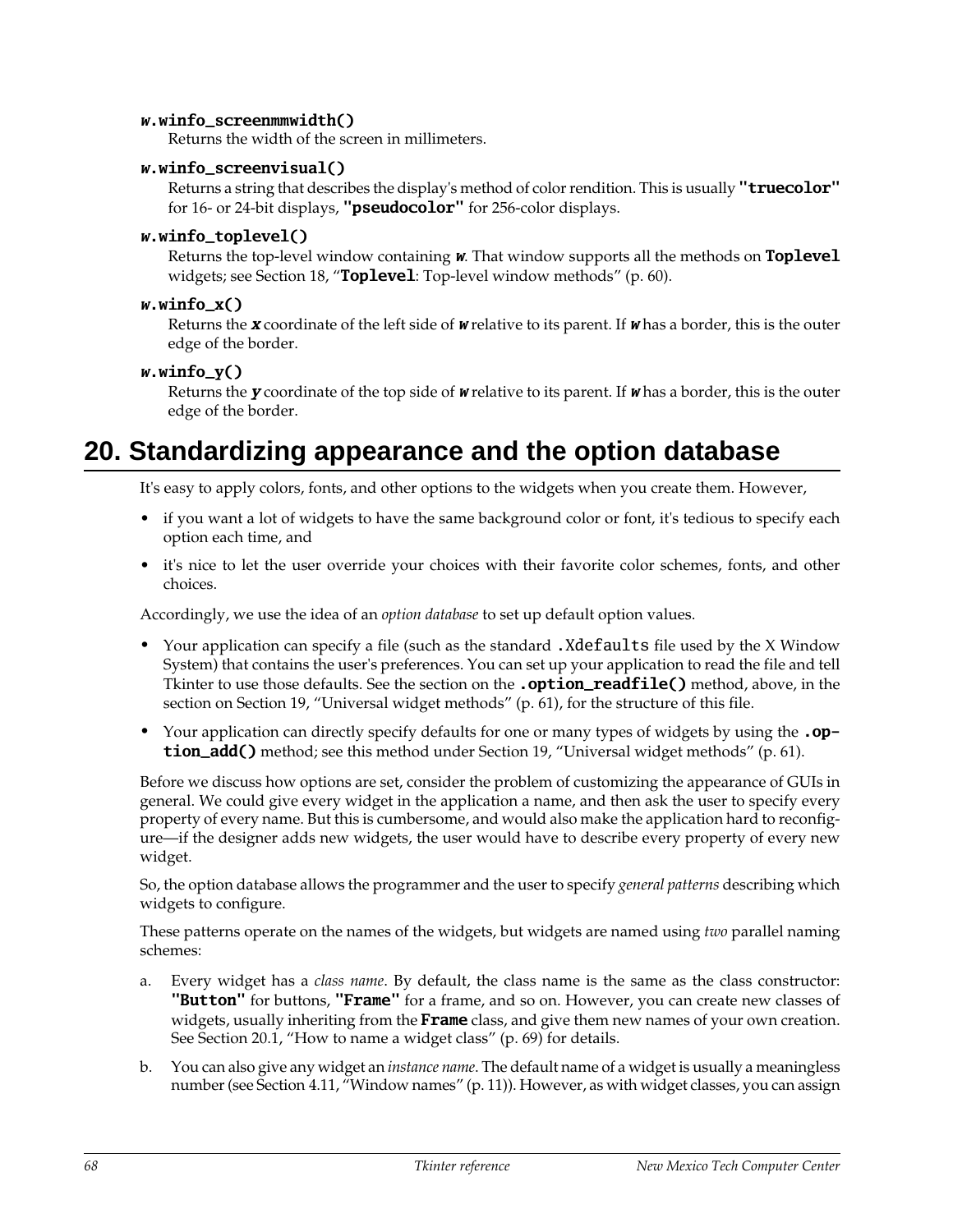#### *w***.winfo\_screenmmwidth()**

Returns the width of the screen in millimeters.

#### *w***.winfo\_screenvisual()**

Returns a string that describes the display's method of color rendition. This is usually **"truecolor"** for 16- or 24-bit displays, **"pseudocolor"** for 256-color displays.

#### *w***.winfo\_toplevel()**

Returns the top-level window containing *w*. That window supports all the methods on **Toplevel** widgets; see Section 18, "**Toplevel**[: Top-level window methods" \(p. 60\).](#page-59-0)

#### *w***.winfo\_x()**

Returns the *x* coordinate of the left side of *w* relative to its parent. If *w* has a border, this is the outer edge of the border.

### <span id="page-67-0"></span>*w***.winfo\_y()**

Returns the *y* coordinate of the top side of *w* relative to its parent. If *w* has a border, this is the outer edge of the border.

# **20. Standardizing appearance and the option database**

It's easy to apply colors, fonts, and other options to the widgets when you create them. However,

- if you want a lot of widgets to have the same background color or font, it's tedious to specify each option each time, and
- it's nice to let the user override your choices with their favorite color schemes, fonts, and other choices.

Accordingly, we use the idea of an *option database* to set up default option values.

- Your application can specify a file (such as the standard . Xdefaults file used by the X Window System) that contains the user's preferences. You can set up your application to read the file and tell Tkinter to use those defaults. See the section on the **[.option\\_readfile\(\)](#page-64-0)** method, above, in the section on Section [19, "Universal widget methods" \(p. 61\)](#page-60-0), for the structure of this file.
- Your application can directly specify defaults for one or many types of widgets by using the **[.op](#page-63-0)[tion\\_add\(\)](#page-63-0)** method; see this method under Section [19, "Universal widget methods" \(p. 61\).](#page-60-0)

Before we discuss how options are set, consider the problem of customizing the appearance of GUIs in general. We could give every widget in the application a name, and then ask the user to specify every property of every name. But this is cumbersome, and would also make the application hard to reconfigure—if the designer adds new widgets, the user would have to describe every property of every new widget.

So, the option database allows the programmer and the user to specify *general patterns* describing which widgets to configure.

These patterns operate on the names of the widgets, but widgets are named using *two* parallel naming schemes:

- a. Every widget has a *class name*. By default, the class name is the same as the class constructor: **"Button"** for buttons, **"Frame"** for a frame, and so on. However, you can create new classes of widgets, usually inheriting from the **Frame** class, and give them new names of your own creation. See Section [20.1, "How to name a widget class" \(p. 69\)](#page-68-0) for details.
- b. You can also give any widget an *instance name*. The default name of a widget is usually a meaningless number (see Section [4.11, "Window names" \(p. 11\)](#page-10-0)). However, as with widget classes, you can assign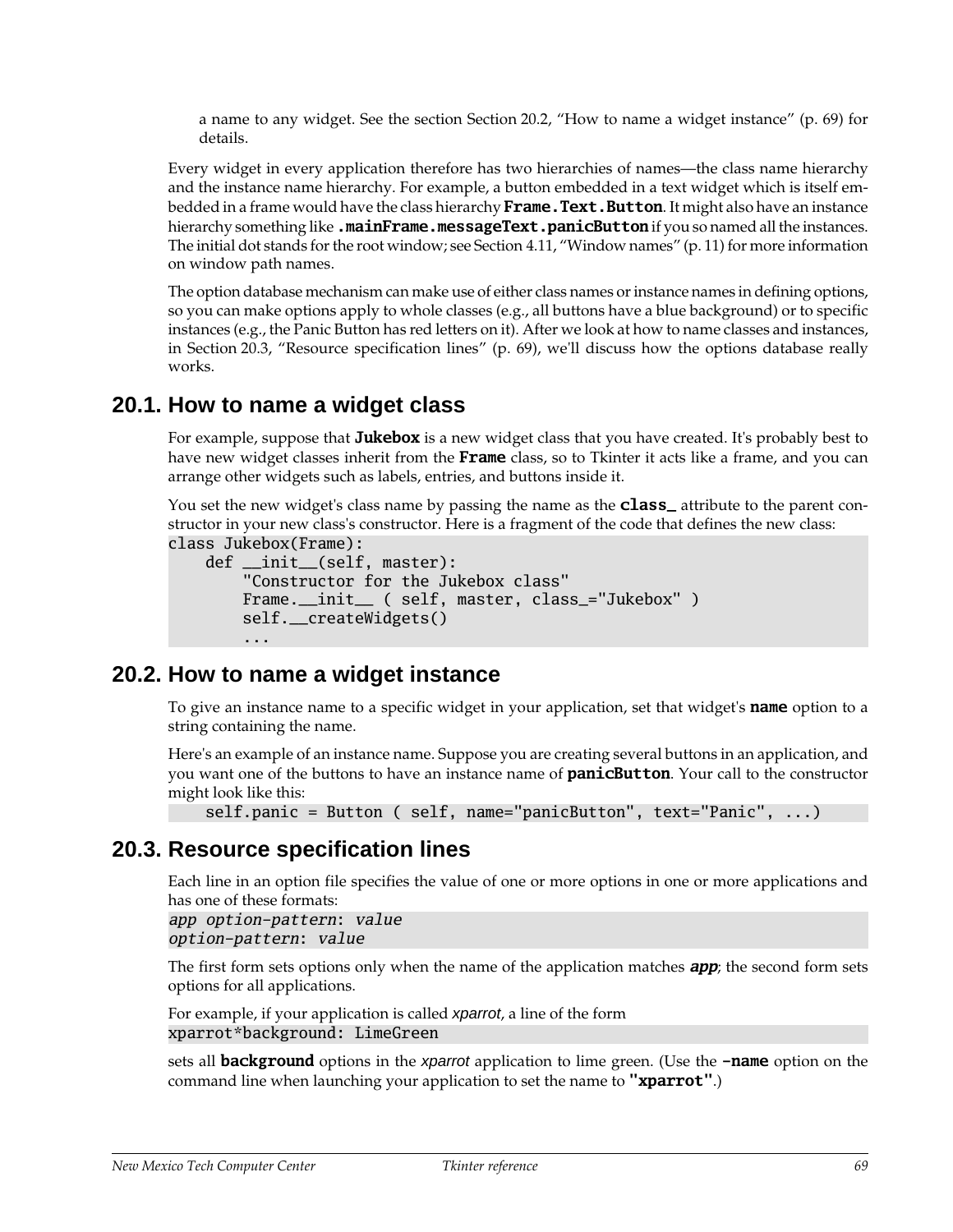a name to any widget. See the section Section [20.2, "How to name a widget instance" \(p. 69\)](#page-68-1) for details.

Every widget in every application therefore has two hierarchies of names—the class name hierarchy and the instance name hierarchy. For example, a button embedded in a text widget which is itself embedded in a frame would have the class hierarchy **Frame.Text.Button**. It might also have an instance hierarchy something like **.mainFrame.messageText.panicButton** if you so named all the instances. The initial dot stands for the root window; see Section [4.11, "Window names" \(p. 11\)](#page-10-0) for more information on window path names.

<span id="page-68-0"></span>The option database mechanism can make use of either class names or instance names in defining options, so you can make options apply to whole classes (e.g., all buttons have a blue background) or to specific instances (e.g., the Panic Button has red letters on it). After we look at how to name classes and instances, in Section [20.3, "Resource specification lines" \(p. 69\)](#page-68-2), we'll discuss how the options database really works.

# **20.1. How to name a widget class**

For example, suppose that **Jukebox** is a new widget class that you have created. It's probably best to have new widget classes inherit from the **Frame** class, so to Tkinter it acts like a frame, and you can arrange other widgets such as labels, entries, and buttons inside it.

You set the new widget's class name by passing the name as the **class\_** attribute to the parent constructor in your new class's constructor. Here is a fragment of the code that defines the new class: class Jukebox(Frame):

```
def __init__(self, master):
    "Constructor for the Jukebox class"
   Frame.__init__ ( self, master, class_="Jukebox" )
    self.__createWidgets()
    ...
```
# **20.2. How to name a widget instance**

To give an instance name to a specific widget in your application, set that widget's **name** option to a string containing the name.

<span id="page-68-2"></span>Here's an example of an instance name. Suppose you are creating several buttons in an application, and you want one of the buttons to have an instance name of **panicButton**. Your call to the constructor might look like this:

```
self.panic = Button ( self, name="panicButton", text="Panic", ...)
```
# **20.3. Resource specification lines**

Each line in an option file specifies the value of one or more options in one or more applications and has one of these formats:

*app option-pattern*: *value option-pattern*: *value*

The first form sets options only when the name of the application matches *app*; the second form sets options for all applications.

For example, if your application is called *xparrot*, a line of the form xparrot\*background: LimeGreen

sets all **background** options in the *xparrot* application to lime green. (Use the **-name** option on the command line when launching your application to set the name to **"xparrot"**.)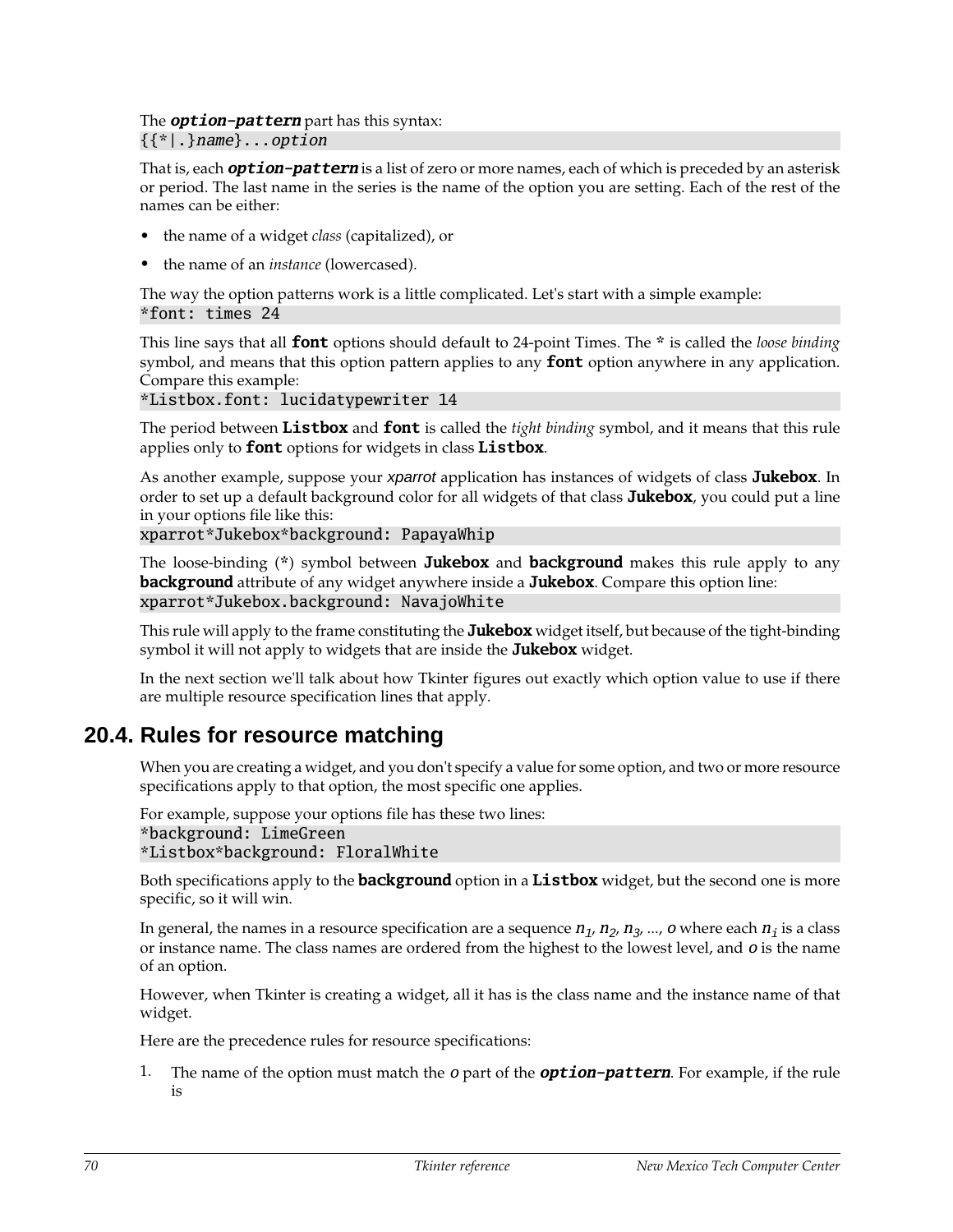## The *option-pattern* part has this syntax:

### {{\*|.}*name*}...*option*

That is, each *option-pattern* is a list of zero or more names, each of which is preceded by an asterisk or period. The last name in the series is the name of the option you are setting. Each of the rest of the names can be either:

- the name of a widget *class* (capitalized), or
- the name of an *instance* (lowercased).

The way the option patterns work is a little complicated. Let's start with a simple example: \*font: times 24

This line says that all **font** options should default to 24-point Times. The **\*** is called the *loose binding* symbol, and means that this option pattern applies to any **font** option anywhere in any application. Compare this example:

\*Listbox.font: lucidatypewriter 14

The period between **Listbox** and **font** is called the *tight binding* symbol, and it means that this rule applies only to **font** options for widgets in class **Listbox**.

As another example, suppose your *xparrot* application has instances of widgets of class **Jukebox**. In order to set up a default background color for all widgets of that class **Jukebox**, you could put a line in your options file like this:

xparrot\*Jukebox\*background: PapayaWhip

The loose-binding (**\***) symbol between **Jukebox** and **background** makes this rule apply to any **background** attribute of any widget anywhere inside a **Jukebox**. Compare this option line: xparrot\*Jukebox.background: NavajoWhite

This rule will apply to the frame constituting the **Jukebox** widget itself, but because of the tight-binding symbol it will not apply to widgets that are inside the **Jukebox** widget.

In the next section we'll talk about how Tkinter figures out exactly which option value to use if there are multiple resource specification lines that apply.

# **20.4. Rules for resource matching**

When you are creating a widget, and you don't specify a value for some option, and two or more resource specifications apply to that option, the most specific one applies.

For example, suppose your options file has these two lines: \*background: LimeGreen \*Listbox\*background: FloralWhite

Both specifications apply to the **background** option in a **Listbox** widget, but the second one is more specific, so it will win.

In general, the names in a resource specification are a sequence  $n_1$ ,  $n_2$ ,  $n_3$ , ...,  $o$  where each  $n_i$  is a class or instance name. The class names are ordered from the highest to the lowest level, and *o* is the name of an option.

However, when Tkinter is creating a widget, all it has is the class name and the instance name of that widget.

Here are the precedence rules for resource specifications:

1. The name of the option must match the *o* part of the *option-pattern*. For example, if the rule is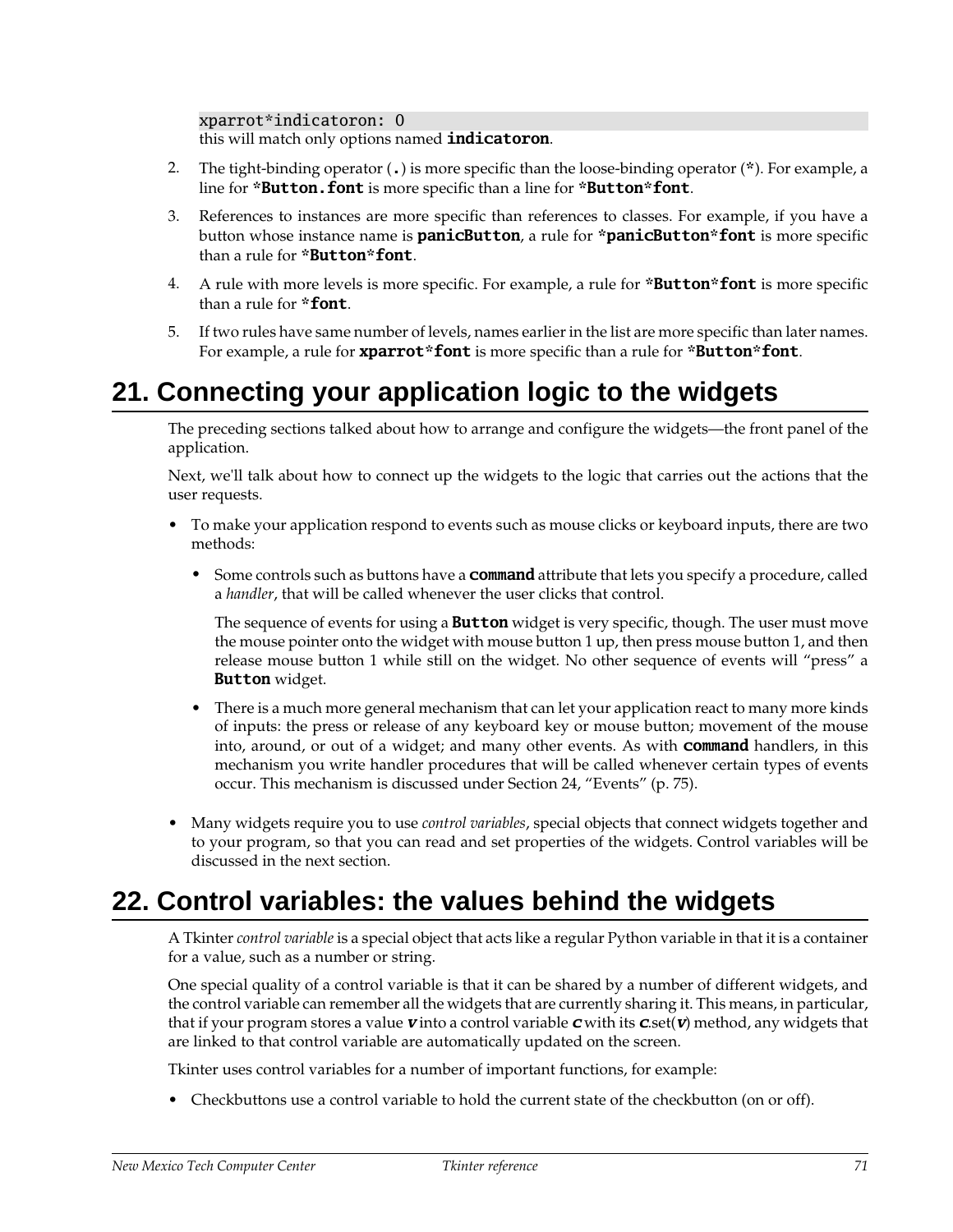xparrot\*indicatoron: 0

this will match only options named **indicatoron**.

- 2. The tight-binding operator (**.**) is more specific than the loose-binding operator (**\***). For example, a line for **\*Button.font** is more specific than a line for **\*Button\*font**.
- 3. References to instances are more specific than references to classes. For example, if you have a button whose instance name is **panicButton**, a rule for **\*panicButton\*font** is more specific than a rule for **\*Button\*font**.
- 4. A rule with more levels is more specific. For example, a rule for **\*Button\*font** is more specific than a rule for **\*font**.
- 5. If two rules have same number of levels, names earlier in the list are more specific than later names. For example, a rule for **xparrot**\*font is more specific than a rule for \*Button\*font.

# **21. Connecting your application logic to the widgets**

The preceding sections talked about how to arrange and configure the widgets—the front panel of the application.

Next, we'll talk about how to connect up the widgets to the logic that carries out the actions that the user requests.

- To make your application respond to events such as mouse clicks or keyboard inputs, there are two methods:
	- Some controls such as buttons have a **command** attribute that lets you specify a procedure, called a *handler*, that will be called whenever the user clicks that control.

The sequence of events for using a **Button** widget is very specific, though. The user must move the mouse pointer onto the widget with mouse button 1 up, then press mouse button 1, and then release mouse button 1 while still on the widget. No other sequence of events will "press" a **Button** widget.

- There is a much more general mechanism that can let your application react to many more kinds of inputs: the press or release of any keyboard key or mouse button; movement of the mouse into, around, or out of a widget; and many other events. As with **command** handlers, in this mechanism you write handler procedures that will be called whenever certain types of events occur. This mechanism is discussed under Section [24, "Events" \(p. 75\)](#page-74-0).
- <span id="page-70-0"></span>• Many widgets require you to use *control variables*, special objects that connect widgets together and to your program, so that you can read and set properties of the widgets. Control variables will be discussed in the next section.

# **22. Control variables: the values behind the widgets**

A Tkinter *control variable* is a special object that acts like a regular Python variable in that it is a container for a value, such as a number or string.

One special quality of a control variable is that it can be shared by a number of different widgets, and the control variable can remember all the widgets that are currently sharing it. This means, in particular, that if your program stores a value *v* into a control variable *c* with its *c*.set(*v*) method, any widgets that are linked to that control variable are automatically updated on the screen.

Tkinter uses control variables for a number of important functions, for example:

• Checkbuttons use a control variable to hold the current state of the checkbutton (on or off).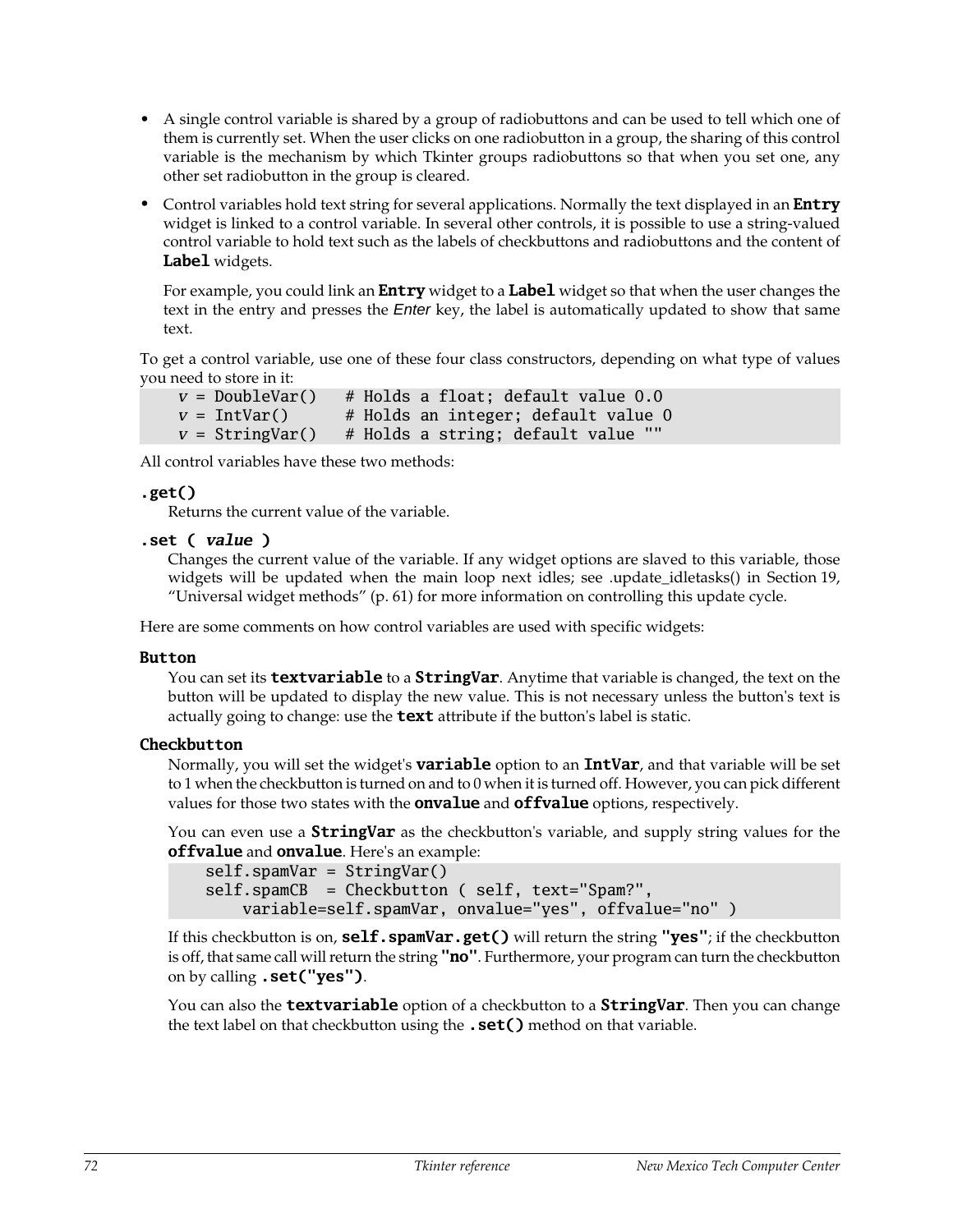- A single control variable is shared by a group of radiobuttons and can be used to tell which one of them is currently set. When the user clicks on one radiobutton in a group, the sharing of this control variable is the mechanism by which Tkinter groups radiobuttons so that when you set one, any other set radiobutton in the group is cleared.
- Control variables hold text string for several applications. Normally the text displayed in an **Entry** widget is linked to a control variable. In several other controls, it is possible to use a string-valued control variable to hold text such as the labels of checkbuttons and radiobuttons and the content of **Label** widgets.

For example, you could link an **Entry** widget to a **Label** widget so that when the user changes the text in the entry and presses the *Enter* key, the label is automatically updated to show that same text.

To get a control variable, use one of these four class constructors, depending on what type of values you need to store in it:

```
v = DoubleVar() # Holds a float; default value 0.0v = IntVar() # Holds an integer; default value 0
v = StringVar() # Holds a string; default value ""
```
All control variables have these two methods:

### **.get()**

Returns the current value of the variable.

#### **.set (** *value* **)**

Changes the current value of the variable. If any widget options are slaved to this variable, those widgets will be updated when the main loop next idles; see [.update\\_idletasks\(\)](#page-64-1) in [Section](#page-60-0) 19, ["Universal widget methods" \(p. 61\)](#page-60-0) for more information on controlling this update cycle.

Here are some comments on how control variables are used with specific widgets:

#### **Button**

You can set its **textvariable** to a **StringVar**. Anytime that variable is changed, the text on the button will be updated to display the new value. This is not necessary unless the button's text is actually going to change: use the **text** attribute if the button's label is static.

### **Checkbutton**

Normally, you will set the widget's **variable** option to an **IntVar**, and that variable will be set to 1 when the checkbutton is turned on and to 0 when it is turned off. However, you can pick different values for those two states with the **onvalue** and **offvalue** options, respectively.

You can even use a **StringVar** as the checkbutton's variable, and supply string values for the **offvalue** and **onvalue**. Here's an example:

```
self.spamVar = StringVar()
self.spamCB = Checkbutton ( self, text="Spam?",
   variable=self.spamVar, onvalue="yes", offvalue="no" )
```
If this checkbutton is on, **self.spamVar.get()** will return the string **"yes"**; if the checkbutton is off, that same call will return the string **"no"**. Furthermore, your program can turn the checkbutton on by calling **.set("yes")**.

You can also the **textvariable** option of a checkbutton to a **StringVar**. Then you can change the text label on that checkbutton using the **.set()** method on that variable.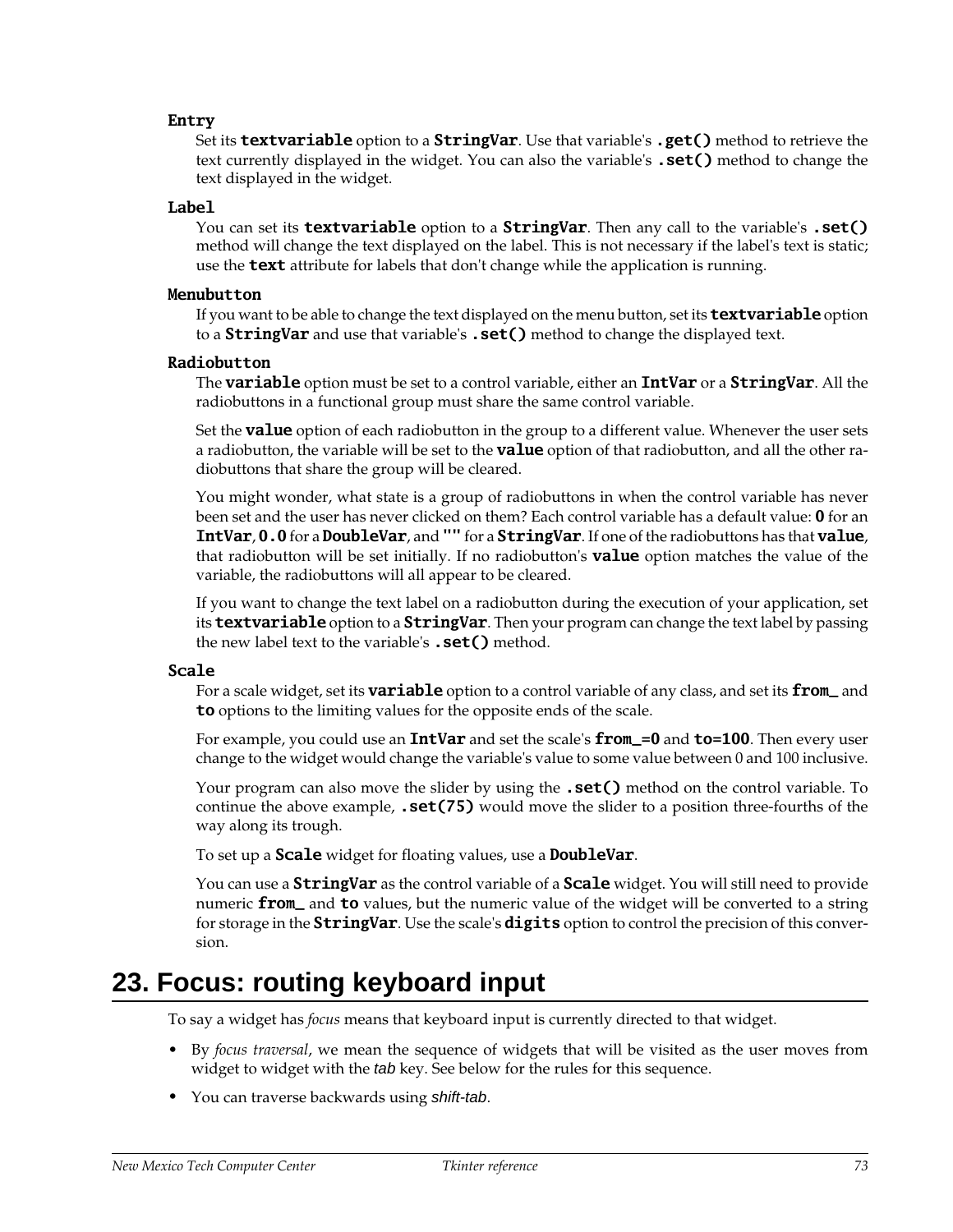#### **Entry**

Set its **textvariable** option to a **StringVar**. Use that variable's **.get()** method to retrieve the text currently displayed in the widget. You can also the variable's **.set()** method to change the text displayed in the widget.

#### **Label**

You can set its **textvariable** option to a **StringVar**. Then any call to the variable's **.set()** method will change the text displayed on the label. This is not necessary if the label's text is static; use the **text** attribute for labels that don't change while the application is running.

#### **Menubutton**

If you want to be able to change the text displayed on the menu button, set its **textvariable** option to a **StringVar** and use that variable's **.set()** method to change the displayed text.

#### **Radiobutton**

The **variable** option must be set to a control variable, either an **IntVar** or a **StringVar**. All the radiobuttons in a functional group must share the same control variable.

Set the **value** option of each radiobutton in the group to a different value. Whenever the user sets a radiobutton, the variable will be set to the **value** option of that radiobutton, and all the other radiobuttons that share the group will be cleared.

You might wonder, what state is a group of radiobuttons in when the control variable has never been set and the user has never clicked on them? Each control variable has a default value: **0** for an **IntVar**, **0.0** for a **DoubleVar**, and **""** for a **StringVar**. If one of the radiobuttons has that **value**, that radiobutton will be set initially. If no radiobutton's **value** option matches the value of the variable, the radiobuttons will all appear to be cleared.

If you want to change the text label on a radiobutton during the execution of your application, set its **textvariable** option to a **StringVar**. Then your program can change the text label by passing the new label text to the variable's **.set()** method.

#### **Scale**

For a scale widget, set its **variable** option to a control variable of any class, and set its **from\_** and **to** options to the limiting values for the opposite ends of the scale.

For example, you could use an **IntVar** and set the scale's **from\_=0** and **to=100**. Then every user change to the widget would change the variable's value to some value between 0 and 100 inclusive.

Your program can also move the slider by using the **.set()** method on the control variable. To continue the above example, **.set(75)** would move the slider to a position three-fourths of the way along its trough.

To set up a **Scale** widget for floating values, use a **DoubleVar**.

<span id="page-72-0"></span>You can use a **StringVar** as the control variable of a **Scale** widget. You will still need to provide numeric **from\_** and **to** values, but the numeric value of the widget will be converted to a string for storage in the **StringVar**. Use the scale's **digits** option to control the precision of this conversion.

## **23. Focus: routing keyboard input**

To say a widget has *focus* means that keyboard input is currently directed to that widget.

- By *focus traversal*, we mean the sequence of widgets that will be visited as the user moves from widget to widget with the *tab* key. See below for the rules for this sequence.
- You can traverse backwards using *shift-tab*.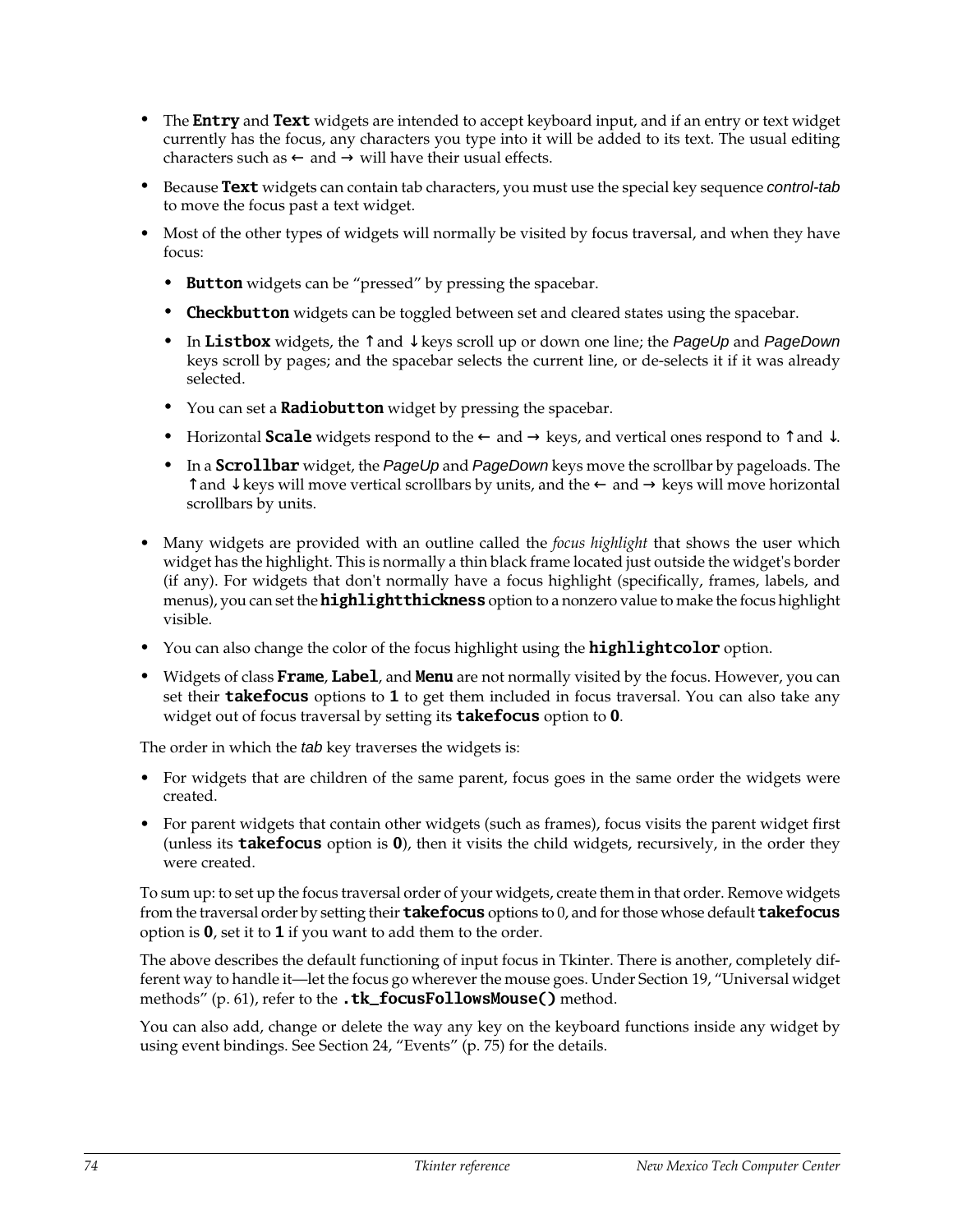- The **Entry** and **Text** widgets are intended to accept keyboard input, and if an entry or text widget currently has the focus, any characters you type into it will be added to its text. The usual editing characters such as  $\leftarrow$  and  $\rightarrow$  will have their usual effects.
- Because **Text** widgets can contain tab characters, you must use the special key sequence *control-tab* to move the focus past a text widget.
- Most of the other types of widgets will normally be visited by focus traversal, and when they have focus:
	- **Button** widgets can be "pressed" by pressing the spacebar.
	- **Checkbutton** widgets can be toggled between set and cleared states using the spacebar.
	- In **Listbox** widgets, the ↑ and ↓ keys scroll up or down one line; the *PageUp* and *PageDown* keys scroll by pages; and the spacebar selects the current line, or de-selects it if it was already selected.
	- You can set a **Radiobutton** widget by pressing the spacebar.
	- Horizontal **Scale** widgets respond to the  $\leftarrow$  and  $\rightarrow$  keys, and vertical ones respond to  $\uparrow$  and  $\downarrow$ .
	- In a **Scrollbar** widget, the *PageUp* and *PageDown* keys move the scrollbar by pageloads. The  $\uparrow$  and  $\downarrow$  keys will move vertical scrollbars by units, and the  $\leftarrow$  and  $\rightarrow$  keys will move horizontal scrollbars by units.
- Many widgets are provided with an outline called the *focus highlight* that shows the user which widget has the highlight. This is normally a thin black frame located just outside the widget's border (if any). For widgets that don't normally have a focus highlight (specifically, frames, labels, and menus), you can set the **highlightthickness** option to a nonzero value to make the focus highlight visible.
- You can also change the color of the focus highlight using the **highlightcolor** option.
- Widgets of class **Frame**, **Label**, and **Menu** are not normally visited by the focus. However, you can set their **takefocus** options to **1** to get them included in focus traversal. You can also take any widget out of focus traversal by setting its **takefocus** option to **0**.

The order in which the *tab* key traverses the widgets is:

- For widgets that are children of the same parent, focus goes in the same order the widgets were created.
- For parent widgets that contain other widgets (such as frames), focus visits the parent widget first (unless its **takefocus** option is **0**), then it visits the child widgets, recursively, in the order they were created.

To sum up: to set up the focus traversal order of your widgets, create them in that order. Remove widgets from the traversal order by setting their **takefocus** options to 0, and for those whose default **takefocus** option is **0**, set it to **1** if you want to add them to the order.

The above describes the default functioning of input focus in Tkinter. There is another, completely different way to handle it—let the focus go wherever the mouse goes. Under Section [19, "Universal widget](#page-60-0) [methods" \(p. 61\),](#page-60-0) refer to the **.tk\_focusFollowsMouse()** method.

You can also add, change or delete the way any key on the keyboard functions inside any widget by using event bindings. See Section [24, "Events" \(p. 75\)](#page-74-0) for the details.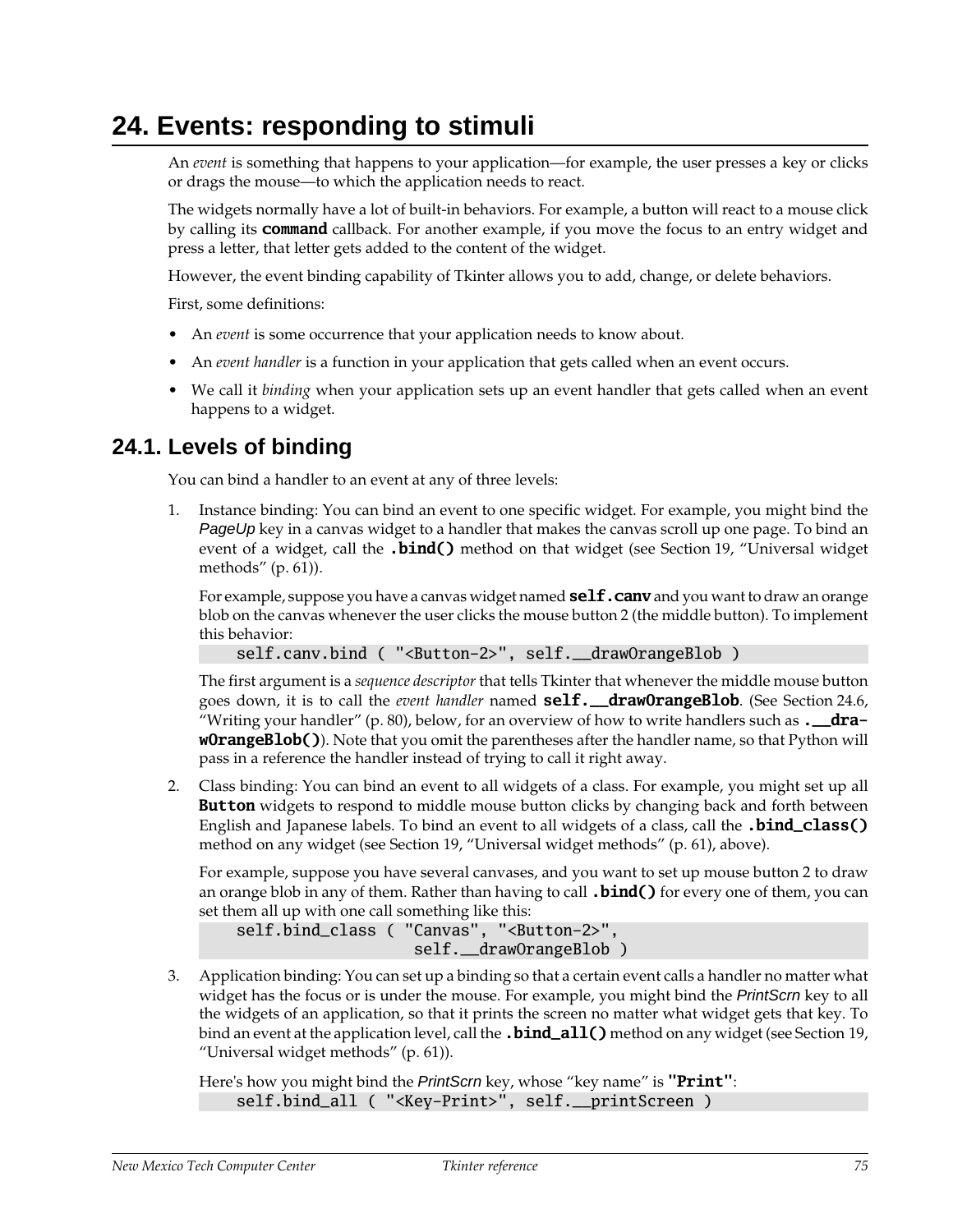# <span id="page-74-0"></span>**24. Events: responding to stimuli**

An *event* is something that happens to your application—for example, the user presses a key or clicks or drags the mouse—to which the application needs to react.

The widgets normally have a lot of built-in behaviors. For example, a button will react to a mouse click by calling its **command** callback. For another example, if you move the focus to an entry widget and press a letter, that letter gets added to the content of the widget.

However, the event binding capability of Tkinter allows you to add, change, or delete behaviors.

First, some definitions:

- An *event* is some occurrence that your application needs to know about.
- An *event handler* is a function in your application that gets called when an event occurs.
- <span id="page-74-1"></span>• We call it *binding* when your application sets up an event handler that gets called when an event happens to a widget.

### **24.1. Levels of binding**

You can bind a handler to an event at any of three levels:

1. Instance binding: You can bind an event to one specific widget. For example, you might bind the *PageUp* key in a canvas widget to a handler that makes the canvas scroll up one page. To bind an event of a widget, call the **[.bind\(\)](#page-60-1)** method on that widget (see Section [19, "Universal widget](#page-60-0) [methods" \(p. 61\)\)](#page-60-0).

For example, suppose you have a canvas widget named **self.canv** and you want to draw an orange blob on the canvas whenever the user clicks the mouse button 2 (the middle button). To implement this behavior:

self.canv.bind ( "<Button-2>", self.\_\_drawOrangeBlob )

The first argument is a *sequence descriptor* that tells Tkinter that whenever the middle mouse button goes down, it is to call the *event handler* named **self.\_\_drawOrangeBlob**. (See [Section](#page-79-0) 24.6, ["Writing your handler" \(p. 80\)](#page-79-0), below, for an overview of how to write handlers such as **.\_\_drawOrangeBlob()**). Note that you omit the parentheses after the handler name, so that Python will pass in a reference the handler instead of trying to call it right away.

2. Class binding: You can bind an event to all widgets of a class. For example, you might set up all **Button** widgets to respond to middle mouse button clicks by changing back and forth between English and Japanese labels. To bind an event to all widgets of a class, call the **[.bind\\_class\(\)](#page-61-0)** method on any widget (see Section [19, "Universal widget methods" \(p. 61\),](#page-60-0) above).

For example, suppose you have several canvases, and you want to set up mouse button 2 to draw an orange blob in any of them. Rather than having to call **.bind()** for every one of them, you can set them all up with one call something like this:

```
self.bind_class ( "Canvas", "<Button-2>",
                   self.__drawOrangeBlob )
```
3. Application binding: You can set up a binding so that a certain event calls a handler no matter what widget has the focus or is under the mouse. For example, you might bind the *PrintScrn* key to all the widgets of an application, so that it prints the screen no matter what widget gets that key. To bind an event at the application level, call the **[.bind\\_all\(\)](#page-61-1)** method on any widget (see [Section](#page-60-0) 19, ["Universal widget methods" \(p. 61\)\)](#page-60-0).

Here's how you might bind the *PrintScrn* key, whose "key name" is **"Print"**: self.bind\_all ( "<Key-Print>", self.\_\_printScreen )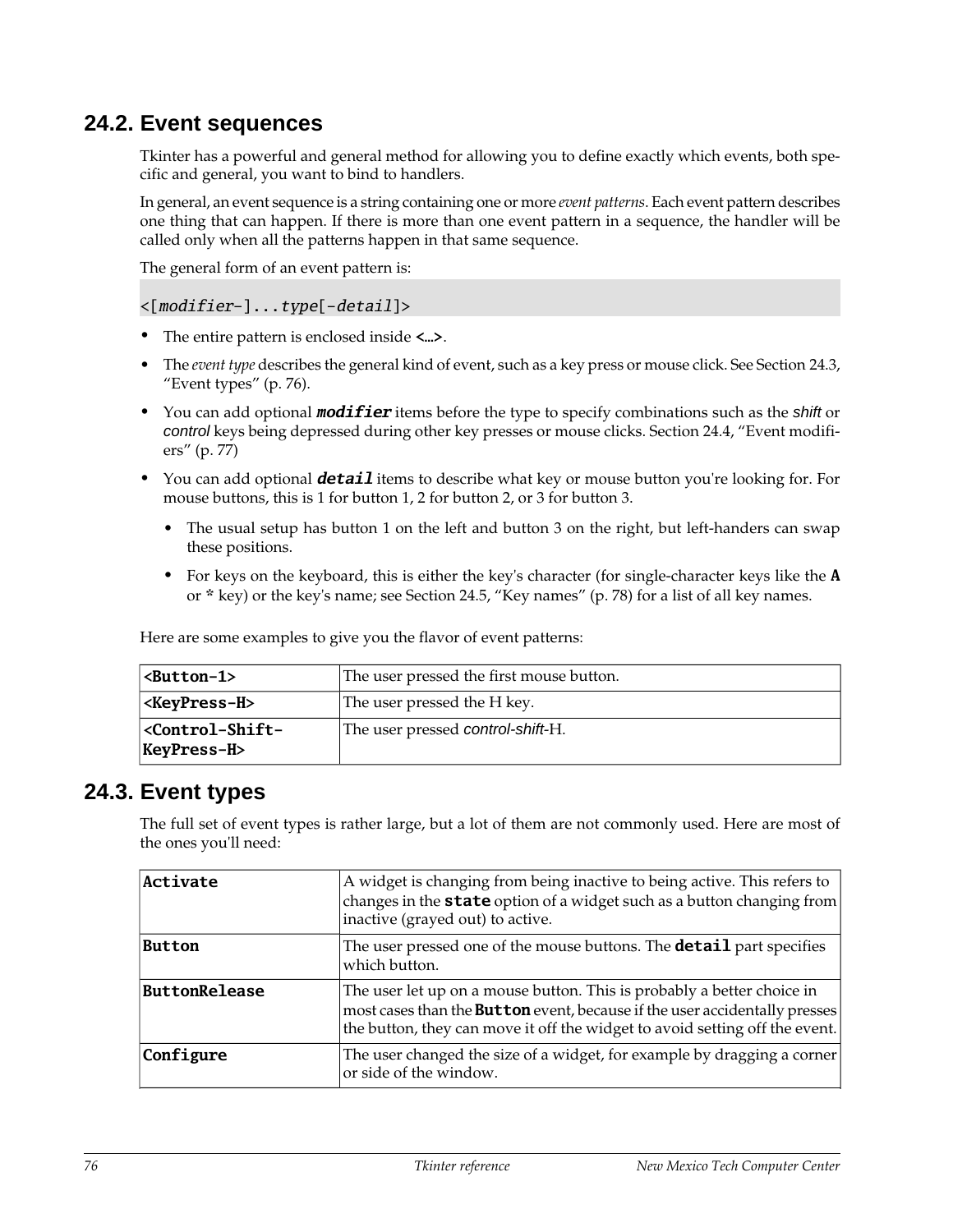### **24.2. Event sequences**

Tkinter has a powerful and general method for allowing you to define exactly which events, both specific and general, you want to bind to handlers.

In general, an event sequence is a string containing one or more *event patterns*. Each event pattern describes one thing that can happen. If there is more than one event pattern in a sequence, the handler will be called only when all the patterns happen in that same sequence.

The general form of an event pattern is:

#### <[*modifier*-]...*type*[-*detail*]>

- The entire pattern is enclosed inside **<…>**.
- The *event type* describes the general kind of event, such as a key press or mouse click. See [Section](#page-75-0) 24.3, ["Event types" \(p. 76\)](#page-75-0).
- You can add optional *modifier* items before the type to specify combinations such as the *shift* or *control* keys being depressed during other key presses or mouse clicks. Section [24.4, "Event modifi](#page-76-0)[ers" \(p. 77\)](#page-76-0)
- You can add optional *detail* items to describe what key or mouse button you're looking for. For mouse buttons, this is 1 for button 1, 2 for button 2, or 3 for button 3.
	- The usual setup has button 1 on the left and button 3 on the right, but left-handers can swap these positions.
	- For keys on the keyboard, this is either the key's character (for single-character keys like the **A** or **\*** key) or the key's name; see Section [24.5, "Key names" \(p. 78\)](#page-77-0) for a list of all key names.

<span id="page-75-0"></span>

| <button-1></button-1>                                 | The user pressed the first mouse button. |  |  |
|-------------------------------------------------------|------------------------------------------|--|--|
| <keypress-h></keypress-h>                             | The user pressed the H key.              |  |  |
| <control-shift-<br>KeyPress-H&gt;</control-shift-<br> | The user pressed control-shift-H.        |  |  |

Here are some examples to give you the flavor of event patterns:

#### **24.3. Event types**

The full set of event types is rather large, but a lot of them are not commonly used. Here are most of the ones you'll need:

| Activate             | A widget is changing from being inactive to being active. This refers to<br>changes in the state option of a widget such as a button changing from<br>inactive (grayed out) to active.                                                     |
|----------------------|--------------------------------------------------------------------------------------------------------------------------------------------------------------------------------------------------------------------------------------------|
| <b>Button</b>        | The user pressed one of the mouse buttons. The <b>detail</b> part specifies<br>which button.                                                                                                                                               |
| <b>ButtonRelease</b> | The user let up on a mouse button. This is probably a better choice in<br>most cases than the <b>Button</b> event, because if the user accidentally presses<br>the button, they can move it off the widget to avoid setting off the event. |
| Configure            | The user changed the size of a widget, for example by dragging a corner<br>or side of the window.                                                                                                                                          |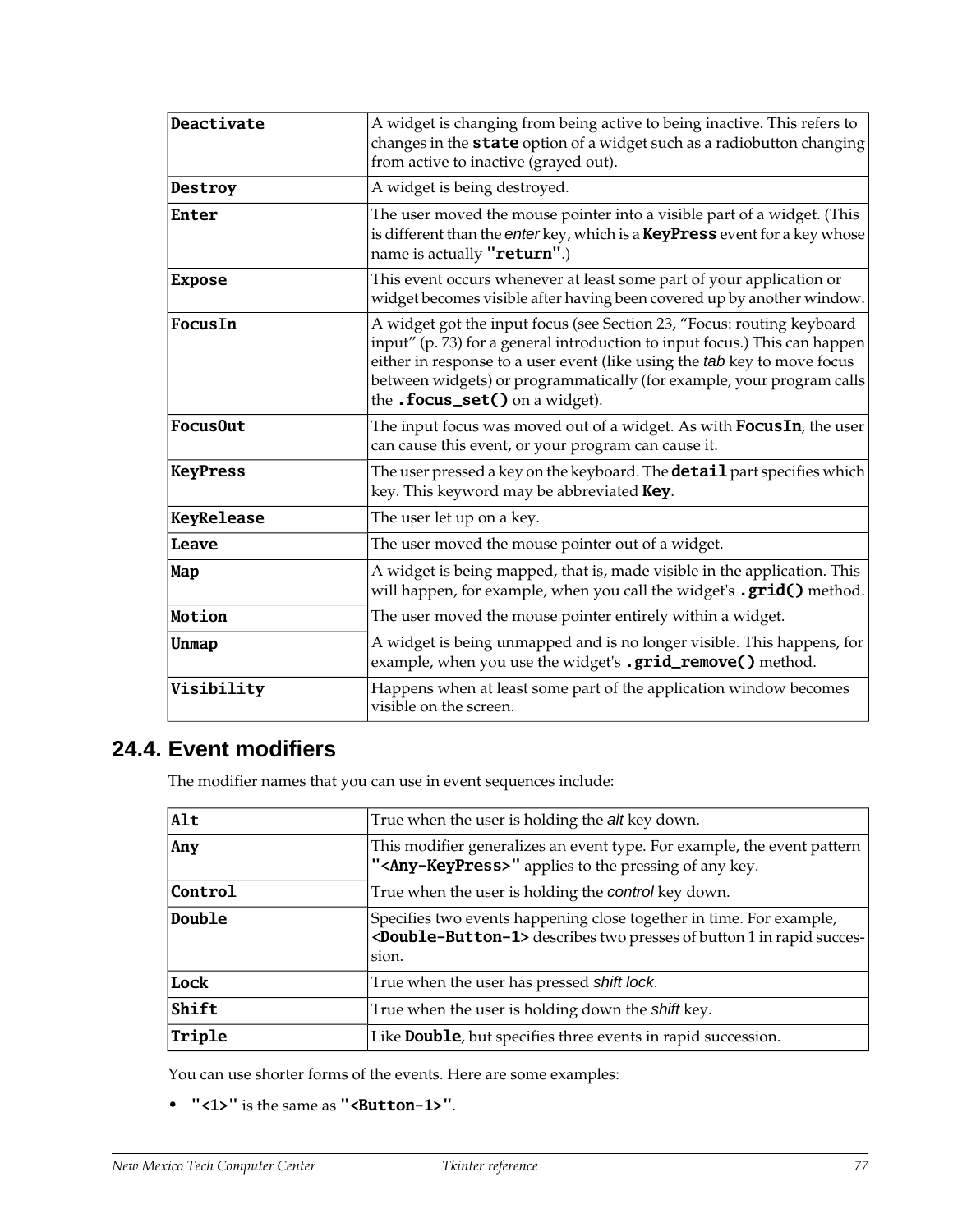| Deactivate        | A widget is changing from being active to being inactive. This refers to<br>changes in the state option of a widget such as a radiobutton changing<br>from active to inactive (grayed out).                                                                                                                                                  |  |
|-------------------|----------------------------------------------------------------------------------------------------------------------------------------------------------------------------------------------------------------------------------------------------------------------------------------------------------------------------------------------|--|
| Destroy           | A widget is being destroyed.                                                                                                                                                                                                                                                                                                                 |  |
| Enter             | The user moved the mouse pointer into a visible part of a widget. (This<br>is different than the enter key, which is a <b>KeyPress</b> event for a key whose<br>name is actually "return".)                                                                                                                                                  |  |
| <b>Expose</b>     | This event occurs whenever at least some part of your application or<br>widget becomes visible after having been covered up by another window.                                                                                                                                                                                               |  |
| FocusIn           | A widget got the input focus (see Section 23, "Focus: routing keyboard<br>input" (p. 73) for a general introduction to input focus.) This can happen<br>either in response to a user event (like using the tab key to move focus<br>between widgets) or programmatically (for example, your program calls<br>the . focus_set() on a widget). |  |
| Focus0ut          | The input focus was moved out of a widget. As with FocusIn, the user<br>can cause this event, or your program can cause it.                                                                                                                                                                                                                  |  |
| <b>KeyPress</b>   | The user pressed a key on the keyboard. The <b>detail</b> part specifies which<br>key. This keyword may be abbreviated Key.                                                                                                                                                                                                                  |  |
| <b>KeyRelease</b> | The user let up on a key.                                                                                                                                                                                                                                                                                                                    |  |
| Leave             | The user moved the mouse pointer out of a widget.                                                                                                                                                                                                                                                                                            |  |
| Map               | A widget is being mapped, that is, made visible in the application. This<br>will happen, for example, when you call the widget's .grid() method.                                                                                                                                                                                             |  |
| Motion            | The user moved the mouse pointer entirely within a widget.                                                                                                                                                                                                                                                                                   |  |
| Unmap             | A widget is being unmapped and is no longer visible. This happens, for<br>example, when you use the widget's .grid_remove() method.                                                                                                                                                                                                          |  |
| Visibility        | Happens when at least some part of the application window becomes<br>visible on the screen.                                                                                                                                                                                                                                                  |  |

# <span id="page-76-0"></span>**24.4. Event modifiers**

The modifier names that you can use in event sequences include:

| Alt     | True when the user is holding the alt key down.                                                                                                                         |  |
|---------|-------------------------------------------------------------------------------------------------------------------------------------------------------------------------|--|
| Any     | This modifier generalizes an event type. For example, the event pattern<br>" <any-keypress>" applies to the pressing of any key.</any-keypress>                         |  |
| Control | True when the user is holding the control key down.                                                                                                                     |  |
| Double  | Specifies two events happening close together in time. For example,<br><double-button-1> describes two presses of button 1 in rapid succes-<br/>sion.</double-button-1> |  |
| Lock    | True when the user has pressed shift lock.                                                                                                                              |  |
| Shift   | True when the user is holding down the shift key.                                                                                                                       |  |
| Triple  | Like <b>Double</b> , but specifies three events in rapid succession.                                                                                                    |  |

You can use shorter forms of the events. Here are some examples:

• **"<1>"** is the same as **"<Button-1>"**.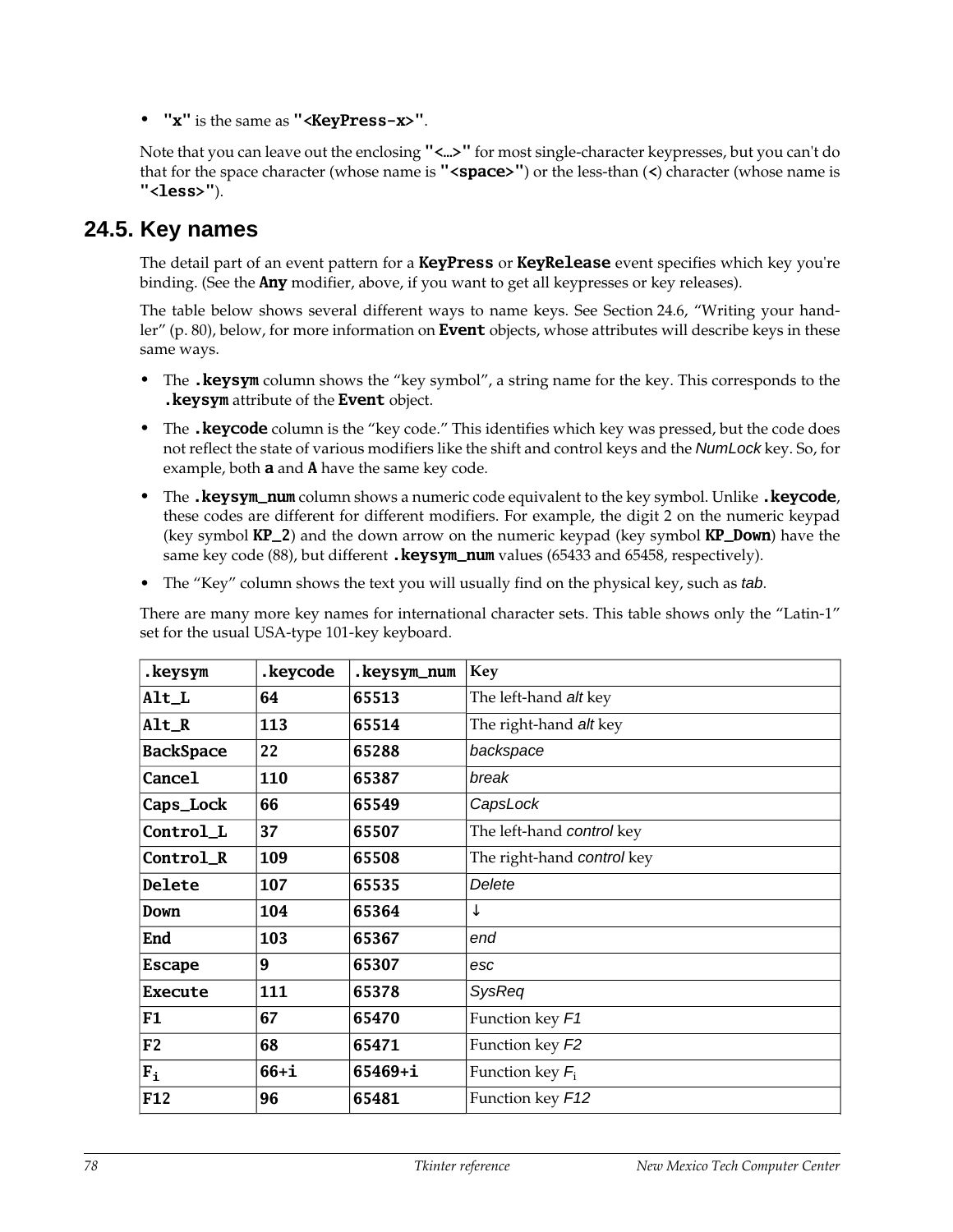• **"x"** is the same as **"<KeyPress-x>"**.

<span id="page-77-0"></span>Note that you can leave out the enclosing **"<…>"** for most single-character keypresses, but you can't do that for the space character (whose name is **"<space>"**) or the less-than (**<**) character (whose name is **"<less>"**).

### **24.5. Key names**

The detail part of an event pattern for a **KeyPress** or **KeyRelease** event specifies which key you're binding. (See the **Any** modifier, above, if you want to get all keypresses or key releases).

The table below shows several different ways to name keys. See Section [24.6, "Writing your hand](#page-79-0)[ler" \(p. 80\)](#page-79-0), below, for more information on **Event** objects, whose attributes will describe keys in these same ways.

- The **.keysym** column shows the "key symbol", a string name for the key. This corresponds to the **.keysym** attribute of the **Event** object.
- The **.keycode** column is the "key code." This identifies which key was pressed, but the code does not reflect the state of various modifiers like the shift and control keys and the *NumLock* key. So, for example, both **a** and **A** have the same key code.
- The **.keysym\_num** column shows a numeric code equivalent to the key symbol. Unlike **.keycode**, these codes are different for different modifiers. For example, the digit 2 on the numeric keypad (key symbol **KP\_2**) and the down arrow on the numeric keypad (key symbol **KP\_Down**) have the same key code (88), but different **.keysym\_num** values (65433 and 65458, respectively).
- The "Key" column shows the text you will usually find on the physical key, such as *tab*.

There are many more key names for international character sets. This table shows only the "Latin-1" set for the usual USA-type 101-key keyboard.

| .keysym          | .keycode | .keysym_num | Key                        |
|------------------|----------|-------------|----------------------------|
| Alt_L            | 64       | 65513       | The left-hand alt key      |
| Alt_R            | 113      | 65514       | The right-hand alt key     |
| <b>BackSpace</b> | 22       | 65288       | backspace                  |
| Cancel           | 110      | 65387       | break                      |
| Caps_Lock        | 66       | 65549       | CapsLock                   |
| Control_L        | 37       | 65507       | The left-hand control key  |
| Control_R        | 109      | 65508       | The right-hand control key |
| Delete           | 107      | 65535       | Delete                     |
| Down             | 104      | 65364       | ↓                          |
| End              | 103      | 65367       | end                        |
| <b>Escape</b>    | 9        | 65307       | esc                        |
| <b>Execute</b>   | 111      | 65378       | <b>SysReq</b>              |
| F1               | 67       | 65470       | Function key F1            |
| F <sub>2</sub>   | 68       | 65471       | Function key F2            |
| $F_{1}$          | $66+ i$  | 65469+i     | Function key $F_i$         |
| F <sub>12</sub>  | 96       | 65481       | Function key F12           |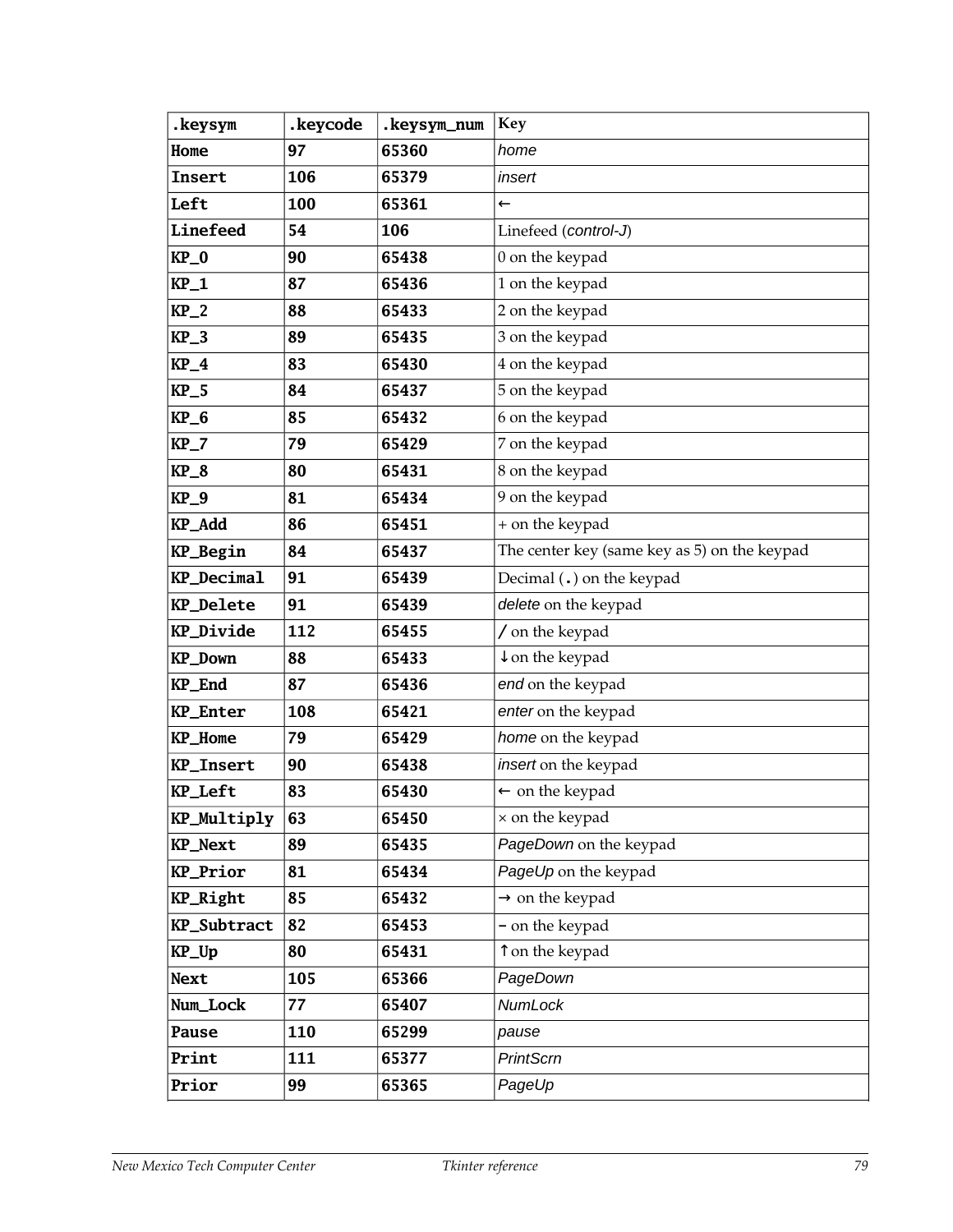| .keysym          | .keycode | .keysym_num | <b>Key</b>                                   |
|------------------|----------|-------------|----------------------------------------------|
| Home             | 97       | 65360       | home                                         |
| <b>Insert</b>    | 106      | 65379       | insert                                       |
| Left             | 100      | 65361       | $\leftarrow$                                 |
| Linefeed         | 54       | 106         | Linefeed (control-J)                         |
| $KP_0$           | 90       | 65438       | 0 on the keypad                              |
| $KP_1$           | 87       | 65436       | 1 on the keypad                              |
| $KP_2$           | 88       | 65433       | 2 on the keypad                              |
| $KP_3$           | 89       | 65435       | 3 on the keypad                              |
| $KP_4$           | 83       | 65430       | 4 on the keypad                              |
| $KP_5$           | 84       | 65437       | 5 on the keypad                              |
| $KP_6$           | 85       | 65432       | 6 on the keypad                              |
| $KP_7$           | 79       | 65429       | 7 on the keypad                              |
| $KP_8$           | 80       | 65431       | 8 on the keypad                              |
| $KP_9$           | 81       | 65434       | 9 on the keypad                              |
| KP_Add           | 86       | 65451       | + on the keypad                              |
| KP_Begin         | 84       | 65437       | The center key (same key as 5) on the keypad |
| KP_Decimal       | 91       | 65439       | Decimal (.) on the keypad                    |
| <b>KP_Delete</b> | 91       | 65439       | delete on the keypad                         |
| <b>KP_Divide</b> | 112      | 65455       | / on the keypad                              |
| <b>KP_Down</b>   | 88       | 65433       | $\downarrow$ on the keypad                   |
| KP_End           | 87       | 65436       | end on the keypad                            |
| <b>KP_Enter</b>  | 108      | 65421       | enter on the keypad                          |
| <b>KP_Home</b>   | 79       | 65429       | home on the keypad                           |
| <b>KP_Insert</b> | 90       | 65438       | insert on the keypad                         |
| KP_Left          | 83       | 65430       | $\leftarrow$ on the keypad                   |
| KP_Multiply      | 63       | 65450       | x on the keypad                              |
| <b>KP_Next</b>   | 89       | 65435       | PageDown on the keypad                       |
| <b>KP_Prior</b>  | 81       | 65434       | PageUp on the keypad                         |
| <b>KP_Right</b>  | 85       | 65432       | $\rightarrow$ on the keypad                  |
| KP_Subtract      | 82       | 65453       | - on the keypad                              |
| KP_Up            | 80       | 65431       | $\uparrow$ on the keypad                     |
| <b>Next</b>      | 105      | 65366       | PageDown                                     |
| Num_Lock         | 77       | 65407       | NumLock                                      |
| Pause            | 110      | 65299       | pause                                        |
| Print            | 111      | 65377       | <b>PrintScrn</b>                             |
| Prior            | 99       | 65365       | PageUp                                       |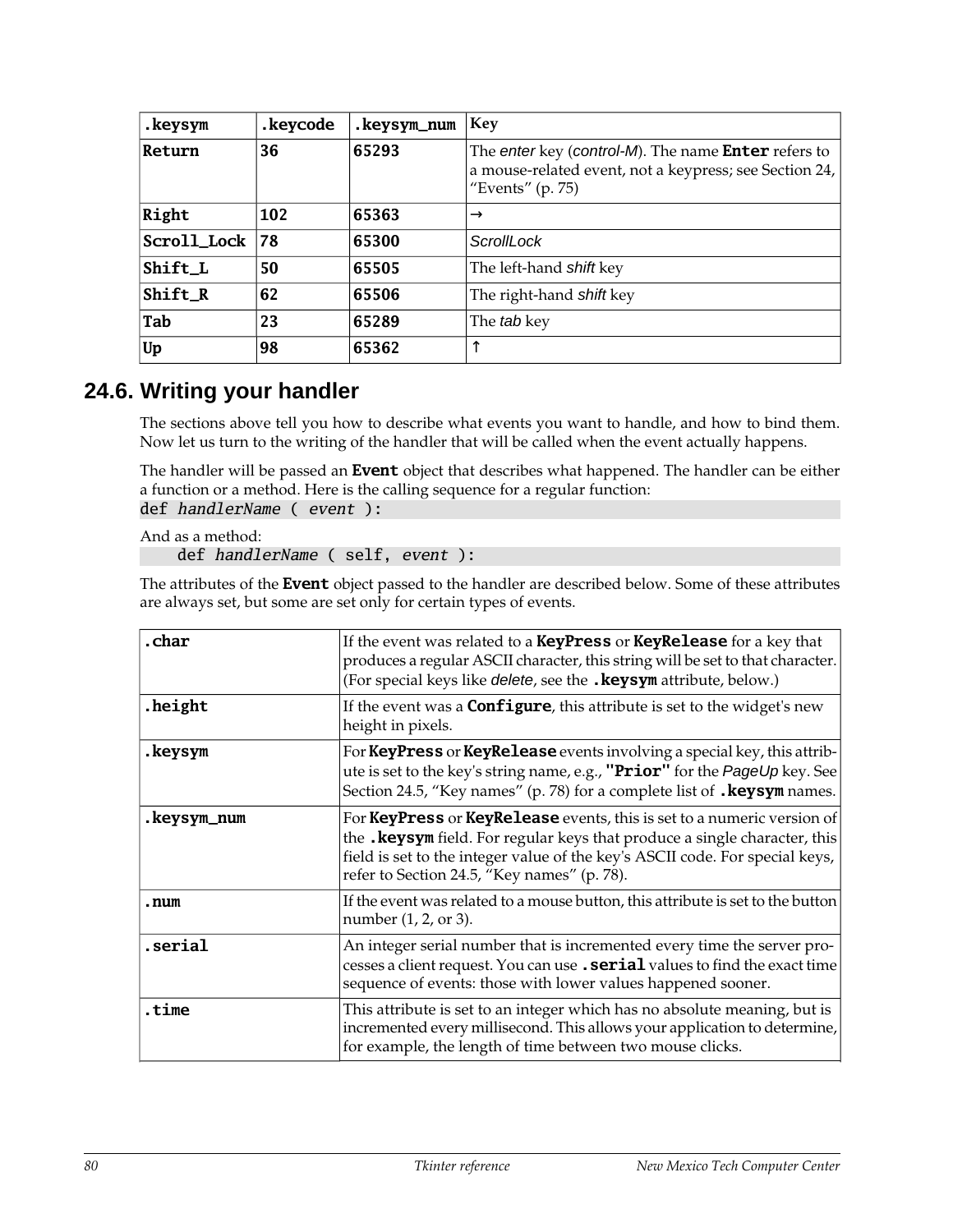| .keysym     | .keycode | .keysym_num | Key                                                                                                                                        |
|-------------|----------|-------------|--------------------------------------------------------------------------------------------------------------------------------------------|
| Return      | 36       | 65293       | The enter key (control-M). The name <b>Enter</b> refers to<br>a mouse-related event, not a keypress; see Section 24,<br>"Events" $(p. 75)$ |
| Right       | 102      | 65363       | $\rightarrow$                                                                                                                              |
| Scroll_Lock | 78       | 65300       | ScrollLock                                                                                                                                 |
| Shift_L     | 50       | 65505       | The left-hand shift key                                                                                                                    |
| Shift_R     | 62       | 65506       | The right-hand shift key                                                                                                                   |
| Tab         | 23       | 65289       | The <i>tab</i> key                                                                                                                         |
| Up          | 98       | 65362       |                                                                                                                                            |

### <span id="page-79-0"></span>**24.6. Writing your handler**

The sections above tell you how to describe what events you want to handle, and how to bind them. Now let us turn to the writing of the handler that will be called when the event actually happens.

The handler will be passed an **Event** object that describes what happened. The handler can be either a function or a method. Here is the calling sequence for a regular function:

def *handlerName* ( *event* ):

And as a method:

def *handlerName* ( self, *event* ):

The attributes of the **Event** object passed to the handler are described below. Some of these attributes are always set, but some are set only for certain types of events.

| .char       | If the event was related to a <b>KeyPress</b> or <b>KeyRelease</b> for a key that<br>produces a regular ASCII character, this string will be set to that character.<br>(For special keys like delete, see the . keysym attribute, below.)                                           |
|-------------|-------------------------------------------------------------------------------------------------------------------------------------------------------------------------------------------------------------------------------------------------------------------------------------|
| .height     | If the event was a <b>Configure</b> , this attribute is set to the widget's new<br>height in pixels.                                                                                                                                                                                |
| .keysym     | For KeyPress or KeyRelease events involving a special key, this attrib-<br>ute is set to the key's string name, e.g., "Prior" for the PageUp key. See<br>Section 24.5, "Key names" (p. 78) for a complete list of . keysym names.                                                   |
| .keysym_num | For KeyPress or KeyRelease events, this is set to a numeric version of<br>the . keysym field. For regular keys that produce a single character, this<br>field is set to the integer value of the key's ASCII code. For special keys,<br>refer to Section 24.5, "Key names" (p. 78). |
| .num        | If the event was related to a mouse button, this attribute is set to the button<br>number (1, 2, or 3).                                                                                                                                                                             |
| .serial     | An integer serial number that is incremented every time the server pro-<br>cesses a client request. You can use . serial values to find the exact time<br>sequence of events: those with lower values happened sooner.                                                              |
| .time       | This attribute is set to an integer which has no absolute meaning, but is<br>incremented every millisecond. This allows your application to determine,<br>for example, the length of time between two mouse clicks.                                                                 |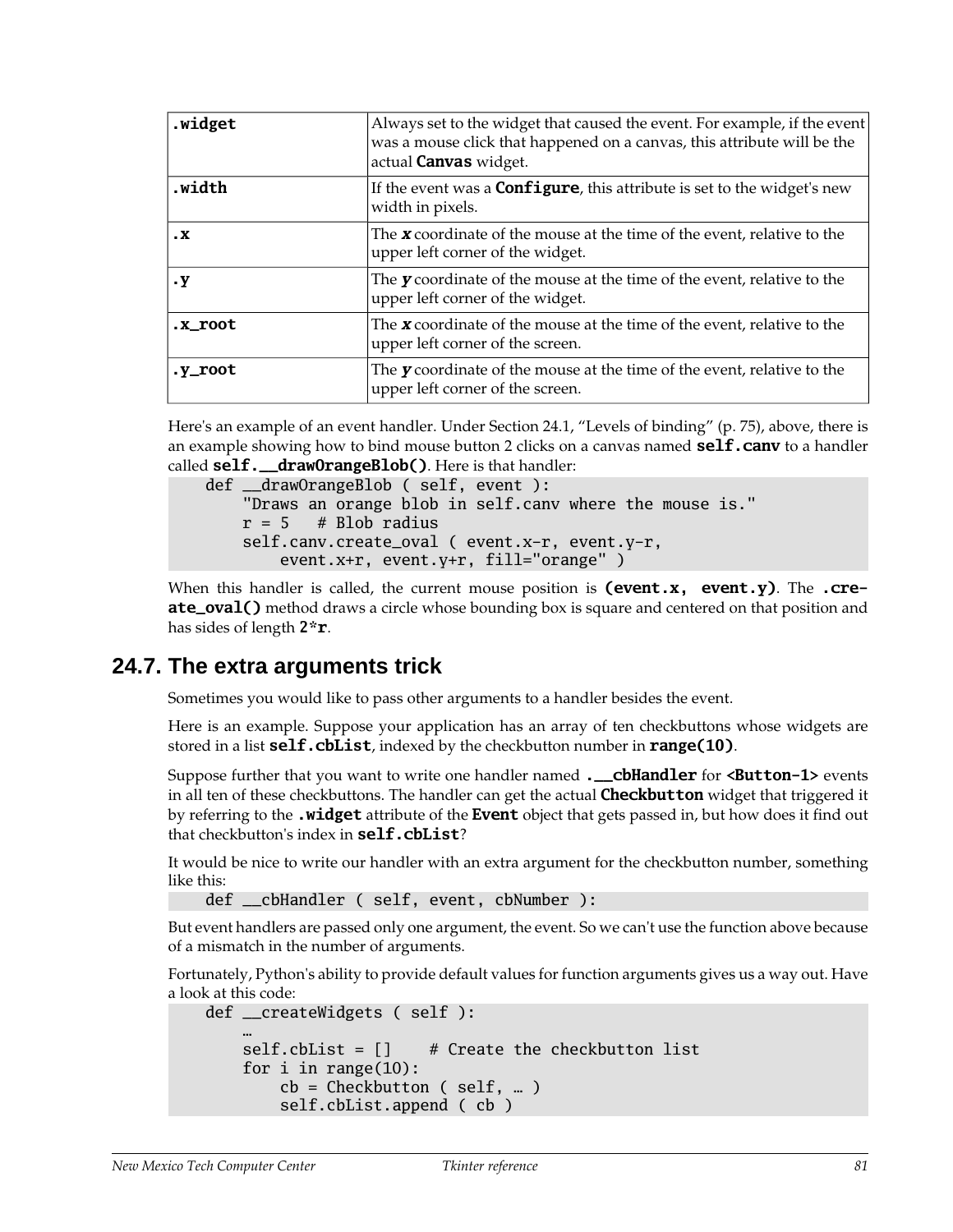| .widget      | Always set to the widget that caused the event. For example, if the event<br>was a mouse click that happened on a canvas, this attribute will be the<br>actual <b>Canvas</b> widget. |
|--------------|--------------------------------------------------------------------------------------------------------------------------------------------------------------------------------------|
| .width       | If the event was a <b>Configure</b> , this attribute is set to the widget's new<br>width in pixels.                                                                                  |
| $\mathbf{x}$ | The $x$ coordinate of the mouse at the time of the event, relative to the<br>upper left corner of the widget.                                                                        |
| . у          | The $y$ coordinate of the mouse at the time of the event, relative to the<br>upper left corner of the widget.                                                                        |
| .x_root      | The $x$ coordinate of the mouse at the time of the event, relative to the<br>upper left corner of the screen.                                                                        |
| .y_root      | The $\boldsymbol{y}$ coordinate of the mouse at the time of the event, relative to the<br>upper left corner of the screen.                                                           |

Here's an example of an event handler. Under Section [24.1, "Levels of binding" \(p. 75\)](#page-74-1), above, there is an example showing how to bind mouse button 2 clicks on a canvas named **self.canv** to a handler called **self.\_\_drawOrangeBlob()**. Here is that handler:

```
def __drawOrangeBlob ( self, event ):
    "Draws an orange blob in self.canv where the mouse is."
   r = 5 # Blob radius
    self.canv.create_oval ( event.x-r, event.y-r,
       event.x+r, event.y+r, fill="orange" )
```
When this handler is called, the current mouse position is **(event.x, event.y)**. The **.create\_oval()** method draws a circle whose bounding box is square and centered on that position and has sides of length **2\*r**.

### **24.7. The extra arguments trick**

Sometimes you would like to pass other arguments to a handler besides the event.

Here is an example. Suppose your application has an array of ten checkbuttons whose widgets are stored in a list **self.cbList**, indexed by the checkbutton number in **range(10)**.

Suppose further that you want to write one handler named **.\_\_cbHandler** for **<Button-1>** events in all ten of these checkbuttons. The handler can get the actual **Checkbutton** widget that triggered it by referring to the **.widget** attribute of the **Event** object that gets passed in, but how does it find out that checkbutton's index in **self.cbList**?

It would be nice to write our handler with an extra argument for the checkbutton number, something like this:

def \_\_cbHandler ( self, event, cbNumber ):

But event handlers are passed only one argument, the event. So we can't use the function above because of a mismatch in the number of arguments.

Fortunately, Python's ability to provide default values for function arguments gives us a way out. Have a look at this code:

```
def __createWidgets ( self ):
     …
    self.cbList = \begin{bmatrix} 1 \\ 4 \end{bmatrix} # Create the checkbutton list
    for i in range(10):
         cb = Checkbutton ( self, … )
         self.cbList.append ( cb )
```